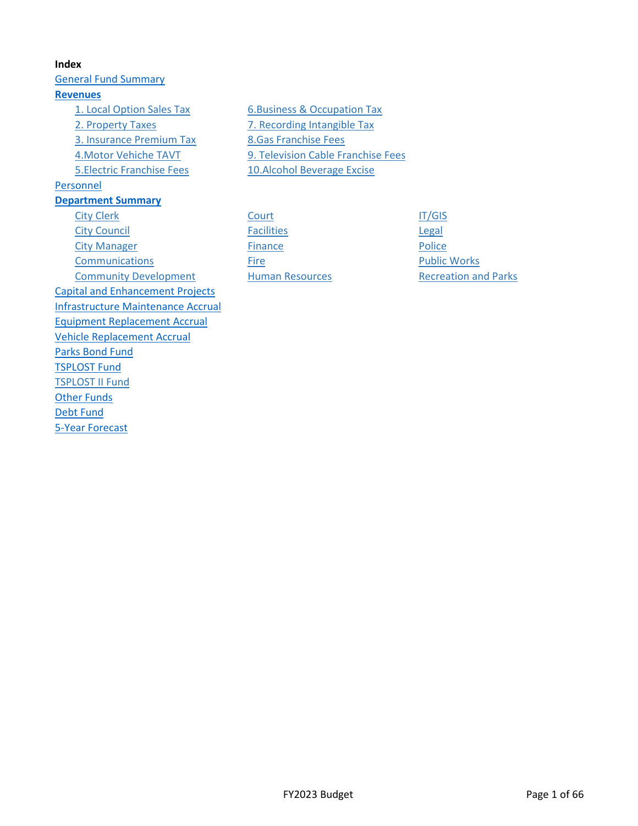**Index** [General Fund Summary](#page-1-0) **[Revenues](#page-2-0)** [1. Local Option Sales Tax](#page-4-0) [6.Business & Occupation Tax](#page-9-0) [2. Property Taxes](#page-5-0) [7. Recording Intangible Tax](#page-10-0) [3. Insurance Premium Tax](#page-6-0) [8.Gas Franchise Fees](#page-11-0) [5.Electric Franchise Fees](#page-8-0) [10.Alcohol Beverage Excise](#page-13-0) [Personnel](#page-14-0) **[Department Summary](#page-18-0)** [City Clerk](#page-19-0) [Court](#page-24-0) Court Court [IT/GIS](#page-30-0) [City Council](#page-20-0) **Example 20** City Council **[Facilities](#page-25-0) Example 20 Facilities** [City Manager](#page-21-0) **[Finance](#page-26-0) Finance [Police](#page-33-0) [Communications](#page-22-0) [Fire](#page-27-0) Fire Research [Public Works](#page-34-0)** [Community Development](#page-23-0) [Human Resources](#page-29-0) [Recreation and Parks](#page-35-0) [Capital and Enhancement Projects](#page-36-0) [Infrastructure Maintenance Accrual](#page-46-0) [Equipment Replacement Accrual](#page-51-0) [Vehicle Replacement Accrual](#page-53-0) [Parks Bond Fund](#page-55-0) [TSPLOST Fund](#page-57-0) [TSPLOST II Fund](#page-58-0) **[Other Funds](#page-59-0)** [Debt Fund](#page-62-0) [5-Year Forecast](#page-64-0)

[4.Motor Vehiche TAVT](#page-7-0) [9. Television Cable Franchise Fees](#page-12-0)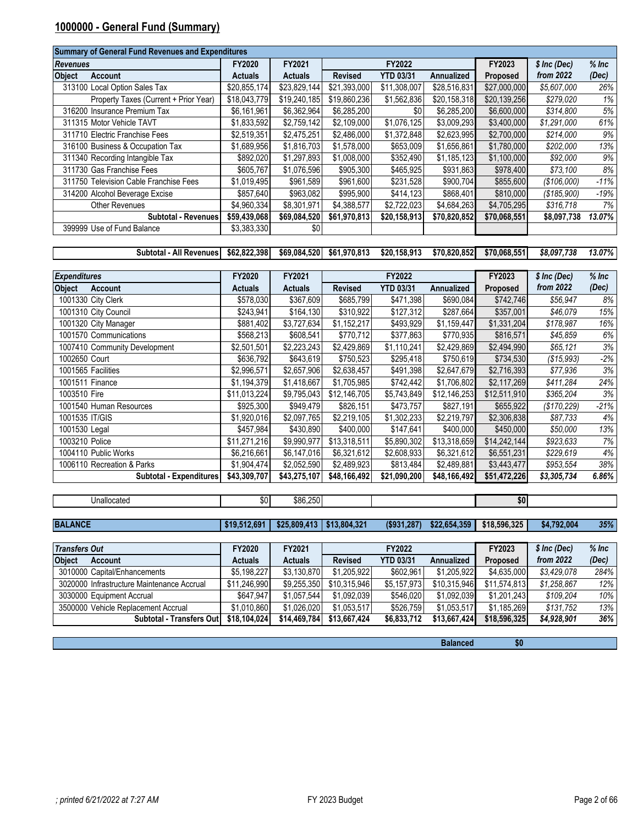# <span id="page-1-0"></span>**1000000 - General Fund (Summary)**

|                 | <b>Summary of General Fund Revenues and Expenditures</b> |                |                |                |                  |                   |              |               |         |
|-----------------|----------------------------------------------------------|----------------|----------------|----------------|------------------|-------------------|--------------|---------------|---------|
| <b>Revenues</b> |                                                          | FY2020         | FY2021         |                | FY2022           |                   | FY2023       | $$$ Inc (Dec) | $%$ Inc |
| <b>Object</b>   | Account                                                  | <b>Actuals</b> | <b>Actuals</b> | <b>Revised</b> | <b>YTD 03/31</b> | <b>Annualized</b> | Proposed     | from 2022     | (Dec)   |
|                 | 313100 Local Option Sales Tax                            | \$20,855,174   | \$23,829,144   | \$21,393,000   | \$11,308,007     | \$28,516,831      | \$27,000,000 | \$5,607,000   | 26%     |
|                 | Property Taxes (Current + Prior Year)                    | \$18,043,779   | \$19,240,185   | \$19,860,236   | \$1,562,836      | \$20,158,318      | \$20,139,256 | \$279,020     | 1%      |
|                 | 316200 Insurance Premium Tax                             | \$6,161,961    | \$6,362,964    | \$6,285,200    | \$0              | \$6,285,200       | \$6,600,000  | \$314,800     | 5%      |
|                 | 311315 Motor Vehicle TAVT                                | \$1,833,592    | \$2,759,142    | \$2,109,000    | \$1,076,125      | \$3,009,293       | \$3,400,000  | \$1,291,000   | 61%     |
|                 | 311710 Electric Franchise Fees                           | \$2,519,351    | \$2,475,251    | \$2,486,000    | \$1,372,848      | \$2,623,995       | \$2,700,000  | \$214,000     | 9%      |
|                 | 316100 Business & Occupation Tax                         | \$1,689,956    | \$1,816,703    | \$1,578,000    | \$653,009        | \$1,656,861       | \$1,780,000  | \$202,000     | 13%     |
|                 | 311340 Recording Intangible Tax                          | \$892,020      | \$1,297,893    | \$1,008,000    | \$352,490        | \$1,185,123       | \$1,100,000  | \$92,000      | 9%      |
|                 | 311730 Gas Franchise Fees                                | \$605.767      | \$1,076,596    | \$905,300      | \$465,925        | \$931,863         | \$978,400    | \$73,100      | 8%      |
|                 | 311750 Television Cable Franchise Fees                   | \$1,019,495    | \$961,589      | \$961,600      | \$231,528        | \$900,704         | \$855,600    | (S106,000)    | $-11%$  |
|                 | 314200 Alcohol Beverage Excise                           | \$857,640      | \$963,082      | \$995,900      | \$414,123        | \$868,401         | \$810,000    | (S185,900)    | $-19%$  |
|                 | <b>Other Revenues</b>                                    | \$4,960,334    | \$8,301,971    | \$4,388,577    | \$2,722,023      | \$4,684,263       | \$4,705,295  | \$316,718     | 7%      |
|                 | <b>Subtotal - Revenues</b>                               | \$59,439,068   | \$69,084,520   | \$61,970,813   | \$20,158,913     | \$70,820,852      | \$70,068,551 | \$8,097,738   | 13.07%  |
|                 | 399999 Use of Fund Balance                               | \$3,383,330    | \$0            |                |                  |                   |              |               |         |

**Subtotal - All Revenues \$62,822,398 \$69,084,520 \$61,970,813 \$20,158,913 \$70,820,852 \$70,068,551** *\$8,097,738 13.07%*

| <b>Expenditures</b>            | FY2020         | FY2021         |                | FY2022           |              | FY2023       | \$ Inc (Dec) | $%$ Inc |
|--------------------------------|----------------|----------------|----------------|------------------|--------------|--------------|--------------|---------|
| <b>Object</b><br>Account       | <b>Actuals</b> | <b>Actuals</b> | <b>Revised</b> | <b>YTD 03/31</b> | Annualized   | Proposed     | from 2022    | (Dec)   |
| 1001330 City Clerk             | \$578,030      | \$367,609      | \$685,799      | \$471,398        | \$690,084    | \$742,746    | \$56,947     | 8%      |
| 1001310 City Council           | \$243,941      | \$164,130      | \$310,922      | \$127,312        | \$287,664    | \$357,001    | \$46,079     | 15%     |
| 1001320 City Manager           | \$881,402      | \$3,727,634    | \$1,152,217    | \$493,929        | \$1,159,447  | \$1,331,204  | \$178,987    | 16%     |
| 1001570 Communications         | \$568,213      | \$608,541      | \$770,712      | \$377,863        | \$770,935    | \$816,571    | \$45,859     | 6%      |
| 1007410 Community Development  | \$2,501,501    | \$2,223,243    | \$2,429,869    | \$1,110,241      | \$2,429,869  | \$2,494,990  | \$65,121     | 3%      |
| 1002650 Court                  | \$636,792      | \$643,619      | \$750,523      | \$295,418        | \$750,619    | \$734,530    | ( \$15,993)  | $-2%$   |
| 1001565 Facilities             | \$2,996,571    | \$2,657,906    | \$2,638,457    | \$491,398        | \$2,647,679  | \$2,716,393  | \$77,936     | 3%      |
| 1001511 Finance                | \$1,194,379    | \$1,418,667    | \$1,705,985    | \$742,442        | \$1,706,802  | \$2,117,269  | \$411,284    | 24%     |
| 1003510 Fire                   | \$11,013,224   | \$9,795,043    | \$12,146,705   | \$5,743,849      | \$12,146,253 | \$12,511,910 | \$365,204    | 3%      |
| 1001540 Human Resources        | \$925,300      | \$949,479      | \$826,151      | \$473,757        | \$827,191    | \$655,922    | (\$170,229)  | $-21%$  |
| 1001535 IT/GIS                 | \$1,920,016    | \$2,097,765    | \$2,219,105    | \$1,302,233      | \$2,219,797  | \$2,306,838  | \$87,733     | 4%      |
| 1001530 Legal                  | \$457,984      | \$430,890      | \$400,000      | \$147,641        | \$400,000    | \$450,000    | \$50,000     | 13%     |
| 1003210 Police                 | \$11,271,216   | \$9,990,977    | \$13,318,511   | \$5,890,302      | \$13,318,659 | \$14,242,144 | \$923,633    | 7%      |
| 1004110 Public Works           | \$6,216,661    | \$6,147,016    | \$6,321,612    | \$2,608,933      | \$6,321,612  | \$6,551,231  | \$229,619    | 4%      |
| 1006110 Recreation & Parks     | \$1,904,474    | \$2,052,590    | \$2,489,923    | \$813,484        | \$2,489,881  | \$3,443,477  | \$953,554    | 38%     |
| <b>Subtotal - Expenditures</b> | \$43,309,707   | \$43,275,107   | \$48,166,492   | \$21,090,200     | \$48,166,492 | \$51,472,226 | \$3,305,734  | 6.86%   |

| \$19.512.691                                                     |                |                | $($ \$931,287)                                            | \$22,654,359 | \$18,596,325    | \$4.792.004 | 35%                |
|------------------------------------------------------------------|----------------|----------------|-----------------------------------------------------------|--------------|-----------------|-------------|--------------------|
|                                                                  |                |                |                                                           |              |                 |             |                    |
| <b>Transfers Out</b><br>FY2021<br><b>FY2022</b><br><b>FY2020</b> |                |                | FY2023                                                    | \$ Inc (Dec) | $%$ Inc         |             |                    |
| Actuals                                                          | <b>Actuals</b> | <b>Revised</b> | <b>YTD 03/31</b>                                          | Annualized   | <b>Proposed</b> | from 2022   | (Dec)              |
| \$5,198,227                                                      |                |                | \$602.961                                                 |              |                 | \$3,429,078 | 284%               |
|                                                                  |                | \$0            | \$86,250<br>$$25.809.413 \mid $13.804.321$<br>\$3,130,870 | \$1,205,922  |                 | \$1,205,922 | \$0<br>\$4,635,000 |

| <b>Subtotal - Transfers Outl</b>           | \$18.104.024 | \$14,469,784 | \$13.667.424 | \$6,833,712       | \$13,667,424 | \$18,596,325            | \$4.928.901 | 36%    |
|--------------------------------------------|--------------|--------------|--------------|-------------------|--------------|-------------------------|-------------|--------|
| 3500000 Vehicle Replacement Accrual        | \$1.010.860  | \$1.026.020  | \$1,053.517  | \$526.759         | \$1.053.517  | \$1.185.269             | \$131.752   | 13%    |
| 3030000 Equipment Accrual                  | \$647,947    | \$1.057.544  | \$1,092,039  | \$546.020         | \$1.092.039  | \$1.201.243             | \$109.204   | 10%    |
| 3020000 Infrastructure Maintenance Accrual | \$11.246.990 | \$9.255.350  | \$10.315.946 | \$5.157.973       | \$10.315.946 | \$11.574.813            | \$1.258.867 | 12%    |
| <u>JUTUUU CADILAMENNANGINEITIS</u>         | 40,130,221   | 0,100,010    | JI.ZUJ.JZZ   | <b>JUUL, JU I</b> | V, ZU, JZZ   | JUU,UUU, <del>U</del> U | 0,72,010    | LUT 70 |

**Balanced \$0**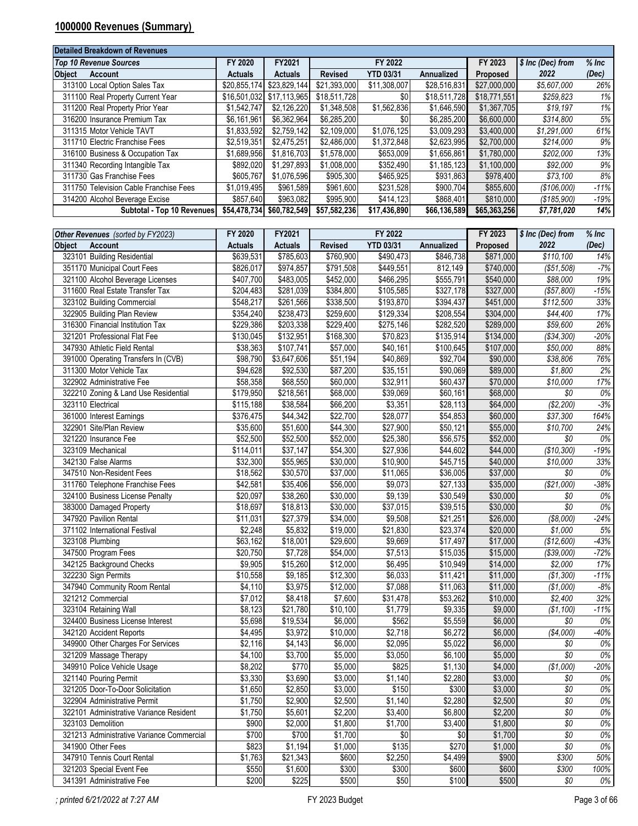# <span id="page-2-0"></span>**1000000 Revenues (Summary)**

| <b>Detailed Breakdown of Revenues</b>  |                |                           |                |                  |                   |              |                   |         |
|----------------------------------------|----------------|---------------------------|----------------|------------------|-------------------|--------------|-------------------|---------|
| <b>Top 10 Revenue Sources</b>          | FY 2020        | FY2021                    |                | FY 2022          |                   | FY 2023      | \$ Inc (Dec) from | $%$ Inc |
| <b>Object</b><br>Account               | <b>Actuals</b> | <b>Actuals</b>            | <b>Revised</b> | <b>YTD 03/31</b> | <b>Annualized</b> | Proposed     | 2022              | (Dec)   |
| 313100 Local Option Sales Tax          | \$20,855,174   | \$23,829,144              | \$21,393,000   | \$11,308,007     | \$28,516,831      | \$27,000,000 | \$5,607,000       | 26%     |
| 311100 Real Property Current Year      |                | \$16,501,032 \$17,113,965 | \$18,511,728   | \$0              | \$18,511,728      | \$18,771,551 | \$259,823         | 1%      |
| 311200 Real Property Prior Year        | \$1,542,747    | \$2,126,220               | \$1,348,508    | \$1,562,836      | \$1,646,590       | \$1,367,705  | \$19,197          | 1%      |
| 316200 Insurance Premium Tax           | \$6,161,961    | \$6,362,964               | \$6,285,200    | \$0              | \$6,285,200       | \$6,600,000  | \$314,800         | 5%      |
| 311315 Motor Vehicle TAVT              | \$1,833,592    | \$2,759,142               | \$2.109.000    | \$1,076,125      | \$3,009,293       | \$3,400,000  | \$1,291,000       | 61%     |
| 311710 Electric Franchise Fees         | \$2.519.351    | \$2,475,251               | \$2.486.000    | \$1,372,848      | \$2.623.995       | \$2,700,000  | \$214.000         | 9%      |
| 316100 Business & Occupation Tax       | \$1,689,956    | \$1,816,703               | \$1,578,000    | \$653,009        | \$1,656,861       | \$1,780,000  | \$202,000         | 13%     |
| 311340 Recording Intangible Tax        | \$892.020      | \$1.297.893               | \$1,008,000    | \$352,490        | \$1.185.123       | \$1,100,000  | \$92,000          | 9%      |
| 311730 Gas Franchise Fees              | \$605,767      | \$1,076,596               | \$905,300      | \$465,925        | \$931,863         | \$978,400    | \$73,100          | 8%      |
| 311750 Television Cable Franchise Fees | \$1.019.495    | \$961.589                 | \$961.600      | \$231,528        | \$900.704         | \$855,600    | (S106,000)        | $-11%$  |
| 314200 Alcohol Beverage Excise         | \$857.640      | \$963,082                 | \$995,900      | \$414,123        | \$868,401         | \$810,000    | (S185,900)        | $-19%$  |
| Subtotal - Top 10 Revenues             | \$54.478.734   | \$60,782,549              | \$57,582,236   | \$17,436,890     | \$66,136,589      | \$65,363,256 | \$7,781,020       | 14%     |

| Revised<br><b>YTD 03/31</b><br>Annualized<br><b>Actuals</b><br><b>Actuals</b><br>2022<br><b>Object</b><br>Proposed<br><b>Account</b> | (Dec)  |
|--------------------------------------------------------------------------------------------------------------------------------------|--------|
|                                                                                                                                      |        |
| \$785,603<br>\$490,473<br>323101 Building Residential<br>\$639,531<br>\$760,900<br>\$846,738<br>\$871,000<br>\$110,100               | 14%    |
| \$974,857<br>\$791,508<br>\$449,551<br>812,149<br>\$740,000<br>(\$51,508)<br>351170 Municipal Court Fees<br>\$826,017                | $-7%$  |
| 321100 Alcohol Beverage Licenses<br>\$407,700<br>\$483,005<br>\$452,000<br>\$466,295<br>\$555,791<br>\$540,000<br>\$88,000           | 19%    |
| \$281,039<br>\$384,800<br>\$105,585<br>\$327,178<br>\$327,000<br>311600 Real Estate Transfer Tax<br>\$204,483<br>(\$57,800)          | $-15%$ |
| \$261,566<br>\$338,500<br>\$193,870<br>\$394,437<br>\$112,500<br>323102 Building Commercial<br>\$548,217<br>\$451,000                | 33%    |
| \$259,600<br>\$129,334<br>\$208,554<br>\$304,000<br>322905 Building Plan Review<br>\$354,240<br>\$238,473<br>\$44,400                | 17%    |
| \$229,400<br>\$275,146<br>\$289,000<br>316300 Financial Institution Tax<br>\$229,386<br>\$203,338<br>\$282,520<br>\$59,600           | 26%    |
| \$132,951<br>\$168,300<br>\$70,823<br>\$135,914<br>\$134,000<br>321201 Professional Flat Fee<br>\$130,045<br>(\$34,300)              | $-20%$ |
| \$40,161<br>\$107,000<br>347930 Athletic Field Rental<br>\$38,363<br>\$107,741<br>\$57,000<br>\$100,645<br>\$50,000                  | 88%    |
| \$40,869<br>\$92,704<br>391000 Operating Transfers In (CVB)<br>\$98,790<br>\$3,647,606<br>\$51,194<br>\$90,000<br>\$38,806           | 76%    |
| \$94,628<br>\$92,530<br>\$87,200<br>\$35,151<br>\$90,069<br>\$89,000<br>\$1,800<br>311300 Motor Vehicle Tax                          | 2%     |
| \$32,911<br>\$70,000<br>\$58,358<br>\$68,550<br>\$60,000<br>\$60,437<br>\$10,000<br>322902 Administrative Fee                        | 17%    |
| \$68,000<br>\$39,069<br>\$60,161<br>\$68,000<br>\$0<br>322210 Zoning & Land Use Residential<br>\$179,950<br>\$218,561                | $0\%$  |
| \$3,351<br>\$64,000<br>323110 Electrical<br>\$115,188<br>\$38,584<br>\$66,200<br>\$28,113<br>(\$2,200)                               | $-3%$  |
| \$44,342<br>\$22,700<br>\$28,077<br>\$54,853<br>\$60,000<br>\$37,300<br>361000 Interest Earnings<br>\$376,475                        | 164%   |
| \$51,600<br>\$44,300<br>\$27,900<br>\$50,121<br>\$10,700<br>322901 Site/Plan Review<br>\$35,600<br>\$55,000                          | 24%    |
| \$25,380<br>\$0<br>\$52,500<br>\$52,500<br>\$52,000<br>\$56,575<br>\$52,000<br>321220 Insurance Fee                                  | $0\%$  |
| \$27,936<br>\$37,147<br>\$54,300<br>\$44,602<br>\$44,000<br>(\$10,300)<br>323109 Mechanical<br>\$114,011                             | $-19%$ |
| \$55,965<br>\$30,000<br>\$10,900<br>\$45,715<br>\$40,000<br>\$10,000<br>342130 False Alarms<br>\$32,300                              | 33%    |
| \$30,570<br>\$37,000<br>\$11,065<br>\$37,000<br>\$0<br>347510 Non-Resident Fees<br>\$18,562<br>\$36,005                              | $0\%$  |
| \$9,073<br>\$42,581<br>\$35,406<br>\$56,000<br>\$27,133<br>\$35,000<br>(\$21,000)<br>311760 Telephone Franchise Fees                 | $-38%$ |
| \$9,139<br>\$20,097<br>\$38,260<br>\$30,000<br>\$30,549<br>\$30,000<br>\$0<br>324100 Business License Penalty                        | $0\%$  |
| \$37,015<br>\$0<br>\$18,697<br>\$18,813<br>\$30,000<br>\$39,515<br>\$30,000<br>383000 Damaged Property                               | $0\%$  |
| \$9,508<br>347920 Pavilion Rental<br>\$27,379<br>\$34,000<br>\$21,251<br>\$26,000<br>(\$8,000)<br>\$11,031                           | $-24%$ |
| \$2,248<br>\$5,832<br>\$21,830<br>\$23,374<br>\$20,000<br>371102 International Festival<br>\$19,000<br>\$1,000                       | $5%$   |
| \$29,600<br>\$9,669<br>\$17,497<br>\$17,000<br>323108 Plumbing<br>\$63,162<br>\$18,001<br>(\$12,600)                                 | $-43%$ |
| \$20,750<br>\$7,728<br>\$7,513<br>\$15,035<br>\$15,000<br>(\$39,000)<br>347500 Program Fees<br>\$54,000                              | $-72%$ |
| \$9,905<br>\$15,260<br>\$12,000<br>\$6,495<br>\$10,949<br>\$14,000<br>\$2,000<br>342125 Background Checks                            | 17%    |
| \$9,185<br>\$12,300<br>\$6,033<br>\$11,421<br>\$11,000<br>(\$1,300)<br>322230 Sign Permits<br>\$10,558                               | $-11%$ |
| \$7,088<br>\$3,975<br>\$12,000<br>$\overline{$}11,063$<br>\$11,000<br>(\$1,000)<br>347940 Community Room Rental<br>\$4,110           | $-8%$  |
| \$7,600<br>\$31,478<br>\$53,262<br>321212 Commercial<br>\$7,012<br>\$8,418<br>\$10,000<br>\$2,400                                    | 32%    |
| \$21,780<br>\$10,100<br>\$1,779<br>\$9,335<br>\$9,000<br>(\$1,100)<br>323104 Retaining Wall<br>\$8,123                               | $-11%$ |
| \$562<br>\$5,698<br>\$19,534<br>\$6,000<br>\$5,559<br>\$6,000<br>\$0<br>324400 Business License Interest                             | $0\%$  |
| \$2,718<br>\$6,272<br>\$3,972<br>\$10,000<br>\$6,000<br>(\$4,000)<br>342120 Accident Reports<br>\$4,495                              | $-40%$ |
| \$2,095<br>\$4,143<br>\$6,000<br>\$5,022<br>\$6,000<br>\$0<br>349900 Other Charges For Services<br>\$2,116                           | $0\%$  |
| $\overline{50}$<br>\$5,000<br>\$3,050<br>\$6,100<br>\$5,000<br>321209 Massage Therapy<br>\$4,100<br>\$3,700                          | $0\%$  |
| \$770<br>\$825<br>\$8,202<br>\$5,000<br>\$1,130<br>\$4,000<br>(\$1,000)<br>349910 Police Vehicle Usage                               | $-20%$ |
| \$3,000<br>\$1,140<br>\$2,280<br>$\$0$<br>321140 Pouring Permit<br>\$3,330<br>\$3,690<br>\$3,000                                     | $0\%$  |
| $\sqrt{$0}$<br>\$150<br>\$300<br>\$1,650<br>\$2,850<br>\$3,000<br>\$3,000<br>321205 Door-To-Door Solicitation                        | $0\%$  |
| \$2,280<br>\$1,750<br>\$2,900<br>\$2,500<br>\$1,140<br>\$2,500<br>\$0<br>322904 Administrative Permit                                | 0%     |
| \$1,750<br>\$2,200<br>\$3,400<br>\$6,800<br>\$2,200<br>\$0<br>322101 Administrative Variance Resident<br>\$5,601                     | $0\%$  |
| \$900<br>323103 Demolition<br>\$2,000<br>\$1,800<br>\$1,700<br>\$3,400<br>\$1,800<br>\$0                                             | 0%     |
| \$700<br>\$700<br>\$1,700<br>\$0<br>\$1,700<br>$\$0$<br>321213 Administrative Variance Commercial<br>\$0                             | 0%     |
| \$823<br>\$135<br>\$270<br>$\sqrt{$0}$<br>\$1,194<br>\$1,000<br>341900 Other Fees<br>\$1,000                                         | 0%     |
| \$21,343<br>\$600<br>347910 Tennis Court Rental<br>\$1,763<br>\$2,250<br>\$4,499<br>\$900<br>\$300                                   | $50\%$ |
| \$1,600<br>\$300<br>\$300<br>\$600<br>\$300<br>321203 Special Event Fee<br>\$550<br>\$600                                            | 100%   |
| \$200<br>\$225<br>\$500<br>\$50<br>\$100<br>\$500<br>\$0<br>341391 Administrative Fee                                                | $0\%$  |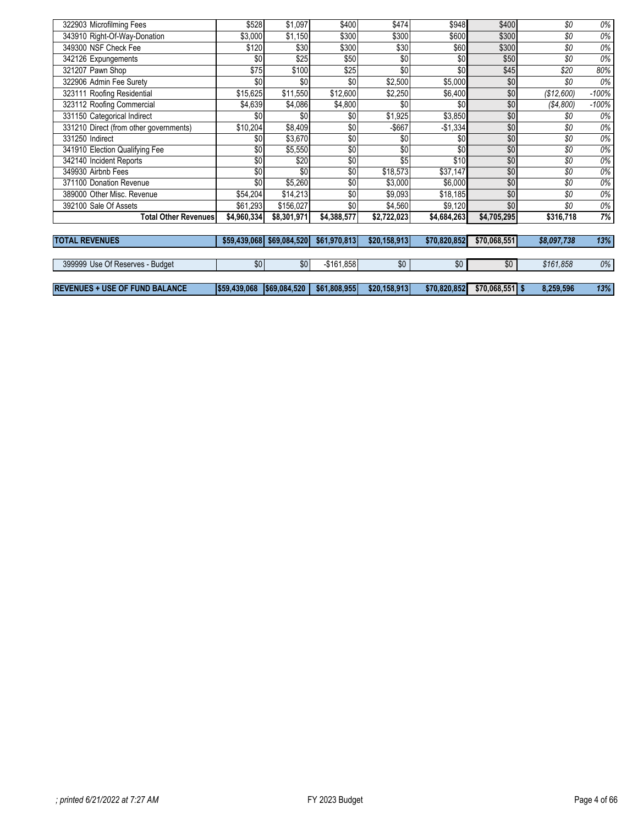| 322903 Microfilming Fees               | \$528        | \$1,097      | \$400        | \$474        | \$948        | \$400            | \$0         | 0%      |
|----------------------------------------|--------------|--------------|--------------|--------------|--------------|------------------|-------------|---------|
| 343910 Right-Of-Way-Donation           | \$3,000      | \$1,150      | \$300        | \$300        | \$600        | \$300            | \$0         | 0%      |
| 349300 NSF Check Fee                   | \$120        | \$30         | \$300        | \$30         | \$60         | \$300            | \$0         | 0%      |
| 342126 Expungements                    | \$0          | \$25         | \$50         | \$0          | \$0          | \$50             | \$0         | 0%      |
| 321207 Pawn Shop                       | \$75         | \$100        | \$25         | \$0          | \$0          | \$45             | \$20        | 80%     |
| 322906 Admin Fee Surety                | \$0          | \$0          | \$0          | \$2,500      | \$5,000      | \$0              | \$0         | 0%      |
| 323111 Roofing Residential             | \$15,625     | \$11,550     | \$12,600     | \$2,250      | \$6,400      | \$0              | (\$12,600)  | $-100%$ |
| 323112 Roofing Commercial              | \$4,639      | \$4,086      | \$4,800      | \$0          | \$0          | \$0              | (S4,800)    | $-100%$ |
| 331150 Categorical Indirect            | \$0          | \$0          | \$0          | \$1,925      | \$3,850      | \$0              | \$0         | 0%      |
| 331210 Direct (from other governments) | \$10,204     | \$8,409      | \$0          | $-$667$      | $-$1,334$    | \$0              | \$0         | 0%      |
| 331250 Indirect                        | \$0          | \$3,670      | \$0          | \$0          | \$0          | \$0              | \$0         | 0%      |
| 341910 Election Qualifying Fee         | \$0          | \$5,550      | \$0          | \$0          | \$0          | \$0              | \$0         | $0\%$   |
| 342140 Incident Reports                | \$0          | \$20         | \$0          | \$5          | \$10         | \$0              | \$0         | 0%      |
| 349930 Airbnb Fees                     | \$0          | \$0          | \$0          | \$18,573     | \$37,147     | \$0              | \$0         | $0\%$   |
| 371100 Donation Revenue                | \$0          | \$5,260      | \$0          | \$3,000      | \$6,000      | \$0              | \$0         | 0%      |
| 389000 Other Misc. Revenue             | \$54,204     | \$14,213     | \$0          | \$9,093      | \$18,185     | \$0              | \$0         | $0\%$   |
| 392100 Sale Of Assets                  | \$61,293     | \$156,027    | \$0          | \$4,560      | \$9,120      | \$0              | \$0         | $0\%$   |
| <b>Total Other Revenues</b>            | \$4,960,334  | \$8,301,971  | \$4,388,577  | \$2,722,023  | \$4,684,263  | \$4,705,295      | \$316,718   | 7%      |
|                                        |              |              |              |              |              |                  |             |         |
| <b>TOTAL REVENUES</b>                  | \$59,439,068 | \$69,084,520 | \$61,970,813 | \$20,158,913 | \$70.820.852 | \$70,068,551     | \$8,097,738 | 13%     |
|                                        |              |              |              |              |              |                  |             |         |
| 399999 Use Of Reserves - Budget        | \$0          | \$0          | $-$161,858$  | \$0          | \$0          | \$0              | \$161,858   | 0%      |
|                                        |              |              |              |              |              |                  |             |         |
| <b>REVENUES + USE OF FUND BALANCE</b>  | \$59,439,068 | \$69,084,520 | \$61,808,955 | \$20,158,913 | \$70,820,852 | $$70,068,551$ \$ | 8,259,596   | 13%     |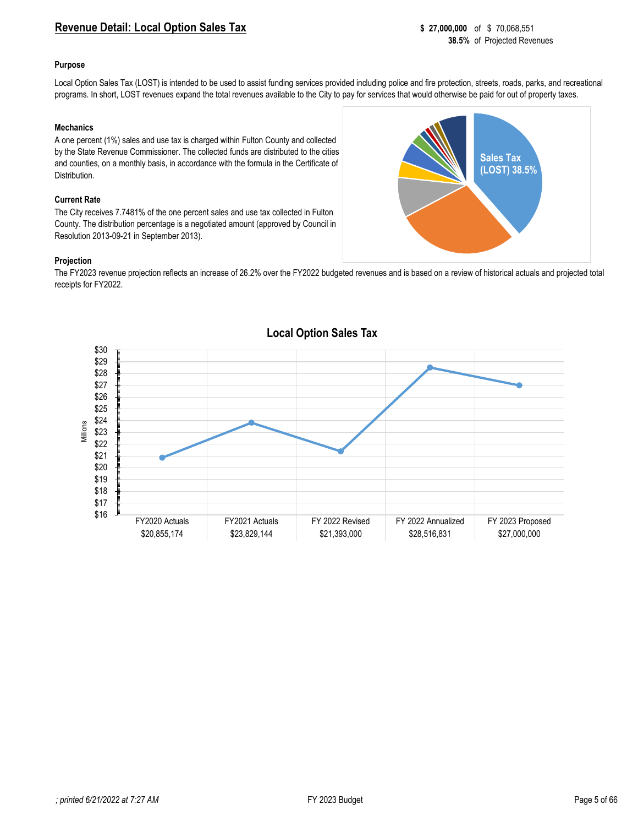# <span id="page-4-0"></span>**Revenue Detail: Local Option Sales Tax 8 27,000,000** of \$ 70,068,551

### **Purpose**

Local Option Sales Tax (LOST) is intended to be used to assist funding services provided including police and fire protection, streets, roads, parks, and recreational programs. In short, LOST revenues expand the total revenues available to the City to pay for services that would otherwise be paid for out of property taxes.

#### **Mechanics**

A one percent (1%) sales and use tax is charged within Fulton County and collected by the State Revenue Commissioner. The collected funds are distributed to the cities and counties, on a monthly basis, in accordance with the formula in the Certificate of Distribution.

#### **Current Rate**

The City receives 7.7481% of the one percent sales and use tax collected in Fulton County. The distribution percentage is a negotiated amount (approved by Council in Resolution 2013-09-21 in September 2013).

#### **Projection**

The FY2023 revenue projection reflects an increase of 26.2% over the FY2022 budgeted revenues and is based on a review of historical actuals and projected total receipts for FY2022.



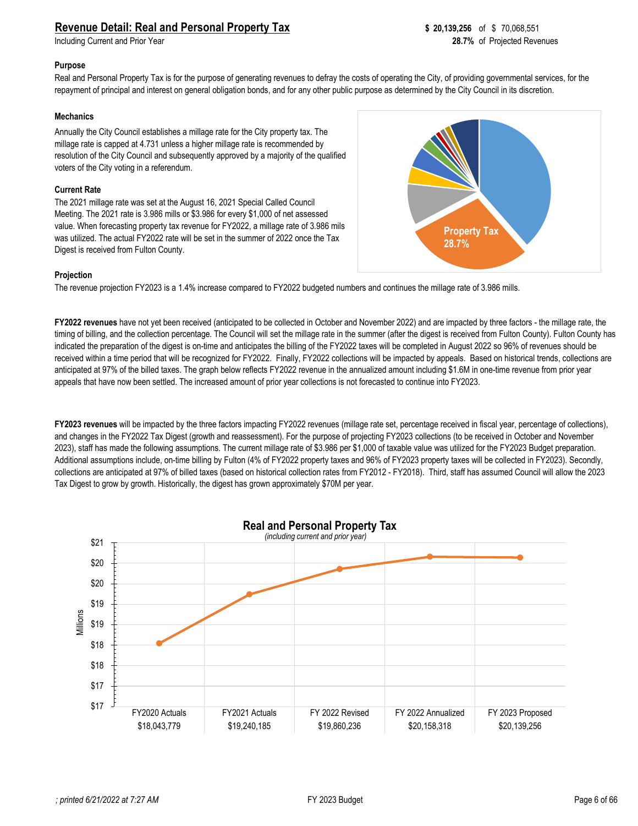<span id="page-5-0"></span>**Including Current and Prior Year** 

#### **Purpose**

Real and Personal Property Tax is for the purpose of generating revenues to defray the costs of operating the City, of providing governmental services, for the repayment of principal and interest on general obligation bonds, and for any other public purpose as determined by the City Council in its discretion.

### **Mechanics**

Annually the City Council establishes a millage rate for the City property tax. The millage rate is capped at 4.731 unless a higher millage rate is recommended by resolution of the City Council and subsequently approved by a majority of the qualified voters of the City voting in a referendum.

### **Current Rate**

The 2021 millage rate was set at the August 16, 2021 Special Called Council Meeting. The 2021 rate is 3.986 mills or \$3.986 for every \$1,000 of net assessed value. When forecasting property tax revenue for FY2022, a millage rate of 3.986 mils was utilized. The actual FY2022 rate will be set in the summer of 2022 once the Tax Digest is received from Fulton County.



#### **Projection**

The revenue projection FY2023 is a 1.4% increase compared to FY2022 budgeted numbers and continues the millage rate of 3.986 mills.

**FY2022 revenues** have not yet been received (anticipated to be collected in October and November 2022) and are impacted by three factors - the millage rate, the timing of billing, and the collection percentage. The Council will set the millage rate in the summer (after the digest is received from Fulton County). Fulton County has indicated the preparation of the digest is on-time and anticipates the billing of the FY2022 taxes will be completed in August 2022 so 96% of revenues should be received within a time period that will be recognized for FY2022. Finally, FY2022 collections will be impacted by appeals. Based on historical trends, collections are anticipated at 97% of the billed taxes. The graph below reflects FY2022 revenue in the annualized amount including \$1.6M in one-time revenue from prior year appeals that have now been settled. The increased amount of prior year collections is not forecasted to continue into FY2023.

**FY2023 revenues** will be impacted by the three factors impacting FY2022 revenues (millage rate set, percentage received in fiscal year, percentage of collections), and changes in the FY2022 Tax Digest (growth and reassessment). For the purpose of projecting FY2023 collections (to be received in October and November 2023), staff has made the following assumptions. The current millage rate of \$3.986 per \$1,000 of taxable value was utilized for the FY2023 Budget preparation. Additional assumptions include, on-time billing by Fulton (4% of FY2022 property taxes and 96% of FY2023 property taxes will be collected in FY2023). Secondly, collections are anticipated at 97% of billed taxes (based on historical collection rates from FY2012 - FY2018). Third, staff has assumed Council will allow the 2023 Tax Digest to grow by growth. Historically, the digest has grown approximately \$70M per year.

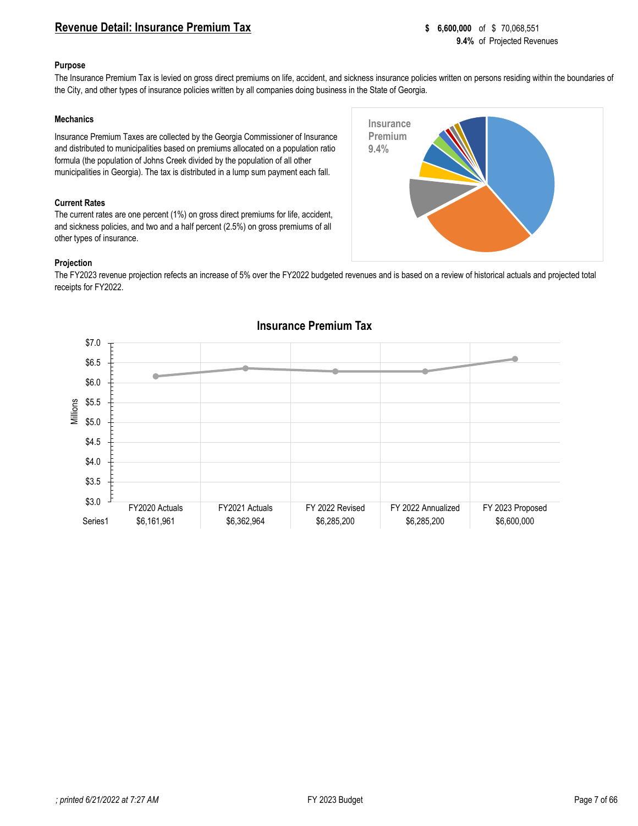## <span id="page-6-0"></span>**Revenue Detail: Insurance Premium Tax 8 6,600,000** of \$70,068,551

#### **Purpose**

The Insurance Premium Tax is levied on gross direct premiums on life, accident, and sickness insurance policies written on persons residing within the boundaries of the City, and other types of insurance policies written by all companies doing business in the State of Georgia.

**Insurance 9.4%**

**Insurance Premium** 

#### **Mechanics**

Insurance Premium Taxes are collected by the Georgia Commissioner of Insurance and distributed to municipalities based on premiums allocated on a population ratio formula (the population of Johns Creek divided by the population of all other municipalities in Georgia). The tax is distributed in a lump sum payment each fall.

#### **Current Rates**

The current rates are one percent (1%) on gross direct premiums for life, accident, and sickness policies, and two and a half percent (2.5%) on gross premiums of all other types of insurance.



The FY2023 revenue projection refects an increase of 5% over the FY2022 budgeted revenues and is based on a review of historical actuals and projected total receipts for FY2022.



## **Insurance Premium Tax**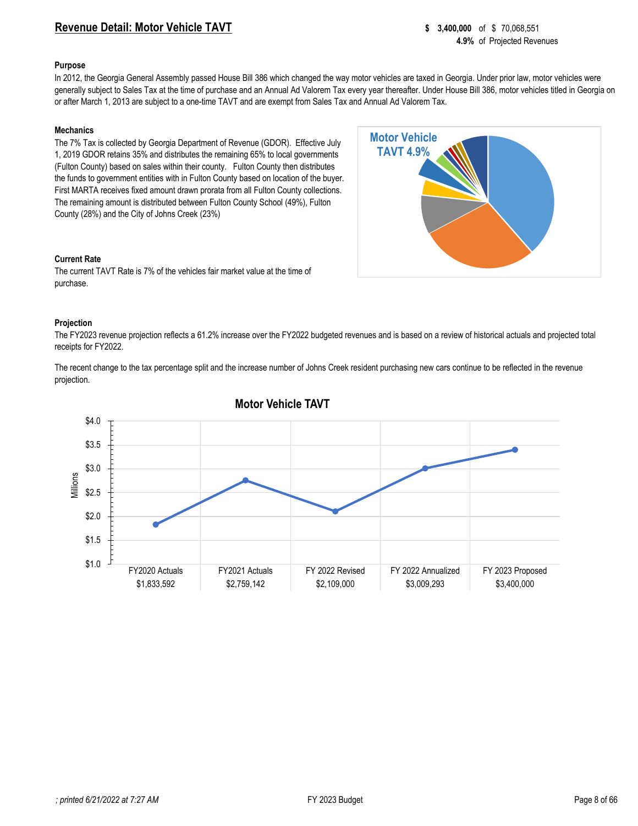## <span id="page-7-0"></span>**Revenue Detail: Motor Vehicle TAVT 8 8 and 3,400,000** of \$ 70,068,551

#### **Purpose**

In 2012, the Georgia General Assembly passed House Bill 386 which changed the way motor vehicles are taxed in Georgia. Under prior law, motor vehicles were generally subject to Sales Tax at the time of purchase and an Annual Ad Valorem Tax every year thereafter. Under House Bill 386, motor vehicles titled in Georgia on or after March 1, 2013 are subject to a one-time TAVT and are exempt from Sales Tax and Annual Ad Valorem Tax.

> **Motor Vehicle TAVT 4.9%**

#### **Mechanics**

The 7% Tax is collected by Georgia Department of Revenue (GDOR). Effective July 1, 2019 GDOR retains 35% and distributes the remaining 65% to local governments (Fulton County) based on sales within their county. Fulton County then distributes the funds to government entities with in Fulton County based on location of the buyer. First MARTA receives fixed amount drawn prorata from all Fulton County collections. The remaining amount is distributed between Fulton County School (49%), Fulton County (28%) and the City of Johns Creek (23%)



The current TAVT Rate is 7% of the vehicles fair market value at the time of purchase.



The FY2023 revenue projection reflects a 61.2% increase over the FY2022 budgeted revenues and is based on a review of historical actuals and projected total receipts for FY2022.

The recent change to the tax percentage split and the increase number of Johns Creek resident purchasing new cars continue to be reflected in the revenue projection.



## **Motor Vehicle TAVT**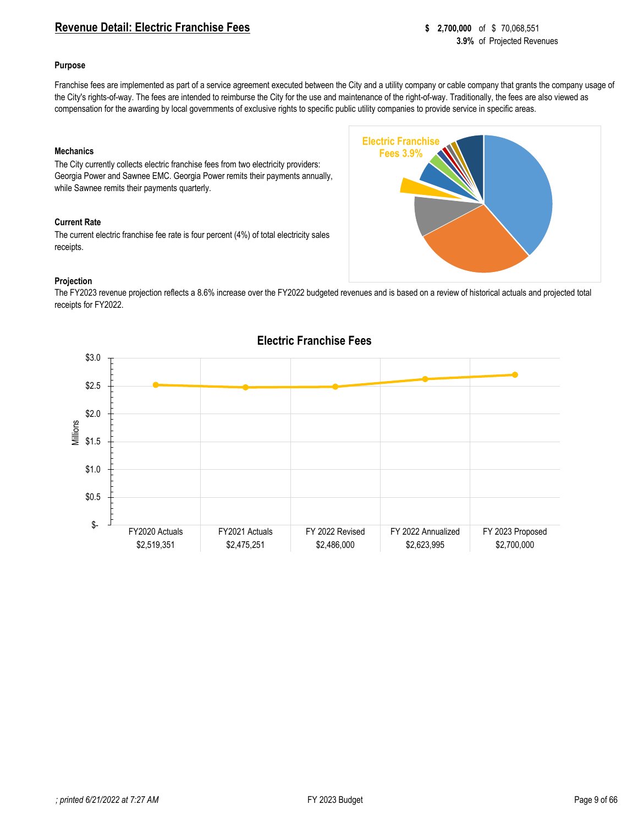## <span id="page-8-0"></span>**Revenue Detail: Electric Franchise Fees 8 2,700,000** of \$ 70,068,551

#### **Purpose**

Franchise fees are implemented as part of a service agreement executed between the City and a utility company or cable company that grants the company usage of the City's rights-of-way. The fees are intended to reimburse the City for the use and maintenance of the right-of-way. Traditionally, the fees are also viewed as compensation for the awarding by local governments of exclusive rights to specific public utility companies to provide service in specific areas.

> **Electric Franchise Fees 3.9%**

#### **Mechanics**

The City currently collects electric franchise fees from two electricity providers: Georgia Power and Sawnee EMC. Georgia Power remits their payments annually, while Sawnee remits their payments quarterly.

#### **Current Rate**

The current electric franchise fee rate is four percent (4%) of total electricity sales receipts.

### **Projection**

The FY2023 revenue projection reflects a 8.6% increase over the FY2022 budgeted revenues and is based on a review of historical actuals and projected total receipts for FY2022.



# **Electric Franchise Fees**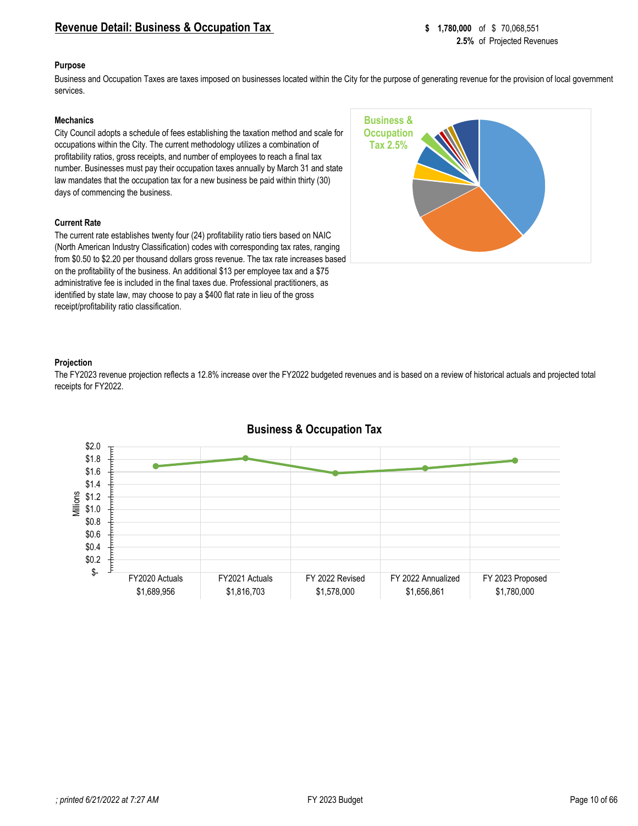## <span id="page-9-0"></span>**Revenue Detail: Business & Occupation Tax** \$ 1,780,000 of \$ 70,068,551

#### **Purpose**

Business and Occupation Taxes are taxes imposed on businesses located within the City for the purpose of generating revenue for the provision of local government services.

#### **Mechanics**

City Council adopts a schedule of fees establishing the taxation method and scale for occupations within the City. The current methodology utilizes a combination of profitability ratios, gross receipts, and number of employees to reach a final tax number. Businesses must pay their occupation taxes annually by March 31 and state law mandates that the occupation tax for a new business be paid within thirty (30) days of commencing the business.

#### **Current Rate**

The current rate establishes twenty four (24) profitability ratio tiers based on NAIC (North American Industry Classification) codes with corresponding tax rates, ranging from \$0.50 to \$2.20 per thousand dollars gross revenue. The tax rate increases based on the profitability of the business. An additional \$13 per employee tax and a \$75 administrative fee is included in the final taxes due. Professional practitioners, as identified by state law, may choose to pay a \$400 flat rate in lieu of the gross receipt/profitability ratio classification.



### **Projection**

The FY2023 revenue projection reflects a 12.8% increase over the FY2022 budgeted revenues and is based on a review of historical actuals and projected total receipts for FY2022.



## **Business & Occupation Tax**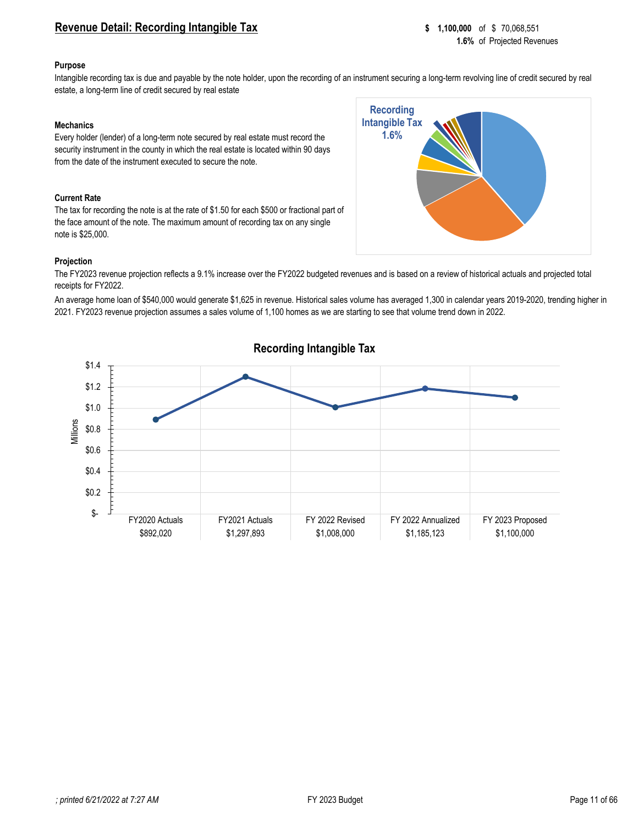## <span id="page-10-0"></span>**Revenue Detail: Recording Intangible Tax 8 1,100,000** of \$ 70,068,551

#### **Purpose**

Intangible recording tax is due and payable by the note holder, upon the recording of an instrument securing a long-term revolving line of credit secured by real estate, a long-term line of credit secured by real estate

### **Mechanics**

Every holder (lender) of a long-term note secured by real estate must record the security instrument in the county in which the real estate is located within 90 days from the date of the instrument executed to secure the note.

#### **Current Rate**

The tax for recording the note is at the rate of \$1.50 for each \$500 or fractional part of the face amount of the note. The maximum amount of recording tax on any single note is \$25,000.



#### **Projection**

The FY2023 revenue projection reflects a 9.1% increase over the FY2022 budgeted revenues and is based on a review of historical actuals and projected total receipts for FY2022.

An average home loan of \$540,000 would generate \$1,625 in revenue. Historical sales volume has averaged 1,300 in calendar years 2019-2020, trending higher in 2021. FY2023 revenue projection assumes a sales volume of 1,100 homes as we are starting to see that volume trend down in 2022.



#### *; printed 6/21/2022 at 7:27 AM* FY 2023 Budget Page 11 of 66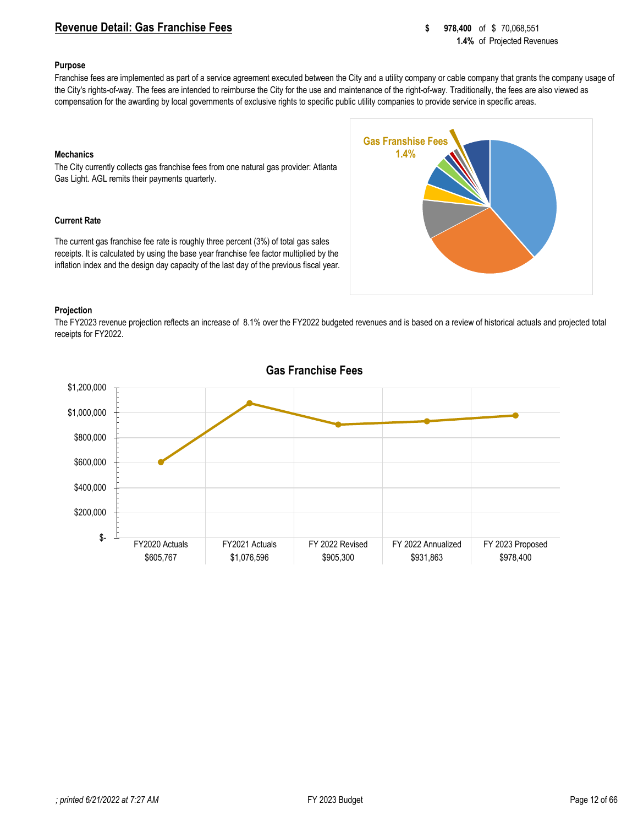## <span id="page-11-0"></span>**Revenue Detail: Gas Franchise Fees 8 878,400** of \$70,068,551

#### **Purpose**

Franchise fees are implemented as part of a service agreement executed between the City and a utility company or cable company that grants the company usage of the City's rights-of-way. The fees are intended to reimburse the City for the use and maintenance of the right-of-way. Traditionally, the fees are also viewed as compensation for the awarding by local governments of exclusive rights to specific public utility companies to provide service in specific areas.

> **Gas Franshise Fees 1.4%**

#### **Mechanics**

The City currently collects gas franchise fees from one natural gas provider: Atlanta Gas Light. AGL remits their payments quarterly.

#### **Current Rate**

The current gas franchise fee rate is roughly three percent (3%) of total gas sales receipts. It is calculated by using the base year franchise fee factor multiplied by the inflation index and the design day capacity of the last day of the previous fiscal year.



The FY2023 revenue projection reflects an increase of 8.1% over the FY2022 budgeted revenues and is based on a review of historical actuals and projected total receipts for FY2022.



## **Gas Franchise Fees**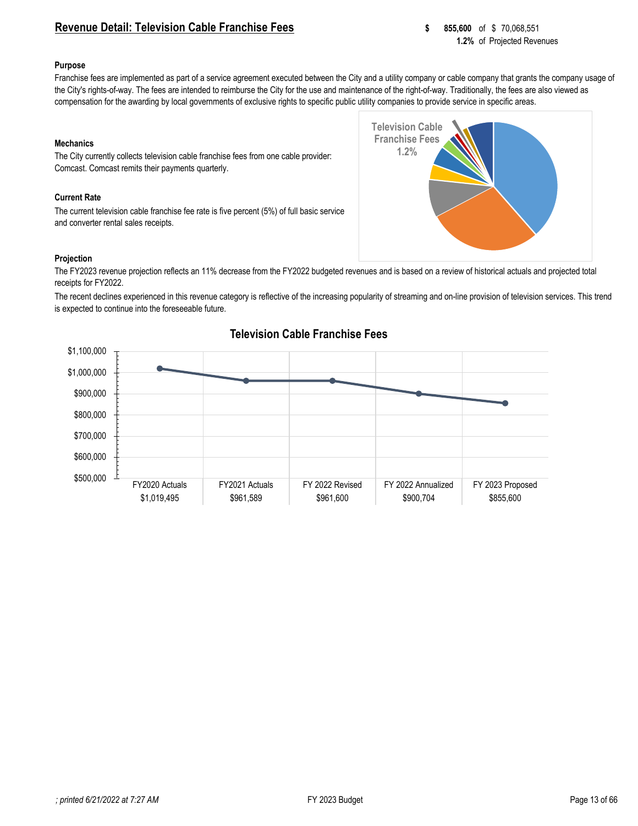## <span id="page-12-0"></span>**Revenue Detail: Television Cable Franchise Fees 855,600** of \$ 70,068,551

#### **Purpose**

Franchise fees are implemented as part of a service agreement executed between the City and a utility company or cable company that grants the company usage of the City's rights-of-way. The fees are intended to reimburse the City for the use and maintenance of the right-of-way. Traditionally, the fees are also viewed as compensation for the awarding by local governments of exclusive rights to specific public utility companies to provide service in specific areas.

> **Television Cable Franchise Fees 1.2%**

#### **Mechanics**

The City currently collects television cable franchise fees from one cable provider: Comcast. Comcast remits their payments quarterly.

#### **Current Rate**

The current television cable franchise fee rate is five percent (5%) of full basic service and converter rental sales receipts.

#### **Projection**

The FY2023 revenue projection reflects an 11% decrease from the FY2022 budgeted revenues and is based on a review of historical actuals and projected total receipts for FY2022.

The recent declines experienced in this revenue category is reflective of the increasing popularity of streaming and on-line provision of television services. This trend is expected to continue into the foreseeable future.



## **Television Cable Franchise Fees**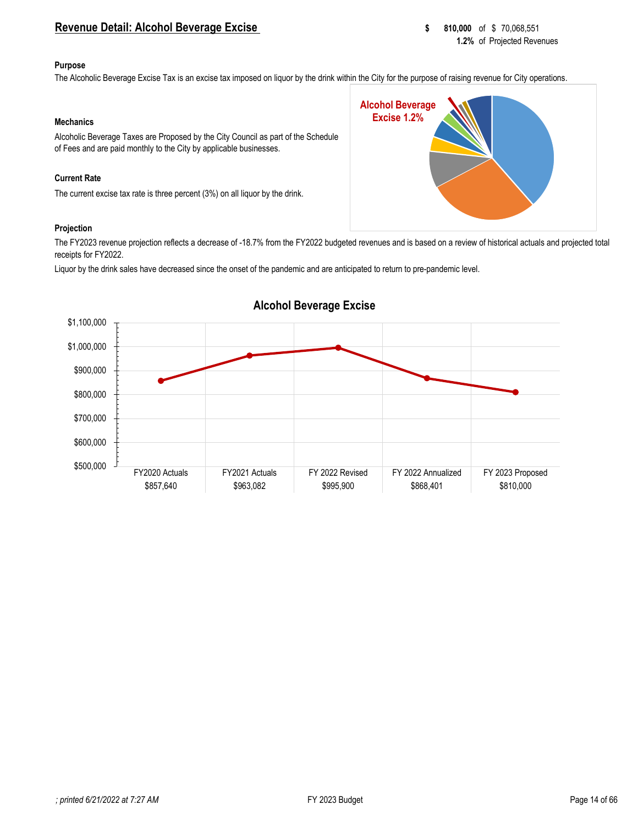## <span id="page-13-0"></span>**Revenue Detail: Alcohol Beverage Excise 810,000** of \$ 70,068,551

#### **Purpose**

The Alcoholic Beverage Excise Tax is an excise tax imposed on liquor by the drink within the City for the purpose of raising revenue for City operations.

**Alcohol Beverage Excise 1.2%**

### **Mechanics**

Alcoholic Beverage Taxes are Proposed by the City Council as part of the Schedule of Fees and are paid monthly to the City by applicable businesses.

### **Current Rate**

The current excise tax rate is three percent (3%) on all liquor by the drink.

#### **Projection**

The FY2023 revenue projection reflects a decrease of -18.7% from the FY2022 budgeted revenues and is based on a review of historical actuals and projected total receipts for FY2022.

Liquor by the drink sales have decreased since the onset of the pandemic and are anticipated to return to pre-pandemic level.



# **Alcohol Beverage Excise**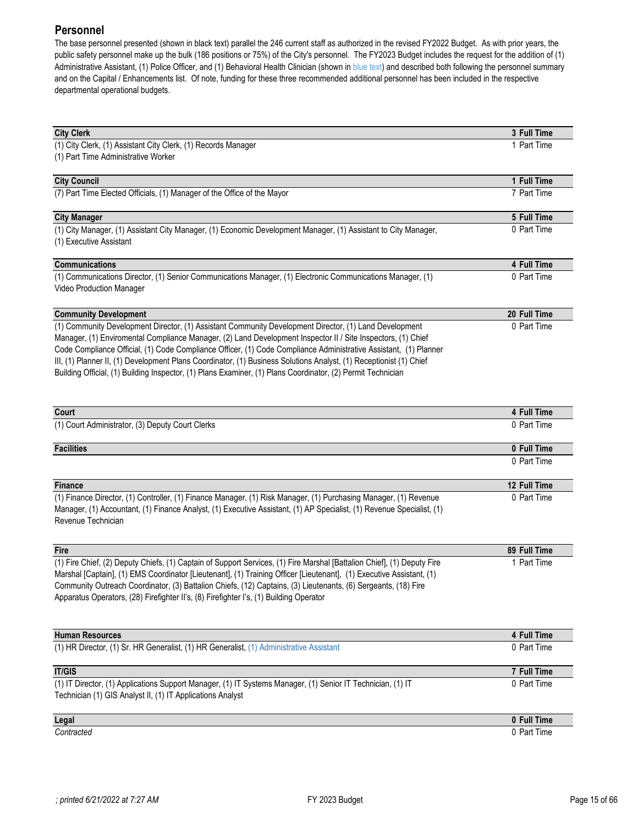# <span id="page-14-0"></span>**Personnel**

The base personnel presented (shown in black text) parallel the 246 current staff as authorized in the revised FY2022 Budget. As with prior years, the public safety personnel make up the bulk (186 positions or 75%) of the City's personnel. The FY2023 Budget includes the request for the addition of (1) Administrative Assistant, (1) Police Officer, and (1) Behavioral Health Clinician (shown in blue text) and described both following the personnel summary and on the Capital / Enhancements list.Of note, funding for these three recommended additional personnel has been included in the respective departmental operational budgets.

| <b>City Clerk</b>                                                                                                               | 3 Full Time                 |
|---------------------------------------------------------------------------------------------------------------------------------|-----------------------------|
| (1) City Clerk, (1) Assistant City Clerk, (1) Records Manager                                                                   | 1 Part Time                 |
| (1) Part Time Administrative Worker                                                                                             |                             |
| <b>City Council</b>                                                                                                             | 1 Full Time                 |
| (7) Part Time Elected Officials, (1) Manager of the Office of the Mayor                                                         | 7 Part Time                 |
|                                                                                                                                 |                             |
| <b>City Manager</b>                                                                                                             | 5 Full Time                 |
| (1) City Manager, (1) Assistant City Manager, (1) Economic Development Manager, (1) Assistant to City Manager,                  | 0 Part Time                 |
| (1) Executive Assistant                                                                                                         |                             |
| <b>Communications</b>                                                                                                           | 4 Full Time                 |
| (1) Communications Director, (1) Senior Communications Manager, (1) Electronic Communications Manager, (1)                      | 0 Part Time                 |
| Video Production Manager                                                                                                        |                             |
| <b>Community Development</b>                                                                                                    | 20 Full Time                |
| (1) Community Development Director, (1) Assistant Community Development Director, (1) Land Development                          | 0 Part Time                 |
| Manager, (1) Enviromental Compliance Manager, (2) Land Development Inspector II / Site Inspectors, (1) Chief                    |                             |
| Code Compliance Official, (1) Code Compliance Officer, (1) Code Compliance Administrative Assistant, (1) Planner                |                             |
| III, (1) Planner II, (1) Development Plans Coordinator, (1) Business Solutions Analyst, (1) Receptionist (1) Chief              |                             |
| Building Official, (1) Building Inspector, (1) Plans Examiner, (1) Plans Coordinator, (2) Permit Technician                     |                             |
|                                                                                                                                 |                             |
| Court                                                                                                                           | 4 Full Time                 |
| (1) Court Administrator, (3) Deputy Court Clerks                                                                                | 0 Part Time                 |
|                                                                                                                                 |                             |
| <b>Facilities</b>                                                                                                               | 0 Full Time<br>0 Part Time  |
|                                                                                                                                 |                             |
| <b>Finance</b>                                                                                                                  | 12 Full Time                |
| (1) Finance Director, (1) Controller, (1) Finance Manager, (1) Risk Manager, (1) Purchasing Manager, (1) Revenue                | 0 Part Time                 |
| Manager, (1) Accountant, (1) Finance Analyst, (1) Executive Assistant, (1) AP Specialist, (1) Revenue Specialist, (1)           |                             |
| Revenue Technician                                                                                                              |                             |
|                                                                                                                                 |                             |
| Fire<br>(1) Fire Chief, (2) Deputy Chiefs, (1) Captain of Support Services, (1) Fire Marshal [Battalion Chief], (1) Deputy Fire | 89 Full Time<br>1 Part Time |
| Marshal [Captain], (1) EMS Coordinator [Lieutenant], (1) Training Officer [Lieutenant], (1) Executive Assistant, (1)            |                             |
| Community Outreach Coordinator, (3) Battalion Chiefs, (12) Captains, (3) Lieutenants, (6) Sergeants, (18) Fire                  |                             |
| Apparatus Operators, (28) Firefighter II's, (8) Firefighter I's, (1) Building Operator                                          |                             |
|                                                                                                                                 |                             |
|                                                                                                                                 |                             |
| <b>Human Resources</b><br>(1) HR Director, (1) Sr. HR Generalist, (1) HR Generalist, (1) Administrative Assistant               | 4 Full Time<br>0 Part Time  |
|                                                                                                                                 |                             |
| <b>IT/GIS</b>                                                                                                                   | 7 Full Time                 |
| (1) IT Director, (1) Applications Support Manager, (1) IT Systems Manager, (1) Senior IT Technician, (1) IT                     | 0 Part Time                 |
| Technician (1) GIS Analyst II, (1) IT Applications Analyst                                                                      |                             |
| Legal                                                                                                                           | 0 Full Time                 |

**Contracted** 0 Part Time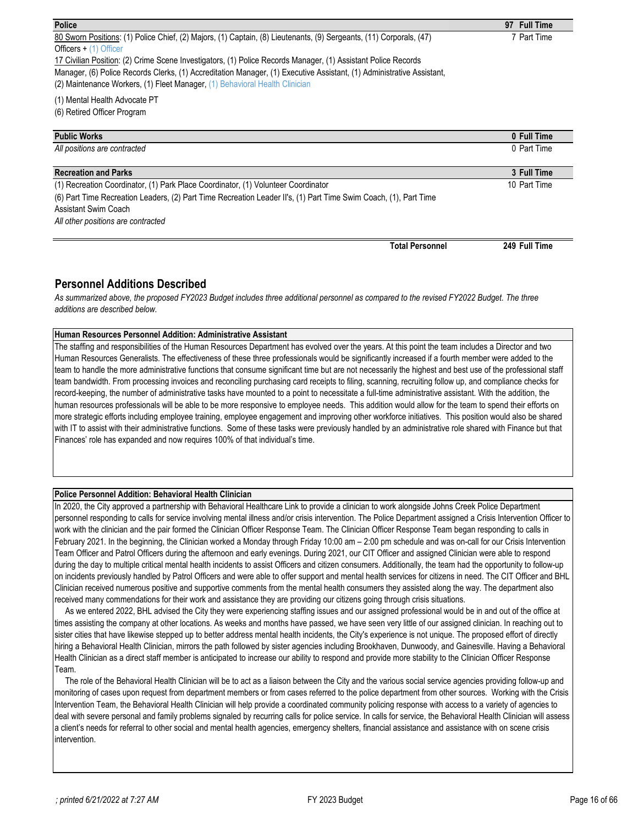| <b>Police</b>                                                                                                         | 97 Full Time |
|-----------------------------------------------------------------------------------------------------------------------|--------------|
| 80 Sworn Positions: (1) Police Chief, (2) Majors, (1) Captain, (8) Lieutenants, (9) Sergeants, (11) Corporals, (47)   | 7 Part Time  |
| Officers $+$ (1) Officer                                                                                              |              |
| 17 Civilian Position: (2) Crime Scene Investigators, (1) Police Records Manager, (1) Assistant Police Records         |              |
| Manager, (6) Police Records Clerks, (1) Accreditation Manager, (1) Executive Assistant, (1) Administrative Assistant, |              |
| (2) Maintenance Workers, (1) Fleet Manager, (1) Behavioral Health Clinician                                           |              |
| (1) Mental Health Advocate PT                                                                                         |              |
| (6) Retired Officer Program                                                                                           |              |
|                                                                                                                       |              |
| <b>Public Works</b>                                                                                                   | 0 Full Time  |
| All positions are contracted                                                                                          | 0 Part Time  |
|                                                                                                                       |              |
| <b>Recreation and Parks</b>                                                                                           | 3 Full Time  |
| (1) Recreation Coordinator, (1) Park Place Coordinator, (1) Volunteer Coordinator                                     | 10 Part Time |
| (6) Part Time Recreation Leaders, (2) Part Time Recreation Leader II's, (1) Part Time Swim Coach, (1), Part Time      |              |

Assistant Swim Coach

*All other positions are contracted*

**Total Personnel 249 Full Time**

## **Personnel Additions Described**

As summarized above, the proposed FY2023 Budget includes three additional personnel as compared to the revised FY2022 Budget. The three *additions are described below.*

### **Human Resources Personnel Addition: Administrative Assistant**

The staffing and responsibilities of the Human Resources Department has evolved over the years. At this point the team includes a Director and two Human Resources Generalists. The effectiveness of these three professionals would be significantly increased if a fourth member were added to the team to handle the more administrative functions that consume significant time but are not necessarily the highest and best use of the professional staff team bandwidth. From processing invoices and reconciling purchasing card receipts to filing, scanning, recruiting follow up, and compliance checks for record-keeping, the number of administrative tasks have mounted to a point to necessitate a full-time administrative assistant. With the addition, the human resources professionals will be able to be more responsive to employee needs. This addition would allow for the team to spend their efforts on more strategic efforts including employee training, employee engagement and improving other workforce initiatives. This position would also be shared with IT to assist with their administrative functions. Some of these tasks were previously handled by an administrative role shared with Finance but that Finances' role has expanded and now requires 100% of that individual's time.

#### **Police Personnel Addition: Behavioral Health Clinician**

In 2020, the City approved a partnership with Behavioral Healthcare Link to provide a clinician to work alongside Johns Creek Police Department personnel responding to calls for service involving mental illness and/or crisis intervention. The Police Department assigned a Crisis Intervention Officer to work with the clinician and the pair formed the Clinician Officer Response Team. The Clinician Officer Response Team began responding to calls in February 2021. In the beginning, the Clinician worked a Monday through Friday 10:00 am – 2:00 pm schedule and was on-call for our Crisis Intervention Team Officer and Patrol Officers during the afternoon and early evenings. During 2021, our CIT Officer and assigned Clinician were able to respond during the day to multiple critical mental health incidents to assist Officers and citizen consumers. Additionally, the team had the opportunity to follow-up on incidents previously handled by Patrol Officers and were able to offer support and mental health services for citizens in need. The CIT Officer and BHL Clinician received numerous positive and supportive comments from the mental health consumers they assisted along the way. The department also received many commendations for their work and assistance they are providing our citizens going through crisis situations.

 As we entered 2022, BHL advised the City they were experiencing staffing issues and our assigned professional would be in and out of the office at times assisting the company at other locations. As weeks and months have passed, we have seen very little of our assigned clinician. In reaching out to sister cities that have likewise stepped up to better address mental health incidents, the City's experience is not unique. The proposed effort of directly hiring a Behavioral Health Clinician, mirrors the path followed by sister agencies including Brookhaven, Dunwoody, and Gainesville. Having a Behavioral Health Clinician as a direct staff member is anticipated to increase our ability to respond and provide more stability to the Clinician Officer Response Team.

 The role of the Behavioral Health Clinician will be to act as a liaison between the City and the various social service agencies providing follow-up and monitoring of cases upon request from department members or from cases referred to the police department from other sources. Working with the Crisis Intervention Team, the Behavioral Health Clinician will help provide a coordinated community policing response with access to a variety of agencies to deal with severe personal and family problems signaled by recurring calls for police service. In calls for service, the Behavioral Health Clinician will assess a client's needs for referral to other social and mental health agencies, emergency shelters, financial assistance and assistance with on scene crisis intervention.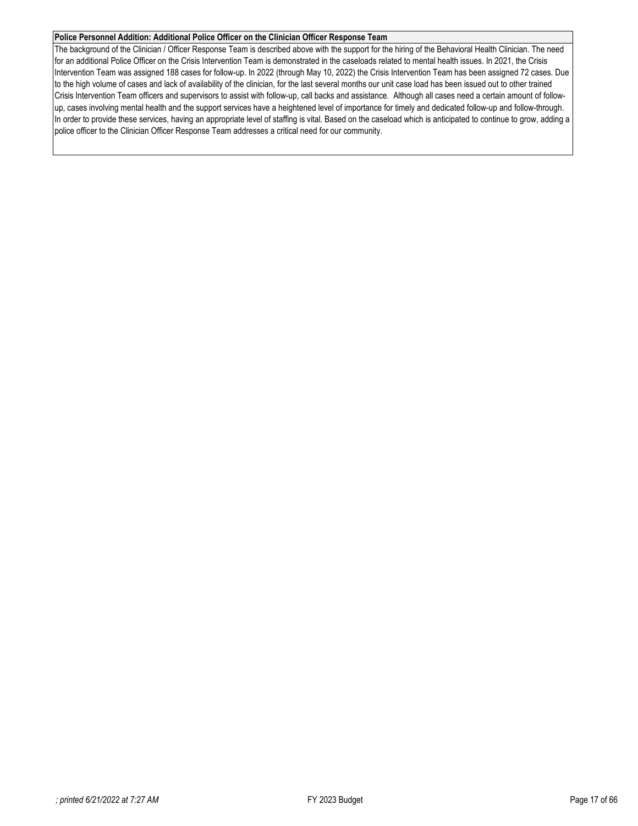#### **Police Personnel Addition: Additional Police Officer on the Clinician Officer Response Team**

The background of the Clinician / Officer Response Team is described above with the support for the hiring of the Behavioral Health Clinician. The need for an additional Police Officer on the Crisis Intervention Team is demonstrated in the caseloads related to mental health issues. In 2021, the Crisis Intervention Team was assigned 188 cases for follow-up. In 2022 (through May 10, 2022) the Crisis Intervention Team has been assigned 72 cases. Due to the high volume of cases and lack of availability of the clinician, for the last several months our unit case load has been issued out to other trained Crisis Intervention Team officers and supervisors to assist with follow-up, call backs and assistance. Although all cases need a certain amount of followup, cases involving mental health and the support services have a heightened level of importance for timely and dedicated follow-up and follow-through. In order to provide these services, having an appropriate level of staffing is vital. Based on the caseload which is anticipated to continue to grow, adding a police officer to the Clinician Officer Response Team addresses a critical need for our community.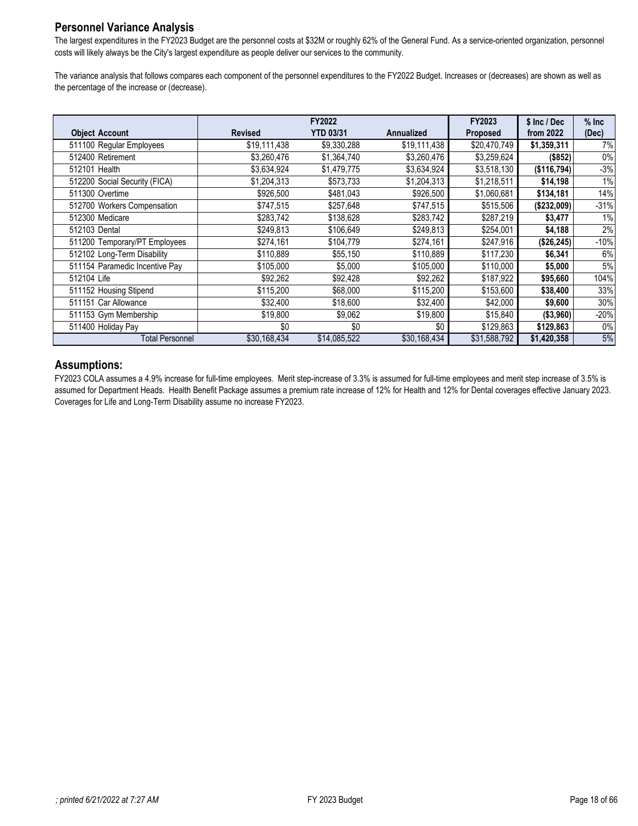# **Personnel Variance Analysis**

The largest expenditures in the FY2023 Budget are the personnel costs at \$32M or roughly 62% of the General Fund. As a service-oriented organization, personnel costs will likely always be the City's largest expenditure as people deliver our services to the community.

The variance analysis that follows compares each component of the personnel expenditures to the FY2022 Budget. Increases or (decreases) are shown as well as the percentage of the increase or (decrease).

|                                |                | FY2022           |                   | FY2023          | \$ Inc / Dec | $%$ Inc |
|--------------------------------|----------------|------------------|-------------------|-----------------|--------------|---------|
| <b>Object Account</b>          | <b>Revised</b> | <b>YTD 03/31</b> | <b>Annualized</b> | <b>Proposed</b> | from 2022    | (Dec)   |
| 511100 Regular Employees       | \$19,111,438   | \$9,330,288      | \$19,111,438      | \$20,470,749    | \$1,359,311  | 7%      |
| 512400 Retirement              | \$3,260,476    | \$1,364,740      | \$3,260,476       | \$3,259,624     | (\$852)      | $0\%$   |
| 512101 Health                  | \$3,634,924    | \$1,479,775      | \$3,634,924       | \$3,518,130     | (\$116,794)  | $-3%$   |
| 512200 Social Security (FICA)  | \$1,204,313    | \$573,733        | \$1,204,313       | \$1,218,511     | \$14,198     | $1\%$   |
| 511300 Overtime                | \$926,500      | \$481,043        | \$926,500         | \$1,060,681     | \$134,181    | 14%     |
| 512700 Workers Compensation    | \$747,515      | \$257,648        | \$747,515         | \$515,506       | (\$232,009)  | $-31%$  |
| 512300 Medicare                | \$283,742      | \$138,628        | \$283,742         | \$287,219       | \$3,477      | 1%      |
| 512103 Dental                  | \$249,813      | \$106,649        | \$249,813         | \$254,001       | \$4,188      | 2%      |
| 511200 Temporary/PT Employees  | \$274,161      | \$104,779        | \$274,161         | \$247,916       | (\$26,245)   | -10%    |
| 512102 Long-Term Disability    | \$110,889      | \$55,150         | \$110,889         | \$117,230       | \$6,341      | 6%      |
| 511154 Paramedic Incentive Pay | \$105,000      | \$5,000          | \$105,000         | \$110,000       | \$5,000      | 5%      |
| 512104 Life                    | \$92,262       | \$92,428         | \$92,262          | \$187,922       | \$95,660     | 104%    |
| 511152 Housing Stipend         | \$115,200      | \$68,000         | \$115,200         | \$153,600       | \$38,400     | 33%     |
| 511151 Car Allowance           | \$32,400       | \$18,600         | \$32,400          | \$42,000        | \$9,600      | 30%     |
| 511153 Gym Membership          | \$19,800       | \$9,062          | \$19,800          | \$15,840        | (\$3,960)    | $-20%$  |
| 511400 Holiday Pay             | \$0            | \$0              | \$0               | \$129,863       | \$129,863    | $0\%$   |
| Total Personnel                | \$30,168,434   | \$14,085,522     | \$30,168,434      | \$31,588,792    | \$1,420,358  | 5%      |

## **Assumptions:**

FY2023 COLA assumes a 4.9% increase for full-time employees. Merit step-increase of 3.3% is assumed for full-time employees and merit step increase of 3.5% is assumed for Department Heads. Health Benefit Package assumes a premium rate increase of 12% for Health and 12% for Dental coverages effective January 2023. Coverages for Life and Long-Term Disability assume no increase FY2023.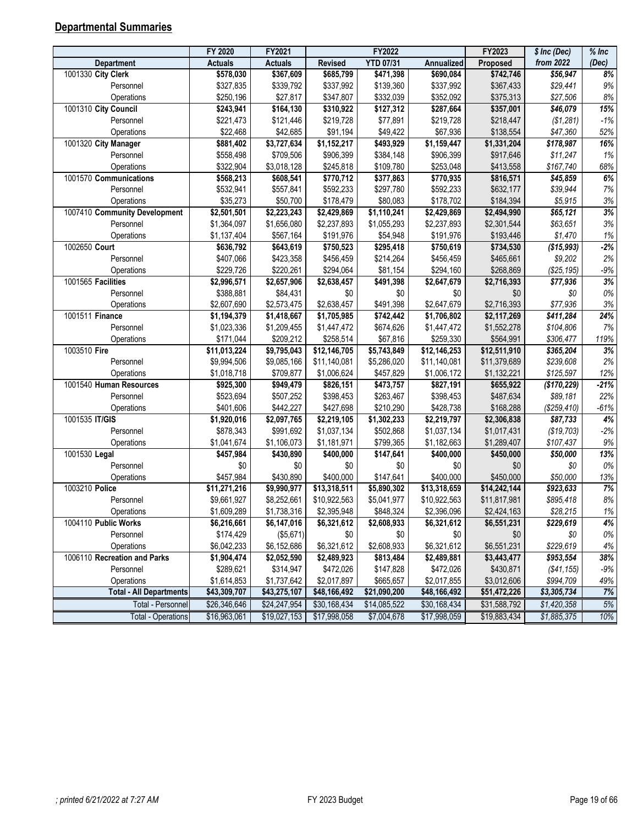# <span id="page-18-0"></span>**Departmental Summaries**

| from 2022<br><b>YTD 07/31</b><br>(Dec)<br><b>Actuals</b><br><b>Actuals</b><br><b>Revised</b><br>Annualized<br>Proposed<br>Department<br>1001330 City Clerk<br>8%<br>\$578,030<br>\$367,609<br>\$685,799<br>\$471,398<br>\$690,084<br>\$742,746<br>\$56,947<br>$9%$<br>\$327,835<br>\$339,792<br>\$337,992<br>\$139,360<br>\$337,992<br>\$367,433<br>\$29,441<br>Personnel<br>\$250,196<br>\$347,807<br>\$332,039<br>\$352,092<br>\$375,313<br>\$27,506<br>$8\%$<br>Operations<br>\$27,817<br>1001310 City Council<br>\$357,001<br>15%<br>\$243,941<br>\$164,130<br>\$310,922<br>\$127,312<br>\$287,664<br>\$46,079<br>$-1%$<br>\$221,473<br>\$121,446<br>\$219,728<br>\$77,891<br>\$219,728<br>\$218,447<br>Personnel<br>(\$1,281)<br>Operations<br>\$22,468<br>\$42,685<br>\$91,194<br>\$49,422<br>\$67,936<br>\$138,554<br>\$47,360<br>52%<br>16%<br>1001320 City Manager<br>\$881,402<br>\$3,727,634<br>\$1,152,217<br>\$493,929<br>\$1,159,447<br>\$1,331,204<br>\$178,987<br>1%<br>\$558,498<br>\$709,506<br>\$906,399<br>\$384,148<br>\$906,399<br>\$917,646<br>Personnel<br>\$11,247<br>\$322,904<br>\$3,018,128<br>\$245,818<br>\$109,780<br>\$253,048<br>\$413,558<br>\$167,740<br>68%<br>Operations<br>6%<br>\$770,712<br>\$770,935<br>\$816,571<br>1001570 Communications<br>\$568,213<br>\$608,541<br>\$377,863<br>\$45,859<br>$7\%$<br>Personnel<br>\$532,941<br>\$557,841<br>\$592,233<br>\$297,780<br>\$592,233<br>\$632,177<br>\$39,944<br>$3\%$<br>Operations<br>\$35,273<br>\$50,700<br>\$178,479<br>\$80,083<br>\$178,702<br>\$184,394<br>\$5,915<br>3%<br>1007410 Community Development<br>$\overline{$2,501,501}$<br>\$2,223,243<br>$\overline{$2,429,869}$<br>\$1,110,241<br>$\overline{$2,429,869}$<br>\$2,494,990<br>\$65,121<br>$3%$<br>Personnel<br>\$1,364,097<br>\$1,656,080<br>\$1,055,293<br>\$2,301,544<br>\$2,237,893<br>\$2,237,893<br>\$63,651<br>\$54,948<br>\$191,976<br>\$193,446<br>$1\%$<br>\$1,137,404<br>\$567,164<br>\$191,976<br>\$1,470<br>Operations<br>$-2%$<br>1002650 Court<br>\$636,792<br>\$750,523<br>\$295,418<br>\$750,619<br>\$734,530<br>(\$15,993)<br>\$643,619<br>\$456,459<br>2%<br>Personnel<br>\$407,066<br>\$423,358<br>\$456,459<br>\$214,264<br>\$465,661<br>\$9,202<br>$-9\%$<br>\$229,726<br>\$220,261<br>\$294,064<br>\$81,154<br>\$294,160<br>\$268,869<br>(\$25, 195)<br>Operations<br>3%<br>1001565 Facilities<br>\$2,657,906<br>\$491,398<br>\$2,647,679<br>\$2,996,571<br>\$2,638,457<br>\$2,716,393<br>\$77,936<br>$0\%$<br>\$388,881<br>\$84,431<br>\$0<br>\$0<br>\$0<br>Personnel<br>\$0<br>\$0<br>\$491,398<br>\$2,647,679<br>$3%$<br>\$2,607,690<br>\$2,573,475<br>\$2,638,457<br>\$2,716,393<br>\$77,936<br>Operations<br>24%<br>1001511 Finance<br>\$1,418,667<br>\$1,705,985<br>\$742,442<br>\$1,706,802<br>\$2,117,269<br>$\sqrt{$411,284}$<br>\$1,194,379<br>$7%$<br>\$1,023,336<br>\$1,209,455<br>\$1,447,472<br>\$674,626<br>\$1,447,472<br>\$1,552,278<br>\$104,806<br>Personnel<br>\$171,044<br>\$209,212<br>\$258,514<br>\$67,816<br>\$259,330<br>\$564,991<br>\$306,477<br>119%<br>Operations<br>3%<br>1003510 Fire<br>$\overline{$11,013,224}$<br>\$9,795,043<br>\$12,146,705<br>\$5,743,849<br>$\overline{$12,146,253}$<br>\$12,511,910<br>\$365,204<br>2%<br>\$9,994,506<br>\$9,085,166<br>\$11,140,081<br>\$5,286,020<br>\$11,140,081<br>\$11,379,689<br>\$239,608<br>Personnel<br>\$1,018,718<br>\$709,877<br>\$1,006,624<br>\$457,829<br>\$1,006,172<br>\$1,132,221<br>\$125,597<br>12%<br>Operations<br>$-21%$<br>1001540 Human Resources<br>\$925,300<br>\$949,479<br>\$473,757<br>\$827,191<br>\$655,922<br>\$826,151<br>(\$170, 229)<br>22%<br>\$523,694<br>\$507,252<br>\$398,453<br>\$263,467<br>\$398,453<br>\$487,634<br>Personnel<br>\$89,181<br>\$442,227<br>\$428,738<br>\$168,288<br>\$401,606<br>\$427,698<br>\$210,290<br>(\$259, 410)<br>$-61%$<br>Operations<br>4%<br>1001535 IT/GIS<br>\$2,097,765<br>$\overline{$2,219,105}$<br>\$1,302,233<br>\$2,219,797<br>\$2,306,838<br>\$1,920,016<br>\$87,733<br>$-2%$<br>Personnel<br>\$991,692<br>\$1,037,134<br>\$502,868<br>\$1,037,134<br>\$1,017,431<br>\$878,343<br>(\$19,703)<br>\$1,041,674<br>\$799,365<br>\$1,182,663<br>\$1,289,407<br>$9\%$<br>\$1,106,073<br>\$1,181,971<br>\$107,437<br>Operations<br>13%<br>1001530 Legal<br>$\overline{$457,984}$<br>\$147,641<br>\$430,890<br>\$400,000<br>\$400,000<br>\$450,000<br>\$50,000<br>$0\%$<br>\$0<br>\$0<br>\$0<br>\$0<br>\$0<br>\$0<br>\$0<br>Personnel<br>\$457,984<br>\$430,890<br>\$400,000<br>\$147,641<br>\$400,000<br>\$450,000<br>\$50,000<br>13%<br>Operations<br>7%<br>\$9,990,977<br>$\overline{$}13,318,511$<br>1003210 Police<br>\$11,271,216<br>\$5,890,302<br>\$13,318,659<br>\$14,242,144<br>\$923,633<br>$8\%$<br>Personnel<br>\$9,661,927<br>\$8,252,661<br>\$10,922,563<br>\$5,041,977<br>\$10,922,563<br>\$11,817,981<br>\$895,418<br>\$1,738,316<br>\$2,395,948<br>\$2,396,096<br>\$2,424,163<br>\$1,609,289<br>\$848,324<br>\$28,215<br>$1\%$<br>Operations<br>1004110 Public Works<br>\$6,216,661<br>\$6,147,016<br>\$6,321,612<br>\$2,608,933<br>\$6,321,612<br>\$6,551,231<br>\$229,619<br>4%<br>\$174,429<br>\$0<br>Personnel<br>(\$5,671)<br>\$0<br>\$0<br>\$0<br>\$0<br>0%<br>Operations<br>\$6,042,233<br>\$6,152,686<br>\$6,321,612<br>\$2,608,933<br>\$6,321,612<br>\$6,551,231<br>\$229,619<br>4%<br>1006110 Recreation and Parks<br>38%<br>\$1,904,474<br>\$2,052,590<br>\$2,489,923<br>\$813,484<br>\$2,489,881<br>\$3,443,477<br>\$953,554 | FY 2020 | FY2021 | FY2022 | FY2023    | $$$ Inc (Dec) | $%$ Inc |
|---------------------------------------------------------------------------------------------------------------------------------------------------------------------------------------------------------------------------------------------------------------------------------------------------------------------------------------------------------------------------------------------------------------------------------------------------------------------------------------------------------------------------------------------------------------------------------------------------------------------------------------------------------------------------------------------------------------------------------------------------------------------------------------------------------------------------------------------------------------------------------------------------------------------------------------------------------------------------------------------------------------------------------------------------------------------------------------------------------------------------------------------------------------------------------------------------------------------------------------------------------------------------------------------------------------------------------------------------------------------------------------------------------------------------------------------------------------------------------------------------------------------------------------------------------------------------------------------------------------------------------------------------------------------------------------------------------------------------------------------------------------------------------------------------------------------------------------------------------------------------------------------------------------------------------------------------------------------------------------------------------------------------------------------------------------------------------------------------------------------------------------------------------------------------------------------------------------------------------------------------------------------------------------------------------------------------------------------------------------------------------------------------------------------------------------------------------------------------------------------------------------------------------------------------------------------------------------------------------------------------------------------------------------------------------------------------------------------------------------------------------------------------------------------------------------------------------------------------------------------------------------------------------------------------------------------------------------------------------------------------------------------------------------------------------------------------------------------------------------------------------------------------------------------------------------------------------------------------------------------------------------------------------------------------------------------------------------------------------------------------------------------------------------------------------------------------------------------------------------------------------------------------------------------------------------------------------------------------------------------------------------------------------------------------------------------------------------------------------------------------------------------------------------------------------------------------------------------------------------------------------------------------------------------------------------------------------------------------------------------------------------------------------------------------------------------------------------------------------------------------------------------------------------------------------------------------------------------------------------------------------------------------------------------------------------------------------------------------------------------------------------------------------------------------------------------------------------------------------------------------------------------------------------------------------------------------------------------------------------------------------------------------------------------------------------------------------------------------------------------------------------------------------------------------------------------------------------------------------------------------------------------------------------------------------------------------------------------------------------------------------------------------------------------------------------------------------------------------------------------------------------------------------------------------------------------------------------------------------------------------------------------------------------------------------------------------------------------------------------------------------------------------------------------------------------------------------------------------------------------------|---------|--------|--------|-----------|---------------|---------|
|                                                                                                                                                                                                                                                                                                                                                                                                                                                                                                                                                                                                                                                                                                                                                                                                                                                                                                                                                                                                                                                                                                                                                                                                                                                                                                                                                                                                                                                                                                                                                                                                                                                                                                                                                                                                                                                                                                                                                                                                                                                                                                                                                                                                                                                                                                                                                                                                                                                                                                                                                                                                                                                                                                                                                                                                                                                                                                                                                                                                                                                                                                                                                                                                                                                                                                                                                                                                                                                                                                                                                                                                                                                                                                                                                                                                                                                                                                                                                                                                                                                                                                                                                                                                                                                                                                                                                                                                                                                                                                                                                                                                                                                                                                                                                                                                                                                                                                                                                                                                                                                                                                                                                                                                                                                                                                                                                                                                                                                                                                   |         |        |        |           |               |         |
|                                                                                                                                                                                                                                                                                                                                                                                                                                                                                                                                                                                                                                                                                                                                                                                                                                                                                                                                                                                                                                                                                                                                                                                                                                                                                                                                                                                                                                                                                                                                                                                                                                                                                                                                                                                                                                                                                                                                                                                                                                                                                                                                                                                                                                                                                                                                                                                                                                                                                                                                                                                                                                                                                                                                                                                                                                                                                                                                                                                                                                                                                                                                                                                                                                                                                                                                                                                                                                                                                                                                                                                                                                                                                                                                                                                                                                                                                                                                                                                                                                                                                                                                                                                                                                                                                                                                                                                                                                                                                                                                                                                                                                                                                                                                                                                                                                                                                                                                                                                                                                                                                                                                                                                                                                                                                                                                                                                                                                                                                                   |         |        |        |           |               |         |
|                                                                                                                                                                                                                                                                                                                                                                                                                                                                                                                                                                                                                                                                                                                                                                                                                                                                                                                                                                                                                                                                                                                                                                                                                                                                                                                                                                                                                                                                                                                                                                                                                                                                                                                                                                                                                                                                                                                                                                                                                                                                                                                                                                                                                                                                                                                                                                                                                                                                                                                                                                                                                                                                                                                                                                                                                                                                                                                                                                                                                                                                                                                                                                                                                                                                                                                                                                                                                                                                                                                                                                                                                                                                                                                                                                                                                                                                                                                                                                                                                                                                                                                                                                                                                                                                                                                                                                                                                                                                                                                                                                                                                                                                                                                                                                                                                                                                                                                                                                                                                                                                                                                                                                                                                                                                                                                                                                                                                                                                                                   |         |        |        |           |               |         |
|                                                                                                                                                                                                                                                                                                                                                                                                                                                                                                                                                                                                                                                                                                                                                                                                                                                                                                                                                                                                                                                                                                                                                                                                                                                                                                                                                                                                                                                                                                                                                                                                                                                                                                                                                                                                                                                                                                                                                                                                                                                                                                                                                                                                                                                                                                                                                                                                                                                                                                                                                                                                                                                                                                                                                                                                                                                                                                                                                                                                                                                                                                                                                                                                                                                                                                                                                                                                                                                                                                                                                                                                                                                                                                                                                                                                                                                                                                                                                                                                                                                                                                                                                                                                                                                                                                                                                                                                                                                                                                                                                                                                                                                                                                                                                                                                                                                                                                                                                                                                                                                                                                                                                                                                                                                                                                                                                                                                                                                                                                   |         |        |        |           |               |         |
|                                                                                                                                                                                                                                                                                                                                                                                                                                                                                                                                                                                                                                                                                                                                                                                                                                                                                                                                                                                                                                                                                                                                                                                                                                                                                                                                                                                                                                                                                                                                                                                                                                                                                                                                                                                                                                                                                                                                                                                                                                                                                                                                                                                                                                                                                                                                                                                                                                                                                                                                                                                                                                                                                                                                                                                                                                                                                                                                                                                                                                                                                                                                                                                                                                                                                                                                                                                                                                                                                                                                                                                                                                                                                                                                                                                                                                                                                                                                                                                                                                                                                                                                                                                                                                                                                                                                                                                                                                                                                                                                                                                                                                                                                                                                                                                                                                                                                                                                                                                                                                                                                                                                                                                                                                                                                                                                                                                                                                                                                                   |         |        |        |           |               |         |
|                                                                                                                                                                                                                                                                                                                                                                                                                                                                                                                                                                                                                                                                                                                                                                                                                                                                                                                                                                                                                                                                                                                                                                                                                                                                                                                                                                                                                                                                                                                                                                                                                                                                                                                                                                                                                                                                                                                                                                                                                                                                                                                                                                                                                                                                                                                                                                                                                                                                                                                                                                                                                                                                                                                                                                                                                                                                                                                                                                                                                                                                                                                                                                                                                                                                                                                                                                                                                                                                                                                                                                                                                                                                                                                                                                                                                                                                                                                                                                                                                                                                                                                                                                                                                                                                                                                                                                                                                                                                                                                                                                                                                                                                                                                                                                                                                                                                                                                                                                                                                                                                                                                                                                                                                                                                                                                                                                                                                                                                                                   |         |        |        |           |               |         |
|                                                                                                                                                                                                                                                                                                                                                                                                                                                                                                                                                                                                                                                                                                                                                                                                                                                                                                                                                                                                                                                                                                                                                                                                                                                                                                                                                                                                                                                                                                                                                                                                                                                                                                                                                                                                                                                                                                                                                                                                                                                                                                                                                                                                                                                                                                                                                                                                                                                                                                                                                                                                                                                                                                                                                                                                                                                                                                                                                                                                                                                                                                                                                                                                                                                                                                                                                                                                                                                                                                                                                                                                                                                                                                                                                                                                                                                                                                                                                                                                                                                                                                                                                                                                                                                                                                                                                                                                                                                                                                                                                                                                                                                                                                                                                                                                                                                                                                                                                                                                                                                                                                                                                                                                                                                                                                                                                                                                                                                                                                   |         |        |        |           |               |         |
|                                                                                                                                                                                                                                                                                                                                                                                                                                                                                                                                                                                                                                                                                                                                                                                                                                                                                                                                                                                                                                                                                                                                                                                                                                                                                                                                                                                                                                                                                                                                                                                                                                                                                                                                                                                                                                                                                                                                                                                                                                                                                                                                                                                                                                                                                                                                                                                                                                                                                                                                                                                                                                                                                                                                                                                                                                                                                                                                                                                                                                                                                                                                                                                                                                                                                                                                                                                                                                                                                                                                                                                                                                                                                                                                                                                                                                                                                                                                                                                                                                                                                                                                                                                                                                                                                                                                                                                                                                                                                                                                                                                                                                                                                                                                                                                                                                                                                                                                                                                                                                                                                                                                                                                                                                                                                                                                                                                                                                                                                                   |         |        |        |           |               |         |
|                                                                                                                                                                                                                                                                                                                                                                                                                                                                                                                                                                                                                                                                                                                                                                                                                                                                                                                                                                                                                                                                                                                                                                                                                                                                                                                                                                                                                                                                                                                                                                                                                                                                                                                                                                                                                                                                                                                                                                                                                                                                                                                                                                                                                                                                                                                                                                                                                                                                                                                                                                                                                                                                                                                                                                                                                                                                                                                                                                                                                                                                                                                                                                                                                                                                                                                                                                                                                                                                                                                                                                                                                                                                                                                                                                                                                                                                                                                                                                                                                                                                                                                                                                                                                                                                                                                                                                                                                                                                                                                                                                                                                                                                                                                                                                                                                                                                                                                                                                                                                                                                                                                                                                                                                                                                                                                                                                                                                                                                                                   |         |        |        |           |               |         |
|                                                                                                                                                                                                                                                                                                                                                                                                                                                                                                                                                                                                                                                                                                                                                                                                                                                                                                                                                                                                                                                                                                                                                                                                                                                                                                                                                                                                                                                                                                                                                                                                                                                                                                                                                                                                                                                                                                                                                                                                                                                                                                                                                                                                                                                                                                                                                                                                                                                                                                                                                                                                                                                                                                                                                                                                                                                                                                                                                                                                                                                                                                                                                                                                                                                                                                                                                                                                                                                                                                                                                                                                                                                                                                                                                                                                                                                                                                                                                                                                                                                                                                                                                                                                                                                                                                                                                                                                                                                                                                                                                                                                                                                                                                                                                                                                                                                                                                                                                                                                                                                                                                                                                                                                                                                                                                                                                                                                                                                                                                   |         |        |        |           |               |         |
|                                                                                                                                                                                                                                                                                                                                                                                                                                                                                                                                                                                                                                                                                                                                                                                                                                                                                                                                                                                                                                                                                                                                                                                                                                                                                                                                                                                                                                                                                                                                                                                                                                                                                                                                                                                                                                                                                                                                                                                                                                                                                                                                                                                                                                                                                                                                                                                                                                                                                                                                                                                                                                                                                                                                                                                                                                                                                                                                                                                                                                                                                                                                                                                                                                                                                                                                                                                                                                                                                                                                                                                                                                                                                                                                                                                                                                                                                                                                                                                                                                                                                                                                                                                                                                                                                                                                                                                                                                                                                                                                                                                                                                                                                                                                                                                                                                                                                                                                                                                                                                                                                                                                                                                                                                                                                                                                                                                                                                                                                                   |         |        |        |           |               |         |
|                                                                                                                                                                                                                                                                                                                                                                                                                                                                                                                                                                                                                                                                                                                                                                                                                                                                                                                                                                                                                                                                                                                                                                                                                                                                                                                                                                                                                                                                                                                                                                                                                                                                                                                                                                                                                                                                                                                                                                                                                                                                                                                                                                                                                                                                                                                                                                                                                                                                                                                                                                                                                                                                                                                                                                                                                                                                                                                                                                                                                                                                                                                                                                                                                                                                                                                                                                                                                                                                                                                                                                                                                                                                                                                                                                                                                                                                                                                                                                                                                                                                                                                                                                                                                                                                                                                                                                                                                                                                                                                                                                                                                                                                                                                                                                                                                                                                                                                                                                                                                                                                                                                                                                                                                                                                                                                                                                                                                                                                                                   |         |        |        |           |               |         |
|                                                                                                                                                                                                                                                                                                                                                                                                                                                                                                                                                                                                                                                                                                                                                                                                                                                                                                                                                                                                                                                                                                                                                                                                                                                                                                                                                                                                                                                                                                                                                                                                                                                                                                                                                                                                                                                                                                                                                                                                                                                                                                                                                                                                                                                                                                                                                                                                                                                                                                                                                                                                                                                                                                                                                                                                                                                                                                                                                                                                                                                                                                                                                                                                                                                                                                                                                                                                                                                                                                                                                                                                                                                                                                                                                                                                                                                                                                                                                                                                                                                                                                                                                                                                                                                                                                                                                                                                                                                                                                                                                                                                                                                                                                                                                                                                                                                                                                                                                                                                                                                                                                                                                                                                                                                                                                                                                                                                                                                                                                   |         |        |        |           |               |         |
|                                                                                                                                                                                                                                                                                                                                                                                                                                                                                                                                                                                                                                                                                                                                                                                                                                                                                                                                                                                                                                                                                                                                                                                                                                                                                                                                                                                                                                                                                                                                                                                                                                                                                                                                                                                                                                                                                                                                                                                                                                                                                                                                                                                                                                                                                                                                                                                                                                                                                                                                                                                                                                                                                                                                                                                                                                                                                                                                                                                                                                                                                                                                                                                                                                                                                                                                                                                                                                                                                                                                                                                                                                                                                                                                                                                                                                                                                                                                                                                                                                                                                                                                                                                                                                                                                                                                                                                                                                                                                                                                                                                                                                                                                                                                                                                                                                                                                                                                                                                                                                                                                                                                                                                                                                                                                                                                                                                                                                                                                                   |         |        |        |           |               |         |
|                                                                                                                                                                                                                                                                                                                                                                                                                                                                                                                                                                                                                                                                                                                                                                                                                                                                                                                                                                                                                                                                                                                                                                                                                                                                                                                                                                                                                                                                                                                                                                                                                                                                                                                                                                                                                                                                                                                                                                                                                                                                                                                                                                                                                                                                                                                                                                                                                                                                                                                                                                                                                                                                                                                                                                                                                                                                                                                                                                                                                                                                                                                                                                                                                                                                                                                                                                                                                                                                                                                                                                                                                                                                                                                                                                                                                                                                                                                                                                                                                                                                                                                                                                                                                                                                                                                                                                                                                                                                                                                                                                                                                                                                                                                                                                                                                                                                                                                                                                                                                                                                                                                                                                                                                                                                                                                                                                                                                                                                                                   |         |        |        |           |               |         |
|                                                                                                                                                                                                                                                                                                                                                                                                                                                                                                                                                                                                                                                                                                                                                                                                                                                                                                                                                                                                                                                                                                                                                                                                                                                                                                                                                                                                                                                                                                                                                                                                                                                                                                                                                                                                                                                                                                                                                                                                                                                                                                                                                                                                                                                                                                                                                                                                                                                                                                                                                                                                                                                                                                                                                                                                                                                                                                                                                                                                                                                                                                                                                                                                                                                                                                                                                                                                                                                                                                                                                                                                                                                                                                                                                                                                                                                                                                                                                                                                                                                                                                                                                                                                                                                                                                                                                                                                                                                                                                                                                                                                                                                                                                                                                                                                                                                                                                                                                                                                                                                                                                                                                                                                                                                                                                                                                                                                                                                                                                   |         |        |        |           |               |         |
|                                                                                                                                                                                                                                                                                                                                                                                                                                                                                                                                                                                                                                                                                                                                                                                                                                                                                                                                                                                                                                                                                                                                                                                                                                                                                                                                                                                                                                                                                                                                                                                                                                                                                                                                                                                                                                                                                                                                                                                                                                                                                                                                                                                                                                                                                                                                                                                                                                                                                                                                                                                                                                                                                                                                                                                                                                                                                                                                                                                                                                                                                                                                                                                                                                                                                                                                                                                                                                                                                                                                                                                                                                                                                                                                                                                                                                                                                                                                                                                                                                                                                                                                                                                                                                                                                                                                                                                                                                                                                                                                                                                                                                                                                                                                                                                                                                                                                                                                                                                                                                                                                                                                                                                                                                                                                                                                                                                                                                                                                                   |         |        |        |           |               |         |
|                                                                                                                                                                                                                                                                                                                                                                                                                                                                                                                                                                                                                                                                                                                                                                                                                                                                                                                                                                                                                                                                                                                                                                                                                                                                                                                                                                                                                                                                                                                                                                                                                                                                                                                                                                                                                                                                                                                                                                                                                                                                                                                                                                                                                                                                                                                                                                                                                                                                                                                                                                                                                                                                                                                                                                                                                                                                                                                                                                                                                                                                                                                                                                                                                                                                                                                                                                                                                                                                                                                                                                                                                                                                                                                                                                                                                                                                                                                                                                                                                                                                                                                                                                                                                                                                                                                                                                                                                                                                                                                                                                                                                                                                                                                                                                                                                                                                                                                                                                                                                                                                                                                                                                                                                                                                                                                                                                                                                                                                                                   |         |        |        |           |               |         |
|                                                                                                                                                                                                                                                                                                                                                                                                                                                                                                                                                                                                                                                                                                                                                                                                                                                                                                                                                                                                                                                                                                                                                                                                                                                                                                                                                                                                                                                                                                                                                                                                                                                                                                                                                                                                                                                                                                                                                                                                                                                                                                                                                                                                                                                                                                                                                                                                                                                                                                                                                                                                                                                                                                                                                                                                                                                                                                                                                                                                                                                                                                                                                                                                                                                                                                                                                                                                                                                                                                                                                                                                                                                                                                                                                                                                                                                                                                                                                                                                                                                                                                                                                                                                                                                                                                                                                                                                                                                                                                                                                                                                                                                                                                                                                                                                                                                                                                                                                                                                                                                                                                                                                                                                                                                                                                                                                                                                                                                                                                   |         |        |        |           |               |         |
|                                                                                                                                                                                                                                                                                                                                                                                                                                                                                                                                                                                                                                                                                                                                                                                                                                                                                                                                                                                                                                                                                                                                                                                                                                                                                                                                                                                                                                                                                                                                                                                                                                                                                                                                                                                                                                                                                                                                                                                                                                                                                                                                                                                                                                                                                                                                                                                                                                                                                                                                                                                                                                                                                                                                                                                                                                                                                                                                                                                                                                                                                                                                                                                                                                                                                                                                                                                                                                                                                                                                                                                                                                                                                                                                                                                                                                                                                                                                                                                                                                                                                                                                                                                                                                                                                                                                                                                                                                                                                                                                                                                                                                                                                                                                                                                                                                                                                                                                                                                                                                                                                                                                                                                                                                                                                                                                                                                                                                                                                                   |         |        |        |           |               |         |
|                                                                                                                                                                                                                                                                                                                                                                                                                                                                                                                                                                                                                                                                                                                                                                                                                                                                                                                                                                                                                                                                                                                                                                                                                                                                                                                                                                                                                                                                                                                                                                                                                                                                                                                                                                                                                                                                                                                                                                                                                                                                                                                                                                                                                                                                                                                                                                                                                                                                                                                                                                                                                                                                                                                                                                                                                                                                                                                                                                                                                                                                                                                                                                                                                                                                                                                                                                                                                                                                                                                                                                                                                                                                                                                                                                                                                                                                                                                                                                                                                                                                                                                                                                                                                                                                                                                                                                                                                                                                                                                                                                                                                                                                                                                                                                                                                                                                                                                                                                                                                                                                                                                                                                                                                                                                                                                                                                                                                                                                                                   |         |        |        |           |               |         |
|                                                                                                                                                                                                                                                                                                                                                                                                                                                                                                                                                                                                                                                                                                                                                                                                                                                                                                                                                                                                                                                                                                                                                                                                                                                                                                                                                                                                                                                                                                                                                                                                                                                                                                                                                                                                                                                                                                                                                                                                                                                                                                                                                                                                                                                                                                                                                                                                                                                                                                                                                                                                                                                                                                                                                                                                                                                                                                                                                                                                                                                                                                                                                                                                                                                                                                                                                                                                                                                                                                                                                                                                                                                                                                                                                                                                                                                                                                                                                                                                                                                                                                                                                                                                                                                                                                                                                                                                                                                                                                                                                                                                                                                                                                                                                                                                                                                                                                                                                                                                                                                                                                                                                                                                                                                                                                                                                                                                                                                                                                   |         |        |        |           |               |         |
|                                                                                                                                                                                                                                                                                                                                                                                                                                                                                                                                                                                                                                                                                                                                                                                                                                                                                                                                                                                                                                                                                                                                                                                                                                                                                                                                                                                                                                                                                                                                                                                                                                                                                                                                                                                                                                                                                                                                                                                                                                                                                                                                                                                                                                                                                                                                                                                                                                                                                                                                                                                                                                                                                                                                                                                                                                                                                                                                                                                                                                                                                                                                                                                                                                                                                                                                                                                                                                                                                                                                                                                                                                                                                                                                                                                                                                                                                                                                                                                                                                                                                                                                                                                                                                                                                                                                                                                                                                                                                                                                                                                                                                                                                                                                                                                                                                                                                                                                                                                                                                                                                                                                                                                                                                                                                                                                                                                                                                                                                                   |         |        |        |           |               |         |
|                                                                                                                                                                                                                                                                                                                                                                                                                                                                                                                                                                                                                                                                                                                                                                                                                                                                                                                                                                                                                                                                                                                                                                                                                                                                                                                                                                                                                                                                                                                                                                                                                                                                                                                                                                                                                                                                                                                                                                                                                                                                                                                                                                                                                                                                                                                                                                                                                                                                                                                                                                                                                                                                                                                                                                                                                                                                                                                                                                                                                                                                                                                                                                                                                                                                                                                                                                                                                                                                                                                                                                                                                                                                                                                                                                                                                                                                                                                                                                                                                                                                                                                                                                                                                                                                                                                                                                                                                                                                                                                                                                                                                                                                                                                                                                                                                                                                                                                                                                                                                                                                                                                                                                                                                                                                                                                                                                                                                                                                                                   |         |        |        |           |               |         |
|                                                                                                                                                                                                                                                                                                                                                                                                                                                                                                                                                                                                                                                                                                                                                                                                                                                                                                                                                                                                                                                                                                                                                                                                                                                                                                                                                                                                                                                                                                                                                                                                                                                                                                                                                                                                                                                                                                                                                                                                                                                                                                                                                                                                                                                                                                                                                                                                                                                                                                                                                                                                                                                                                                                                                                                                                                                                                                                                                                                                                                                                                                                                                                                                                                                                                                                                                                                                                                                                                                                                                                                                                                                                                                                                                                                                                                                                                                                                                                                                                                                                                                                                                                                                                                                                                                                                                                                                                                                                                                                                                                                                                                                                                                                                                                                                                                                                                                                                                                                                                                                                                                                                                                                                                                                                                                                                                                                                                                                                                                   |         |        |        |           |               |         |
|                                                                                                                                                                                                                                                                                                                                                                                                                                                                                                                                                                                                                                                                                                                                                                                                                                                                                                                                                                                                                                                                                                                                                                                                                                                                                                                                                                                                                                                                                                                                                                                                                                                                                                                                                                                                                                                                                                                                                                                                                                                                                                                                                                                                                                                                                                                                                                                                                                                                                                                                                                                                                                                                                                                                                                                                                                                                                                                                                                                                                                                                                                                                                                                                                                                                                                                                                                                                                                                                                                                                                                                                                                                                                                                                                                                                                                                                                                                                                                                                                                                                                                                                                                                                                                                                                                                                                                                                                                                                                                                                                                                                                                                                                                                                                                                                                                                                                                                                                                                                                                                                                                                                                                                                                                                                                                                                                                                                                                                                                                   |         |        |        |           |               |         |
|                                                                                                                                                                                                                                                                                                                                                                                                                                                                                                                                                                                                                                                                                                                                                                                                                                                                                                                                                                                                                                                                                                                                                                                                                                                                                                                                                                                                                                                                                                                                                                                                                                                                                                                                                                                                                                                                                                                                                                                                                                                                                                                                                                                                                                                                                                                                                                                                                                                                                                                                                                                                                                                                                                                                                                                                                                                                                                                                                                                                                                                                                                                                                                                                                                                                                                                                                                                                                                                                                                                                                                                                                                                                                                                                                                                                                                                                                                                                                                                                                                                                                                                                                                                                                                                                                                                                                                                                                                                                                                                                                                                                                                                                                                                                                                                                                                                                                                                                                                                                                                                                                                                                                                                                                                                                                                                                                                                                                                                                                                   |         |        |        |           |               |         |
|                                                                                                                                                                                                                                                                                                                                                                                                                                                                                                                                                                                                                                                                                                                                                                                                                                                                                                                                                                                                                                                                                                                                                                                                                                                                                                                                                                                                                                                                                                                                                                                                                                                                                                                                                                                                                                                                                                                                                                                                                                                                                                                                                                                                                                                                                                                                                                                                                                                                                                                                                                                                                                                                                                                                                                                                                                                                                                                                                                                                                                                                                                                                                                                                                                                                                                                                                                                                                                                                                                                                                                                                                                                                                                                                                                                                                                                                                                                                                                                                                                                                                                                                                                                                                                                                                                                                                                                                                                                                                                                                                                                                                                                                                                                                                                                                                                                                                                                                                                                                                                                                                                                                                                                                                                                                                                                                                                                                                                                                                                   |         |        |        |           |               |         |
|                                                                                                                                                                                                                                                                                                                                                                                                                                                                                                                                                                                                                                                                                                                                                                                                                                                                                                                                                                                                                                                                                                                                                                                                                                                                                                                                                                                                                                                                                                                                                                                                                                                                                                                                                                                                                                                                                                                                                                                                                                                                                                                                                                                                                                                                                                                                                                                                                                                                                                                                                                                                                                                                                                                                                                                                                                                                                                                                                                                                                                                                                                                                                                                                                                                                                                                                                                                                                                                                                                                                                                                                                                                                                                                                                                                                                                                                                                                                                                                                                                                                                                                                                                                                                                                                                                                                                                                                                                                                                                                                                                                                                                                                                                                                                                                                                                                                                                                                                                                                                                                                                                                                                                                                                                                                                                                                                                                                                                                                                                   |         |        |        |           |               |         |
|                                                                                                                                                                                                                                                                                                                                                                                                                                                                                                                                                                                                                                                                                                                                                                                                                                                                                                                                                                                                                                                                                                                                                                                                                                                                                                                                                                                                                                                                                                                                                                                                                                                                                                                                                                                                                                                                                                                                                                                                                                                                                                                                                                                                                                                                                                                                                                                                                                                                                                                                                                                                                                                                                                                                                                                                                                                                                                                                                                                                                                                                                                                                                                                                                                                                                                                                                                                                                                                                                                                                                                                                                                                                                                                                                                                                                                                                                                                                                                                                                                                                                                                                                                                                                                                                                                                                                                                                                                                                                                                                                                                                                                                                                                                                                                                                                                                                                                                                                                                                                                                                                                                                                                                                                                                                                                                                                                                                                                                                                                   |         |        |        |           |               |         |
|                                                                                                                                                                                                                                                                                                                                                                                                                                                                                                                                                                                                                                                                                                                                                                                                                                                                                                                                                                                                                                                                                                                                                                                                                                                                                                                                                                                                                                                                                                                                                                                                                                                                                                                                                                                                                                                                                                                                                                                                                                                                                                                                                                                                                                                                                                                                                                                                                                                                                                                                                                                                                                                                                                                                                                                                                                                                                                                                                                                                                                                                                                                                                                                                                                                                                                                                                                                                                                                                                                                                                                                                                                                                                                                                                                                                                                                                                                                                                                                                                                                                                                                                                                                                                                                                                                                                                                                                                                                                                                                                                                                                                                                                                                                                                                                                                                                                                                                                                                                                                                                                                                                                                                                                                                                                                                                                                                                                                                                                                                   |         |        |        |           |               |         |
|                                                                                                                                                                                                                                                                                                                                                                                                                                                                                                                                                                                                                                                                                                                                                                                                                                                                                                                                                                                                                                                                                                                                                                                                                                                                                                                                                                                                                                                                                                                                                                                                                                                                                                                                                                                                                                                                                                                                                                                                                                                                                                                                                                                                                                                                                                                                                                                                                                                                                                                                                                                                                                                                                                                                                                                                                                                                                                                                                                                                                                                                                                                                                                                                                                                                                                                                                                                                                                                                                                                                                                                                                                                                                                                                                                                                                                                                                                                                                                                                                                                                                                                                                                                                                                                                                                                                                                                                                                                                                                                                                                                                                                                                                                                                                                                                                                                                                                                                                                                                                                                                                                                                                                                                                                                                                                                                                                                                                                                                                                   |         |        |        |           |               |         |
|                                                                                                                                                                                                                                                                                                                                                                                                                                                                                                                                                                                                                                                                                                                                                                                                                                                                                                                                                                                                                                                                                                                                                                                                                                                                                                                                                                                                                                                                                                                                                                                                                                                                                                                                                                                                                                                                                                                                                                                                                                                                                                                                                                                                                                                                                                                                                                                                                                                                                                                                                                                                                                                                                                                                                                                                                                                                                                                                                                                                                                                                                                                                                                                                                                                                                                                                                                                                                                                                                                                                                                                                                                                                                                                                                                                                                                                                                                                                                                                                                                                                                                                                                                                                                                                                                                                                                                                                                                                                                                                                                                                                                                                                                                                                                                                                                                                                                                                                                                                                                                                                                                                                                                                                                                                                                                                                                                                                                                                                                                   |         |        |        |           |               |         |
|                                                                                                                                                                                                                                                                                                                                                                                                                                                                                                                                                                                                                                                                                                                                                                                                                                                                                                                                                                                                                                                                                                                                                                                                                                                                                                                                                                                                                                                                                                                                                                                                                                                                                                                                                                                                                                                                                                                                                                                                                                                                                                                                                                                                                                                                                                                                                                                                                                                                                                                                                                                                                                                                                                                                                                                                                                                                                                                                                                                                                                                                                                                                                                                                                                                                                                                                                                                                                                                                                                                                                                                                                                                                                                                                                                                                                                                                                                                                                                                                                                                                                                                                                                                                                                                                                                                                                                                                                                                                                                                                                                                                                                                                                                                                                                                                                                                                                                                                                                                                                                                                                                                                                                                                                                                                                                                                                                                                                                                                                                   |         |        |        |           |               |         |
|                                                                                                                                                                                                                                                                                                                                                                                                                                                                                                                                                                                                                                                                                                                                                                                                                                                                                                                                                                                                                                                                                                                                                                                                                                                                                                                                                                                                                                                                                                                                                                                                                                                                                                                                                                                                                                                                                                                                                                                                                                                                                                                                                                                                                                                                                                                                                                                                                                                                                                                                                                                                                                                                                                                                                                                                                                                                                                                                                                                                                                                                                                                                                                                                                                                                                                                                                                                                                                                                                                                                                                                                                                                                                                                                                                                                                                                                                                                                                                                                                                                                                                                                                                                                                                                                                                                                                                                                                                                                                                                                                                                                                                                                                                                                                                                                                                                                                                                                                                                                                                                                                                                                                                                                                                                                                                                                                                                                                                                                                                   |         |        |        |           |               |         |
|                                                                                                                                                                                                                                                                                                                                                                                                                                                                                                                                                                                                                                                                                                                                                                                                                                                                                                                                                                                                                                                                                                                                                                                                                                                                                                                                                                                                                                                                                                                                                                                                                                                                                                                                                                                                                                                                                                                                                                                                                                                                                                                                                                                                                                                                                                                                                                                                                                                                                                                                                                                                                                                                                                                                                                                                                                                                                                                                                                                                                                                                                                                                                                                                                                                                                                                                                                                                                                                                                                                                                                                                                                                                                                                                                                                                                                                                                                                                                                                                                                                                                                                                                                                                                                                                                                                                                                                                                                                                                                                                                                                                                                                                                                                                                                                                                                                                                                                                                                                                                                                                                                                                                                                                                                                                                                                                                                                                                                                                                                   |         |        |        |           |               |         |
|                                                                                                                                                                                                                                                                                                                                                                                                                                                                                                                                                                                                                                                                                                                                                                                                                                                                                                                                                                                                                                                                                                                                                                                                                                                                                                                                                                                                                                                                                                                                                                                                                                                                                                                                                                                                                                                                                                                                                                                                                                                                                                                                                                                                                                                                                                                                                                                                                                                                                                                                                                                                                                                                                                                                                                                                                                                                                                                                                                                                                                                                                                                                                                                                                                                                                                                                                                                                                                                                                                                                                                                                                                                                                                                                                                                                                                                                                                                                                                                                                                                                                                                                                                                                                                                                                                                                                                                                                                                                                                                                                                                                                                                                                                                                                                                                                                                                                                                                                                                                                                                                                                                                                                                                                                                                                                                                                                                                                                                                                                   |         |        |        |           |               |         |
|                                                                                                                                                                                                                                                                                                                                                                                                                                                                                                                                                                                                                                                                                                                                                                                                                                                                                                                                                                                                                                                                                                                                                                                                                                                                                                                                                                                                                                                                                                                                                                                                                                                                                                                                                                                                                                                                                                                                                                                                                                                                                                                                                                                                                                                                                                                                                                                                                                                                                                                                                                                                                                                                                                                                                                                                                                                                                                                                                                                                                                                                                                                                                                                                                                                                                                                                                                                                                                                                                                                                                                                                                                                                                                                                                                                                                                                                                                                                                                                                                                                                                                                                                                                                                                                                                                                                                                                                                                                                                                                                                                                                                                                                                                                                                                                                                                                                                                                                                                                                                                                                                                                                                                                                                                                                                                                                                                                                                                                                                                   |         |        |        |           |               |         |
|                                                                                                                                                                                                                                                                                                                                                                                                                                                                                                                                                                                                                                                                                                                                                                                                                                                                                                                                                                                                                                                                                                                                                                                                                                                                                                                                                                                                                                                                                                                                                                                                                                                                                                                                                                                                                                                                                                                                                                                                                                                                                                                                                                                                                                                                                                                                                                                                                                                                                                                                                                                                                                                                                                                                                                                                                                                                                                                                                                                                                                                                                                                                                                                                                                                                                                                                                                                                                                                                                                                                                                                                                                                                                                                                                                                                                                                                                                                                                                                                                                                                                                                                                                                                                                                                                                                                                                                                                                                                                                                                                                                                                                                                                                                                                                                                                                                                                                                                                                                                                                                                                                                                                                                                                                                                                                                                                                                                                                                                                                   |         |        |        |           |               |         |
|                                                                                                                                                                                                                                                                                                                                                                                                                                                                                                                                                                                                                                                                                                                                                                                                                                                                                                                                                                                                                                                                                                                                                                                                                                                                                                                                                                                                                                                                                                                                                                                                                                                                                                                                                                                                                                                                                                                                                                                                                                                                                                                                                                                                                                                                                                                                                                                                                                                                                                                                                                                                                                                                                                                                                                                                                                                                                                                                                                                                                                                                                                                                                                                                                                                                                                                                                                                                                                                                                                                                                                                                                                                                                                                                                                                                                                                                                                                                                                                                                                                                                                                                                                                                                                                                                                                                                                                                                                                                                                                                                                                                                                                                                                                                                                                                                                                                                                                                                                                                                                                                                                                                                                                                                                                                                                                                                                                                                                                                                                   |         |        |        |           |               |         |
|                                                                                                                                                                                                                                                                                                                                                                                                                                                                                                                                                                                                                                                                                                                                                                                                                                                                                                                                                                                                                                                                                                                                                                                                                                                                                                                                                                                                                                                                                                                                                                                                                                                                                                                                                                                                                                                                                                                                                                                                                                                                                                                                                                                                                                                                                                                                                                                                                                                                                                                                                                                                                                                                                                                                                                                                                                                                                                                                                                                                                                                                                                                                                                                                                                                                                                                                                                                                                                                                                                                                                                                                                                                                                                                                                                                                                                                                                                                                                                                                                                                                                                                                                                                                                                                                                                                                                                                                                                                                                                                                                                                                                                                                                                                                                                                                                                                                                                                                                                                                                                                                                                                                                                                                                                                                                                                                                                                                                                                                                                   |         |        |        |           |               |         |
|                                                                                                                                                                                                                                                                                                                                                                                                                                                                                                                                                                                                                                                                                                                                                                                                                                                                                                                                                                                                                                                                                                                                                                                                                                                                                                                                                                                                                                                                                                                                                                                                                                                                                                                                                                                                                                                                                                                                                                                                                                                                                                                                                                                                                                                                                                                                                                                                                                                                                                                                                                                                                                                                                                                                                                                                                                                                                                                                                                                                                                                                                                                                                                                                                                                                                                                                                                                                                                                                                                                                                                                                                                                                                                                                                                                                                                                                                                                                                                                                                                                                                                                                                                                                                                                                                                                                                                                                                                                                                                                                                                                                                                                                                                                                                                                                                                                                                                                                                                                                                                                                                                                                                                                                                                                                                                                                                                                                                                                                                                   |         |        |        |           |               |         |
|                                                                                                                                                                                                                                                                                                                                                                                                                                                                                                                                                                                                                                                                                                                                                                                                                                                                                                                                                                                                                                                                                                                                                                                                                                                                                                                                                                                                                                                                                                                                                                                                                                                                                                                                                                                                                                                                                                                                                                                                                                                                                                                                                                                                                                                                                                                                                                                                                                                                                                                                                                                                                                                                                                                                                                                                                                                                                                                                                                                                                                                                                                                                                                                                                                                                                                                                                                                                                                                                                                                                                                                                                                                                                                                                                                                                                                                                                                                                                                                                                                                                                                                                                                                                                                                                                                                                                                                                                                                                                                                                                                                                                                                                                                                                                                                                                                                                                                                                                                                                                                                                                                                                                                                                                                                                                                                                                                                                                                                                                                   |         |        |        |           |               |         |
|                                                                                                                                                                                                                                                                                                                                                                                                                                                                                                                                                                                                                                                                                                                                                                                                                                                                                                                                                                                                                                                                                                                                                                                                                                                                                                                                                                                                                                                                                                                                                                                                                                                                                                                                                                                                                                                                                                                                                                                                                                                                                                                                                                                                                                                                                                                                                                                                                                                                                                                                                                                                                                                                                                                                                                                                                                                                                                                                                                                                                                                                                                                                                                                                                                                                                                                                                                                                                                                                                                                                                                                                                                                                                                                                                                                                                                                                                                                                                                                                                                                                                                                                                                                                                                                                                                                                                                                                                                                                                                                                                                                                                                                                                                                                                                                                                                                                                                                                                                                                                                                                                                                                                                                                                                                                                                                                                                                                                                                                                                   |         |        |        |           |               |         |
| Personnel<br>\$289,621<br>\$314,947<br>\$472,026<br>\$147,828<br>\$472,026<br>$-9%$<br>(\$41, 155)                                                                                                                                                                                                                                                                                                                                                                                                                                                                                                                                                                                                                                                                                                                                                                                                                                                                                                                                                                                                                                                                                                                                                                                                                                                                                                                                                                                                                                                                                                                                                                                                                                                                                                                                                                                                                                                                                                                                                                                                                                                                                                                                                                                                                                                                                                                                                                                                                                                                                                                                                                                                                                                                                                                                                                                                                                                                                                                                                                                                                                                                                                                                                                                                                                                                                                                                                                                                                                                                                                                                                                                                                                                                                                                                                                                                                                                                                                                                                                                                                                                                                                                                                                                                                                                                                                                                                                                                                                                                                                                                                                                                                                                                                                                                                                                                                                                                                                                                                                                                                                                                                                                                                                                                                                                                                                                                                                                                |         |        |        | \$430,871 |               |         |
| Operations<br>\$1,614,853<br>\$1,737,642<br>\$2,017,897<br>\$665,657<br>\$2,017,855<br>\$3,012,606<br>\$994,709<br>49%                                                                                                                                                                                                                                                                                                                                                                                                                                                                                                                                                                                                                                                                                                                                                                                                                                                                                                                                                                                                                                                                                                                                                                                                                                                                                                                                                                                                                                                                                                                                                                                                                                                                                                                                                                                                                                                                                                                                                                                                                                                                                                                                                                                                                                                                                                                                                                                                                                                                                                                                                                                                                                                                                                                                                                                                                                                                                                                                                                                                                                                                                                                                                                                                                                                                                                                                                                                                                                                                                                                                                                                                                                                                                                                                                                                                                                                                                                                                                                                                                                                                                                                                                                                                                                                                                                                                                                                                                                                                                                                                                                                                                                                                                                                                                                                                                                                                                                                                                                                                                                                                                                                                                                                                                                                                                                                                                                            |         |        |        |           |               |         |
| <b>Total - All Departments</b><br>7%<br>\$43,309,707<br>\$43,275,107<br>\$48,166,492<br>\$21,090,200<br>\$48,166,492<br>\$51,472,226<br>\$3,305,734                                                                                                                                                                                                                                                                                                                                                                                                                                                                                                                                                                                                                                                                                                                                                                                                                                                                                                                                                                                                                                                                                                                                                                                                                                                                                                                                                                                                                                                                                                                                                                                                                                                                                                                                                                                                                                                                                                                                                                                                                                                                                                                                                                                                                                                                                                                                                                                                                                                                                                                                                                                                                                                                                                                                                                                                                                                                                                                                                                                                                                                                                                                                                                                                                                                                                                                                                                                                                                                                                                                                                                                                                                                                                                                                                                                                                                                                                                                                                                                                                                                                                                                                                                                                                                                                                                                                                                                                                                                                                                                                                                                                                                                                                                                                                                                                                                                                                                                                                                                                                                                                                                                                                                                                                                                                                                                                               |         |        |        |           |               |         |
| 5%<br>Total - Personnel<br>\$26,346,646<br>\$24,247,954<br>\$30,168,434<br>\$14,085,522<br>\$30,168,434<br>\$31,588,792<br>\$1,420,358                                                                                                                                                                                                                                                                                                                                                                                                                                                                                                                                                                                                                                                                                                                                                                                                                                                                                                                                                                                                                                                                                                                                                                                                                                                                                                                                                                                                                                                                                                                                                                                                                                                                                                                                                                                                                                                                                                                                                                                                                                                                                                                                                                                                                                                                                                                                                                                                                                                                                                                                                                                                                                                                                                                                                                                                                                                                                                                                                                                                                                                                                                                                                                                                                                                                                                                                                                                                                                                                                                                                                                                                                                                                                                                                                                                                                                                                                                                                                                                                                                                                                                                                                                                                                                                                                                                                                                                                                                                                                                                                                                                                                                                                                                                                                                                                                                                                                                                                                                                                                                                                                                                                                                                                                                                                                                                                                            |         |        |        |           |               |         |
| \$19,027,153<br>\$16,963,061<br>\$17,998,058<br>\$7,004,678<br>\$17,998,059<br>\$19,883,434<br>\$1,885,375<br><b>Total - Operations</b><br>10%                                                                                                                                                                                                                                                                                                                                                                                                                                                                                                                                                                                                                                                                                                                                                                                                                                                                                                                                                                                                                                                                                                                                                                                                                                                                                                                                                                                                                                                                                                                                                                                                                                                                                                                                                                                                                                                                                                                                                                                                                                                                                                                                                                                                                                                                                                                                                                                                                                                                                                                                                                                                                                                                                                                                                                                                                                                                                                                                                                                                                                                                                                                                                                                                                                                                                                                                                                                                                                                                                                                                                                                                                                                                                                                                                                                                                                                                                                                                                                                                                                                                                                                                                                                                                                                                                                                                                                                                                                                                                                                                                                                                                                                                                                                                                                                                                                                                                                                                                                                                                                                                                                                                                                                                                                                                                                                                                    |         |        |        |           |               |         |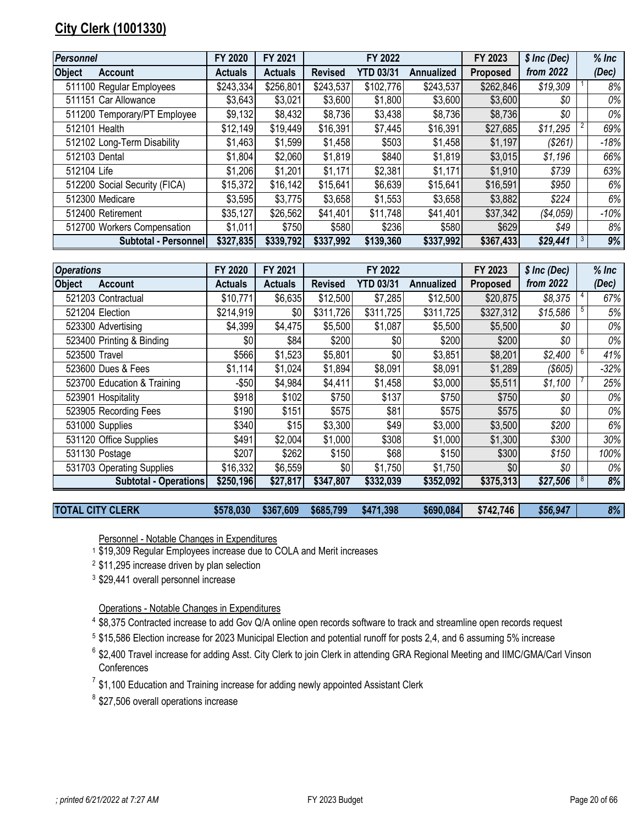# <span id="page-19-0"></span>**City Clerk (1001330)**

| Personnel     |                               | FY 2020        | FY 2021        |                | FY 2022          |            | FY 2023   | \$ Inc (Dec) | $%$ Inc |
|---------------|-------------------------------|----------------|----------------|----------------|------------------|------------|-----------|--------------|---------|
| <b>Object</b> | <b>Account</b>                | <b>Actuals</b> | <b>Actuals</b> | <b>Revised</b> | <b>YTD 03/31</b> | Annualized | Proposed  | from 2022    | (Dec)   |
|               | 511100 Regular Employees      | \$243,334      | \$256,801      | \$243,537      | \$102,776        | \$243,537  | \$262,846 | \$19,309     | 8%      |
|               | 511151 Car Allowance          | \$3,643        | \$3,021        | \$3,600        | \$1,800          | \$3,600    | \$3,600   | \$0          | 0%      |
|               | 511200 Temporary/PT Employee  | \$9,132        | \$8,432        | \$8,736        | \$3,438          | \$8,736    | \$8,736   | \$0          | 0%      |
|               | 512101 Health                 | \$12,149       | \$19,449       | \$16,391       | \$7,445          | \$16,391   | \$27,685  | \$11,295     | 69%     |
|               | 512102 Long-Term Disability   | \$1,463        | \$1,599        | \$1,458        | \$503            | \$1,458    | \$1,197   | (\$261)      | -18%    |
| 512103 Dental |                               | \$1,804        | \$2,060        | \$1,819        | \$840            | \$1,819    | \$3,015   | \$1,196      | 66%     |
| 512104 Life   |                               | \$1,206        | \$1,201        | \$1,171        | \$2,381          | \$1,171    | \$1,910   | \$739        | 63%     |
|               | 512200 Social Security (FICA) | \$15,372       | \$16,142       | \$15,641       | \$6,639          | \$15,641   | \$16,591  | \$950        | 6%      |
|               | 512300 Medicare               | \$3,595        | \$3,775        | \$3,658        | \$1,553          | \$3,658    | \$3,882   | \$224        | 6%      |
|               | 512400 Retirement             | \$35,127       | \$26,562       | \$41,401       | \$11,748         | \$41,401   | \$37,342  | (\$4,059)    | $-10%$  |
|               | 512700 Workers Compensation   | \$1,011        | \$750          | \$580          | \$236            | \$580      | \$629     | \$49         | 8%      |
|               | Subtotal - Personnel          | \$327,835      | \$339,792      | \$337,992      | \$139,360        | \$337,992  | \$367,433 | \$29,441     | 9%      |

| <b>Operations</b> |                              | FY 2020        | FY 2021        |                | FY 2022          |            | FY 2023   | $$$ Inc (Dec) | $%$ Inc |
|-------------------|------------------------------|----------------|----------------|----------------|------------------|------------|-----------|---------------|---------|
| <b>Object</b>     | <b>Account</b>               | <b>Actuals</b> | <b>Actuals</b> | <b>Revised</b> | <b>YTD 03/31</b> | Annualized | Proposed  | from 2022     | (Dec)   |
|                   | 521203 Contractual           | \$10,771       | \$6,635        | \$12,500       | \$7,285          | \$12,500   | \$20,875  | \$8,375       | 67%     |
|                   | 521204 Election              | \$214,919      | \$0            | \$311,726      | \$311,725        | \$311,725  | \$327,312 | \$15,586      | 5%      |
|                   | 523300 Advertising           | \$4,399        | \$4,475        | \$5,500        | \$1,087          | \$5,500    | \$5,500   | \$0           | 0%      |
|                   | 523400 Printing & Binding    | \$0            | \$84           | \$200          | \$0              | \$200      | \$200     | \$0           | 0%      |
| 523500 Travel     |                              | \$566          | \$1,523        | \$5,801        | \$0              | \$3,851    | \$8,201   | \$2,400       | 41%     |
|                   | 523600 Dues & Fees           | \$1,114        | \$1,024        | \$1,894        | \$8,091          | \$8,091    | \$1,289   | (\$605)       | $-32%$  |
|                   | 523700 Education & Training  | $-$ \$50       | \$4,984        | \$4,411        | \$1,458          | \$3,000    | \$5,511   | \$1,100       | 25%     |
|                   | 523901 Hospitality           | \$918          | \$102          | \$750          | \$137            | \$750      | \$750     | \$0           | 0%      |
|                   | 523905 Recording Fees        | \$190          | \$151          | \$575          | \$81             | \$575      | \$575     | \$0           | 0%      |
|                   | 531000 Supplies              | \$340          | \$15           | \$3,300        | \$49             | \$3,000    | \$3,500   | \$200         | 6%      |
|                   | 531120 Office Supplies       | \$491          | \$2,004        | \$1,000        | \$308            | \$1,000    | \$1,300   | \$300         | 30%     |
|                   | 531130 Postage               | \$207          | \$262          | \$150          | \$68             | \$150      | \$300     | \$150         | 100%    |
|                   | 531703 Operating Supplies    | \$16,332       | \$6,559        | \$0            | \$1,750          | \$1,750    | \$0       | \$0           | 0%      |
|                   | <b>Subtotal - Operations</b> | \$250,196      | \$27,817       | \$347,807      | \$332,039        | \$352,092  | \$375,313 | \$27,506      | 8%      |

**TOTAL CITY CLERK \$578,030 \$367,609 \$685,799 \$471,398 \$690,084 \$742,746** *\$56,947 8%*

Personnel - Notable Changes in Expenditures

<sup>1</sup> \$19,309 Regular Employees increase due to COLA and Merit increases

<sup>2</sup> \$11,295 increase driven by plan selection

<sup>3</sup> \$29,441 overall personnel increase

Operations - Notable Changes in Expenditures

- <sup>4</sup> \$8,375 Contracted increase to add Gov Q/A online open records software to track and streamline open records request
- 5 \$15,586 Election increase for 2023 Municipal Election and potential runoff for posts 2,4, and 6 assuming 5% increase
- <sup>6</sup> \$2,400 Travel increase for adding Asst. City Clerk to join Clerk in attending GRA Regional Meeting and IIMC/GMA/Carl Vinson **Conferences**
- $^7$  \$1,100 Education and Training increase for adding newly appointed Assistant Clerk
- <sup>8</sup> \$27,506 overall operations increase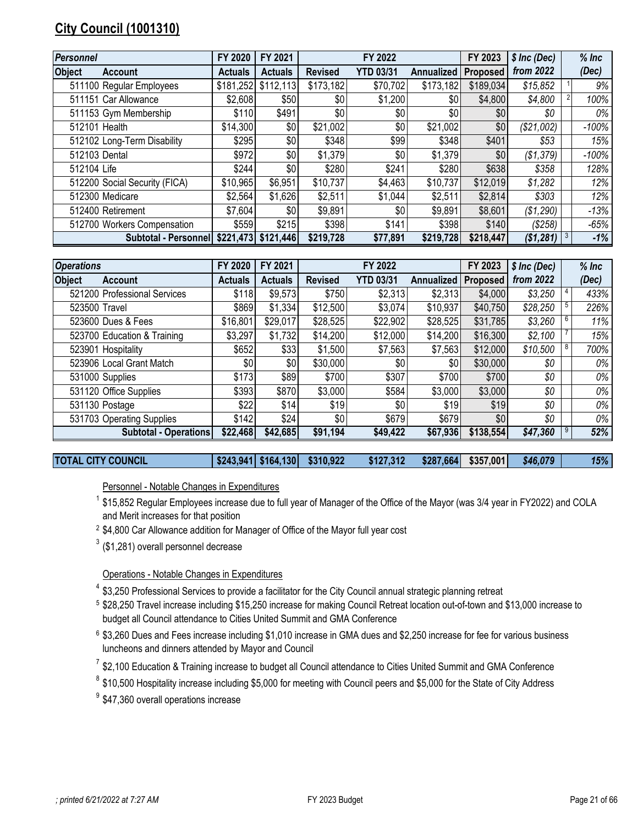# <span id="page-20-0"></span>**City Council (1001310)**

| Personnel     |                                          | FY 2020        | FY 2021        |                | FY 2022          |            | FY 2023         | \$ Inc (Dec) | $%$ Inc |
|---------------|------------------------------------------|----------------|----------------|----------------|------------------|------------|-----------------|--------------|---------|
| <b>Object</b> | <b>Account</b>                           | <b>Actuals</b> | <b>Actuals</b> | <b>Revised</b> | <b>YTD 03/31</b> | Annualized | <b>Proposed</b> | from 2022    | (Dec)   |
|               | 511100 Regular Employees                 | \$181,252      | \$112,113      | \$173,182      | \$70,702         | \$173,182  | \$189,034       | \$15,852     | 9%      |
|               | 511151 Car Allowance                     | \$2,608        | \$50           | \$0            | \$1,200          | \$0        | \$4,800         | \$4,800      | 100%    |
|               | 511153 Gym Membership                    | \$110          | \$491          | \$0            | \$0              | \$0        | \$0             | \$0          | 0%      |
| 512101 Health |                                          | \$14,300       | \$0            | \$21,002       | \$0              | \$21,002   | \$0             | (\$21,002)   | $-100%$ |
|               | 512102 Long-Term Disability              | \$295          | \$0            | \$348          | \$99             | \$348      | \$401           | \$53         | 15%     |
| 512103 Dental |                                          | \$972          | \$0            | \$1,379        | \$0              | \$1,379    | \$0             | (\$1,379)    | $-100%$ |
| 512104 Life   |                                          | \$244          | \$0            | \$280          | \$241            | \$280      | \$638           | \$358        | 128%    |
|               | 512200 Social Security (FICA)            | \$10,965       | \$6,951        | \$10,737       | \$4,463          | \$10,737   | \$12,019        | \$1,282      | 12%     |
|               | 512300 Medicare                          | \$2,564        | \$1,626        | \$2,511        | \$1,044          | \$2,511    | \$2,814         | \$303        | 12%     |
|               | 512400 Retirement                        | \$7,604        | \$0            | \$9,891        | \$0              | \$9,891    | \$8,601         | (\$1,290)    | $-13%$  |
|               | 512700 Workers Compensation              | \$559          | \$215          | \$398          | \$141            | \$398      | \$140           | (\$258)      | -65%    |
|               | Subtotal - Personnel \$221,473 \$121,446 |                |                | \$219,728      | \$77,891         | \$219,728  | \$218,447       | (\$1,281)    | -1%     |

| <b>Operations</b>               | FY 2020        | FY 2021        |                | FY 2022          |                   | FY 2023         | \$ Inc (Dec) |   | $%$ Inc |
|---------------------------------|----------------|----------------|----------------|------------------|-------------------|-----------------|--------------|---|---------|
| <b>Object</b><br><b>Account</b> | <b>Actuals</b> | <b>Actuals</b> | <b>Revised</b> | <b>YTD 03/31</b> | <b>Annualized</b> | <b>Proposed</b> | from 2022    |   | (Dec)   |
| 521200 Professional Services    | \$118          | \$9,573        | \$750          | \$2,313          | \$2,313           | \$4,000         | \$3,250      |   | 433%    |
| 523500 Travel                   | \$869          | \$1,334        | \$12,500       | \$3,074          | \$10,937          | \$40,750        | \$28,250     |   | 226%    |
| 523600 Dues & Fees              | \$16,801       | \$29,017       | \$28,525       | \$22,902         | \$28,525          | \$31,785        | \$3,260      |   | 11%     |
| 523700 Education & Training     | \$3,297        | \$1,732        | \$14,200       | \$12,000         | \$14,200          | \$16,300        | \$2,100      |   | 15%     |
| 523901 Hospitality              | \$652          | \$33           | \$1,500        | \$7,563          | \$7,563           | \$12,000        | \$10,500     | 8 | 700%    |
| 523906 Local Grant Match        | \$0            | \$0            | \$30,000       | \$0              | \$0               | \$30,000        | \$0          |   | 0%      |
| 531000 Supplies                 | \$173          | \$89           | \$700          | \$307            | \$700             | \$700           | \$0          |   | 0%      |
| 531120 Office Supplies          | \$393          | \$870          | \$3,000        | \$584            | \$3,000           | \$3,000         | \$0          |   | 0%      |
| 531130 Postage                  | \$22           | \$14]          | \$19           | \$0              | \$19              | \$19            | \$0          |   | 0%      |
| 531703 Operating Supplies       | \$142          | \$24           | \$0            | \$679            | \$679             | \$0             | \$0          |   | 0%      |
| <b>Subtotal - Operations</b>    | \$22,468       | \$42,685       | \$91,194       | \$49,422         | \$67,936          | \$138,554       | \$47,360     |   | 52%     |

**TOTAL CITY COUNCIL \$243,941 \$164,130 \$310,922 \$127,312 \$287,664 \$357,001** *\$46,079 15%*

Personnel - Notable Changes in Expenditures

<sup>1</sup> \$15,852 Regular Employees increase due to full year of Manager of the Office of the Mayor (was 3/4 year in FY2022) and COLA and Merit increases for that position

2 \$4,800 Car Allowance addition for Manager of Office of the Mayor full year cost

 $3$  (\$1,281) overall personnel decrease

Operations - Notable Changes in Expenditures

- <sup>4</sup> \$3,250 Professional Services to provide a facilitator for the City Council annual strategic planning retreat
- 5 \$28,250 Travel increase including \$15,250 increase for making Council Retreat location out-of-town and \$13,000 increase to budget all Council attendance to Cities United Summit and GMA Conference
- 6 \$3,260 Dues and Fees increase including \$1,010 increase in GMA dues and \$2,250 increase for fee for various business luncheons and dinners attended by Mayor and Council

 $7$  \$2,100 Education & Training increase to budget all Council attendance to Cities United Summit and GMA Conference

- $8$  \$10,500 Hospitality increase including \$5,000 for meeting with Council peers and \$5,000 for the State of City Address
- <sup>9</sup> \$47,360 overall operations increase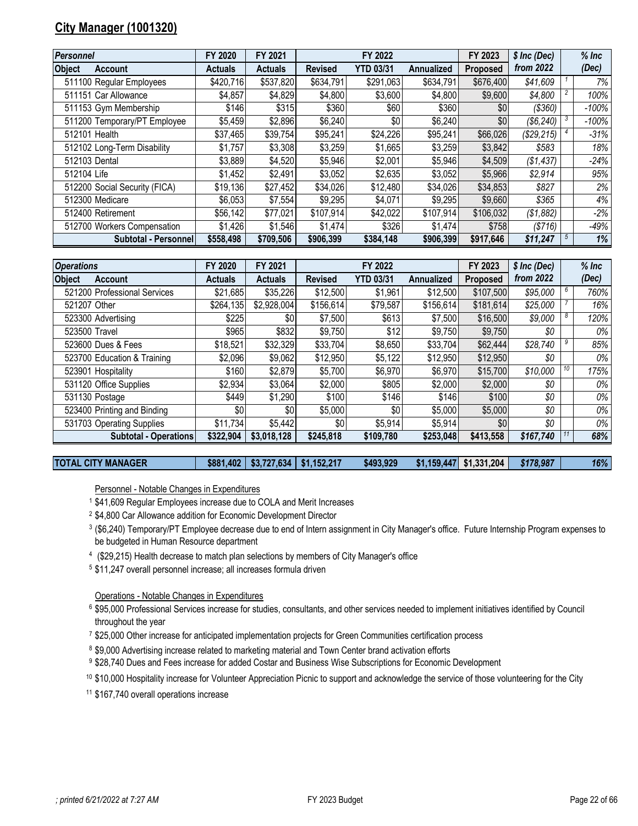# <span id="page-21-0"></span>**City Manager (1001320)**

| <b>Personnel</b>                | FY 2020        | FY 2021        |                | FY 2022          |                   | FY 2023         | \$ Inc (Dec) | $%$ Inc  |
|---------------------------------|----------------|----------------|----------------|------------------|-------------------|-----------------|--------------|----------|
| <b>Object</b><br><b>Account</b> | <b>Actuals</b> | <b>Actuals</b> | <b>Revised</b> | <b>YTD 03/31</b> | <b>Annualized</b> | <b>Proposed</b> | from 2022    | (Dec)    |
| 511100 Regular Employees        | \$420,716      | \$537,820      | \$634,791      | \$291,063        | \$634,791         | \$676,400       | \$41,609     | $7\%$    |
| 511151 Car Allowance            | \$4,857        | \$4,829        | \$4,800        | \$3,600          | \$4,800           | \$9,600         | \$4,800      | 100%     |
| 511153 Gym Membership           | \$146          | \$315          | \$360          | \$60             | \$360             | \$0             | $($ \$360)   | $-100\%$ |
| 511200 Temporary/PT Employee    | \$5,459        | \$2,896        | \$6,240        | \$0              | \$6,240           | \$0             | (\$6,240)    | $-100%$  |
| 512101 Health                   | \$37,465       | \$39,754       | \$95,241       | \$24,226         | \$95,241          | \$66,026        | (\$29,215)   | $-31%$   |
| 512102 Long-Term Disability     | \$1,757        | \$3,308        | \$3,259        | \$1,665          | \$3,259           | \$3,842         | \$583        | 18%      |
| 512103 Dental                   | \$3,889        | \$4,520        | \$5,946        | \$2,001          | \$5,946           | \$4,509         | (\$1,437)    | $-24%$   |
| 512104 Life                     | \$1,452        | \$2,491        | \$3,052        | \$2,635          | \$3,052           | \$5,966         | \$2,914      | 95%      |
| 512200 Social Security (FICA)   | \$19,136       | \$27,452       | \$34,026       | \$12,480         | \$34,026          | \$34,853        | \$827        | 2%       |
| 512300 Medicare                 | \$6,053        | \$7,554        | \$9,295        | \$4,071          | \$9,295           | \$9,660         | \$365        | 4%       |
| 512400 Retirement               | \$56,142       | \$77,021       | \$107,914      | \$42,022         | \$107,914         | \$106,032       | (\$1,882)    | $-2%$    |
| 512700 Workers Compensation     | \$1,426        | \$1,546        | \$1,474        | \$326            | \$1,474           | \$758           | (S716)       | $-49%$   |
| Subtotal - Personnel            | \$558,498      | \$709,506      | \$906,399      | \$384,148        | \$906,399         | \$917,646       | \$11,247     | 1%       |

| <b>Operations</b>            | FY 2020        | FY 2021        |                | FY 2022          |                   | FY 2023         | $$$ Inc (Dec) |    | $%$ Inc |
|------------------------------|----------------|----------------|----------------|------------------|-------------------|-----------------|---------------|----|---------|
| <b>Object</b><br>Account     | <b>Actuals</b> | <b>Actuals</b> | <b>Revised</b> | <b>YTD 03/31</b> | <b>Annualized</b> | <b>Proposed</b> | from 2022     |    | (Dec)   |
| 521200 Professional Services | \$21,685       | \$35,226       | \$12,500       | \$1,961          | \$12,500          | \$107,500       | \$95,000      |    | 760%    |
| 521207 Other                 | \$264,135      | \$2,928,004    | \$156,614      | \$79,587         | \$156,614         | \$181,614       | \$25,000      |    | 16%     |
| 523300 Advertising           | \$225          | \$0            | \$7,500        | \$613            | \$7,500           | \$16,500        | \$9,000       |    | 120%    |
| 523500 Travel                | \$965          | \$832          | \$9,750        | \$12             | \$9,750           | \$9,750         | \$0           |    | 0%      |
| 523600 Dues & Fees           | \$18,521       | \$32,329       | \$33,704       | \$8,650          | \$33,704          | \$62,444        | \$28,740      |    | 85%     |
| 523700 Education & Training  | \$2,096        | \$9,062        | \$12,950       | \$5,122          | \$12,950          | \$12,950        | \$0           |    | 0%      |
| 523901 Hospitality           | \$160          | \$2,879        | \$5,700        | \$6,970          | \$6,970           | \$15,700        | \$10,000      | 10 | 175%    |
| 531120 Office Supplies       | \$2,934        | \$3,064        | \$2,000        | \$805            | \$2,000           | \$2,000         | \$0           |    | 0%      |
| 531130 Postage               | \$449          | \$1,290        | \$100          | \$146            | \$146             | \$100           | \$0           |    | 0%      |
| 523400 Printing and Binding  | \$0            | \$0            | \$5,000        | \$0              | \$5,000           | \$5,000         | \$0           |    | 0%      |
| 531703 Operating Supplies    | \$11,734       | \$5,442        | \$0            | \$5,914          | \$5,914           | \$0             | \$0           |    | 0%      |
| Subtotal - Operations        | \$322.904      | \$3,018,128    | \$245,818      | \$109,780        | \$253,048         | \$413,558       | \$167,740     |    | 68%     |

| <b>TOTAL CITY MANAGER</b> | $$881,402$   \$3,727,634   \$1,152,217 | \$493,929 | $$1,159,447$ $$1,331,204$ $$178,987$ |  | $16\%$ |
|---------------------------|----------------------------------------|-----------|--------------------------------------|--|--------|
|                           |                                        |           |                                      |  |        |

Personnel - Notable Changes in Expenditures

- \$41,609 Regular Employees increase due to COLA and Merit Increases
- \$4,800 Car Allowance addition for Economic Development Director
- (\$6,240) Temporary/PT Employee decrease due to end of Intern assignment in City Manager's office. Future Internship Program expenses to be budgeted in Human Resource department
- (\$29,215) Health decrease to match plan selections by members of City Manager's office
- \$11,247 overall personnel increase; all increases formula driven

Operations - Notable Changes in Expenditures

- \$95,000 Professional Services increase for studies, consultants, and other services needed to implement initiatives identified by Council throughout the year
- \$25,000 Other increase for anticipated implementation projects for Green Communities certification process
- $^8$  \$9,000 Advertising increase related to marketing material and Town Center brand activation efforts
- \$28,740 Dues and Fees increase for added Costar and Business Wise Subscriptions for Economic Development
- \$10,000 Hospitality increase for Volunteer Appreciation Picnic to support and acknowledge the service of those volunteering for the City

\$167,740 overall operations increase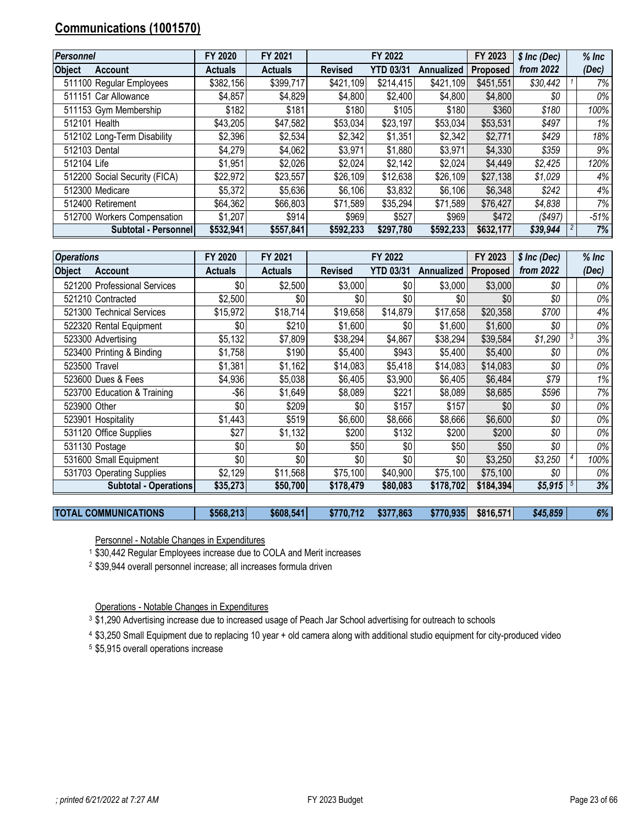# <span id="page-22-0"></span>**Communications (1001570)**

| <b>Personnel</b> |                               | FY 2020        | FY 2021        |                | FY 2022          |                   | FY 2023         | \$ Inc (Dec) | $%$ Inc |
|------------------|-------------------------------|----------------|----------------|----------------|------------------|-------------------|-----------------|--------------|---------|
| <b>Object</b>    | <b>Account</b>                | <b>Actuals</b> | <b>Actuals</b> | <b>Revised</b> | <b>YTD 03/31</b> | <b>Annualized</b> | <b>Proposed</b> | from 2022    | (Dec)   |
|                  | 511100 Regular Employees      | \$382,156      | \$399,717      | \$421,109      | \$214,415        | \$421,109         | \$451,551       | \$30,442     | 7%      |
|                  | 511151 Car Allowance          | \$4,857        | \$4,829        | \$4,800        | \$2,400          | \$4,800           | \$4,800         | \$0          | 0%      |
|                  | 511153 Gym Membership         | \$182          | \$181          | \$180          | \$105            | \$180             | \$360           | \$180        | 100%    |
|                  | 512101 Health                 | \$43,205       | \$47,582       | \$53,034       | \$23,197         | \$53,034          | \$53,531        | \$497        | $1\%$   |
|                  | 512102 Long-Term Disability   | \$2,396        | \$2,534        | \$2,342        | \$1,351          | \$2,342           | \$2,771         | \$429        | 18%     |
|                  | 512103 Dental                 | \$4,279        | \$4,062        | \$3,971        | \$1,880          | \$3,971           | \$4,330         | \$359        | 9%      |
| 512104 Life      |                               | \$1,951        | \$2,026        | \$2,024        | \$2,142          | \$2,024           | \$4,449         | \$2,425      | 120%    |
|                  | 512200 Social Security (FICA) | \$22,972       | \$23,557       | \$26,109       | \$12,638         | \$26,109          | \$27,138        | \$1,029      | 4%      |
|                  | 512300 Medicare               | \$5,372        | \$5,636        | \$6,106        | \$3,832          | \$6,106           | \$6,348         | \$242        | 4%      |
|                  | 512400 Retirement             | \$64,362       | \$66,803       | \$71,589       | \$35,294         | \$71,589          | \$76,427        | \$4,838      | 7%      |
|                  | 512700 Workers Compensation   | \$1,207        | \$914          | \$969          | \$527            | \$969             | \$472           | ( \$497)     | -51%    |
|                  | Subtotal - Personnel          | \$532,941      | \$557,841      | \$592,233      | \$297.780        | \$592,233         | \$632,177       | \$39,944     | 7%      |

| <b>Operations</b> |                              | FY 2020        | FY 2021        |                | FY 2022          |            | FY 2023         | \$ Inc (Dec) | $%$ Inc |
|-------------------|------------------------------|----------------|----------------|----------------|------------------|------------|-----------------|--------------|---------|
| <b>Object</b>     | <b>Account</b>               | <b>Actuals</b> | <b>Actuals</b> | <b>Revised</b> | <b>YTD 03/31</b> | Annualized | <b>Proposed</b> | from 2022    | (Dec)   |
|                   | 521200 Professional Services | \$0            | \$2,500        | \$3,000        | \$0              | \$3,000    | \$3,000         | \$0          | 0%      |
|                   | 521210 Contracted            | \$2,500        | \$0            | \$0            | \$0              | \$0        | \$0             | \$0          | 0%      |
|                   | 521300 Technical Services    | \$15,972       | \$18,714       | \$19,658       | \$14,879         | \$17,658   | \$20,358        | \$700        | 4%      |
|                   | 522320 Rental Equipment      | \$0            | \$210          | \$1,600        | \$0              | \$1,600    | \$1,600         | \$0          | 0%      |
|                   | 523300 Advertising           | \$5,132        | \$7,809        | \$38,294       | \$4,867          | \$38,294   | \$39,584        | \$1,290      | 3%      |
|                   | 523400 Printing & Binding    | \$1,758        | \$190          | \$5,400        | \$943            | \$5,400    | \$5,400         | \$0          | 0%      |
|                   | 523500 Travel                | \$1,381        | \$1,162        | \$14,083       | \$5,418          | \$14,083   | \$14,083        | \$0          | 0%      |
|                   | 523600 Dues & Fees           | \$4,936        | \$5,038        | \$6,405        | \$3,900          | \$6,405    | \$6,484         | \$79         | 1%      |
|                   | 523700 Education & Training  | $-$ \$6        | \$1,649        | \$8,089        | \$221            | \$8,089    | \$8,685         | \$596        | 7%      |
| 523900 Other      |                              | \$0            | \$209          | \$0            | \$157            | \$157      | \$0             | \$0          | 0%      |
|                   | 523901 Hospitality           | \$1,443        | \$519          | \$6,600        | \$8,666          | \$8,666    | \$6,600         | \$0          | 0%      |
|                   | 531120 Office Supplies       | \$27           | \$1,132        | \$200          | \$132            | \$200      | \$200           | \$0          | 0%      |
|                   | 531130 Postage               | \$0            | \$0            | \$50           | \$0              | \$50       | \$50            | \$0          | 0%      |
|                   | 531600 Small Equipment       | \$0            | \$0            | \$0            | \$0              | \$0        | \$3,250         | \$3,250      | 100%    |
|                   | 531703 Operating Supplies    | \$2,129        | \$11,568       | \$75,100       | \$40,900         | \$75,100   | \$75,100        | \$0          | 0%      |
|                   | <b>Subtotal - Operations</b> | \$35,273       | \$50,700       | \$178,479      | \$80,083         | \$178,702  | \$184,394       | \$5,915      | 3%      |
|                   |                              |                |                |                |                  |            |                 |              |         |

**TOTAL COMMUNICATIONS \$568,213 \$608,541 \$770,712 \$377,863 \$770,935 \$816,571** *\$45,859 6%*

Personnel - Notable Changes in Expenditures

\$30,442 Regular Employees increase due to COLA and Merit increases

\$39,944 overall personnel increase; all increases formula driven

Operations - Notable Changes in Expenditures

\$1,290 Advertising increase due to increased usage of Peach Jar School advertising for outreach to schools

\$3,250 Small Equipment due to replacing 10 year + old camera along with additional studio equipment for city-produced video

\$5,915 overall operations increase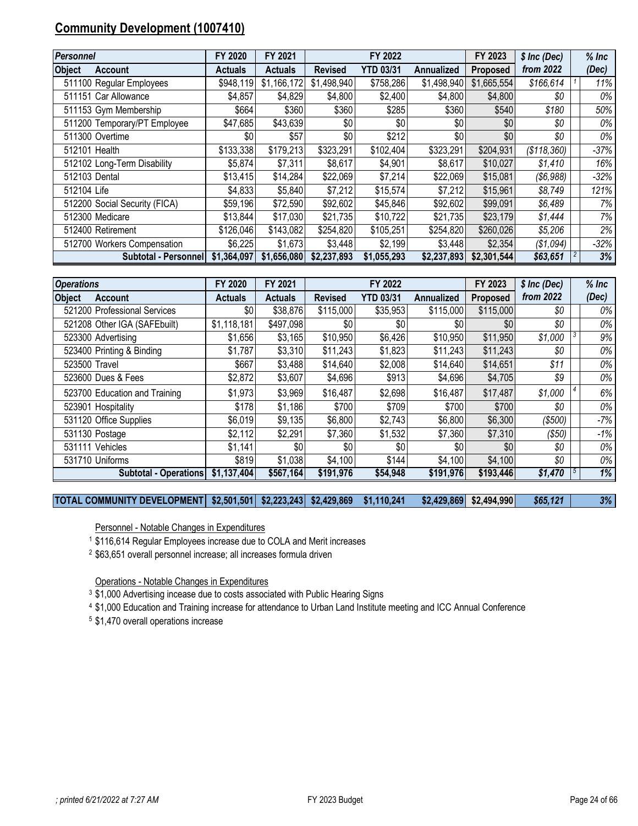# <span id="page-23-0"></span>**Community Development (1007410)**

| Personnel                       | FY 2020     | FY 2021        |                | FY 2022          |             | FY 2023     | \$ Inc (Dec) | $%$ Inc |
|---------------------------------|-------------|----------------|----------------|------------------|-------------|-------------|--------------|---------|
| <b>Object</b><br><b>Account</b> | Actuals     | <b>Actuals</b> | <b>Revised</b> | <b>YTD 03/31</b> | Annualized  | Proposed    | from 2022    | (Dec)   |
| 511100 Regular Employees        | \$948,119   | \$1,166,172    | \$1,498,940    | \$758,286        | \$1,498,940 | \$1,665,554 | \$166,614    | 11%     |
| 511151 Car Allowance            | \$4,857     | \$4,829        | \$4,800        | \$2,400          | \$4,800     | \$4,800     | \$0          | 0%      |
| 511153 Gym Membership           | \$664       | \$360          | \$360          | \$285            | \$360       | \$540       | \$180        | 50%     |
| 511200 Temporary/PT Employee    | \$47,685    | \$43,639       | \$0            | \$0              | \$0         | \$0         | \$0          | 0%      |
| 511300 Overtime                 | \$0         | \$57           | \$0            | \$212            | \$0         | \$0         | \$0          | 0%      |
| 512101 Health                   | \$133,338   | \$179,213      | \$323,291      | \$102,404        | \$323,291   | \$204,931   | (\$118,360)  | -37%    |
| 512102 Long-Term Disability     | \$5,874     | \$7,311        | \$8,617        | \$4,901          | \$8,617     | \$10,027    | \$1,410      | 16%     |
| 512103 Dental                   | \$13,415    | \$14,284       | \$22,069       | \$7,214          | \$22,069    | \$15,081    | (\$6,988)    | $-32\%$ |
| 512104 Life                     | \$4,833     | \$5,840        | \$7,212        | \$15,574         | \$7,212     | \$15,961    | \$8,749      | 121%    |
| 512200 Social Security (FICA)   | \$59,196    | \$72,590       | \$92,602       | \$45,846         | \$92,602    | \$99,091    | \$6,489      | 7%      |
| 512300 Medicare                 | \$13,844    | \$17,030       | \$21,735       | \$10,722         | \$21,735    | \$23,179    | \$1,444      | 7%      |
| 512400 Retirement               | \$126,046   | \$143,082      | \$254,820      | \$105,251        | \$254,820   | \$260,026   | \$5,206      | 2%      |
| 512700 Workers Compensation     | \$6,225     | \$1,673        | \$3,448        | \$2,199          | \$3,448     | \$2,354     | (\$1,094)    | $-32\%$ |
| <b>Subtotal - Personnel</b>     | \$1,364,097 | \$1,656,080    | \$2,237,893    | \$1,055,293      | \$2,237,893 | \$2,301,544 | \$63,651     | 3%      |

| <b>Operations</b>               | FY 2020        | FY 2021        |                | FY 2022          |            | FY 2023         | \$ Inc (Dec) | $%$ Inc |
|---------------------------------|----------------|----------------|----------------|------------------|------------|-----------------|--------------|---------|
| <b>Object</b><br><b>Account</b> | <b>Actuals</b> | <b>Actuals</b> | <b>Revised</b> | <b>YTD 03/31</b> | Annualized | <b>Proposed</b> | from 2022    | (Dec)   |
| 521200 Professional Services    | \$0            | \$38,876       | \$115,000      | \$35,953         | \$115,000  | \$115,000       | \$0          | 0%      |
| 521208 Other IGA (SAFEbuilt)    | \$1,118,181    | \$497,098      | \$0            | \$0              | \$0        | \$0             | \$0          | 0%      |
| 523300 Advertising              | \$1,656        | \$3,165        | \$10,950       | \$6,426          | \$10,950   | \$11,950        | \$1,000      | 9%      |
| 523400 Printing & Binding       | \$1,787        | \$3,310        | \$11,243       | \$1,823          | \$11,243   | \$11,243        | \$0          | 0%      |
| 523500 Travel                   | \$667          | \$3,488        | \$14,640       | \$2,008          | \$14,640   | \$14,651        | \$11         | 0%      |
| 523600 Dues & Fees              | \$2,872        | \$3,607        | \$4,696        | \$913            | \$4,696    | \$4,705         | \$9          | 0%      |
| 523700 Education and Training   | \$1,973        | \$3,969        | \$16,487       | \$2,698          | \$16,487   | \$17,487        | \$1,000      | 6%      |
| 523901 Hospitality              | \$178          | \$1,186        | \$700          | \$709            | \$700      | \$700           | \$0          | 0%      |
| 531120 Office Supplies          | \$6,019        | \$9,135        | \$6,800        | \$2,743          | \$6,800    | \$6,300         | $($ \$500)   | -7%     |
| 531130 Postage                  | \$2,112        | \$2,291        | \$7,360        | \$1,532          | \$7,360    | \$7,310         | (\$50)       | $-1\%$  |
| 531111 Vehicles                 | \$1,141        | \$0            | \$0            | \$0              | \$0        | \$0             | \$0          | 0%      |
| 531710 Uniforms                 | \$819          | \$1,038        | \$4,100        | \$144            | \$4,100    | \$4,100         | \$0          | 0%      |
| <b>Subtotal - Operations</b>    | \$1,137,404    | \$567,164      | \$191,976      | \$54,948         | \$191,976  | \$193,446       | \$1,470      | 1%      |

**TOTAL COMMUNITY DEVELOPMENT \$2,501,501 \$2,223,243 \$2,429,869 \$1,110,241 \$2,429,869 \$2,494,990** *\$65,121 3%*

Personnel - Notable Changes in Expenditures

\$116,614 Regular Employees increase due to COLA and Merit increases

\$63,651 overall personnel increase; all increases formula driven

Operations - Notable Changes in Expenditures

\$1,000 Advertising incease due to costs associated with Public Hearing Signs

\$1,000 Education and Training increase for attendance to Urban Land Institute meeting and ICC Annual Conference

\$1,470 overall operations increase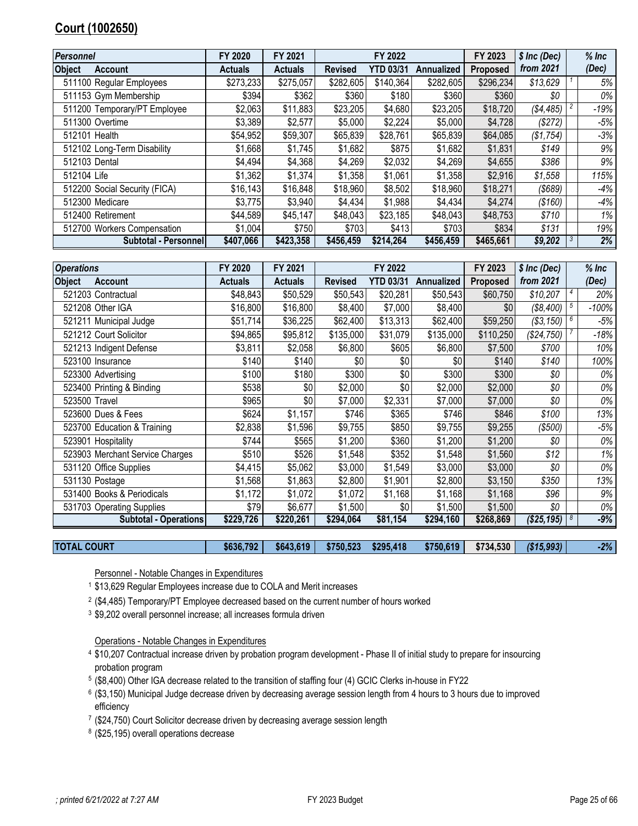# <span id="page-24-0"></span>**Court (1002650)**

| <b>Personnel</b>                | FY 2020        | FY 2021        |                | FY 2022          |            | FY 2023         | $$$ Inc (Dec) | $%$ Inc |
|---------------------------------|----------------|----------------|----------------|------------------|------------|-----------------|---------------|---------|
| <b>Object</b><br><b>Account</b> | <b>Actuals</b> | <b>Actuals</b> | <b>Revised</b> | <b>YTD 03/31</b> | Annualized | <b>Proposed</b> | from 2021     | (Dec)   |
| 511100 Regular Employees        | \$273,233      | \$275,057      | \$282,605      | \$140,364        | \$282,605  | \$296,234       | \$13,629      | 5%      |
| 511153 Gym Membership           | \$394          | \$362          | \$360          | \$180            | \$360      | \$360           | \$0           | $0\%$   |
| 511200 Temporary/PT Employee    | \$2,063        | \$11,883       | \$23,205       | \$4,680          | \$23,205   | \$18,720        | (\$4,485)     | $-19%$  |
| 511300 Overtime                 | \$3,389        | \$2,577        | \$5,000        | \$2,224          | \$5,000    | \$4,728         | (\$272)       | $-5%$   |
| 512101 Health                   | \$54,952       | \$59,307       | \$65,839       | \$28,761         | \$65,839   | \$64,085        | (\$1,754)     | $-3%$   |
| 512102 Long-Term Disability     | \$1,668        | \$1,745        | \$1,682        | \$875            | \$1,682    | \$1,831         | \$149         | 9%      |
| 512103 Dental                   | \$4,494        | \$4,368        | \$4,269        | \$2,032          | \$4,269    | \$4,655         | \$386         | 9%      |
| 512104 Life                     | \$1,362        | \$1,374        | \$1,358        | \$1,061          | \$1,358    | \$2,916         | \$1,558       | 115%    |
| 512200 Social Security (FICA)   | \$16,143       | \$16,848       | \$18,960       | \$8,502          | \$18,960   | \$18,271        | $($ \$689 $)$ | $-4%$   |
| 512300 Medicare                 | \$3,775        | \$3,940        | \$4,434        | \$1,988          | \$4,434    | \$4,274         | (\$160)       | $-4%$   |
| 512400 Retirement               | \$44,589       | \$45,147       | \$48,043       | \$23,185         | \$48,043   | \$48,753        | \$710         | $1\%$   |
| 512700 Workers Compensation     | \$1,004        | \$750          | \$703          | \$413            | \$703      | \$834           | \$131         | 19%     |
| Subtotal - Personnel            | \$407,066      | \$423,358      | \$456,459      | \$214.264        | \$456,459  | \$465,661       | \$9,202       | 2%      |

| <b>Operations</b>               | FY 2020        | FY 2021        |                | FY 2022          |                   | FY 2023         | $$$ Inc (Dec) | $%$ Inc |
|---------------------------------|----------------|----------------|----------------|------------------|-------------------|-----------------|---------------|---------|
| <b>Object</b><br><b>Account</b> | <b>Actuals</b> | <b>Actuals</b> | <b>Revised</b> | <b>YTD 03/31</b> | <b>Annualized</b> | <b>Proposed</b> | from 2021     | (Dec)   |
| 521203 Contractual              | \$48,843       | \$50,529       | \$50,543       | \$20,281         | \$50,543          | \$60,750        | \$10,207      | 20%     |
| 521208 Other IGA                | \$16,800       | \$16,800       | \$8,400        | \$7,000          | \$8,400           | \$0             | (\$8,400)     | $-100%$ |
| 521211 Municipal Judge          | \$51,714       | \$36,225       | \$62,400       | \$13,313         | \$62,400          | \$59,250        | (\$3,150)     | $-5%$   |
| 521212 Court Solicitor          | \$94,865       | \$95,812       | \$135,000      | \$31,079         | \$135,000         | \$110,250       | (\$24,750)    | $-18%$  |
| 521213 Indigent Defense         | \$3,811        | \$2,058        | \$6,800        | \$605            | \$6,800           | \$7,500         | \$700         | 10%     |
| 523100 Insurance                | \$140          | \$140          | \$0            | \$0              | \$0               | \$140           | \$140         | 100%    |
| 523300 Advertising              | \$100          | \$180          | \$300          | \$0              | \$300             | \$300           | \$0           | 0%      |
| 523400 Printing & Binding       | \$538          | \$0            | \$2,000        | \$0              | \$2,000           | \$2,000         | \$0           | 0%      |
| 523500 Travel                   | \$965          | \$0            | \$7,000        | \$2,331          | \$7,000           | \$7,000         | \$0           | 0%      |
| 523600 Dues & Fees              | \$624          | \$1,157        | \$746          | \$365            | \$746             | \$846           | \$100         | 13%     |
| 523700 Education & Training     | \$2,838        | \$1,596        | \$9,755        | \$850            | \$9,755           | \$9,255         | (\$500)       | $-5%$   |
| 523901 Hospitality              | \$744          | \$565          | \$1,200        | \$360            | \$1,200           | \$1,200         | \$0           | 0%      |
| 523903 Merchant Service Charges | \$510          | \$526          | \$1,548        | \$352            | \$1,548           | \$1,560         | \$12          | 1%      |
| 531120 Office Supplies          | \$4,415        | \$5,062        | \$3,000        | \$1,549          | \$3,000           | \$3,000         | \$0           | 0%      |
| 531130 Postage                  | \$1,568        | \$1,863        | \$2,800        | \$1,901          | \$2,800           | \$3,150         | \$350         | 13%     |
| 531400 Books & Periodicals      | \$1,172        | \$1,072        | \$1,072        | \$1,168          | \$1,168           | \$1,168         | \$96          | 9%      |
| 531703 Operating Supplies       | \$79           | \$6,677        | \$1,500        | \$0              | \$1,500           | \$1,500         | \$0           | 0%      |
| <b>Subtotal - Operations</b>    | \$229,726      | \$220,261      | \$294,064      | \$81,154         | \$294,160         | \$268,869       | (\$25,195)    | $-9%$   |

| <b>TOTAL COURT</b> | \$636,792 |  | $$643,619$ $$750,523$<br>\$295,418 | \$750,619 | \$734,530 | ( \$15,993) | $-2\%$ |
|--------------------|-----------|--|------------------------------------|-----------|-----------|-------------|--------|
|--------------------|-----------|--|------------------------------------|-----------|-----------|-------------|--------|

Personnel - Notable Changes in Expenditures

- \$13,629 Regular Employees increase due to COLA and Merit increases
- $^2$  (\$4,485) Temporary/PT Employee decreased based on the current number of hours worked
- \$9,202 overall personnel increase; all increases formula driven

Operations - Notable Changes in Expenditures

- \$10,207 Contractual increase driven by probation program development Phase II of initial study to prepare for insourcing probation program
- (\$8,400) Other IGA decrease related to the transition of staffing four (4) GCIC Clerks in-house in FY22
- (\$3,150) Municipal Judge decrease driven by decreasing average session length from 4 hours to 3 hours due to improved efficiency
- (\$24,750) Court Solicitor decrease driven by decreasing average session length
- (\$25,195) overall operations decrease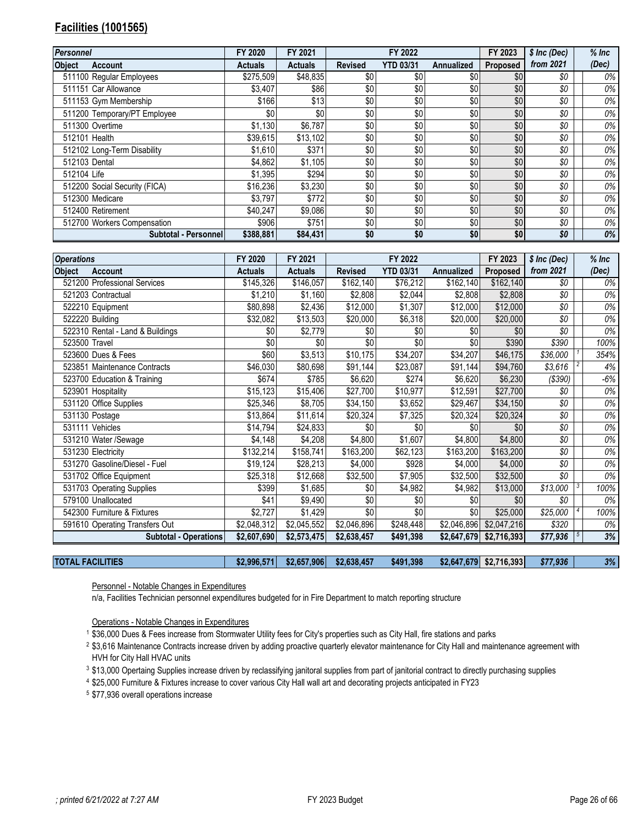# <span id="page-25-0"></span>**Facilities (1001565)**

| Personnel                       | FY 2020        | FY 2021        |                | FY 2022          |            | FY 2023         | \$ Inc (Dec) | $%$ Inc |
|---------------------------------|----------------|----------------|----------------|------------------|------------|-----------------|--------------|---------|
| <b>Object</b><br><b>Account</b> | <b>Actuals</b> | <b>Actuals</b> | <b>Revised</b> | <b>YTD 03/31</b> | Annualized | <b>Proposed</b> | from 2021    | (Dec)   |
| 511100 Regular Employees        | \$275,509      | \$48,835       | \$0            | \$0              | \$0        | \$0             | \$0          | 0%      |
| 511151 Car Allowance            | \$3,407        | \$86           | \$0            | \$0              | \$0        | \$0             | \$0          | 0%      |
| 511153 Gym Membership           | \$166          | \$13           | \$0            | \$0              | \$0        | \$0             | \$0          | 0%      |
| 511200 Temporary/PT Employee    | \$0            | \$0            | \$0            | \$0              | \$0        | \$0             | \$0          | 0%      |
| 511300 Overtime                 | \$1,130        | \$6,787        | \$0            | \$0              | \$0        | \$0             | \$0          | 0%      |
| 512101 Health                   | \$39,615       | \$13,102       | \$0            | \$0              | \$0        | \$0             | \$0          | 0%      |
| 512102 Long-Term Disability     | \$1,610        | \$371          | \$0            | \$0              | \$0        | \$0             | \$0          | 0%      |
| 512103 Dental                   | \$4,862        | \$1,105        | \$0            | \$0              | \$0        | \$0             | \$0          | 0%      |
| 512104 Life                     | \$1,395        | \$294          | \$0            | \$0              | \$0        | \$0             | \$0          | 0%      |
| 512200 Social Security (FICA)   | \$16,236       | \$3,230        | \$0            | \$0              | \$0        | \$0             | \$0          | 0%      |
| 512300 Medicare                 | \$3,797        | \$772          | \$0            | \$0              | \$0        | \$0             | \$0          | 0%      |
| 512400 Retirement               | \$40,247       | \$9.086        | \$0            | \$0              | \$0        | \$0             | \$0          | 0%      |
| 512700 Workers Compensation     | \$906          | \$751          | \$0            | \$0              | \$0        | \$0             | \$0          | 0%      |
| Subtotal - Personnel            | \$388,881      | \$84,431       | \$0            | \$0              | \$0        | \$0             | \$0          | 0%      |

| <b>Operations</b>                | FY 2020        | FY 2021        |                | FY 2022          |             | FY 2023                 | \$ Inc (Dec) |                | $%$ Inc |
|----------------------------------|----------------|----------------|----------------|------------------|-------------|-------------------------|--------------|----------------|---------|
| <b>Object</b><br><b>Account</b>  | <b>Actuals</b> | <b>Actuals</b> | <b>Revised</b> | <b>YTD 03/31</b> | Annualized  | Proposed                | from 2021    |                | (Dec)   |
| 521200 Professional Services     | \$145,326      | \$146,057      | \$162,140      | \$76,212         | \$162,140   | \$162,140               | \$0          |                | 0%      |
| 521203 Contractual               | \$1,210        | \$1,160        | \$2,808        | \$2,044          | \$2,808     | \$2,808                 | \$0          |                | 0%      |
| 522210 Equipment                 | \$80,898       | \$2,436        | \$12,000       | \$1,307          | \$12,000    | \$12,000                | \$0          |                | 0%      |
| 522220 Building                  | \$32,082       | \$13,503       | \$20,000       | \$6,318          | \$20,000    | \$20,000                | \$0          |                | 0%      |
| 522310 Rental - Land & Buildings | \$0            | \$2,779        | \$0            | \$0              | \$0         | \$0                     | \$0          |                | 0%      |
| 523500 Travel                    | \$0            | \$0            | \$0            | \$0              | \$0         | \$390                   | \$390        |                | 100%    |
| 523600 Dues & Fees               | \$60           | \$3,513        | \$10,175       | \$34,207         | \$34,207    | \$46,175                | \$36,000     |                | 354%    |
| 523851 Maintenance Contracts     | \$46,030       | \$80,698       | \$91,144       | \$23,087         | \$91,144    | \$94,760                | \$3,616      | $\overline{c}$ | 4%      |
| 523700 Education & Training      | \$674          | \$785          | \$6,620        | \$274            | \$6,620     | \$6,230                 | (\$390)      |                | $-6%$   |
| 523901 Hospitality               | \$15,123       | \$15,406       | \$27,700       | \$10,977         | \$12,591    | \$27,700                | \$0          |                | $0\%$   |
| 531120 Office Supplies           | \$25,346       | \$8,705        | \$34,150       | \$3,652          | \$29,467    | \$34,150                | \$0          |                | $0\%$   |
| 531130 Postage                   | \$13,864       | \$11,614       | \$20,324       | \$7,325          | \$20,324    | \$20,324                | \$0          |                | $0\%$   |
| 531111 Vehicles                  | \$14,794       | \$24,833       | \$0            | \$0              | \$0         | \$0                     | \$0          |                | $0\%$   |
| 531210 Water /Sewage             | \$4,148        | \$4,208        | \$4,800        | \$1,607          | \$4,800     | \$4,800                 | \$0          |                | 0%      |
| 531230 Electricity               | \$132,214      | \$158,741      | \$163,200      | \$62,123         | \$163,200   | \$163,200               | \$0          |                | 0%      |
| 531270 Gasoline/Diesel - Fuel    | \$19,124       | \$28,213       | \$4,000        | \$928            | \$4,000     | \$4,000                 | \$0          |                | 0%      |
| 531702 Office Equipment          | \$25,318       | \$12,668       | \$32,500       | \$7,905          | \$32,500    | \$32,500                | \$0          |                | 0%      |
| 531703 Operating Supplies        | \$399          | \$1,685        | \$0            | \$4,982          | \$4,982     | \$13,000                | \$13,000     | 3              | 100%    |
| 579100 Unallocated               | \$41           | \$9,490        | \$0            | \$0              | \$0         | \$0                     | \$0          |                | 0%      |
| 542300 Furniture & Fixtures      | \$2,727        | \$1,429        | \$0            | \$0              | \$0         | \$25,000                | \$25,000     |                | 100%    |
| 591610 Operating Transfers Out   | \$2,048,312    | \$2,045,552    | \$2,046,896    | \$248,448        |             | \$2,046,896 \$2,047,216 | \$320        |                | $0\%$   |
| <b>Subtotal - Operations</b>     | \$2,607,690    | \$2,573,475    | \$2,638,457    | \$491,398        | \$2,647,679 | \$2,716,393             | \$77,936     |                | 3%      |
|                                  |                |                |                |                  |             |                         |              |                |         |

|  | <b>TOTAL FACILITIES</b> | \$2.996.571 | \$2.657.906 | \$2,638,457 | \$491,398 |  | $$2,647,679$ $$2,716,393$ | \$77,936 | 3% |
|--|-------------------------|-------------|-------------|-------------|-----------|--|---------------------------|----------|----|
|--|-------------------------|-------------|-------------|-------------|-----------|--|---------------------------|----------|----|

Personnel - Notable Changes in Expenditures

n/a, Facilities Technician personnel expenditures budgeted for in Fire Department to match reporting structure

Operations - Notable Changes in Expenditures

\$36,000 Dues & Fees increase from Stormwater Utility fees for City's properties such as City Hall, fire stations and parks

- \$3,616 Maintenance Contracts increase driven by adding proactive quarterly elevator maintenance for City Hall and maintenance agreement with HVH for City Hall HVAC units
- \$13,000 Opertaing Supplies increase driven by reclassifying janitoral supplies from part of janitorial contract to directly purchasing supplies
- \$25,000 Furniture & Fixtures increase to cover various City Hall wall art and decorating projects anticipated in FY23
- \$77,936 overall operations increase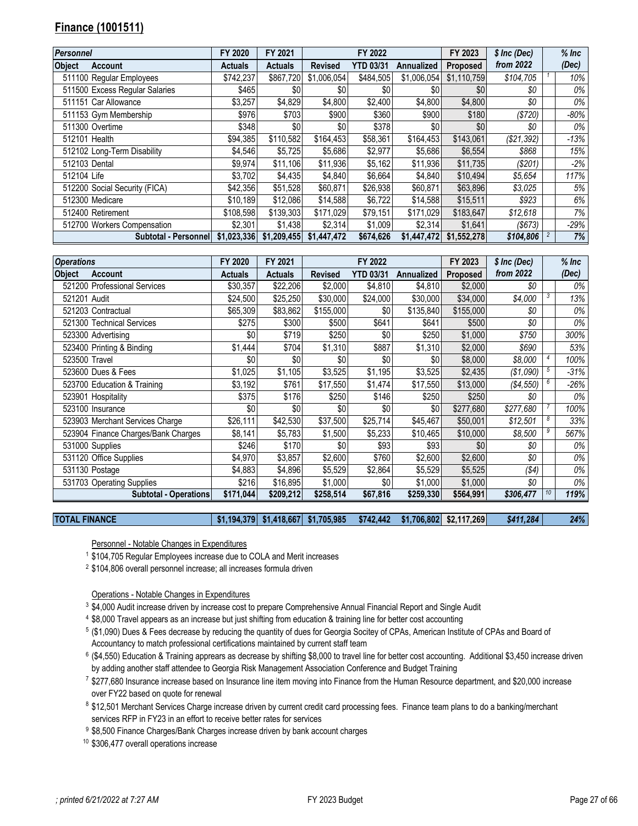# <span id="page-26-0"></span>**Finance (1001511)**

| Personnel                       | FY 2020     | FY 2021        |                | FY 2022          |                   | FY 2023         | \$ Inc (Dec) | $%$ Inc |
|---------------------------------|-------------|----------------|----------------|------------------|-------------------|-----------------|--------------|---------|
| <b>Object</b><br><b>Account</b> | Actuals     | <b>Actuals</b> | <b>Revised</b> | <b>YTD 03/31</b> | <b>Annualized</b> | <b>Proposed</b> | from 2022    | (Dec)   |
| 511100 Regular Employees        | \$742,237   | \$867,720      | \$1,006,054    | \$484,505        | \$1,006,054       | \$1,110,759     | \$104,705    | 10%     |
| 511500 Excess Regular Salaries  | \$465       | \$0            | \$0            | \$0              | \$0               | \$0             | \$0          | 0%      |
| 511151 Car Allowance            | \$3,257     | \$4,829        | \$4,800        | \$2,400          | \$4,800           | \$4,800         | \$0          | 0%      |
| 511153 Gym Membership           | \$976       | \$703          | \$900          | \$360            | \$900             | \$180           | (\$720)      | $-80%$  |
| 511300 Overtime                 | \$348       | \$0            | \$0            | \$378            | \$0               | \$0             | \$0          | 0%      |
| 512101 Health                   | \$94.385    | \$110,582      | \$164,453      | \$58,361         | \$164,453         | \$143.061       | (\$21,392)   | $-13%$  |
| 512102 Long-Term Disability     | \$4,546     | \$5,725        | \$5,686        | \$2,977          | \$5,686           | \$6,554         | \$868        | 15%     |
| 512103 Dental                   | \$9,974     | \$11.106       | \$11,936       | \$5,162          | \$11,936          | \$11,735        | $(\$201)$    | $-2%$   |
| 512104 Life                     | \$3,702     | \$4,435        | \$4,840        | \$6,664          | \$4,840           | \$10,494        | \$5,654      | 117%    |
| 512200 Social Security (FICA)   | \$42,356    | \$51,528       | \$60,871       | \$26,938         | \$60.871          | \$63,896        | \$3,025      | 5%      |
| 512300 Medicare                 | \$10,189    | \$12,086       | \$14,588       | \$6,722          | \$14,588          | \$15,511        | \$923        | 6%      |
| 512400 Retirement               | \$108,598   | \$139,303      | \$171,029      | \$79,151         | \$171,029         | \$183,647       | \$12,618     | 7%      |
| 512700 Workers Compensation     | \$2,301     | \$1.438        | \$2,314        | \$1,009          | \$2,314           | \$1,641         | (\$673)      | $-29%$  |
| Subtotal - Personnel            | \$1,023,336 | \$1,209,455    | \$1,447,472    | \$674,626        | \$1,447,472       | \$1,552,278     | \$104,806    | 7%      |

| <b>Operations</b>                   | FY 2020        | FY 2021        |                | FY 2022          |                   | FY 2023         | \$ Inc (Dec) |    | $%$ Inc |
|-------------------------------------|----------------|----------------|----------------|------------------|-------------------|-----------------|--------------|----|---------|
| <b>Object</b><br>Account            | <b>Actuals</b> | <b>Actuals</b> | <b>Revised</b> | <b>YTD 03/31</b> | <b>Annualized</b> | <b>Proposed</b> | from 2022    |    | (Dec)   |
| 521200 Professional Services        | \$30,357       | \$22,206       | \$2,000        | \$4,810          | \$4,810           | \$2,000         | \$0          |    | 0%      |
| 521201 Audit                        | \$24,500       | \$25,250       | \$30,000       | \$24,000         | \$30,000          | \$34,000        | \$4,000      | 3  | 13%     |
| 521203 Contractual                  | \$65,309       | \$83,862       | \$155,000      | \$0              | \$135,840         | \$155,000       | \$0          |    | 0%      |
| 521300 Technical Services           | \$275          | \$300          | \$500          | \$641            | \$641             | \$500           | \$0          |    | 0%      |
| 523300 Advertising                  | \$0            | \$719          | \$250          | \$0              | \$250             | \$1,000         | \$750        |    | 300%    |
| 523400 Printing & Binding           | \$1,444        | \$704          | \$1,310        | \$887            | \$1,310           | \$2,000         | \$690        |    | 53%     |
| 523500 Travel                       | \$0            | \$0            | \$0            | \$0              | \$0               | \$8,000         | \$8,000      |    | 100%    |
| 523600 Dues & Fees                  | \$1,025        | \$1,105        | \$3,525        | \$1,195          | \$3,525           | \$2,435         | (\$1,090)    |    | $-31%$  |
| 523700 Education & Training         | \$3,192        | \$761          | \$17,550       | \$1,474          | \$17,550          | \$13,000        | (\$4,550)    |    | $-26%$  |
| 523901 Hospitality                  | \$375          | \$176          | \$250          | \$146            | \$250             | \$250           | \$0          |    | 0%      |
| 523100 Insurance                    | \$0            | \$0            | \$0            | \$0              | \$0               | \$277,680       | \$277,680    |    | 100%    |
| 523903 Merchant Services Charge     | \$26,111       | \$42,530       | \$37,500       | \$25,714         | \$45,467          | \$50,001        | \$12,501     |    | 33%     |
| 523904 Finance Charges/Bank Charges | \$8,141        | \$5,783        | \$1,500        | \$5,233          | \$10,465          | \$10,000        | \$8,500      |    | 567%    |
| 531000 Supplies                     | \$246          | \$170          | \$0            | \$93             | \$93              | \$0             | \$0          |    | 0%      |
| 531120 Office Supplies              | \$4,970        | \$3,857        | \$2,600        | \$760            | \$2,600           | \$2,600         | \$0          |    | 0%      |
| 531130 Postage                      | \$4,883        | \$4,896        | \$5,529        | \$2,864          | \$5,529           | \$5,525         | (\$4)        |    | 0%      |
| 531703 Operating Supplies           | \$216          | \$16,895       | \$1,000        | \$0              | \$1,000           | \$1,000         | \$0          |    | 0%      |
| <b>Subtotal - Operations</b>        | \$171,044      | \$209,212      | \$258,514      | \$67,816         | \$259,330         | \$564,991       | \$306,477    | 10 | 119%    |

**TOTAL FINANCE \$1,194,379 \$1,418,667 \$1,705,985 \$742,442 \$1,706,802 \$2,117,269** *\$411,284 24%*

Personnel - Notable Changes in Expenditures

\$104,705 Regular Employees increase due to COLA and Merit increases

\$104,806 overall personnel increase; all increases formula driven

Operations - Notable Changes in Expenditures

- \$4,000 Audit increase driven by increase cost to prepare Comprehensive Annual Financial Report and Single Audit
- \$8,000 Travel appears as an increase but just shifting from education & training line for better cost accounting
- (\$1,090) Dues & Fees decrease by reducing the quantity of dues for Georgia Socitey of CPAs, American Institute of CPAs and Board of Accountancy to match professional certifications maintained by current staff team
- (\$4,550) Education & Training apprears as decrease by shifting \$8,000 to travel line for better cost accounting. Additional \$3,450 increase driven by adding another staff attendee to Georgia Risk Management Association Conference and Budget Training
- \$277,680 Insurance increase based on Insurance line item moving into Finance from the Human Resource department, and \$20,000 increase over FY22 based on quote for renewal
- <sup>8</sup> \$12,501 Merchant Services Charge increase driven by current credit card processing fees. Finance team plans to do a banking/merchant services RFP in FY23 in an effort to receive better rates for services
- 9 \$8,500 Finance Charges/Bank Charges increase driven by bank account charges
- \$306,477 overall operations increase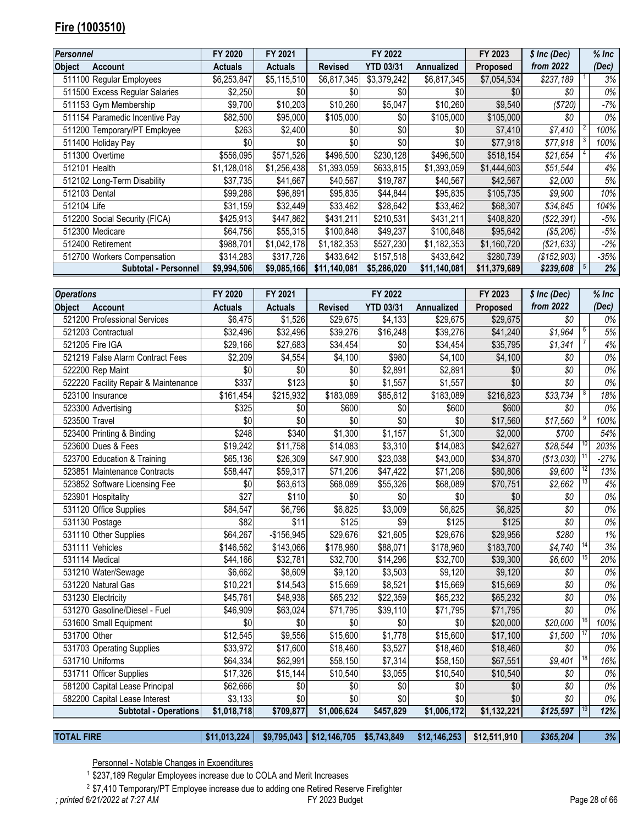# <span id="page-27-0"></span>**Fire (1003510)**

| <b>Personnel</b>               | FY 2020        | FY 2021        |                | FY 2022          |                   | FY 2023         | \$ Inc (Dec) | $%$ Inc |
|--------------------------------|----------------|----------------|----------------|------------------|-------------------|-----------------|--------------|---------|
| <b>Object</b><br>Account       | <b>Actuals</b> | <b>Actuals</b> | <b>Revised</b> | <b>YTD 03/31</b> | <b>Annualized</b> | <b>Proposed</b> | from 2022    | (Dec)   |
| 511100 Regular Employees       | \$6,253,847    | \$5,115,510    | \$6,817,345    | \$3,379,242      | \$6,817,345       | \$7,054,534     | \$237,189    | 3%      |
| 511500 Excess Regular Salaries | \$2,250        | \$0            | \$0            | \$0              | \$0               | \$0             | \$0          | 0%      |
| 511153 Gym Membership          | \$9,700        | \$10,203       | \$10,260       | \$5,047          | \$10,260          | \$9,540         | (\$720)      | $-7%$   |
| 511154 Paramedic Incentive Pay | \$82,500       | \$95,000       | \$105,000      | \$0              | \$105,000         | \$105,000       | \$0          | 0%      |
| 511200 Temporary/PT Employee   | \$263          | \$2,400        | \$0            | \$0              | \$0               | \$7,410         | \$7,410      | 100%    |
| 511400 Holiday Pay             | \$0            | \$0            | \$0            | \$0              | \$0               | \$77,918        | \$77,918     | 100%    |
| 511300 Overtime                | \$556,095      | \$571,526      | \$496,500      | \$230,128        | \$496,500         | \$518,154       | \$21,654     | 4%      |
| 512101 Health                  | \$1,128,018    | \$1,256,438    | \$1,393,059    | \$633,815        | \$1,393,059       | \$1,444,603     | \$51,544     | 4%      |
| 512102 Long-Term Disability    | \$37,735       | \$41,667       | \$40,567       | \$19,787         | \$40,567          | \$42,567        | \$2,000      | 5%      |
| 512103 Dental                  | \$99,288       | \$96,891       | \$95,835       | \$44,844         | \$95,835          | \$105,735       | \$9,900      | 10%     |
| 512104 Life                    | \$31,159       | \$32,449       | \$33,462       | \$28,642         | \$33,462          | \$68,307        | \$34,845     | 104%    |
| 512200 Social Security (FICA)  | \$425,913      | \$447,862      | \$431,211      | \$210,531        | \$431,211         | \$408,820       | (S22, 391)   | -5%     |
| 512300 Medicare                | \$64,756       | \$55,315       | \$100,848      | \$49,237         | \$100,848         | \$95,642        | (\$5,206)    | -5%     |
| 512400 Retirement              | \$988,701      | \$1,042,178    | \$1,182,353    | \$527,230        | \$1,182,353       | \$1,160,720     | (\$21,633)   | $-2%$   |
| 512700 Workers Compensation    | \$314,283      | \$317,726      | \$433,642      | \$157,518        | \$433,642         | \$280,739       | (S152,903)   | -35%    |
| Subtotal - Personnel           | \$9,994,506    | \$9,085,166    | \$11,140,081   | \$5,286,020      | \$11,140,081      | \$11,379,689    | \$239,608    | 2%      |

| <b>Operations</b> |                                      | FY 2020        | FY 2021        |                | FY 2022          |             | FY 2023     | \$ Inc (Dec) |    | $%$ Inc |
|-------------------|--------------------------------------|----------------|----------------|----------------|------------------|-------------|-------------|--------------|----|---------|
| <b>Object</b>     | <b>Account</b>                       | <b>Actuals</b> | <b>Actuals</b> | <b>Revised</b> | <b>YTD 03/31</b> | Annualized  | Proposed    | from 2022    |    | (Dec)   |
|                   | 521200 Professional Services         | \$6,475        | \$1,526        | \$29,675       | \$4,133          | \$29,675    | \$29,675    | \$0          |    | 0%      |
|                   | 521203 Contractual                   | \$32,496       | \$32,496       | \$39,276       | \$16,248         | \$39,276    | \$41,240    | \$1,964      | 6  | 5%      |
|                   | 521205 Fire IGA                      | \$29,166       | \$27,683       | \$34,454       | \$0              | \$34,454    | \$35,795    | \$1,341      |    | 4%      |
|                   | 521219 False Alarm Contract Fees     | \$2,209        | \$4,554        | \$4,100        | \$980            | \$4,100     | \$4,100     | \$0          |    | 0%      |
|                   | 522200 Rep Maint                     | \$0            | \$0            | \$0            | \$2,891          | \$2,891     | \$0         | \$0          |    | 0%      |
|                   | 522220 Facility Repair & Maintenance | \$337          | \$123          | \$0            | \$1,557          | \$1,557     | \$0         | \$0\$        |    | $0\%$   |
|                   | 523100 Insurance                     | \$161,454      | \$215,932      | \$183,089      | \$85,612         | \$183,089   | \$216,823   | \$33,734     |    | 18%     |
|                   | 523300 Advertising                   | \$325          | \$0            | \$600          | \$0              | \$600       | \$600       | \$0          |    | 0%      |
| 523500 Travel     |                                      | \$0            | \$0            | \$0            | \$0              | \$0         | \$17,560    | \$17,560     | 9  | 100%    |
|                   | 523400 Printing & Binding            | \$248          | \$340          | \$1,300        | \$1,157          | \$1,300     | \$2,000     | \$700        |    | 54%     |
|                   | 523600 Dues & Fees                   | \$19,242       | \$11,758       | \$14,083       | \$3,310          | \$14,083    | \$42,627    | \$28,544     |    | 203%    |
|                   | 523700 Education & Training          | \$65,136       | \$26,309       | \$47,900       | \$23,038         | \$43,000    | \$34,870    | (\$13,030)   |    | $-27%$  |
|                   | 523851 Maintenance Contracts         | \$58,447       | \$59,317       | \$71,206       | \$47,422         | \$71,206    | \$80,806    | \$9,600      | 12 | 13%     |
|                   | 523852 Software Licensing Fee        | \$0            | \$63,613       | \$68,089       | \$55,326         | \$68,089    | \$70,751    | \$2,662      |    | 4%      |
|                   | 523901 Hospitality                   | \$27           | \$110          | \$0            | \$0              | \$0         | \$0         | \$0          |    | 0%      |
|                   | 531120 Office Supplies               | \$84,547       | \$6,796        | \$6,825        | \$3,009          | \$6,825     | \$6,825     | \$0\$        |    | 0%      |
|                   | 531130 Postage                       | \$82           | \$11           | \$125          | \$9              | \$125       | \$125       | \$0\$        |    | 0%      |
|                   | 531110 Other Supplies                | \$64,267       | $-$156,945$    | \$29,676       | \$21,605         | \$29,676    | \$29,956    | \$280        |    | 1%      |
|                   | 531111 Vehicles                      | \$146,562      | \$143,066      | \$178,960      | \$88,071         | \$178,960   | \$183,700   | \$4,740      |    | 3%      |
|                   | 531114 Medical                       | \$44,166       | \$32,781       | \$32,700       | \$14,296         | \$32,700    | \$39,300    | \$6,600      |    | 20%     |
|                   | 531210 Water/Sewage                  | \$6,662        | \$8,609        | \$9,120        | \$3,503          | \$9,120     | \$9,120     | \$0          |    | 0%      |
|                   | 531220 Natural Gas                   | \$10,221       | \$14,543       | \$15,669       | \$8,521          | \$15,669    | \$15,669    | \$0\$        |    | 0%      |
|                   | 531230 Electricity                   | \$45,761       | \$48,938       | \$65,232       | \$22,359         | \$65,232    | \$65,232    | \$0\$        |    | $0\%$   |
|                   | 531270 Gasoline/Diesel - Fuel        | \$46,909       | \$63,024       | \$71,795       | \$39,110         | \$71,795    | \$71,795    | \$0\$        |    | 0%      |
|                   | 531600 Small Equipment               | \$0            | \$0            | \$0            | \$0              | \$0         | \$20,000    | \$20,000     |    | 100%    |
| 531700 Other      |                                      | \$12,545       | \$9,556        | \$15,600       | \$1,778          | \$15,600    | \$17,100    | \$1,500      |    | 10%     |
|                   | 531703 Operating Supplies            | \$33,972       | \$17,600       | \$18,460       | \$3,527          | \$18,460    | \$18,460    | \$0          |    | 0%      |
|                   | 531710 Uniforms                      | \$64,334       | \$62,991       | \$58,150       | \$7,314          | \$58,150    | \$67,551    | \$9,401      | 18 | 16%     |
|                   | 531711 Officer Supplies              | \$17,326       | \$15,144       | \$10,540       | \$3,055          | \$10,540    | \$10,540    | \$0          |    | 0%      |
|                   | 581200 Capital Lease Principal       | \$62,666       | \$0            | \$0            | \$0              | \$0         | \$0         | \$0\$        |    | 0%      |
|                   | 582200 Capital Lease Interest        | \$3,133        | \$0            | \$0            | \$0              | \$0         | \$0         | \$0\$        |    | $0\%$   |
|                   | <b>Subtotal - Operations</b>         | \$1,018,718    | \$709,877      | \$1,006,624    | \$457,829        | \$1,006,172 | \$1,132,221 | \$125,597    |    | 12%     |
|                   |                                      |                |                |                |                  |             |             |              |    |         |

| <b>TOTAL FIRE</b> |  |  |  |  | \$11,013,224    \$9,795,043   \$12,146,705   \$5,743,849     \$12,146,253    \$12,511,910 |  | \$365,204 | 3% |
|-------------------|--|--|--|--|-------------------------------------------------------------------------------------------|--|-----------|----|
|-------------------|--|--|--|--|-------------------------------------------------------------------------------------------|--|-----------|----|

Personnel - Notable Changes in Expenditures

\$237,189 Regular Employees increase due to COLA and Merit Increases

<sup>2</sup> \$7,410 Temporary/PT Employee increase due to adding one Retired Reserve Firefighter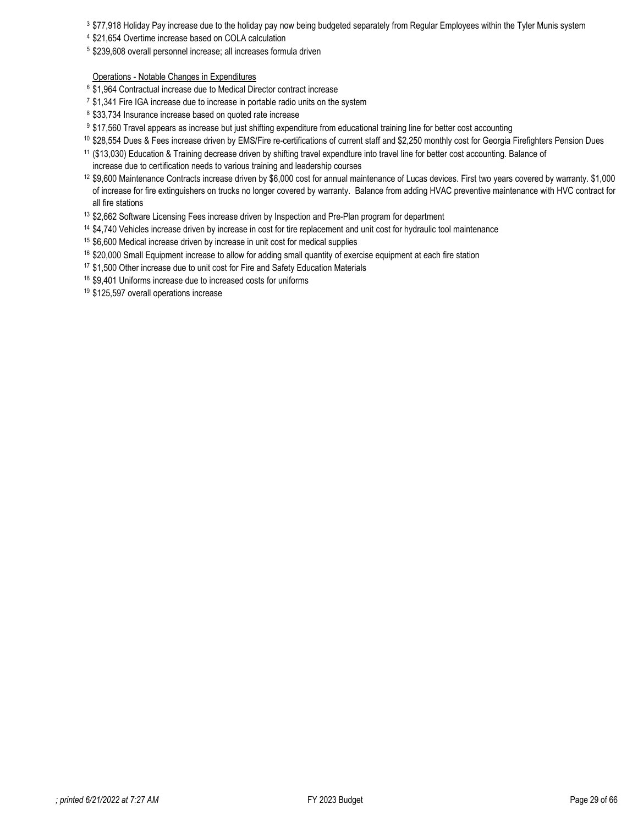3 \$77,918 Holiday Pay increase due to the holiday pay now being budgeted separately from Regular Employees within the Tyler Munis system

- <sup>4</sup> \$21,654 Overtime increase based on COLA calculation
- <sup>5</sup> \$239,608 overall personnel increase; all increases formula driven

### Operations - Notable Changes in Expenditures

- <sup>6</sup> \$1,964 Contractual increase due to Medical Director contract increase
- $7$  \$1,341 Fire IGA increase due to increase in portable radio units on the system
- <sup>8</sup> \$33,734 Insurance increase based on quoted rate increase
- 9 \$17,560 Travel appears as increase but just shifting expenditure from educational training line for better cost accounting
- $^{10}$  \$28,554 Dues & Fees increase driven by EMS/Fire re-certifications of current staff and \$2,250 monthly cost for Georgia Firefighters Pension Dues
- 11 (\$13,030) Education & Training decrease driven by shifting travel expendture into travel line for better cost accounting. Balance of increase due to certification needs to various training and leadership courses
- 12 \$9,600 Maintenance Contracts increase driven by \$6,000 cost for annual maintenance of Lucas devices. First two years covered by warranty. \$1,000 of increase for fire extinguishers on trucks no longer covered by warranty. Balance from adding HVAC preventive maintenance with HVC contract for all fire stations
- 13 \$2,662 Software Licensing Fees increase driven by Inspection and Pre-Plan program for department
- <sup>14</sup> \$4,740 Vehicles increase driven by increase in cost for tire replacement and unit cost for hydraulic tool maintenance
- <sup>15</sup> \$6,600 Medical increase driven by increase in unit cost for medical supplies
- <sup>16</sup> \$20,000 Small Equipment increase to allow for adding small quantity of exercise equipment at each fire station
- <sup>17</sup> \$1,500 Other increase due to unit cost for Fire and Safety Education Materials
- <sup>18</sup> \$9,401 Uniforms increase due to increased costs for uniforms
- <sup>19</sup> \$125,597 overall operations increase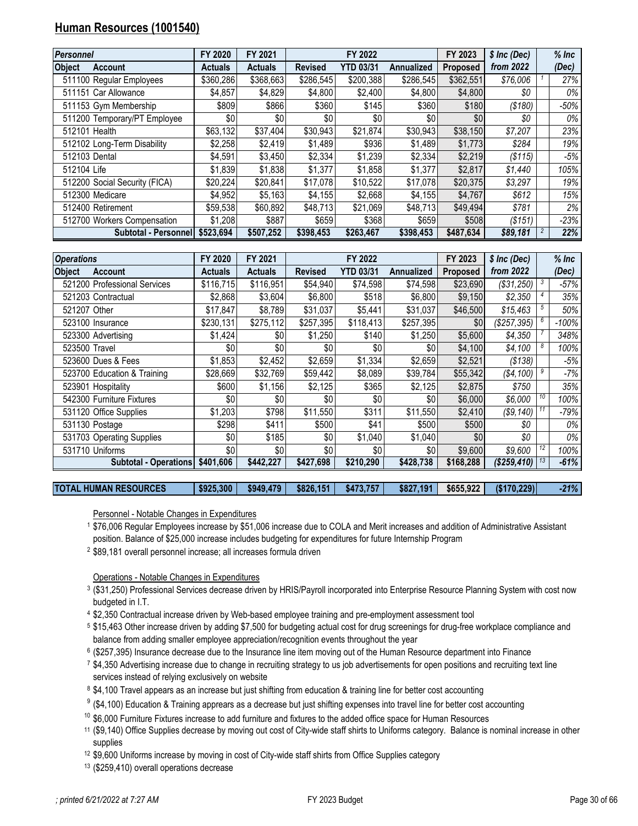# <span id="page-29-0"></span>**Human Resources (1001540)**

| Personnel     |                               | FY 2020        | FY 2021        |                | FY 2022          |                   | FY 2023         | \$ Inc (Dec) | $%$ Inc |
|---------------|-------------------------------|----------------|----------------|----------------|------------------|-------------------|-----------------|--------------|---------|
| <b>Object</b> | <b>Account</b>                | <b>Actuals</b> | <b>Actuals</b> | <b>Revised</b> | <b>YTD 03/31</b> | <b>Annualized</b> | <b>Proposed</b> | from 2022    | (Dec)   |
|               | 511100 Regular Employees      | \$360,286      | \$368,663      | \$286,545      | \$200,388        | \$286,545         | \$362,551       | \$76,006     | 27%     |
|               | 511151 Car Allowance          | \$4,857        | \$4,829        | \$4,800        | \$2,400          | \$4,800           | \$4,800         | \$0          | 0%      |
|               | 511153 Gym Membership         | \$809          | \$866          | \$360          | \$145            | \$360             | \$180           | ( \$180)     | -50%    |
|               | 511200 Temporary/PT Employee  | \$0            | \$0            | \$0            | \$0              | \$0               | \$0             | \$0          | 0%      |
|               | 512101 Health                 | \$63,132       | \$37,404       | \$30,943       | \$21,874         | \$30,943          | \$38,150        | \$7,207      | 23%     |
|               | 512102 Long-Term Disability   | \$2,258        | \$2,419        | \$1,489        | \$936            | \$1,489           | \$1,773         | \$284        | 19%     |
|               | 512103 Dental                 | \$4.591        | \$3,450        | \$2,334        | \$1,239          | \$2,334           | \$2,219         | (S115)       | -5%     |
| 512104 Life   |                               | \$1.839        | \$1,838        | \$1,377        | \$1,858          | \$1.377           | \$2,817         | \$1,440      | 105%    |
|               | 512200 Social Security (FICA) | \$20,224       | \$20,841       | \$17,078       | \$10,522         | \$17,078          | \$20,375        | \$3,297      | 19%     |
|               | 512300 Medicare               | \$4.952        | \$5,163        | \$4,155        | \$2,668          | \$4.155           | \$4,767         | \$612        | 15%     |
|               | 512400 Retirement             | \$59,538       | \$60,892       | \$48,713       | \$21,069         | \$48,713          | \$49,494        | \$781        | 2%      |
|               | 512700 Workers Compensation   | \$1,208        | \$887          | \$659          | \$368            | \$659             | \$508           | ( \$151)     | -23%    |
|               | Subtotal - Personnell         | \$523.694      | \$507.252      | \$398,453      | \$263.467        | \$398,453         | \$487.634       | \$89,181     | 22%     |

| <b>Operations</b> |                              | FY 2020        | FY 2021   |                | FY 2022          |            | FY 2023         | \$ Inc (Dec) |    | $%$ Inc |
|-------------------|------------------------------|----------------|-----------|----------------|------------------|------------|-----------------|--------------|----|---------|
| <b>Object</b>     | <b>Account</b>               | <b>Actuals</b> | Actuals   | <b>Revised</b> | <b>YTD 03/31</b> | Annualized | <b>Proposed</b> | from 2022    |    | (Dec)   |
|                   | 521200 Professional Services | \$116,715      | \$116,951 | \$54,940       | \$74,598         | \$74,598   | \$23,690        | (\$31,250)   |    | $-57%$  |
|                   | 521203 Contractual           | \$2,868        | \$3,604   | \$6,800        | \$518            | \$6,800    | \$9,150         | \$2,350      |    | 35%     |
| 521207 Other      |                              | \$17,847       | \$8,789   | \$31,037       | \$5,441          | \$31,037   | \$46,500        | \$15,463     |    | 50%     |
|                   | 523100 Insurance             | \$230,131      | \$275,112 | \$257,395      | \$118,413        | \$257,395  | \$0             | (\$257,395)  |    | $-100%$ |
|                   | 523300 Advertising           | \$1,424        | \$0       | \$1,250        | \$140            | \$1,250    | \$5,600         | \$4,350      |    | 348%    |
| 523500 Travel     |                              | \$0            | \$0       | \$0            | \$0              | \$0        | \$4,100         | \$4,100      |    | 100%    |
|                   | 523600 Dues & Fees           | \$1,853        | \$2,452   | \$2,659        | \$1,334          | \$2,659    | \$2,521         | ( \$138)     |    | -5%     |
|                   | 523700 Education & Training  | \$28,669       | \$32,769  | \$59,442       | \$8,089          | \$39,784   | \$55,342        | (\$4,100)    |    | $-7%$   |
|                   | 523901 Hospitality           | \$600          | \$1,156   | \$2,125        | \$365            | \$2,125    | \$2,875         | \$750        |    | 35%     |
|                   | 542300 Furniture Fixtures    | \$0            | \$0       | \$0            | \$0              | \$0        | \$6,000         | \$6,000      | 10 | 100%    |
|                   | 531120 Office Supplies       | \$1,203        | \$798     | \$11,550       | \$311            | \$11,550   | \$2,410         | (\$9,140)    |    | $-79%$  |
|                   | 531130 Postage               | \$298          | \$411     | \$500          | \$41             | \$500      | \$500           | \$0          |    | 0%      |
|                   | 531703 Operating Supplies    | \$0            | \$185     | \$0            | \$1,040          | \$1,040    | \$0             | \$0          |    | 0%      |
|                   | 531710 Uniforms              | \$0            | \$0       | \$0            | \$0              | \$0        | \$9,600         | \$9,600      | 12 | 100%    |
|                   | <b>Subtotal - Operations</b> | \$401,606      | \$442,227 | \$427,698      | \$210,290        | \$428,738  | \$168,288       | (\$259,410)  |    | $-61%$  |

**TOTAL HUMAN RESOURCES \$925,300 \$949,479 \$826,151 \$473,757 \$827,191 \$655,922 (\$170,229)** *-21%*

Personnel - Notable Changes in Expenditures

1 \$76,006 Regular Employees increase by \$51,006 increase due to COLA and Merit increases and addition of Administrative Assistant position. Balance of \$25,000 increase includes budgeting for expenditures for future Internship Program

2 \$89,181 overall personnel increase; all increases formula driven

Operations - Notable Changes in Expenditures

- 3 (\$31,250) Professional Services decrease driven by HRIS/Payroll incorporated into Enterprise Resource Planning System with cost now budgeted in I.T.
- <sup>4</sup> \$2,350 Contractual increase driven by Web-based employee training and pre-employment assessment tool
- 5 \$15,463 Other increase driven by adding \$7,500 for budgeting actual cost for drug screenings for drug-free workplace compliance and balance from adding smaller employee appreciation/recognition events throughout the year
- <sup>6</sup> (\$257,395) Insurance decrease due to the Insurance line item moving out of the Human Resource department into Finance
- 7 \$4,350 Advertising increase due to change in recruiting strategy to us job advertisements for open positions and recruiting text line services instead of relying exclusively on website
- 8 \$4,100 Travel appears as an increase but just shifting from education & training line for better cost accounting
- $^9$  (\$4,100) Education & Training apprears as a decrease but just shifting expenses into travel line for better cost accounting
- <sup>10</sup> \$6,000 Furniture Fixtures increase to add furniture and fixtures to the added office space for Human Resources
- 11 (\$9,140) Office Supplies decrease by moving out cost of City-wide staff shirts to Uniforms category. Balance is nominal increase in other supplies
- 12 \$9,600 Uniforms increase by moving in cost of City-wide staff shirts from Office Supplies category
- <sup>13</sup> (\$259,410) overall operations decrease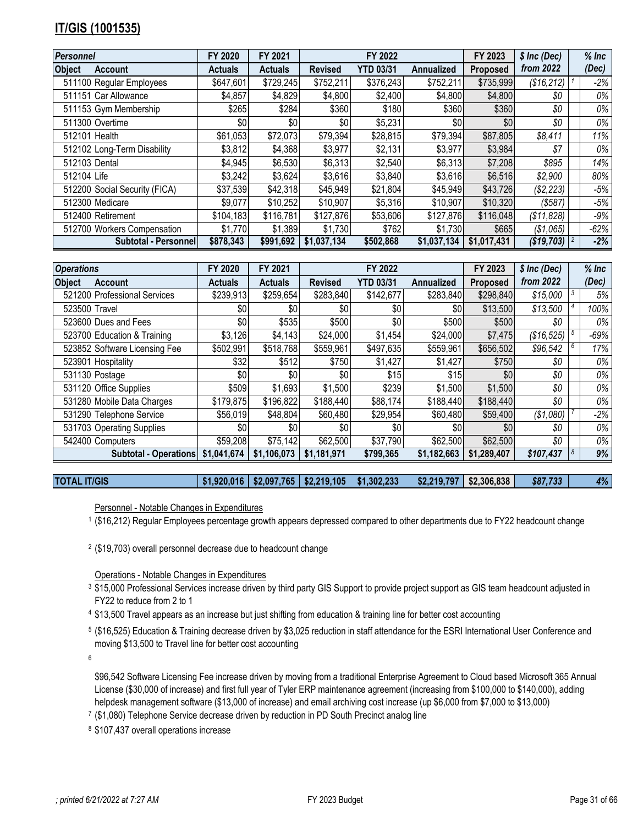# <span id="page-30-0"></span>**IT/GIS (1001535)**

| <b>Personnel</b>                | FY 2020        | FY 2021        |                | FY 2022          |             | FY 2023         | \$ Inc (Dec) | $%$ Inc |
|---------------------------------|----------------|----------------|----------------|------------------|-------------|-----------------|--------------|---------|
| <b>Object</b><br><b>Account</b> | <b>Actuals</b> | <b>Actuals</b> | <b>Revised</b> | <b>YTD 03/31</b> | Annualized  | <b>Proposed</b> | from 2022    | (Dec)   |
| 511100 Regular Employees        | \$647,601      | \$729,245      | \$752,211      | \$376,243        | \$752,211   | \$735,999       | (\$16,212)   | $-2\%$  |
| 511151 Car Allowance            | \$4,857        | \$4,829        | \$4,800        | \$2,400          | \$4,800     | \$4,800         | \$0          | 0%      |
| 511153 Gym Membership           | \$265          | \$284          | \$360          | \$180            | \$360       | \$360           | \$0          | 0%      |
| 511300 Overtime                 | \$0            | \$0            | \$0            | \$5,231          | \$0         | \$0             | \$0          | 0%      |
| 512101 Health                   | \$61,053       | \$72,073       | \$79,394       | \$28,815         | \$79,394    | \$87,805        | \$8,411      | 11%     |
| 512102 Long-Term Disability     | \$3,812        | \$4,368        | \$3,977        | \$2,131          | \$3,977     | \$3,984         | \$7          | 0%      |
| 512103 Dental                   | \$4,945        | \$6,530        | \$6,313        | \$2,540          | \$6,313     | \$7,208         | \$895        | 14%     |
| 512104 Life                     | \$3,242        | \$3,624        | \$3,616        | \$3,840          | \$3,616     | \$6,516         | \$2,900      | 80%     |
| 512200 Social Security (FICA)   | \$37,539       | \$42,318       | \$45,949       | \$21,804         | \$45,949    | \$43,726        | (\$2,223)    | -5%     |
| 512300 Medicare                 | \$9,077        | \$10,252       | \$10,907       | \$5,316          | \$10,907    | \$10,320        | ( \$587)     | $-5%$   |
| 512400 Retirement               | \$104,183      | \$116,781      | \$127,876      | \$53,606         | \$127,876   | \$116,048       | (\$11,828)   | -9%     |
| 512700 Workers Compensation     | \$1,770        | \$1,389        | \$1,730        | \$762            | \$1,730     | \$665           | (\$1,065)    | $-62%$  |
| Subtotal - Personnel            | \$878,343      | \$991.692      | \$1.037.134    | \$502,868        | \$1,037,134 | \$1.017.431     | (\$19,703)   | -2%     |

| <b>Operations</b> |                               | FY 2020        | FY 2021        |                | FY 2022          |                   | FY 2023         | $$$ Inc (Dec) |   | $%$ Inc |
|-------------------|-------------------------------|----------------|----------------|----------------|------------------|-------------------|-----------------|---------------|---|---------|
| <b>Object</b>     | <b>Account</b>                | <b>Actuals</b> | <b>Actuals</b> | <b>Revised</b> | <b>YTD 03/31</b> | <b>Annualized</b> | <b>Proposed</b> | from 2022     |   | (Dec)   |
|                   | 521200 Professional Services  | \$239,913      | \$259,654      | \$283,840      | \$142,677        | \$283,840         | \$298,840       | \$15,000      |   | 5%      |
| 523500 Travel     |                               | \$0            | \$0            | \$0            | \$0              | \$0               | \$13,500        | \$13,500      |   | 100%    |
|                   | 523600 Dues and Fees          | \$0            | \$535          | \$500          | \$0              | \$500             | \$500           | \$0           |   | 0%      |
|                   | 523700 Education & Training   | \$3,126        | \$4,143        | \$24,000       | \$1,454          | \$24,000          | \$7,475         | (\$16,525)    |   | $-69%$  |
|                   | 523852 Software Licensing Fee | \$502,991      | \$518,768      | \$559,961      | \$497,635        | \$559,961         | \$656,502       | \$96,542      | 6 | 17%     |
|                   | 523901 Hospitality            | \$32           | \$512          | \$750          | \$1,427          | \$1,427           | \$750           | \$0           |   | 0%      |
|                   | 531130 Postage                | \$0            | \$0            | \$0            | \$15             | \$15              | \$0             | \$0           |   | 0%      |
|                   | 531120 Office Supplies        | \$509          | \$1,693        | \$1,500        | \$239            | \$1,500           | \$1,500         | \$0           |   | 0%      |
|                   | 531280 Mobile Data Charges    | \$179,875      | \$196,822      | \$188,440      | \$88,174         | \$188,440         | \$188,440       | \$0           |   | 0%      |
|                   | 531290 Telephone Service      | \$56,019       | \$48,804       | \$60,480       | \$29,954         | \$60,480          | \$59,400        | (\$1,080)     |   | $-2%$   |
|                   | 531703 Operating Supplies     | \$0            | \$0            | \$0            | \$0              | \$0 <sub>1</sub>  | \$0             | \$0           |   | 0%      |
|                   | 542400 Computers              | \$59,208       | \$75,142       | \$62,500       | \$37,790         | \$62,500          | \$62,500        | \$0           |   | 0%      |
|                   | <b>Subtotal - Operations</b>  | \$1,041,674    | \$1,106,073    | \$1,181,971    | \$799,365        | \$1,182,663       | \$1,289,407     | \$107,437     |   | 9%      |

**TOTAL IT/GIS \$1,920,016 \$2,097,765 \$2,219,105 \$1,302,233 \$2,219,797 \$2,306,838** *\$87,733 4%*

Personnel - Notable Changes in Expenditures

1 (\$16,212) Regular Employees percentage growth appears depressed compared to other departments due to FY22 headcount change

2 (\$19,703) overall personnel decrease due to headcount change

Operations - Notable Changes in Expenditures

- 3 \$15,000 Professional Services increase driven by third party GIS Support to provide project support as GIS team headcount adjusted in FY22 to reduce from 2 to 1
- 4 \$13,500 Travel appears as an increase but just shifting from education & training line for better cost accounting
- 5 (\$16,525) Education & Training decrease driven by \$3,025 reduction in staff attendance for the ESRI International User Conference and moving \$13,500 to Travel line for better cost accounting

6

\$96,542 Software Licensing Fee increase driven by moving from a traditional Enterprise Agreement to Cloud based Microsoft 365 Annual License (\$30,000 of increase) and first full year of Tyler ERP maintenance agreement (increasing from \$100,000 to \$140,000), adding helpdesk management software (\$13,000 of increase) and email archiving cost increase (up \$6,000 from \$7,000 to \$13,000)

7 (\$1,080) Telephone Service decrease driven by reduction in PD South Precinct analog line

<sup>8</sup> \$107,437 overall operations increase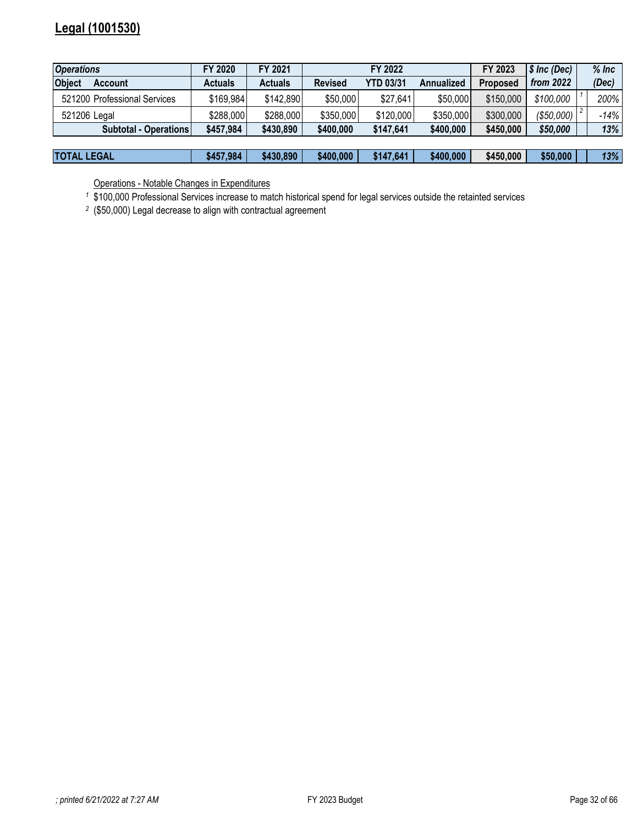# <span id="page-31-0"></span>**Legal (1001530)**

| <b>Operations</b>               | FY 2020        | FY 2021        |                | FY 2022          |            | FY 2023         | \$ Inc (Dec) | $%$ Inc |
|---------------------------------|----------------|----------------|----------------|------------------|------------|-----------------|--------------|---------|
| <b>Object</b><br><b>Account</b> | <b>Actuals</b> | <b>Actuals</b> | <b>Revised</b> | <b>YTD 03/31</b> | Annualized | <b>Proposed</b> | from $2022$  | (Dec)   |
| 521200 Professional Services    | \$169,984      | \$142,890      | \$50,000       | \$27,641         | \$50,000   | \$150,000       | \$100,000    | 200%    |
| 521206 Legal                    | \$288,000      | \$288,000      | \$350,000      | \$120,000        | \$350,000  | \$300,000       | (\$50,000)   | -14%    |
| <b>Subtotal - Operations</b>    | \$457,984      | \$430,890      | \$400,000      | \$147,641        | \$400,000  | \$450,000       | \$50,000     | 13%     |
|                                 |                |                |                |                  |            |                 |              |         |
| <b>TOTAL LEGAL</b>              | \$457,984      | \$430,890      | \$400,000      | \$147,641        | \$400,000  | \$450,000       | \$50,000     | 13%     |

Operations - Notable Changes in Expenditures

*<sup>1</sup>* \$100,000 Professional Services increase to match historical spend for legal services outside the retainted services

*<sup>2</sup>* (\$50,000) Legal decrease to align with contractual agreement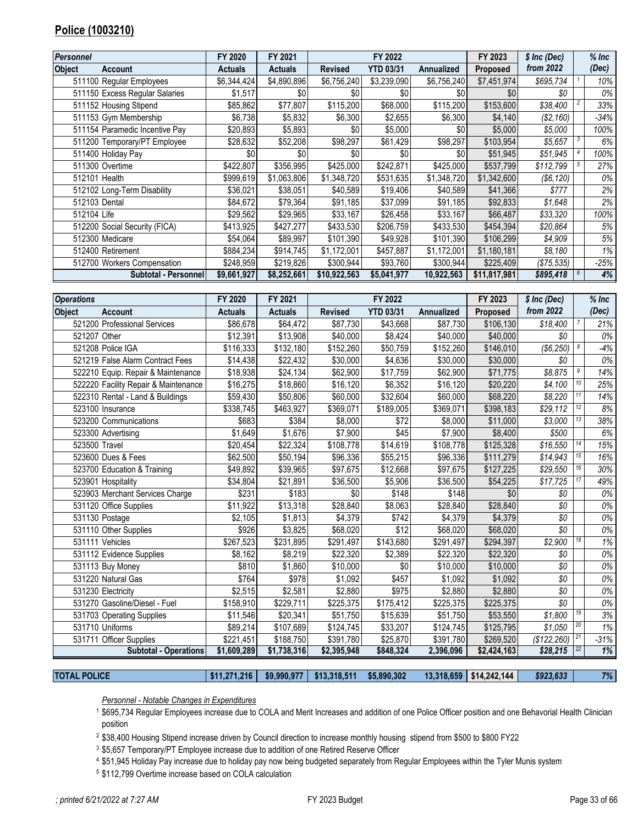# **Police (1003210)**

| Personnel                       | FY 2020        | FY 2021        |                | FY 2022          |                   | FY 2023      | \$ Inc (Dec) | $%$ Inc |
|---------------------------------|----------------|----------------|----------------|------------------|-------------------|--------------|--------------|---------|
| <b>Object</b><br><b>Account</b> | <b>Actuals</b> | <b>Actuals</b> | <b>Revised</b> | <b>YTD 03/31</b> | <b>Annualized</b> | Proposed     | from 2022    | (Dec)   |
| 511100 Regular Employees        | \$6,344,424    | \$4,890,896    | \$6,756,240    | \$3,239,090      | \$6,756,240       | \$7,451,974  | \$695,734    | 10%     |
| 511150 Excess Regular Salaries  | \$1,517        | \$0            | \$0            | \$0              | \$0               | \$0          | \$0          | 0%      |
| 511152 Housing Stipend          | \$85,862       | \$77,807       | \$115,200      | \$68,000         | \$115,200         | \$153,600    | \$38,400     | 33%     |
| 511153 Gym Membership           | \$6,738        | \$5,832        | \$6,300        | \$2,655          | \$6,300           | \$4,140      | (\$2,160)    | -34%    |
| 511154 Paramedic Incentive Pay  | \$20,893       | \$5,893        | \$0            | \$5,000          | \$0               | \$5,000      | \$5,000      | 100%    |
| 511200 Temporary/PT Employee    | \$28,632       | \$52,208       | \$98,297       | \$61,429         | \$98,297          | \$103,954    | \$5,657      | 6%      |
| 511400 Holiday Pay              | \$0            | \$0            | \$0            | \$0              | \$0               | \$51,945     | \$51,945     | 100%    |
| 511300 Overtime                 | \$422,807      | \$356,995      | \$425,000      | \$242,871        | \$425,000         | \$537,799    | \$112,799    | 27%     |
| 512101 Health                   | \$999,619      | \$1,063,806    | \$1,348,720    | \$531,635        | \$1,348,720       | \$1,342,600  | (\$6, 120)   | 0%      |
| 512102 Long-Term Disability     | \$36,021       | \$38,051       | \$40,589       | \$19,406         | \$40,589          | \$41,366     | \$777        | 2%      |
| 512103 Dental                   | \$84,672       | \$79,364       | \$91,185       | \$37,099         | \$91,185          | \$92,833     | \$1,648      | 2%      |
| 512104 Life                     | \$29,562       | \$29,965       | \$33,167       | \$26,458         | \$33,167          | \$66,487     | \$33,320     | 100%    |
| 512200 Social Security (FICA)   | \$413,925      | \$427,277      | \$433,530      | \$206,759        | \$433,530         | \$454,394    | \$20,864     | 5%      |
| 512300 Medicare                 | \$54,064       | \$89,997       | \$101,390      | \$49,928         | \$101,390         | \$106,299    | \$4,909      | 5%      |
| 512400 Retirement               | \$884.234      | \$914,745      | \$1,172,001    | \$457,887        | \$1,172,001       | \$1,180,181  | \$8,180      | 1%      |
| 512700 Workers Compensation     | \$248,959      | \$219,826      | \$300,944      | \$93,760         | \$300,944         | \$225,409    | (S75, 535)   | -25%    |
| Subtotal - Personnell           | \$9,661,927    | \$8,252,661    | \$10,922,563   | \$5,041,977      | 10,922,563        | \$11,817,981 | \$895,418    | 4%      |

| <b>Operations</b> |                                      | FY 2020        | FY 2021        |                | FY 2022          |            | FY 2023         | \$ Inc (Dec) |    | $%$ Inc |
|-------------------|--------------------------------------|----------------|----------------|----------------|------------------|------------|-----------------|--------------|----|---------|
| <b>Object</b>     | <b>Account</b>                       | <b>Actuals</b> | <b>Actuals</b> | <b>Revised</b> | <b>YTD 03/31</b> | Annualized | <b>Proposed</b> | from 2022    |    | (Dec)   |
|                   | 521200 Professional Services         | \$86,678       | \$64,472       | \$87,730       | \$43,668         | \$87,730   | \$106,130       | \$18,400     |    | 21%     |
| 521207 Other      |                                      | \$12,391       | \$13,908       | \$40,000       | \$8,424          | \$40,000   | \$40,000        | \$0          |    | 0%      |
|                   | 521208 Police IGA                    | \$116,333      | \$132,180      | \$152,260      | \$50,759         | \$152,260  | \$146,010       | (\$6,250)    | 8  | $-4%$   |
|                   | 521219 False Alarm Contract Fees     | \$14,438       | \$22,432       | \$30,000       | \$4,636          | \$30,000   | \$30,000        | \$0          |    | 0%      |
|                   | 522210 Equip. Repair & Maintenance   | \$18,938       | \$24,134       | \$62,900       | \$17,759         | \$62,900   | \$71,775        | \$8,875      | 9  | 14%     |
|                   | 522220 Facility Repair & Maintenance | \$16,275       | \$18,860       | \$16,120       | \$6,352          | \$16,120   | \$20,220        | \$4,100      | 10 | 25%     |
|                   | 522310 Rental - Land & Buildings     | \$59,430       | \$50,806       | \$60,000       | \$32,604         | \$60,000   | \$68,220        | \$8,220      |    | 14%     |
|                   | 523100 Insurance                     | \$338,745      | \$463,927      | \$369,071      | \$189,005        | \$369,071  | \$398,183       | \$29,112     | 12 | 8%      |
|                   | 523200 Communications                | \$683          | \$384          | \$8,000        | \$72             | \$8,000    | \$11,000        | \$3,000      | 13 | 38%     |
|                   | 523300 Advertising                   | \$1,649        | \$1,676        | \$7,900        | \$45             | \$7,900    | \$8,400         | \$500        |    | 6%      |
| 523500 Travel     |                                      | \$20,454       | \$22.324       | \$108,778      | \$14,619         | \$108,778  | \$125,328       | \$16,550     | 14 | 15%     |
|                   | 523600 Dues & Fees                   | \$62,500       | \$50,194       | \$96,336       | \$55,215         | \$96,336   | \$111,279       | \$14,943     | 15 | 16%     |
|                   | 523700 Education & Training          | \$49,892       | \$39,965       | \$97,675       | \$12,668         | \$97,675   | \$127,225       | \$29,550     | 16 | 30%     |
|                   | 523901 Hospitality                   | \$34,804       | \$21,891       | \$36,500       | \$5,906          | \$36,500   | \$54,225        | \$17,725     | 17 | 49%     |
|                   | 523903 Merchant Services Charge      | \$231          | \$183          | \$0            | \$148            | \$148      | \$0             | \$0          |    | 0%      |
|                   | 531120 Office Supplies               | \$11.922       | \$13,318       | \$28,840       | \$8,063          | \$28,840   | \$28,840        | \$0\$        |    | 0%      |
|                   | 531130 Postage                       | \$2,105        | \$1,813        | \$4,379        | \$742            | \$4,379    | \$4,379         | \$0          |    | 0%      |
|                   | 531110 Other Supplies                | \$926          | \$3,825        | \$68,020       | \$12             | \$68,020   | \$68,020        | \$0          |    | $0\%$   |
|                   | 531111 Vehicles                      | \$267,523      | \$231,895      | \$291,497      | \$143,680        | \$291,497  | \$294,397       | \$2,900      | 18 | 1%      |
|                   | 531112 Evidence Supplies             | \$8,162        | \$8,219        | \$22,320       | \$2,389          | \$22,320   | \$22,320        | \$0          |    | $0\%$   |
|                   | 531113 Buy Money                     | \$810          | \$1,860        | \$10,000       | \$0              | \$10,000   | \$10,000        | \$0\$        |    | 0%      |
|                   | 531220 Natural Gas                   | \$764          | \$978          | \$1,092        | \$457            | \$1,092    | \$1,092         | \$0          |    | 0%      |
|                   | 531230 Electricity                   | \$2,515        | \$2,581        | \$2,880        | \$975            | \$2,880    | \$2,880         | \$0\$        |    | 0%      |
|                   | 531270 Gasoline/Diesel - Fuel        | \$158,910      | \$229,711      | \$225,375      | \$175,412        | \$225,375  | \$225,375       | \$0          |    | 0%      |
|                   | 531703 Operating Supplies            | \$11,546       | \$20,341       | \$51,750       | \$15,639         | \$51,750   | \$53,550        | \$1,800      | 19 | 3%      |
|                   | 531710 Uniforms                      | \$89,214       | \$107,689      | \$124,745      | \$33,207         | \$124,745  | \$125,795       | \$1,050      | 20 | 1%      |
|                   | 531711 Officer Supplies              | \$221,451      | \$188,750      | \$391,780      | \$25,870         | \$391,780  | \$269,520       | (\$122, 260) | 21 | $-31%$  |
|                   | <b>Subtotal - Operations</b>         | \$1,609,289    | \$1,738,316    | \$2,395,948    | \$848,324        | 2,396,096  | \$2,424,163     | \$28,215     |    | 1%      |

**TOTAL POLICE \$11,271,216 \$9,990,977 \$13,318,511 \$5,890,302 13,318,659 \$14,242,144** *\$923,633 7%*

*Personnel - Notable Changes in Expenditures*

 \$695,734 Regular Employees increase due to COLA and Merit Increases and addition of one Police Officer position and one Behavorial Health Clinician position

\$38,400 Housing Stipend increase driven by Council direction to increase monthly housing stipend from \$500 to \$800 FY22

<sup>3</sup> \$5,657 Temporary/PT Employee increase due to addition of one Retired Reserve Officer

\$51,945 Holiday Pay increase due to holiday pay now being budgeted separately from Regular Employees within the Tyler Munis system

\$112,799 Overtime increase based on COLA calculation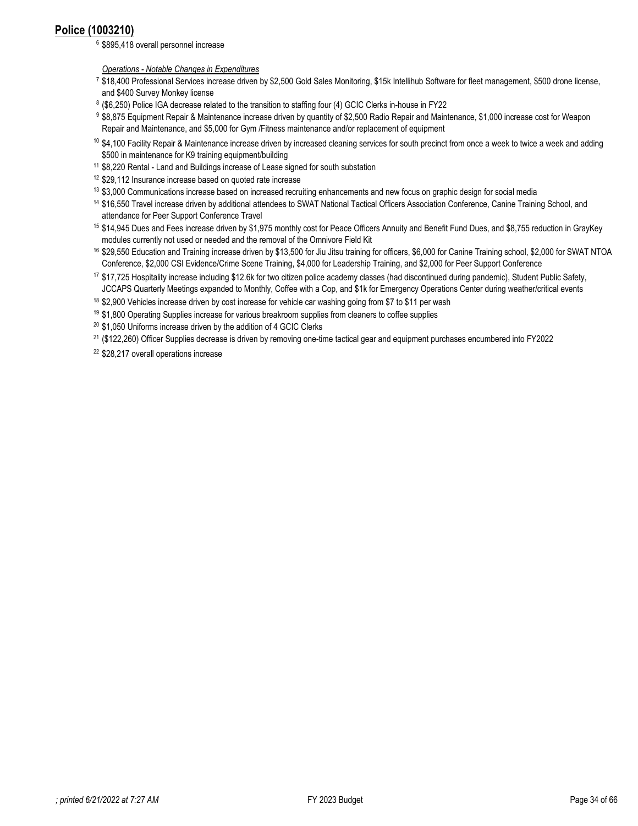# <span id="page-33-0"></span>**Police (1003210)**

<sup>6</sup> \$895,418 overall personnel increase

*Operations - Notable Changes in Expenditures*

- 7 \$18,400 Professional Services increase driven by \$2,500 Gold Sales Monitoring, \$15k Intellihub Software for fleet management, \$500 drone license, and \$400 Survey Monkey license
- 8 (\$6,250) Police IGA decrease related to the transition to staffing four (4) GCIC Clerks in-house in FY22
- 9 \$8,875 Equipment Repair & Maintenance increase driven by quantity of \$2,500 Radio Repair and Maintenance, \$1,000 increase cost for Weapon Repair and Maintenance, and \$5,000 for Gym /Fitness maintenance and/or replacement of equipment
- <sup>10</sup> \$4,100 Facility Repair & Maintenance increase driven by increased cleaning services for south precinct from once a week to twice a week and adding \$500 in maintenance for K9 training equipment/building
- 11 \$8,220 Rental Land and Buildings increase of Lease signed for south substation
- <sup>12</sup> \$29,112 Insurance increase based on quoted rate increase
- <sup>13</sup> \$3,000 Communications increase based on increased recruiting enhancements and new focus on graphic design for social media
- 14 \$16,550 Travel increase driven by additional attendees to SWAT National Tactical Officers Association Conference, Canine Training School, and attendance for Peer Support Conference Travel
- 15 \$14,945 Dues and Fees increase driven by \$1,975 monthly cost for Peace Officers Annuity and Benefit Fund Dues, and \$8,755 reduction in GrayKey modules currently not used or needed and the removal of the Omnivore Field Kit
- 16 \$29,550 Education and Training increase driven by \$13,500 for Jiu Jitsu training for officers, \$6,000 for Canine Training school, \$2,000 for SWAT NTOA Conference, \$2,000 CSI Evidence/Crime Scene Training, \$4,000 for Leadership Training, and \$2,000 for Peer Support Conference
- 17 \$17,725 Hospitality increase including \$12.6k for two citizen police academy classes (had discontinued during pandemic), Student Public Safety, JCCAPS Quarterly Meetings expanded to Monthly, Coffee with a Cop, and \$1k for Emergency Operations Center during weather/critical events
- <sup>18</sup> \$2,900 Vehicles increase driven by cost increase for vehicle car washing going from \$7 to \$11 per wash
- $19$  \$1,800 Operating Supplies increase for various breakroom supplies from cleaners to coffee supplies
- <sup>20</sup> \$1,050 Uniforms increase driven by the addition of 4 GCIC Clerks
- 21 (\$122,260) Officer Supplies decrease is driven by removing one-time tactical gear and equipment purchases encumbered into FY2022
- <sup>22</sup> \$28,217 overall operations increase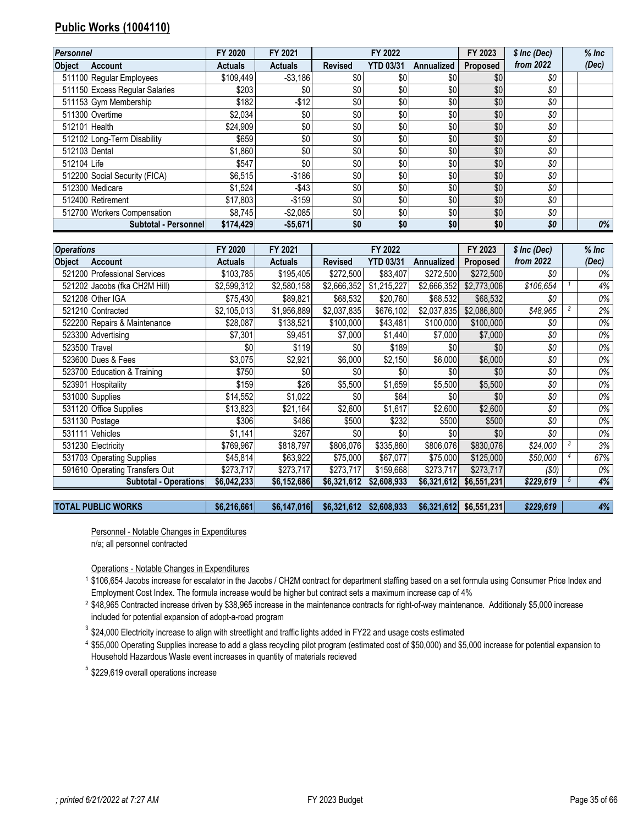# <span id="page-34-0"></span>**Public Works (1004110)**

| Personnel                      | FY 2020        | FY 2021        |                | FY 2022          |            | FY 2023         | \$ Inc (Dec) | $%$ Inc |
|--------------------------------|----------------|----------------|----------------|------------------|------------|-----------------|--------------|---------|
| <b>Object</b><br>Account       | <b>Actuals</b> | <b>Actuals</b> | <b>Revised</b> | <b>YTD 03/31</b> | Annualized | <b>Proposed</b> | from 2022    | (Dec)   |
| 511100 Regular Employees       | \$109.449      | $- $3,186$     | \$0            | \$0              | \$0        | \$0             | \$0          |         |
| 511150 Excess Regular Salaries | \$203          | \$0            | \$0            | \$0              | \$0        | \$0             | \$0          |         |
| 511153 Gym Membership          | \$182          | $-$ \$12       | \$0            | \$0              | \$0        | \$0             | \$0          |         |
| 511300 Overtime                | \$2,034        | \$0            | \$0            | \$0              | \$0        | \$0             | \$0          |         |
| 512101 Health                  | \$24.909       | \$0            | \$0            | \$0              | \$0        | \$0             | \$0          |         |
| 512102 Long-Term Disability    | \$659          | \$0            | \$0            | \$0              | \$0        | \$0             | \$0          |         |
| 512103 Dental                  | \$1,860        | \$0            | \$0            | \$0              | \$0        | \$0             | \$0          |         |
| 512104 Life                    | \$547          | \$0            | \$0            | \$0              | \$0        | \$0             | \$0          |         |
| 512200 Social Security (FICA)  | \$6,515        | $-$186$        | \$0            | \$0              | \$0        | \$0             | \$0          |         |
| 512300 Medicare                | \$1.524        | $-$43$         | \$0            | \$0              | \$0        | \$0             | \$0          |         |
| 512400 Retirement              | \$17,803       | $-$159$        | \$0            | \$0              | \$0        | \$0             | \$0          |         |
| 512700 Workers Compensation    | \$8.745        | $-$2,085$      | \$0            | \$0              | \$0        | \$0             | \$0          |         |
| Subtotal - Personnel           | \$174,429      | $-$5,671$      | \$0            | \$0              | \$0        | \$0             | \$0          | 0%      |

| <b>Operations</b>               | FY 2020        | FY 2021        |                | FY 2022          |                   | FY 2023     | \$ Inc (Dec) |                | $%$ Inc |
|---------------------------------|----------------|----------------|----------------|------------------|-------------------|-------------|--------------|----------------|---------|
| <b>Object</b><br><b>Account</b> | <b>Actuals</b> | <b>Actuals</b> | <b>Revised</b> | <b>YTD 03/31</b> | <b>Annualized</b> | Proposed    | from 2022    |                | (Dec)   |
| 521200 Professional Services    | \$103,785      | \$195,405      | \$272,500      | \$83,407         | \$272,500         | \$272,500   | \$0          |                | 0%      |
| 521202 Jacobs (fka CH2M Hill)   | \$2,599,312    | \$2,580,158    | \$2,666,352    | \$1,215,227      | \$2,666,352       | \$2,773,006 | \$106,654    |                | 4%      |
| 521208 Other IGA                | \$75,430       | \$89,821       | \$68,532       | \$20,760         | \$68,532          | \$68,532    | \$0          |                | 0%      |
| 521210 Contracted               | \$2,105,013    | \$1,956,889    | \$2,037,835    | \$676,102        | \$2,037,835       | \$2,086,800 | \$48,965     | $\overline{c}$ | 2%      |
| 522200 Repairs & Maintenance    | \$28,087       | \$138,521      | \$100,000      | \$43,481         | \$100,000         | \$100,000   | \$0          |                | 0%      |
| 523300 Advertising              | \$7,301        | \$9,451        | \$7,000        | \$1,440          | \$7,000           | \$7,000     | \$0          |                | 0%      |
| 523500 Travel                   | \$0            | \$119          | \$0            | \$189            | \$0               | \$0         | \$0          |                | 0%      |
| 523600 Dues & Fees              | \$3,075        | \$2,921        | \$6,000        | \$2,150          | \$6,000           | \$6,000     | \$0          |                | 0%      |
| 523700 Education & Training     | \$750          | \$0            | \$0            | \$0              | \$0               | \$0         | \$0          |                | 0%      |
| 523901 Hospitality              | \$159          | \$26           | \$5,500        | \$1,659          | \$5,500           | \$5,500     | \$0          |                | 0%      |
| 531000 Supplies                 | \$14,552       | \$1,022        | \$0            | \$64             | \$0               | \$0         | \$0          |                | 0%      |
| 531120 Office Supplies          | \$13,823       | \$21,164       | \$2,600        | \$1,617          | \$2,600           | \$2,600     | \$0          |                | 0%      |
| 531130 Postage                  | \$306          | \$486          | \$500          | \$232            | \$500             | \$500       | \$0          |                | 0%      |
| 531111 Vehicles                 | \$1,141        | \$267          | \$0            | \$0              | \$0               | \$0         | \$0          |                | 0%      |
| 531230 Electricity              | \$769,967      | \$818,797      | \$806,076      | \$335,860        | \$806,076         | \$830,076   | \$24,000     |                | 3%      |
| 531703 Operating Supplies       | \$45,814       | \$63,922       | \$75,000       | \$67,077         | \$75,000          | \$125,000   | \$50,000     |                | 67%     |
| 591610 Operating Transfers Out  | \$273,717      | \$273,717      | \$273,717      | \$159,668        | \$273,717         | \$273,717   | (\$0)        |                | 0%      |
| <b>Subtotal - Operations</b>    | \$6,042,233    | \$6,152,686    | \$6,321,612    | \$2,608,933      | \$6,321,612       | \$6,551,231 | \$229,619    |                | 4%      |

**TOTAL PUBLIC WORKS \$6,216,661 \$6,147,016 \$6,321,612 \$2,608,933 \$6,321,612 \$6,551,231** *\$229,619 4%*

Personnel - Notable Changes in Expenditures

n/a; all personnel contracted

Operations - Notable Changes in Expenditures

 \$106,654 Jacobs increase for escalator in the Jacobs / CH2M contract for department staffing based on a set formula using Consumer Price Index and Employment Cost Index. The formula increase would be higher but contract sets a maximum increase cap of 4%

 \$48,965 Contracted increase driven by \$38,965 increase in the maintenance contracts for right-of-way maintenance. Additionaly \$5,000 increase included for potential expansion of adopt-a-road program

\$24,000 Electricity increase to align with streetlight and traffic lights added in FY22 and usage costs estimated

 \$55,000 Operating Supplies increase to add a glass recycling pilot program (estimated cost of \$50,000) and \$5,000 increase for potential expansion to Household Hazardous Waste event increases in quantity of materials recieved

\$229,619 overall operations increase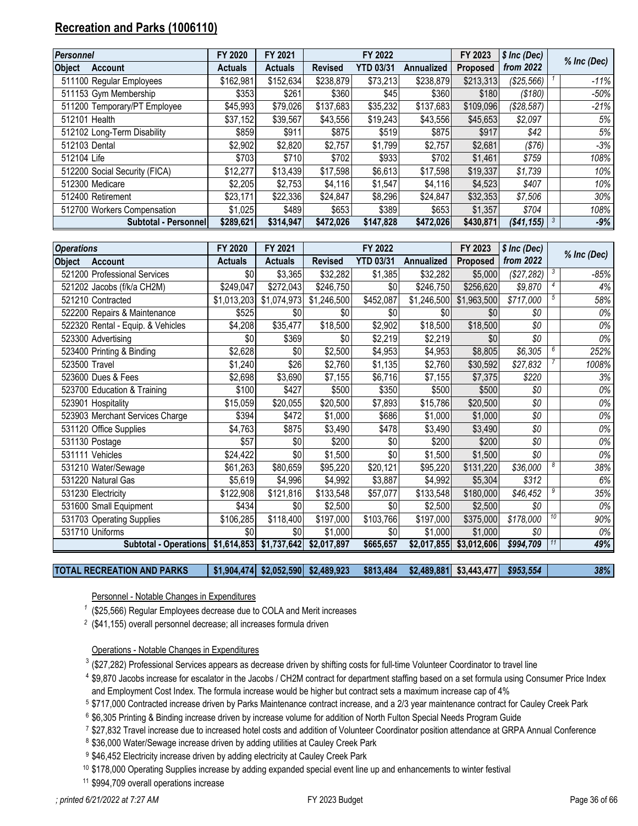# <span id="page-35-0"></span>**Recreation and Parks (1006110)**

| <b>Personnel</b>                | FY 2020        | FY 2021        |                | FY 2022          |                   | FY 2023         | \$ Inc (Dec) | % Inc (Dec) |
|---------------------------------|----------------|----------------|----------------|------------------|-------------------|-----------------|--------------|-------------|
| <b>Object</b><br><b>Account</b> | <b>Actuals</b> | <b>Actuals</b> | <b>Revised</b> | <b>YTD 03/31</b> | <b>Annualized</b> | <b>Proposed</b> | from 2022    |             |
| 511100 Regular Employees        | \$162,981      | \$152,634      | \$238,879      | \$73,213         | \$238,879         | \$213,313       | (\$25,566)   | $-11%$      |
| 511153 Gym Membership           | \$353          | \$261          | \$360          | \$45             | \$360             | \$180           | (\$180)      | $-50%$      |
| 511200 Temporary/PT Employee    | \$45,993       | \$79,026       | \$137,683      | \$35,232         | \$137,683         | \$109,096       | (\$28,587)   | $-21%$      |
| 512101 Health                   | \$37,152       | \$39,567       | \$43,556       | \$19,243         | \$43,556          | \$45,653        | \$2,097      | 5%          |
| 512102 Long-Term Disability     | \$859          | \$911          | \$875          | \$519            | \$875             | \$917           | \$42         | 5%          |
| 512103 Dental                   | \$2,902        | \$2,820        | \$2,757        | \$1,799          | \$2,757           | \$2,681         | (\$76)       | -3%         |
| 512104 Life                     | \$703          | \$710          | \$702          | \$933            | \$702             | \$1,461         | \$759        | 108%        |
| 512200 Social Security (FICA)   | \$12,277       | \$13,439       | \$17,598       | \$6,613          | \$17,598          | \$19,337        | \$1,739      | 10%         |
| 512300 Medicare                 | \$2,205        | \$2,753        | \$4,116        | \$1,547          | \$4,116           | \$4,523         | \$407        | 10%         |
| 512400 Retirement               | \$23,171       | \$22,336       | \$24,847       | \$8,296          | \$24,847          | \$32,353        | \$7,506      | 30%         |
| 512700 Workers Compensation     | \$1,025        | \$489          | \$653          | \$389            | \$653             | \$1,357         | \$704        | 108%        |
| Subtotal - Personnell           | \$289,621      | \$314.947      | \$472,026      | \$147,828        | \$472,026         | \$430,871       | ( \$41, 155) | $-9%$       |

| <b>Operations</b> |                                   | FY 2020        | FY 2021        |                          | FY 2022          |                      | FY 2023     | $$$ Inc (Dec) |                  |             |
|-------------------|-----------------------------------|----------------|----------------|--------------------------|------------------|----------------------|-------------|---------------|------------------|-------------|
| <b>Object</b>     | <b>Account</b>                    | <b>Actuals</b> | <b>Actuals</b> | <b>Revised</b>           | <b>YTD 03/31</b> | Annualized           | Proposed    | from 2022     |                  | % Inc (Dec) |
|                   | 521200 Professional Services      | \$0            | \$3,365        | \$32,282                 | \$1,385          | \$32,282             | \$5,000     | (\$27,282)    | -3               | $-85%$      |
|                   | 521202 Jacobs (f/k/a CH2M)        | \$249,047      | \$272,043      | \$246,750                | \$0              | \$246,750            | \$256,620   | \$9,870       |                  | 4%          |
|                   | 521210 Contracted                 | \$1,013,203    | \$1,074,973    | \$1,246,500              | \$452,087        | \$1,246,500          | \$1,963,500 | \$717,000     | 5                | 58%         |
|                   | 522200 Repairs & Maintenance      | \$525          | \$0            | \$0                      | \$0              | \$0                  | \$0         | \$0           |                  | 0%          |
|                   | 522320 Rental - Equip. & Vehicles | \$4,208        | \$35,477       | $\overline{$}18,500$     | \$2,902          | $\overline{$}18,500$ | \$18,500    | \$0           |                  | 0%          |
|                   | 523300 Advertising                | \$0            | \$369          | \$0                      | \$2,219          | \$2,219              | \$0         | \$0           |                  | 0%          |
|                   | 523400 Printing & Binding         | \$2,628        | \$0            | \$2,500                  | \$4,953          | \$4,953              | \$8,805     | \$6,305       |                  | 252%        |
| 523500 Travel     |                                   | \$1,240        | \$26           | \$2,760                  | \$1,135          | \$2,760              | \$30,592    | \$27,832      |                  | 1008%       |
|                   | 523600 Dues & Fees                | \$2,698        | \$3,690        | \$7,155                  | \$6,716          | \$7,155              | \$7,375     | \$220         |                  | 3%          |
|                   | 523700 Education & Training       | \$100          | \$427          | \$500                    | \$350            | \$500                | \$500       | \$0           |                  | 0%          |
|                   | 523901 Hospitality                | \$15,059       | \$20,055       | \$20,500                 | \$7,893          | \$15,786             | \$20,500    | \$0           |                  | 0%          |
|                   | 523903 Merchant Services Charge   | \$394          | \$472          | \$1,000                  | \$686            | \$1,000              | \$1,000     | \$0           |                  | 0%          |
|                   | 531120 Office Supplies            | \$4,763        | \$875          | \$3,490                  | \$478            | \$3,490              | \$3,490     | \$0           |                  | 0%          |
|                   | 531130 Postage                    | \$57           | \$0            | \$200                    | \$0              | \$200                | \$200       | \$0           |                  | 0%          |
|                   | 531111 Vehicles                   | \$24,422       | \$0            | \$1,500                  | \$0              | \$1,500              | \$1,500     | \$0           |                  | 0%          |
|                   | 531210 Water/Sewage               | \$61,263       | \$80,659       | \$95,220                 | \$20,121         | \$95,220             | \$131,220   | \$36,000      |                  | 38%         |
|                   | 531220 Natural Gas                | \$5,619        | \$4,996        | \$4,992                  | \$3,887          | \$4,992              | \$5,304     | \$312         |                  | 6%          |
|                   | 531230 Electricity                | \$122,908      | \$121,816      | \$133,548                | \$57,077         | \$133,548            | \$180,000   | \$46,452      |                  | 35%         |
|                   | 531600 Small Equipment            | \$434          | \$0            | \$2,500                  | \$0              | \$2,500              | \$2,500     | \$0           |                  | $0\%$       |
|                   | 531703 Operating Supplies         | \$106,285      | \$118,400      | \$197,000                | \$103,766        | \$197,000            | \$375,000   | \$178,000     | 10 <sup>10</sup> | 90%         |
|                   | 531710 Uniforms                   | \$0            | \$0            | \$1,000                  | \$0              | \$1,000              | \$1,000     | \$0           |                  | 0%          |
|                   | Subtotal - Operations             | \$1,614,853    | \$1,737,642    | $\overline{\$2,017,897}$ | \$665,657        | \$2,017,855          | \$3,012,606 | \$994,709     | 11               | 49%         |

## **TOTAL RECREATION AND PARKS \$1,904,474 \$2,052,590 \$2,489,923 \$813,484 \$2,489,881 \$3,443,477** *\$953,554 38%*

## Personnel - Notable Changes in Expenditures

- (\$25,566) Regular Employees decrease due to COLA and Merit increases
- (\$41,155) overall personnel decrease; all increases formula driven

#### Operations - Notable Changes in Expenditures

- $^3$  (\$27,282) Professional Services appears as decrease driven by shifting costs for full-time Volunteer Coordinator to travel line
- \$9,870 Jacobs increase for escalator in the Jacobs / CH2M contract for department staffing based on a set formula using Consumer Price Index and Employment Cost Index. The formula increase would be higher but contract sets a maximum increase cap of 4%
- \$717,000 Contracted increase driven by Parks Maintenance contract increase, and a 2/3 year maintenance contract for Cauley Creek Park
- \$6,305 Printing & Binding increase driven by increase volume for addition of North Fulton Special Needs Program Guide
- \$27,832 Travel increase due to increased hotel costs and addition of Volunteer Coordinator position attendance at GRPA Annual Conference
- <sup>8</sup> \$36,000 Water/Sewage increase driven by adding utilities at Cauley Creek Park
- 9 \$46,452 Electricity increase driven by adding electricity at Cauley Creek Park
- \$178,000 Operating Supplies increase by adding expanded special event line up and enhancements to winter festival
- \$994,709 overall operations increase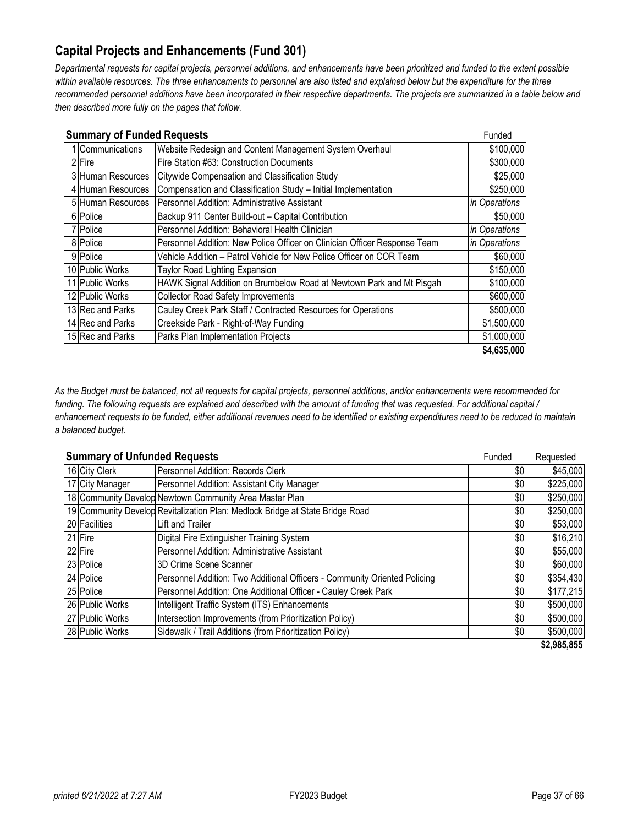# <span id="page-36-0"></span>**Capital Projects and Enhancements (Fund 301)**

*Departmental requests for capital projects, personnel additions, and enhancements have been prioritized and funded to the extent possible*  within available resources. The three enhancements to personnel are also listed and explained below but the expenditure for the three *recommended personnel additions have been incorporated in their respective departments. The projects are summarized in a table below and then described more fully on the pages that follow.* 

| <b>Summary of Funded Requests</b> |                                                                           | Funded        |
|-----------------------------------|---------------------------------------------------------------------------|---------------|
| Communications                    | Website Redesign and Content Management System Overhaul                   | \$100,000     |
| 2 Fire                            | Fire Station #63: Construction Documents                                  | \$300,000     |
| 3 Human Resources                 | Citywide Compensation and Classification Study                            | \$25,000      |
| 4 Human Resources                 | Compensation and Classification Study - Initial Implementation            | \$250,000     |
| 5 Human Resources                 | <b>I</b> Personnel Addition: Administrative Assistant                     | in Operations |
| 6 Police                          | Backup 911 Center Build-out - Capital Contribution                        | \$50,000      |
| 7 Police                          | Personnel Addition: Behavioral Health Clinician                           | in Operations |
| 8 Police                          | Personnel Addition: New Police Officer on Clinician Officer Response Team | in Operations |
| 9 Police                          | Vehicle Addition - Patrol Vehicle for New Police Officer on COR Team      | \$60,000      |
| 10 Public Works                   | <b>Taylor Road Lighting Expansion</b>                                     | \$150,000     |
| 11 Public Works                   | HAWK Signal Addition on Brumbelow Road at Newtown Park and Mt Pisgah      | \$100,000     |
| 12 Public Works                   | <b>Collector Road Safety Improvements</b>                                 | \$600,000     |
| 13 Rec and Parks                  | Cauley Creek Park Staff / Contracted Resources for Operations             | \$500,000     |
| 14 Rec and Parks                  | Creekside Park - Right-of-Way Funding                                     | \$1,500,000   |
| 15 Rec and Parks                  | Parks Plan Implementation Projects                                        | \$1,000,000   |
|                                   |                                                                           | \$4,635,000   |

*As the Budget must be balanced, not all requests for capital projects, personnel additions, and/or enhancements were recommended for funding. The following requests are explained and described with the amount of funding that was requested. For additional capital / enhancement requests to be funded, either additional revenues need to be identified or existing expenditures need to be reduced to maintain a balanced budget.* 

| <b>Summary of Unfunded Requests</b> |                                                                               | Funded | Requested   |
|-------------------------------------|-------------------------------------------------------------------------------|--------|-------------|
| 16 City Clerk                       | Personnel Addition: Records Clerk                                             | \$0    | \$45,000    |
| 17 City Manager                     | Personnel Addition: Assistant City Manager                                    | \$0    | \$225,000   |
|                                     | 18 Community Develop Newtown Community Area Master Plan                       | \$0    | \$250,000   |
|                                     | 19 Community Develop Revitalization Plan: Medlock Bridge at State Bridge Road | \$0    | \$250,000   |
| 20 Facilities                       | Lift and Trailer                                                              | \$0    | \$53,000    |
| 21 Fire                             | Digital Fire Extinguisher Training System                                     | \$0    | \$16,210    |
| 22 Fire                             | Personnel Addition: Administrative Assistant                                  | \$0    | \$55,000    |
| 23 Police                           | 3D Crime Scene Scanner                                                        | \$0    | \$60,000    |
| 24 Police                           | Personnel Addition: Two Additional Officers - Community Oriented Policing     | \$0    | \$354,430   |
| 25 Police                           | Personnel Addition: One Additional Officer - Cauley Creek Park                | \$0    | \$177,215   |
| 26 Public Works                     | Intelligent Traffic System (ITS) Enhancements                                 | \$0    | \$500,000   |
| 27 Public Works                     | Intersection Improvements (from Prioritization Policy)                        | \$0    | \$500,000   |
| 28 Public Works                     | Sidewalk / Trail Additions (from Prioritization Policy)                       | \$0    | \$500,000   |
|                                     |                                                                               |        | \$2,985,855 |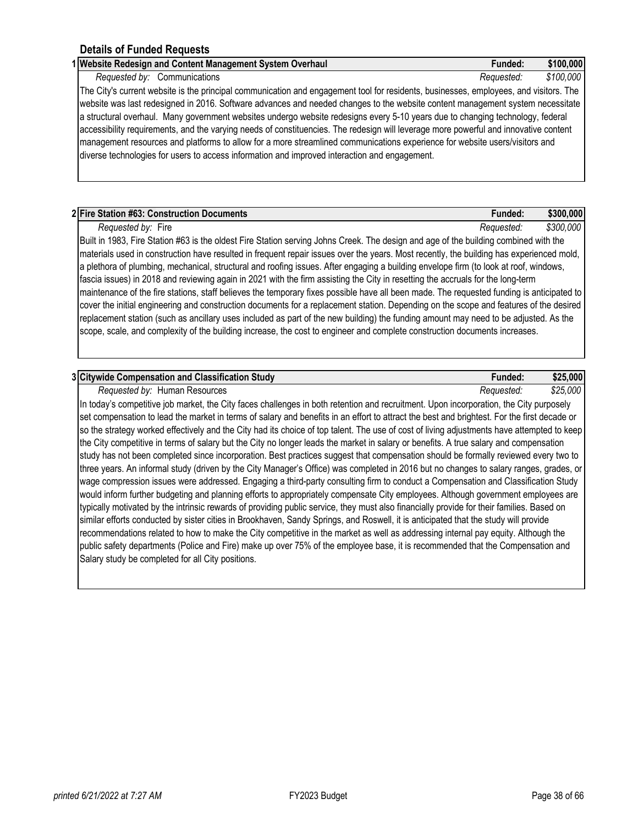| 1 Website Redesign and Content Management System Overhaul                                                                             | Funded:    | \$100,000 |
|---------------------------------------------------------------------------------------------------------------------------------------|------------|-----------|
| Requested by: Communications                                                                                                          | Requested: | \$100,000 |
| The City's current website is the principal communication and engagement tool for residents, businesses, employees, and visitors. The |            |           |
| website was last redesigned in 2016. Software advances and needed changes to the website content management system necessitate        |            |           |
| a structural overhaul. Many government websites undergo website redesigns every 5-10 years due to changing technology, federal        |            |           |
| accessibility requirements, and the varying needs of constituencies. The redesign will leverage more powerful and innovative content  |            |           |
| management resources and platforms to allow for a more streamlined communications experience for website users/visitors and           |            |           |
| diverse technologies for users to access information and improved interaction and engagement.                                         |            |           |

| 2 Fire Station #63: Construction Documents                                                                                                  | Funded:    | \$300,000 |
|---------------------------------------------------------------------------------------------------------------------------------------------|------------|-----------|
| Requested by: Fire                                                                                                                          | Reauested: | \$300,000 |
| Built in 1983, Fire Station #63 is the oldest Fire Station serving Johns Creek. The design and age of the building combined with the        |            |           |
| materials used in construction have resulted in frequent repair issues over the years. Most recently, the building has experienced mold,    |            |           |
| a plethora of plumbing, mechanical, structural and roofing issues. After engaging a building envelope firm (to look at roof, windows,       |            |           |
| fascia issues) in 2018 and reviewing again in 2021 with the firm assisting the City in resetting the accruals for the long-term             |            |           |
| maintenance of the fire stations, staff believes the temperany fives neceible have all been mode. The requested funding is opticipated to b |            |           |

maintenance of the fire stations, staff believes the temporary fixes possible have all been made. The requested funding is anticipated to cover the initial engineering and construction documents for a replacement station. Depending on the scope and features of the desired replacement station (such as ancillary uses included as part of the new building) the funding amount may need to be adjusted. As the scope, scale, and complexity of the building increase, the cost to engineer and complete construction documents increases.

| 3 Citywide Compensation and Classification Study | -unded:    | \$25,000 |
|--------------------------------------------------|------------|----------|
| Reauested bv:<br>Human Resources                 | Keauested. | \$25,000 |

In today's competitive job market, the City faces challenges in both retention and recruitment. Upon incorporation, the City purposely set compensation to lead the market in terms of salary and benefits in an effort to attract the best and brightest. For the first decade or so the strategy worked effectively and the City had its choice of top talent. The use of cost of living adjustments have attempted to keep the City competitive in terms of salary but the City no longer leads the market in salary or benefits. A true salary and compensation study has not been completed since incorporation. Best practices suggest that compensation should be formally reviewed every two to three years. An informal study (driven by the City Manager's Office) was completed in 2016 but no changes to salary ranges, grades, or wage compression issues were addressed. Engaging a third-party consulting firm to conduct a Compensation and Classification Study would inform further budgeting and planning efforts to appropriately compensate City employees. Although government employees are typically motivated by the intrinsic rewards of providing public service, they must also financially provide for their families. Based on similar efforts conducted by sister cities in Brookhaven, Sandy Springs, and Roswell, it is anticipated that the study will provide recommendations related to how to make the City competitive in the market as well as addressing internal pay equity. Although the public safety departments (Police and Fire) make up over 75% of the employee base, it is recommended that the Compensation and Salary study be completed for all City positions.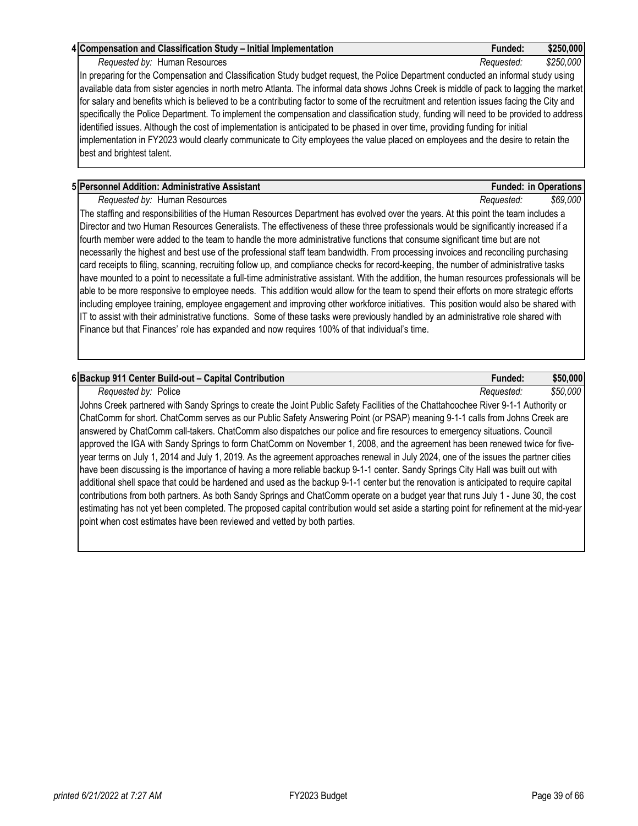### **4 Compensation and Classification Study – Initial Implementation Funded: \$250,000**

*Requested by:* Human Resources *Requested: \$250,000*

In preparing for the Compensation and Classification Study budget request, the Police Department conducted an informal study using available data from sister agencies in north metro Atlanta. The informal data shows Johns Creek is middle of pack to lagging the market for salary and benefits which is believed to be a contributing factor to some of the recruitment and retention issues facing the City and specifically the Police Department. To implement the compensation and classification study, funding will need to be provided to address identified issues. Although the cost of implementation is anticipated to be phased in over time, providing funding for initial implementation in FY2023 would clearly communicate to City employees the value placed on employees and the desire to retain the best and brightest talent.

## **5 Personnel Addition: Administrative Assistant Funded: in Operations**

*Requested by:* Human Resources *Requested: \$69,000*

The staffing and responsibilities of the Human Resources Department has evolved over the years. At this point the team includes a Director and two Human Resources Generalists. The effectiveness of these three professionals would be significantly increased if a fourth member were added to the team to handle the more administrative functions that consume significant time but are not necessarily the highest and best use of the professional staff team bandwidth. From processing invoices and reconciling purchasing card receipts to filing, scanning, recruiting follow up, and compliance checks for record-keeping, the number of administrative tasks have mounted to a point to necessitate a full-time administrative assistant. With the addition, the human resources professionals will be able to be more responsive to employee needs. This addition would allow for the team to spend their efforts on more strategic efforts including employee training, employee engagement and improving other workforce initiatives. This position would also be shared with IT to assist with their administrative functions. Some of these tasks were previously handled by an administrative role shared with Finance but that Finances' role has expanded and now requires 100% of that individual's time.

## **6 Backup 911 Center Build-out – Capital Contribution Funded: \$50,000**

*Requested by:* Police *Requested: \$50,000*

Johns Creek partnered with Sandy Springs to create the Joint Public Safety Facilities of the Chattahoochee River 9-1-1 Authority or ChatComm for short. ChatComm serves as our Public Safety Answering Point (or PSAP) meaning 9-1-1 calls from Johns Creek are answered by ChatComm call-takers. ChatComm also dispatches our police and fire resources to emergency situations. Council approved the IGA with Sandy Springs to form ChatComm on November 1, 2008, and the agreement has been renewed twice for fiveyear terms on July 1, 2014 and July 1, 2019. As the agreement approaches renewal in July 2024, one of the issues the partner cities have been discussing is the importance of having a more reliable backup 9-1-1 center. Sandy Springs City Hall was built out with additional shell space that could be hardened and used as the backup 9-1-1 center but the renovation is anticipated to require capital contributions from both partners. As both Sandy Springs and ChatComm operate on a budget year that runs July 1 - June 30, the cost estimating has not yet been completed. The proposed capital contribution would set aside a starting point for refinement at the mid-year point when cost estimates have been reviewed and vetted by both parties.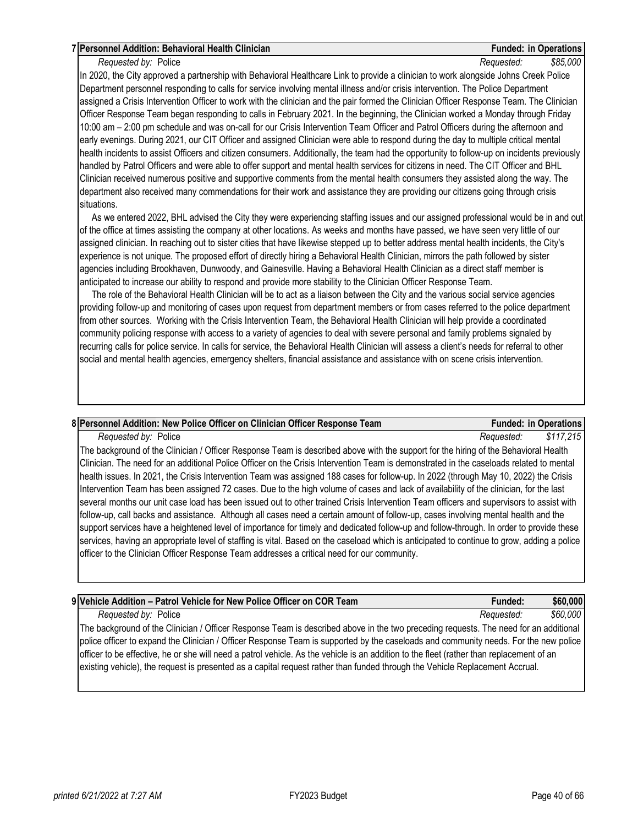## **7 Personnel Addition: Behavioral Health Clinician Funded: in Operations**

*Requested by:* Police *Requested: \$85,000*

In 2020, the City approved a partnership with Behavioral Healthcare Link to provide a clinician to work alongside Johns Creek Police Department personnel responding to calls for service involving mental illness and/or crisis intervention. The Police Department assigned a Crisis Intervention Officer to work with the clinician and the pair formed the Clinician Officer Response Team. The Clinician Officer Response Team began responding to calls in February 2021. In the beginning, the Clinician worked a Monday through Friday 10:00 am – 2:00 pm schedule and was on-call for our Crisis Intervention Team Officer and Patrol Officers during the afternoon and early evenings. During 2021, our CIT Officer and assigned Clinician were able to respond during the day to multiple critical mental health incidents to assist Officers and citizen consumers. Additionally, the team had the opportunity to follow-up on incidents previously handled by Patrol Officers and were able to offer support and mental health services for citizens in need. The CIT Officer and BHL Clinician received numerous positive and supportive comments from the mental health consumers they assisted along the way. The department also received many commendations for their work and assistance they are providing our citizens going through crisis situations.

 As we entered 2022, BHL advised the City they were experiencing staffing issues and our assigned professional would be in and out of the office at times assisting the company at other locations. As weeks and months have passed, we have seen very little of our assigned clinician. In reaching out to sister cities that have likewise stepped up to better address mental health incidents, the City's experience is not unique. The proposed effort of directly hiring a Behavioral Health Clinician, mirrors the path followed by sister agencies including Brookhaven, Dunwoody, and Gainesville. Having a Behavioral Health Clinician as a direct staff member is anticipated to increase our ability to respond and provide more stability to the Clinician Officer Response Team.

 The role of the Behavioral Health Clinician will be to act as a liaison between the City and the various social service agencies providing follow-up and monitoring of cases upon request from department members or from cases referred to the police department from other sources. Working with the Crisis Intervention Team, the Behavioral Health Clinician will help provide a coordinated community policing response with access to a variety of agencies to deal with severe personal and family problems signaled by recurring calls for police service. In calls for service, the Behavioral Health Clinician will assess a client's needs for referral to other social and mental health agencies, emergency shelters, financial assistance and assistance with on scene crisis intervention.

## **8 Personnel Addition: New Police Officer on Clinician Officer Response Team Funded: in Operations**

*Requested by:* Police *Requested: \$117,215*

The background of the Clinician / Officer Response Team is described above with the support for the hiring of the Behavioral Health Clinician. The need for an additional Police Officer on the Crisis Intervention Team is demonstrated in the caseloads related to mental health issues. In 2021, the Crisis Intervention Team was assigned 188 cases for follow-up. In 2022 (through May 10, 2022) the Crisis Intervention Team has been assigned 72 cases. Due to the high volume of cases and lack of availability of the clinician, for the last several months our unit case load has been issued out to other trained Crisis Intervention Team officers and supervisors to assist with follow-up, call backs and assistance. Although all cases need a certain amount of follow-up, cases involving mental health and the support services have a heightened level of importance for timely and dedicated follow-up and follow-through. In order to provide these services, having an appropriate level of staffing is vital. Based on the caseload which is anticipated to continue to grow, adding a police officer to the Clinician Officer Response Team addresses a critical need for our community.

| 9   Vehicle Addition – Patrol Vehicle for New Police Officer on COR Team                                                                 | Funded:    | \$60,000        |
|------------------------------------------------------------------------------------------------------------------------------------------|------------|-----------------|
| Requested by: Police                                                                                                                     | Reauested: | <b>\$60,000</b> |
| The background of the Clinician / Officer Response Team is described above in the two preceding requests. The need for an additional     |            |                 |
| police officer to expand the Clinician / Officer Response Team is supported by the caseloads and community needs. For the new police     |            |                 |
| officer to be effective, he or she will need a patrol vehicle. As the vehicle is an addition to the fleet (rather than replacement of an |            |                 |

existing vehicle), the request is presented as a capital request rather than funded through the Vehicle Replacement Accrual.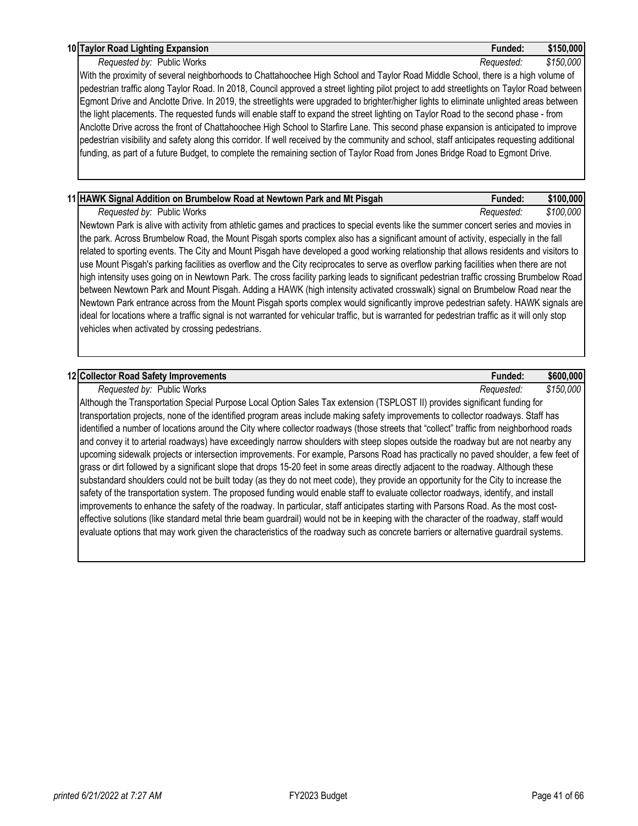#### **10 Taylor Road Lighting Expansion Funded: \$150,000**

#### *Requested by:* Public Works *Requested: \$150,000*

With the proximity of several neighborhoods to Chattahoochee High School and Taylor Road Middle School, there is a high volume of pedestrian traffic along Taylor Road. In 2018, Council approved a street lighting pilot project to add streetlights on Taylor Road between Egmont Drive and Anclotte Drive. In 2019, the streetlights were upgraded to brighter/higher lights to eliminate unlighted areas between the light placements. The requested funds will enable staff to expand the street lighting on Taylor Road to the second phase - from Anclotte Drive across the front of Chattahoochee High School to Starfire Lane. This second phase expansion is anticipated to improve pedestrian visibility and safety along this corridor. If well received by the community and school, staff anticipates requesting additional funding, as part of a future Budget, to complete the remaining section of Taylor Road from Jones Bridge Road to Egmont Drive.

# **11 HAWK Signal Addition on Brumbelow Road at Newtown Park and Mt Pisgah Funded: \$100,000** *Requested by:* Public Works *Requested: \$100,000*

Newtown Park is alive with activity from athletic games and practices to special events like the summer concert series and movies in the park. Across Brumbelow Road, the Mount Pisgah sports complex also has a significant amount of activity, especially in the fall related to sporting events. The City and Mount Pisgah have developed a good working relationship that allows residents and visitors to use Mount Pisgah's parking facilities as overflow and the City reciprocates to serve as overflow parking facilities when there are not high intensity uses going on in Newtown Park. The cross facility parking leads to significant pedestrian traffic crossing Brumbelow Road between Newtown Park and Mount Pisgah. Adding a HAWK (high intensity activated crosswalk) signal on Brumbelow Road near the Newtown Park entrance across from the Mount Pisgah sports complex would significantly improve pedestrian safety. HAWK signals are ideal for locations where a traffic signal is not warranted for vehicular traffic, but is warranted for pedestrian traffic as it will only stop vehicles when activated by crossing pedestrians.

## **12 Collector Road Safety Improvements Funded: \$600,000**

*Requested by:* Public Works *Requested: \$150,000*

Although the Transportation Special Purpose Local Option Sales Tax extension (TSPLOST II) provides significant funding for transportation projects, none of the identified program areas include making safety improvements to collector roadways. Staff has identified a number of locations around the City where collector roadways (those streets that "collect" traffic from neighborhood roads and convey it to arterial roadways) have exceedingly narrow shoulders with steep slopes outside the roadway but are not nearby any upcoming sidewalk projects or intersection improvements. For example, Parsons Road has practically no paved shoulder, a few feet of grass or dirt followed by a significant slope that drops 15-20 feet in some areas directly adjacent to the roadway. Although these substandard shoulders could not be built today (as they do not meet code), they provide an opportunity for the City to increase the safety of the transportation system. The proposed funding would enable staff to evaluate collector roadways, identify, and install improvements to enhance the safety of the roadway. In particular, staff anticipates starting with Parsons Road. As the most costeffective solutions (like standard metal thrie beam guardrail) would not be in keeping with the character of the roadway, staff would evaluate options that may work given the characteristics of the roadway such as concrete barriers or alternative guardrail systems.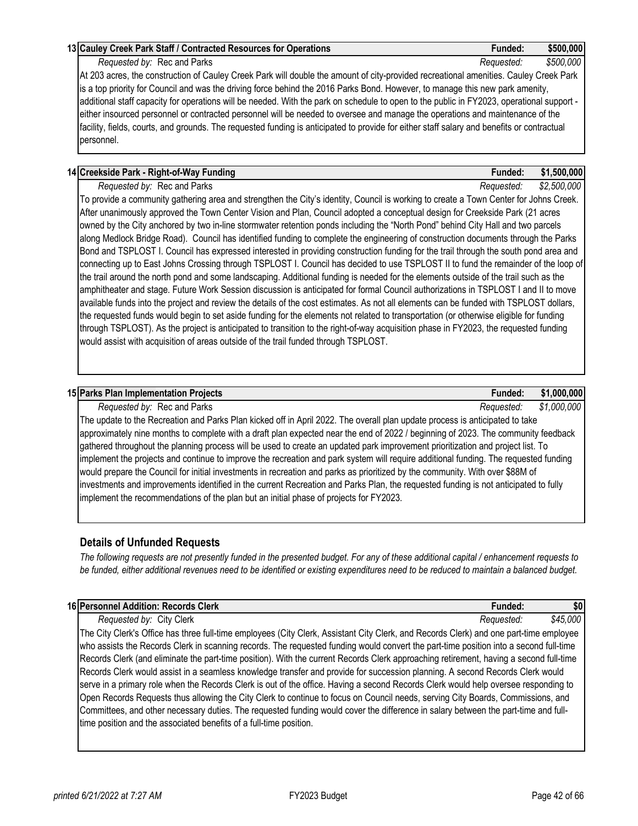## **13 Cauley Creek Park Staff / Contracted Resources for Operations Funded: \$500,000**

*Requested by:* Rec and Parks *Requested: \$500,000*

At 203 acres, the construction of Cauley Creek Park will double the amount of city-provided recreational amenities. Cauley Creek Park is a top priority for Council and was the driving force behind the 2016 Parks Bond. However, to manage this new park amenity, additional staff capacity for operations will be needed. With the park on schedule to open to the public in FY2023, operational support either insourced personnel or contracted personnel will be needed to oversee and manage the operations and maintenance of the facility, fields, courts, and grounds. The requested funding is anticipated to provide for either staff salary and benefits or contractual personnel.

## **14 Creekside Park - Right-of-Way Funding Funded: \$1,500,000**

*Requested by:* Rec and Parks *Requested: \$2,500,000*

To provide a community gathering area and strengthen the City's identity, Council is working to create a Town Center for Johns Creek. After unanimously approved the Town Center Vision and Plan, Council adopted a conceptual design for Creekside Park (21 acres owned by the City anchored by two in-line stormwater retention ponds including the "North Pond" behind City Hall and two parcels along Medlock Bridge Road). Council has identified funding to complete the engineering of construction documents through the Parks Bond and TSPLOST I. Council has expressed interested in providing construction funding for the trail through the south pond area and connecting up to East Johns Crossing through TSPLOST I. Council has decided to use TSPLOST II to fund the remainder of the loop of the trail around the north pond and some landscaping. Additional funding is needed for the elements outside of the trail such as the amphitheater and stage. Future Work Session discussion is anticipated for formal Council authorizations in TSPLOST I and II to move available funds into the project and review the details of the cost estimates. As not all elements can be funded with TSPLOST dollars, the requested funds would begin to set aside funding for the elements not related to transportation (or otherwise eligible for funding through TSPLOST). As the project is anticipated to transition to the right-of-way acquisition phase in FY2023, the requested funding would assist with acquisition of areas outside of the trail funded through TSPLOST.

## **15 Parks Plan Implementation Projects Funded: \$1,000,000**

*Requested by:* Rec and Parks *Requested: \$1,000,000* The update to the Recreation and Parks Plan kicked off in April 2022. The overall plan update process is anticipated to take approximately nine months to complete with a draft plan expected near the end of 2022 / beginning of 2023. The community feedback gathered throughout the planning process will be used to create an updated park improvement prioritization and project list. To implement the projects and continue to improve the recreation and park system will require additional funding. The requested funding would prepare the Council for initial investments in recreation and parks as prioritized by the community. With over \$88M of investments and improvements identified in the current Recreation and Parks Plan, the requested funding is not anticipated to fully implement the recommendations of the plan but an initial phase of projects for FY2023.

## **Details of Unfunded Requests**

*The following requests are not presently funded in the presented budget. For any of these additional capital / enhancement requests to be funded, either additional revenues need to be identified or existing expenditures need to be reduced to maintain a balanced budget.* 

| 16 Personnel Addition: Records Clerk    | ⊦unded.    | \$0      |
|-----------------------------------------|------------|----------|
| City Clerk<br>Requested by:             | Reauested: | \$45,000 |
| A1, A1, I1, A2<br>$\sim$<br>$\sim$<br>. |            |          |

The City Clerk's Office has three full-time employees (City Clerk, Assistant City Clerk, and Records Clerk) and one part-time employee who assists the Records Clerk in scanning records. The requested funding would convert the part-time position into a second full-time Records Clerk (and eliminate the part-time position). With the current Records Clerk approaching retirement, having a second full-time Records Clerk would assist in a seamless knowledge transfer and provide for succession planning. A second Records Clerk would serve in a primary role when the Records Clerk is out of the office. Having a second Records Clerk would help oversee responding to Open Records Requests thus allowing the City Clerk to continue to focus on Council needs, serving City Boards, Commissions, and Committees, and other necessary duties. The requested funding would cover the difference in salary between the part-time and fulltime position and the associated benefits of a full-time position.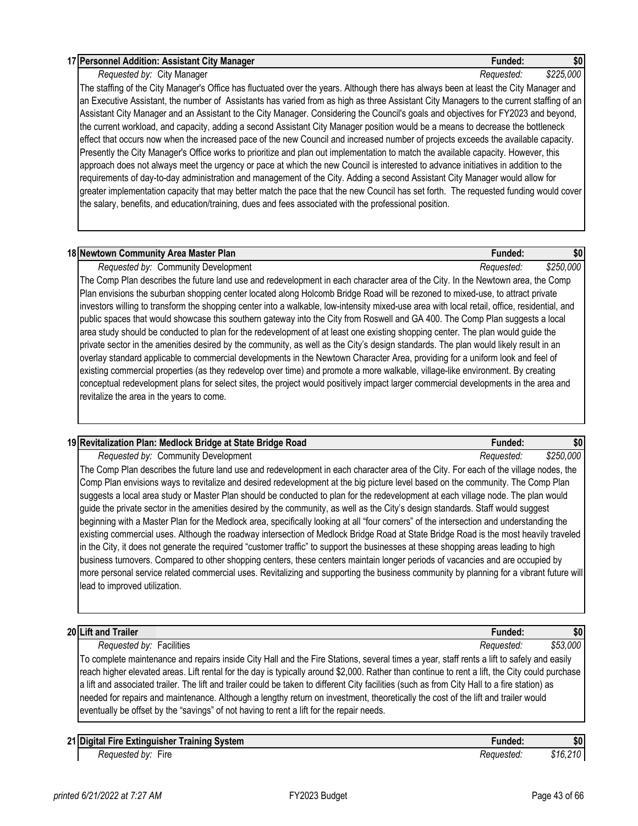#### **17 Personnel Addition: Assistant City Manager Funded: \$0**

## *Requested by:* City Manager *Requested: \$225,000*

*printed 6/21/2022 at 7:27 AM* **FX2023** Budget **FX2023 Budget Page 43 of 66** 

The staffing of the City Manager's Office has fluctuated over the years. Although there has always been at least the City Manager and an Executive Assistant, the number of Assistants has varied from as high as three Assistant City Managers to the current staffing of an Assistant City Manager and an Assistant to the City Manager. Considering the Council's goals and objectives for FY2023 and beyond, the current workload, and capacity, adding a second Assistant City Manager position would be a means to decrease the bottleneck effect that occurs now when the increased pace of the new Council and increased number of projects exceeds the available capacity. Presently the City Manager's Office works to prioritize and plan out implementation to match the available capacity. However, this approach does not always meet the urgency or pace at which the new Council is interested to advance initiatives in addition to the requirements of day-to-day administration and management of the City. Adding a second Assistant City Manager would allow for greater implementation capacity that may better match the pace that the new Council has set forth. The requested funding would cover the salary, benefits, and education/training, dues and fees associated with the professional position.

### **18 Newtown Community Area Master Plan Funded: \$0**

*Requested by:* Community Development *Requested: \$250,000*

The Comp Plan describes the future land use and redevelopment in each character area of the City. In the Newtown area, the Comp Plan envisions the suburban shopping center located along Holcomb Bridge Road will be rezoned to mixed-use, to attract private investors willing to transform the shopping center into a walkable, low-intensity mixed-use area with local retail, office, residential, and public spaces that would showcase this southern gateway into the City from Roswell and GA 400. The Comp Plan suggests a local area study should be conducted to plan for the redevelopment of at least one existing shopping center. The plan would guide the private sector in the amenities desired by the community, as well as the City's design standards. The plan would likely result in an overlay standard applicable to commercial developments in the Newtown Character Area, providing for a uniform look and feel of existing commercial properties (as they redevelop over time) and promote a more walkable, village-like environment. By creating conceptual redevelopment plans for select sites, the project would positively impact larger commercial developments in the area and revitalize the area in the years to come.

| 19 Revitalization Plan: Medlock Bridge at State Bridge Road                                                                             | <b>Funded:</b> | \$0       |
|-----------------------------------------------------------------------------------------------------------------------------------------|----------------|-----------|
| Requested by: Community Development                                                                                                     | Requested:     | \$250,000 |
| The Comp Plan describes the future land use and redevelopment in each character area of the City. For each of the village nodes, the    |                |           |
| Comp Plan envisions ways to revitalize and desired redevelopment at the big picture level based on the community. The Comp Plan         |                |           |
| suggests a local area study or Master Plan should be conducted to plan for the redevelopment at each village node. The plan would       |                |           |
| guide the private sector in the amenities desired by the community, as well as the City's design standards. Staff would suggest         |                |           |
| beginning with a Master Plan for the Medlock area, specifically looking at all "four corners" of the intersection and understanding the |                |           |
| existing commercial uses. Although the roadway intersection of Medlock Bridge Road at State Bridge Road is the most heavily traveled    |                |           |
| in the City, it does not generate the required "customer traffic" to support the businesses at these shopping areas leading to high     |                |           |
| business turnovers. Compared to other shopping centers, these centers maintain longer periods of vacancies and are occupied by          |                |           |
| more personal service related commercial uses. Revitalizing and supporting the business community by planning for a vibrant future will |                |           |
| lead to improved utilization.                                                                                                           |                |           |
|                                                                                                                                         |                |           |
|                                                                                                                                         |                |           |
| 20 Lift and Trailer                                                                                                                     | <b>Funded:</b> | \$0       |

*Requested by:* Facilities *Requested: \$53,000* To complete maintenance and repairs inside City Hall and the Fire Stations, several times a year, staff rents a lift to safely and easily reach higher elevated areas. Lift rental for the day is typically around \$2,000. Rather than continue to rent a lift, the City could purchase a lift and associated trailer. The lift and trailer could be taken to different City facilities (such as from City Hall to a fire station) as needed for repairs and maintenance. Although a lengthy return on investment, theoretically the cost of the lift and trailer would eventually be offset by the "savings" of not having to rent a lift for the repair needs.

| 21 Digital<br>⊹Svstem<br>Training<br>. Fire Extinguisher | -unded:    | \$0      |
|----------------------------------------------------------|------------|----------|
| $-$<br><b>Fire</b><br>. bv:<br>Requested                 | Requested: | \$16,210 |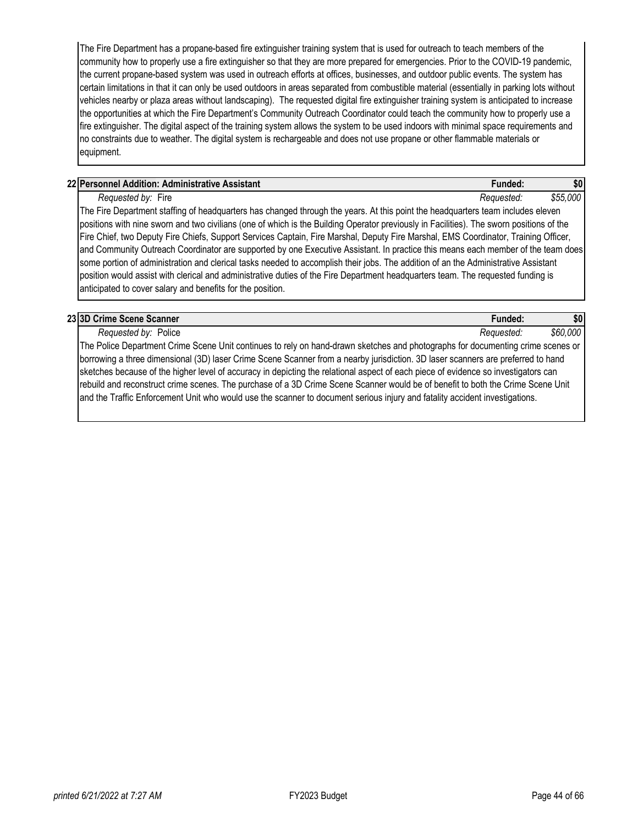The Fire Department has a propane-based fire extinguisher training system that is used for outreach to teach members of the community how to properly use a fire extinguisher so that they are more prepared for emergencies. Prior to the COVID-19 pandemic, the current propane-based system was used in outreach efforts at offices, businesses, and outdoor public events. The system has certain limitations in that it can only be used outdoors in areas separated from combustible material (essentially in parking lots without vehicles nearby or plaza areas without landscaping). The requested digital fire extinguisher training system is anticipated to increase the opportunities at which the Fire Department's Community Outreach Coordinator could teach the community how to properly use a fire extinguisher. The digital aspect of the training system allows the system to be used indoors with minimal space requirements and no constraints due to weather. The digital system is rechargeable and does not use propane or other flammable materials or equipment.

## **22 Personnel Addition: Administrative Assistant Funded: \$0**

*Requested by:* Fire *Requested: \$55,000*

The Fire Department staffing of headquarters has changed through the years. At this point the headquarters team includes eleven positions with nine sworn and two civilians (one of which is the Building Operator previously in Facilities). The sworn positions of the Fire Chief, two Deputy Fire Chiefs, Support Services Captain, Fire Marshal, Deputy Fire Marshal, EMS Coordinator, Training Officer, and Community Outreach Coordinator are supported by one Executive Assistant. In practice this means each member of the team does some portion of administration and clerical tasks needed to accomplish their jobs. The addition of an the Administrative Assistant position would assist with clerical and administrative duties of the Fire Department headquarters team. The requested funding is anticipated to cover salary and benefits for the position.

| 23 3D Crime Scene Scanner                                                                                                          | Funded:    | \$0      |
|------------------------------------------------------------------------------------------------------------------------------------|------------|----------|
| Requested by: Police                                                                                                               | Requested: | \$60,000 |
| The Police Department Crime Scene Unit continues to rely on hand-drawn sketches and photographs for documenting crime scenes or    |            |          |
| borrowing a three dimensional (3D) laser Crime Scene Scanner from a nearby jurisdiction. 3D laser scanners are preferred to hand   |            |          |
| sketches because of the higher level of accuracy in depicting the relational aspect of each piece of evidence so investigators can |            |          |
| rebuild and reconstruct crime scenes. The purchase of a 3D Crime Scene Scanner would be of benefit to both the Crime Scene Unit    |            |          |
| and the Traffic Enforcement Unit who would use the scanner to document serious injury and fatality accident investigations.        |            |          |
|                                                                                                                                    |            |          |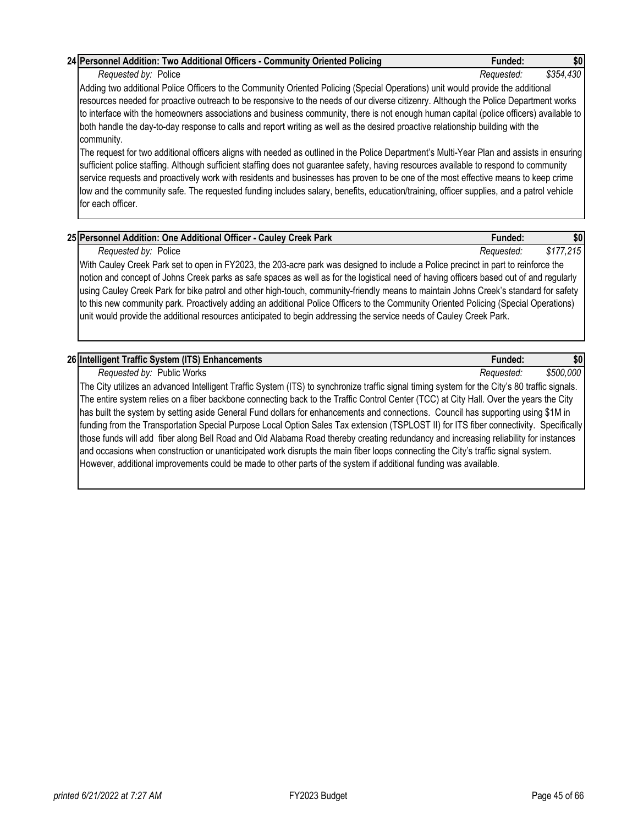| 26 Intelligent Traffic System (ITS) Enhancements                                                                                              | <b>Funded:</b> | \$0       |
|-----------------------------------------------------------------------------------------------------------------------------------------------|----------------|-----------|
| Requested by: Public Works                                                                                                                    | Reauested:     | \$500,000 |
| The City utilizes an advanced Intelligent Traffic System (ITS) to synchronize traffic signal timing system for the City's 80 traffic signals. |                |           |

The City utilizes an advanced Intelligent Traffic System (ITS) to synchronize traffic signal timing system for the City's 80 traffic signals. The entire system relies on a fiber backbone connecting back to the Traffic Control Center (TCC) at City Hall. Over the years the City has built the system by setting aside General Fund dollars for enhancements and connections. Council has supporting using \$1M in funding from the Transportation Special Purpose Local Option Sales Tax extension (TSPLOST II) for ITS fiber connectivity. Specifically those funds will add fiber along Bell Road and Old Alabama Road thereby creating redundancy and increasing reliability for instances and occasions when construction or unanticipated work disrupts the main fiber loops connecting the City's traffic signal system. However, additional improvements could be made to other parts of the system if additional funding was available.

**25 Personnel Addition: One Additional Officer - Cauley Creek Park Funded: \$0** *Requested by:* Police *Requested: \$177,215* With Cauley Creek Park set to open in FY2023, the 203-acre park was designed to include a Police precinct in part to reinforce the notion and concept of Johns Creek parks as safe spaces as well as for the logistical need of having officers based out of and regularly using Cauley Creek Park for bike patrol and other high-touch, community-friendly means to maintain Johns Creek's standard for safety to this new community park. Proactively adding an additional Police Officers to the Community Oriented Policing (Special Operations)

Adding two additional Police Officers to the Community Oriented Policing (Special Operations) unit would provide the additional resources needed for proactive outreach to be responsive to the needs of our diverse citizenry. Although the Police Department works to interface with the homeowners associations and business community, there is not enough human capital (police officers) available to both handle the day-to-day response to calls and report writing as well as the desired proactive relationship building with the community. The request for two additional officers aligns with needed as outlined in the Police Department's Multi-Year Plan and assists in ensuring

sufficient police staffing. Although sufficient staffing does not guarantee safety, having resources available to respond to community service requests and proactively work with residents and businesses has proven to be one of the most effective means to keep crime low and the community safe. The requested funding includes salary, benefits, education/training, officer supplies, and a patrol vehicle

**24 Personnel Addition: Two Additional Officers - Community Oriented Policing Funded: \$0** *Requested by:* Police *Requested: \$354,430*

for each officer.

unit would provide the additional resources anticipated to begin addressing the service needs of Cauley Creek Park.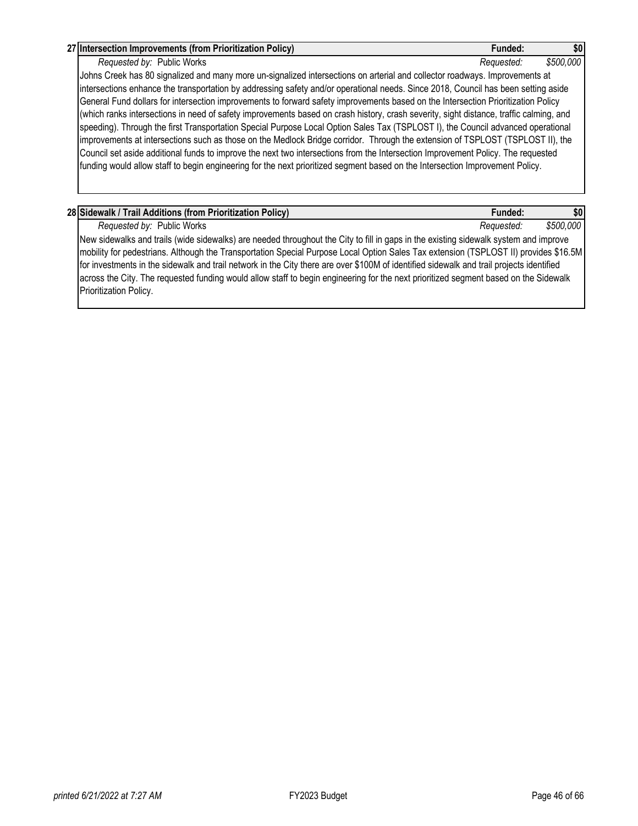### **27 Intersection Improvements (from Prioritization Policy) Funded: \$0**

*Requested by:* Public Works *Requested: \$500,000* Johns Creek has 80 signalized and many more un-signalized intersections on arterial and collector roadways. Improvements at intersections enhance the transportation by addressing safety and/or operational needs. Since 2018, Council has been setting aside General Fund dollars for intersection improvements to forward safety improvements based on the Intersection Prioritization Policy (which ranks intersections in need of safety improvements based on crash history, crash severity, sight distance, traffic calming, and speeding). Through the first Transportation Special Purpose Local Option Sales Tax (TSPLOST I), the Council advanced operational improvements at intersections such as those on the Medlock Bridge corridor. Through the extension of TSPLOST (TSPLOST II), the Council set aside additional funds to improve the next two intersections from the Intersection Improvement Policy. The requested funding would allow staff to begin engineering for the next prioritized segment based on the Intersection Improvement Policy.

| 28 Sidewalk / Trail Additions (from Prioritization Policy)                                                                               | Funded:    | \$0       |
|------------------------------------------------------------------------------------------------------------------------------------------|------------|-----------|
| Requested by: Public Works                                                                                                               | Reauested: | \$500,000 |
| New sidewalks and trails (wide sidewalks) are needed throughout the City to fill in gaps in the existing sidewalk system and improve     |            |           |
| mobility for pedestrians. Although the Transportation Special Purpose Local Option Sales Tax extension (TSPLOST II) provides \$16.5M     |            |           |
| for investments in the sidewalk and trail network in the City there are over \$100M of identified sidewalk and trail projects identified |            |           |
| across the City. The requested funding would allow staff to begin engineering for the next prioritized segment based on the Sidewalk     |            |           |
| Prioritization Policy.                                                                                                                   |            |           |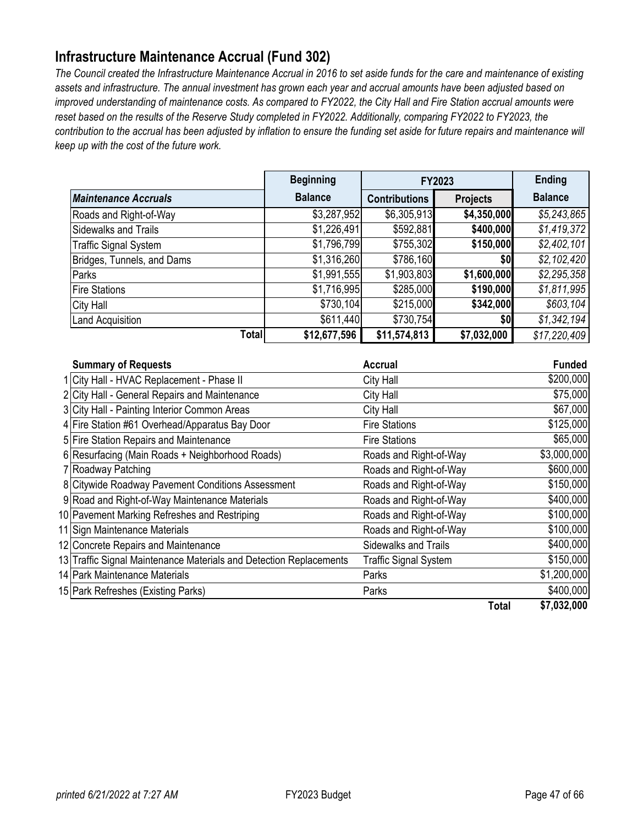# <span id="page-46-0"></span>**Infrastructure Maintenance Accrual (Fund 302)**

*The Council created the Infrastructure Maintenance Accrual in 2016 to set aside funds for the care and maintenance of existing assets and infrastructure. The annual investment has grown each year and accrual amounts have been adjusted based on improved understanding of maintenance costs. As compared to FY2022, the City Hall and Fire Station accrual amounts were*  reset based on the results of the Reserve Study completed in FY2022. Additionally, comparing FY2022 to FY2023, the *contribution to the accrual has been adjusted by inflation to ensure the funding set aside for future repairs and maintenance will keep up with the cost of the future work.* 

|                              | <b>Beginning</b> | FY2023               |                 | <b>Ending</b>  |
|------------------------------|------------------|----------------------|-----------------|----------------|
| <b>Maintenance Accruals</b>  | <b>Balance</b>   | <b>Contributions</b> | <b>Projects</b> | <b>Balance</b> |
| Roads and Right-of-Way       | \$3,287,952      | \$6,305,913          | \$4,350,000     | \$5,243,865    |
| Sidewalks and Trails         | \$1,226,491      | \$592,881            | \$400,000       | \$1,419,372    |
| <b>Traffic Signal System</b> | \$1,796,799      | \$755,302            | \$150,000       | \$2,402,101    |
| Bridges, Tunnels, and Dams   | \$1,316,260      | \$786,160            | \$0             | \$2,102,420    |
| Parks                        | \$1,991,555      | \$1,903,803          | \$1,600,000     | \$2,295,358    |
| <b>Fire Stations</b>         | \$1,716,995      | \$285,000            | \$190,000       | \$1,811,995    |
| <b>City Hall</b>             | \$730,104        | \$215,000            | \$342,000       | \$603,104      |
| <b>Land Acquisition</b>      | \$611,440        | \$730,754            | \$0             | \$1,342,194    |
| <b>Total</b>                 | \$12,677,596     | \$11,574,813         | \$7,032,000     | \$17,220,409   |

| <b>Summary of Requests</b>                                         | <b>Accrual</b>               |       | <b>Funded</b> |
|--------------------------------------------------------------------|------------------------------|-------|---------------|
| 1 City Hall - HVAC Replacement - Phase II                          | City Hall                    |       | \$200,000     |
| 2 City Hall - General Repairs and Maintenance                      | City Hall                    |       | \$75,000      |
| 3 City Hall - Painting Interior Common Areas                       | City Hall                    |       | \$67,000      |
| 4 Fire Station #61 Overhead/Apparatus Bay Door                     | <b>Fire Stations</b>         |       | \$125,000     |
| 5 Fire Station Repairs and Maintenance                             | <b>Fire Stations</b>         |       | \$65,000      |
| 6 Resurfacing (Main Roads + Neighborhood Roads)                    | Roads and Right-of-Way       |       | \$3,000,000   |
| 7 Roadway Patching                                                 | Roads and Right-of-Way       |       | \$600,000     |
| 8 Citywide Roadway Pavement Conditions Assessment                  | Roads and Right-of-Way       |       | \$150,000     |
| 9 Road and Right-of-Way Maintenance Materials                      | Roads and Right-of-Way       |       | \$400,000     |
| 10 Pavement Marking Refreshes and Restriping                       | Roads and Right-of-Way       |       | \$100,000     |
| 11 Sign Maintenance Materials                                      | Roads and Right-of-Way       |       | \$100,000     |
| 12 Concrete Repairs and Maintenance                                | <b>Sidewalks and Trails</b>  |       | \$400,000     |
| 13 Traffic Signal Maintenance Materials and Detection Replacements | <b>Traffic Signal System</b> |       | \$150,000     |
| 14 Park Maintenance Materials                                      | Parks                        |       | \$1,200,000   |
| 15 Park Refreshes (Existing Parks)                                 | Parks                        |       | \$400,000     |
|                                                                    |                              | Total | \$7,032,000   |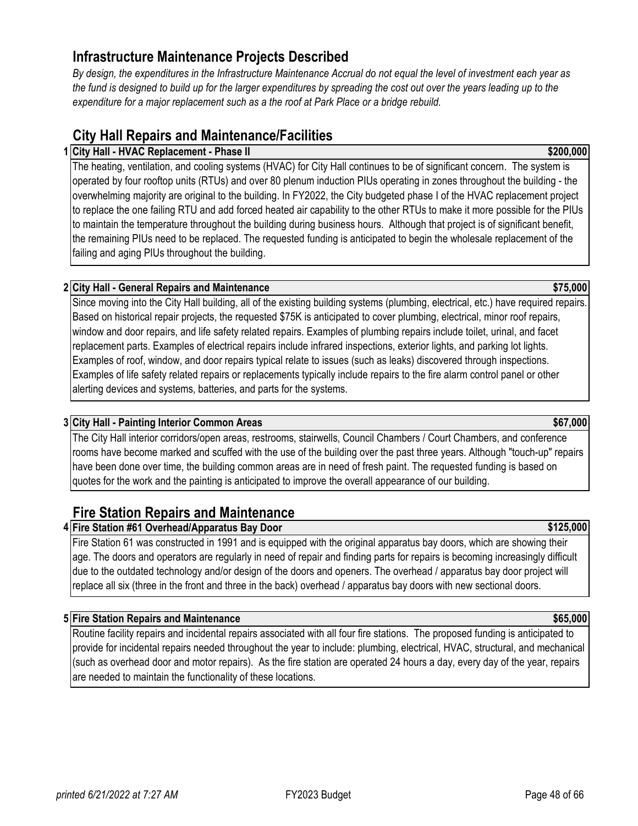# **Infrastructure Maintenance Projects Described**

*By design, the expenditures in the Infrastructure Maintenance Accrual do not equal the level of investment each year as the fund is designed to build up for the larger expenditures by spreading the cost out over the years leading up to the expenditure for a major replacement such as a the roof at Park Place or a bridge rebuild.* 

# **City Hall Repairs and Maintenance/Facilities**

# **1 \$200,000 City Hall - HVAC Replacement - Phase II**

The heating, ventilation, and cooling systems (HVAC) for City Hall continues to be of significant concern. The system is operated by four rooftop units (RTUs) and over 80 plenum induction PIUs operating in zones throughout the building - the overwhelming majority are original to the building. In FY2022, the City budgeted phase I of the HVAC replacement project to replace the one failing RTU and add forced heated air capability to the other RTUs to make it more possible for the PIUs to maintain the temperature throughout the building during business hours. Although that project is of significant benefit, the remaining PIUs need to be replaced. The requested funding is anticipated to begin the wholesale replacement of the failing and aging PIUs throughout the building.

# **2 \$75,000 City Hall - General Repairs and Maintenance**

Since moving into the City Hall building, all of the existing building systems (plumbing, electrical, etc.) have required repairs. Based on historical repair projects, the requested \$75K is anticipated to cover plumbing, electrical, minor roof repairs, window and door repairs, and life safety related repairs. Examples of plumbing repairs include toilet, urinal, and facet replacement parts. Examples of electrical repairs include infrared inspections, exterior lights, and parking lot lights. Examples of roof, window, and door repairs typical relate to issues (such as leaks) discovered through inspections. Examples of life safety related repairs or replacements typically include repairs to the fire alarm control panel or other alerting devices and systems, batteries, and parts for the systems.

## **3 \$67,000 City Hall - Painting Interior Common Areas**

The City Hall interior corridors/open areas, restrooms, stairwells, Council Chambers / Court Chambers, and conference rooms have become marked and scuffed with the use of the building over the past three years. Although "touch-up" repairs have been done over time, the building common areas are in need of fresh paint. The requested funding is based on quotes for the work and the painting is anticipated to improve the overall appearance of our building.

# **Fire Station Repairs and Maintenance**

**Fire Station #61 Overhead/Apparatus Bay Door <b>According to the Station 1999 \$125,000** 

Fire Station 61 was constructed in 1991 and is equipped with the original apparatus bay doors, which are showing their age. The doors and operators are regularly in need of repair and finding parts for repairs is becoming increasingly difficult due to the outdated technology and/or design of the doors and openers. The overhead / apparatus bay door project will replace all six (three in the front and three in the back) overhead / apparatus bay doors with new sectional doors.

# **5 Fire Station Repairs and Maintenance \$65,000**

Routine facility repairs and incidental repairs associated with all four fire stations. The proposed funding is anticipated to provide for incidental repairs needed throughout the year to include: plumbing, electrical, HVAC, structural, and mechanical (such as overhead door and motor repairs). As the fire station are operated 24 hours a day, every day of the year, repairs are needed to maintain the functionality of these locations.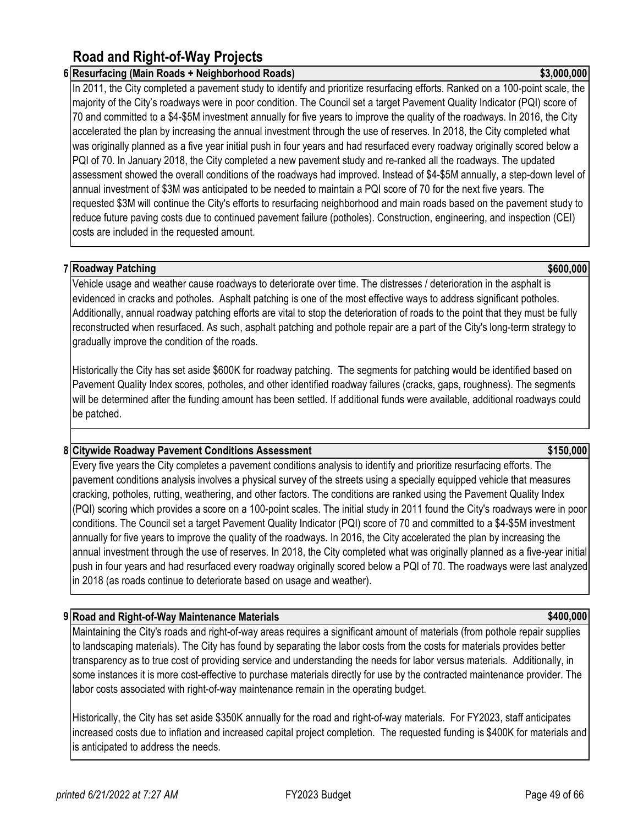# **Road and Right-of-Way Projects**

# **6 Resurfacing (Main Roads + Neighborhood Roads) \$3,000,000**

In 2011, the City completed a pavement study to identify and prioritize resurfacing efforts. Ranked on a 100-point scale, the majority of the City's roadways were in poor condition. The Council set a target Pavement Quality Indicator (PQI) score of 70 and committed to a \$4-\$5M investment annually for five years to improve the quality of the roadways. In 2016, the City accelerated the plan by increasing the annual investment through the use of reserves. In 2018, the City completed what was originally planned as a five year initial push in four years and had resurfaced every roadway originally scored below a PQI of 70. In January 2018, the City completed a new pavement study and re-ranked all the roadways. The updated assessment showed the overall conditions of the roadways had improved. Instead of \$4-\$5M annually, a step-down level of annual investment of \$3M was anticipated to be needed to maintain a PQI score of 70 for the next five years. The requested \$3M will continue the City's efforts to resurfacing neighborhood and main roads based on the pavement study to reduce future paving costs due to continued pavement failure (potholes). Construction, engineering, and inspection (CEI) costs are included in the requested amount.

# **7 \$600,000 Roadway Patching**

Vehicle usage and weather cause roadways to deteriorate over time. The distresses / deterioration in the asphalt is evidenced in cracks and potholes. Asphalt patching is one of the most effective ways to address significant potholes. Additionally, annual roadway patching efforts are vital to stop the deterioration of roads to the point that they must be fully reconstructed when resurfaced. As such, asphalt patching and pothole repair are a part of the City's long-term strategy to gradually improve the condition of the roads.

Historically the City has set aside \$600K for roadway patching. The segments for patching would be identified based on Pavement Quality Index scores, potholes, and other identified roadway failures (cracks, gaps, roughness). The segments will be determined after the funding amount has been settled. If additional funds were available, additional roadways could be patched.

# **8 Citywide Roadway Pavement Conditions Assessment \$150,000**

Every five years the City completes a pavement conditions analysis to identify and prioritize resurfacing efforts. The pavement conditions analysis involves a physical survey of the streets using a specially equipped vehicle that measures cracking, potholes, rutting, weathering, and other factors. The conditions are ranked using the Pavement Quality Index (PQI) scoring which provides a score on a 100-point scales. The initial study in 2011 found the City's roadways were in poor conditions. The Council set a target Pavement Quality Indicator (PQI) score of 70 and committed to a \$4-\$5M investment annually for five years to improve the quality of the roadways. In 2016, the City accelerated the plan by increasing the annual investment through the use of reserves. In 2018, the City completed what was originally planned as a five-year initial push in four years and had resurfaced every roadway originally scored below a PQI of 70. The roadways were last analyzed in 2018 (as roads continue to deteriorate based on usage and weather).

# **9 Road and Right-of-Way Maintenance Materials \$400,000**

Maintaining the City's roads and right-of-way areas requires a significant amount of materials (from pothole repair supplies to landscaping materials). The City has found by separating the labor costs from the costs for materials provides better transparency as to true cost of providing service and understanding the needs for labor versus materials. Additionally, in some instances it is more cost-effective to purchase materials directly for use by the contracted maintenance provider. The labor costs associated with right-of-way maintenance remain in the operating budget.

Historically, the City has set aside \$350K annually for the road and right-of-way materials. For FY2023, staff anticipates increased costs due to inflation and increased capital project completion. The requested funding is \$400K for materials and is anticipated to address the needs.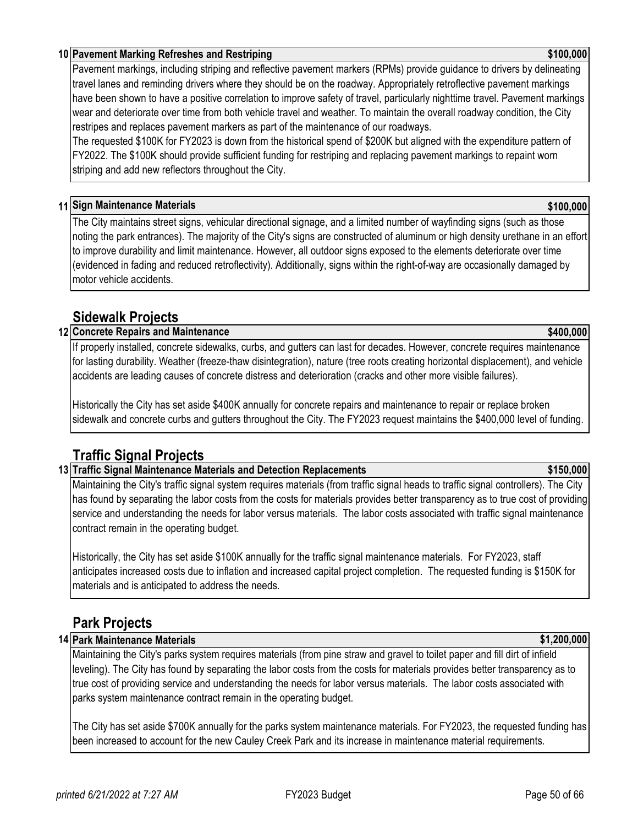# **10 \$100,000 Pavement Marking Refreshes and Restriping**

Pavement markings, including striping and reflective pavement markers (RPMs) provide guidance to drivers by delineating travel lanes and reminding drivers where they should be on the roadway. Appropriately retroflective pavement markings have been shown to have a positive correlation to improve safety of travel, particularly nighttime travel. Pavement markings wear and deteriorate over time from both vehicle travel and weather. To maintain the overall roadway condition, the City restripes and replaces pavement markers as part of the maintenance of our roadways.

The requested \$100K for FY2023 is down from the historical spend of \$200K but aligned with the expenditure pattern of FY2022. The \$100K should provide sufficient funding for restriping and replacing pavement markings to repaint worn striping and add new reflectors throughout the City.

# **11 \$100,000 Sign Maintenance Materials**

The City maintains street signs, vehicular directional signage, and a limited number of wayfinding signs (such as those noting the park entrances). The majority of the City's signs are constructed of aluminum or high density urethane in an effort to improve durability and limit maintenance. However, all outdoor signs exposed to the elements deteriorate over time (evidenced in fading and reduced retroflectivity). Additionally, signs within the right-of-way are occasionally damaged by motor vehicle accidents.

# **Sidewalk Projects**

# **12 \$400,000 Concrete Repairs and Maintenance**

If properly installed, concrete sidewalks, curbs, and gutters can last for decades. However, concrete requires maintenance for lasting durability. Weather (freeze-thaw disintegration), nature (tree roots creating horizontal displacement), and vehicle accidents are leading causes of concrete distress and deterioration (cracks and other more visible failures).

Historically the City has set aside \$400K annually for concrete repairs and maintenance to repair or replace broken sidewalk and concrete curbs and gutters throughout the City. The FY2023 request maintains the \$400,000 level of funding.

# **Traffic Signal Projects**

## **13 Traffic Signal Maintenance Materials and Detection Replacements \$150,000**

Maintaining the City's traffic signal system requires materials (from traffic signal heads to traffic signal controllers). The City has found by separating the labor costs from the costs for materials provides better transparency as to true cost of providing service and understanding the needs for labor versus materials. The labor costs associated with traffic signal maintenance contract remain in the operating budget.

Historically, the City has set aside \$100K annually for the traffic signal maintenance materials. For FY2023, staff anticipates increased costs due to inflation and increased capital project completion. The requested funding is \$150K for materials and is anticipated to address the needs.

# **Park Projects**

## **14 Park Maintenance Materials \$1,200,000**

Maintaining the City's parks system requires materials (from pine straw and gravel to toilet paper and fill dirt of infield leveling). The City has found by separating the labor costs from the costs for materials provides better transparency as to true cost of providing service and understanding the needs for labor versus materials. The labor costs associated with parks system maintenance contract remain in the operating budget.

The City has set aside \$700K annually for the parks system maintenance materials. For FY2023, the requested funding has been increased to account for the new Cauley Creek Park and its increase in maintenance material requirements.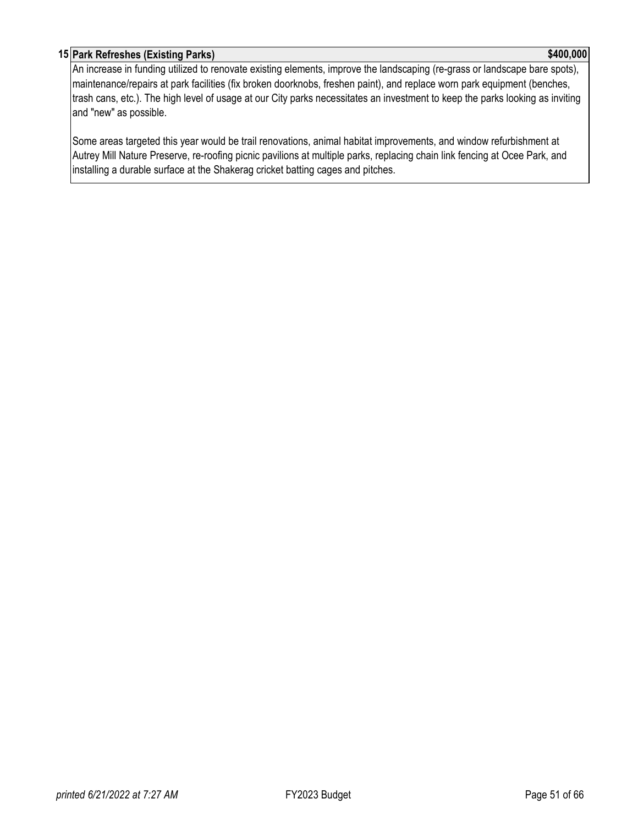# **15 Park Refreshes (Existing Parks) \$400,000**

An increase in funding utilized to renovate existing elements, improve the landscaping (re-grass or landscape bare spots), maintenance/repairs at park facilities (fix broken doorknobs, freshen paint), and replace worn park equipment (benches, trash cans, etc.). The high level of usage at our City parks necessitates an investment to keep the parks looking as inviting and "new" as possible.

Some areas targeted this year would be trail renovations, animal habitat improvements, and window refurbishment at Autrey Mill Nature Preserve, re-roofing picnic pavilions at multiple parks, replacing chain link fencing at Ocee Park, and installing a durable surface at the Shakerag cricket batting cages and pitches.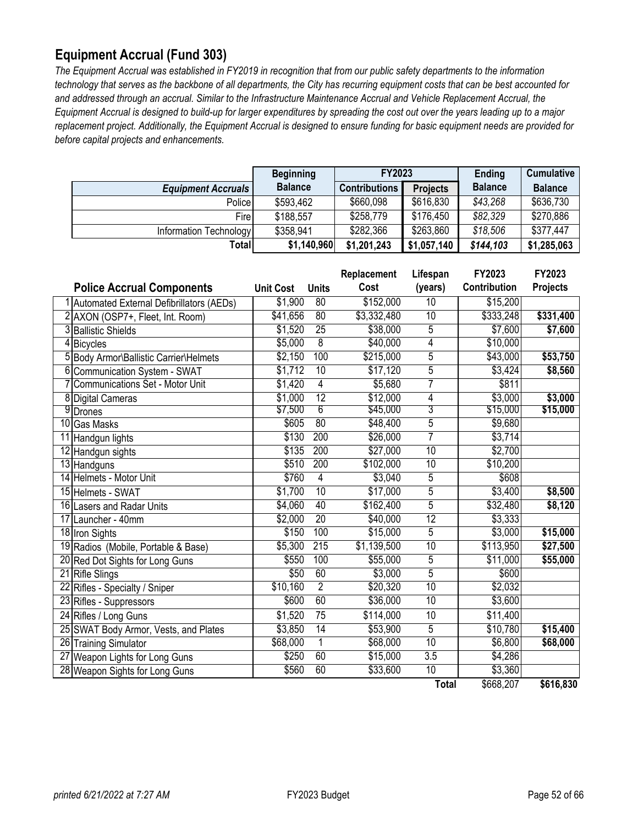# <span id="page-51-0"></span>**Equipment Accrual (Fund 303)**

*The Equipment Accrual was established in FY2019 in recognition that from our public safety departments to the information technology that serves as the backbone of all departments, the City has recurring equipment costs that can be best accounted for and addressed through an accrual. Similar to the Infrastructure Maintenance Accrual and Vehicle Replacement Accrual, the Equipment Accrual is designed to build-up for larger expenditures by spreading the cost out over the years leading up to a major replacement project. Additionally, the Equipment Accrual is designed to ensure funding for basic equipment needs are provided for before capital projects and enhancements.* 

|                           | FY2023<br><b>Beginning</b> |                      |                 | Ending         | <b>Cumulative</b> |
|---------------------------|----------------------------|----------------------|-----------------|----------------|-------------------|
| <b>Equipment Accruals</b> | <b>Balance</b>             | <b>Contributions</b> | <b>Projects</b> | <b>Balance</b> | <b>Balance</b>    |
| Police                    | \$593,462                  | \$660,098            | \$616,830       | \$43,268       | \$636,730         |
| Fire                      | \$188,557                  | \$258,779            | \$176,450       | \$82,329       | \$270,886         |
| Information Technology    | \$358,941                  | \$282,366            | \$263,860       | \$18,506       | \$377,447         |
| Totall                    | \$1,140,960                | \$1,201,243          | \$1,057,140     | \$144,103      | \$1,285,063       |

|   |                                            |                  |                 | Replacement | Lifespan        | FY2023       | FY2023          |
|---|--------------------------------------------|------------------|-----------------|-------------|-----------------|--------------|-----------------|
|   | <b>Police Accrual Components</b>           | <b>Unit Cost</b> | <b>Units</b>    | Cost        | (years)         | Contribution | <b>Projects</b> |
|   | 1 Automated External Defibrillators (AEDs) | \$1,900          | $\overline{80}$ | \$152,000   | $\overline{10}$ | \$15,200     |                 |
|   | 2 AXON (OSP7+, Fleet, Int. Room)           | \$41,656         | $\overline{80}$ | \$3,332,480 | $\overline{10}$ | \$333,248    | \$331,400       |
| 3 | <b>Ballistic Shields</b>                   | \$1,520          | 25              | \$38,000    | 5               | \$7,600      | \$7,600         |
| 4 | <b>Bicycles</b>                            | \$5,000          | $\overline{8}$  | \$40,000    | 4               | \$10,000     |                 |
|   | Body Armor\Ballistic Carrier\Helmets       | \$2,150          | 100             | \$215,000   | 5               | \$43,000     | \$53,750        |
| 6 | Communication System - SWAT                | \$1,712          | 10              | \$17,120    | 5               | \$3,424      | $\sqrt{$8,560}$ |
|   | Communications Set - Motor Unit            | \$1,420          | $\overline{4}$  | \$5,680     | 7               | \$811        |                 |
| 8 | <b>Digital Cameras</b>                     | \$1,000          | 12              | \$12,000    | 4               | \$3,000      | \$3,000         |
|   | 9Drones                                    | \$7,500          | $6\overline{6}$ | \$45,000    | 3               | \$15,000     | \$15,000        |
|   | 10 Gas Masks                               | \$605            | 80              | \$48,400    | $\overline{5}$  | \$9,680      |                 |
|   | 11 Handgun lights                          | \$130            | 200             | \$26,000    | 7               | \$3,714      |                 |
|   | 12 Handgun sights                          | \$135            | 200             | \$27,000    | 10              | \$2,700      |                 |
|   | 13 Handguns                                | \$510            | 200             | \$102,000   | 10              | \$10,200     |                 |
|   | 14 Helmets - Motor Unit                    | \$760            | $\overline{4}$  | \$3,040     | 5               | \$608        |                 |
|   | 15 Helmets - SWAT                          | \$1,700          | 10              | \$17,000    | $\overline{5}$  | \$3,400      | \$8,500         |
|   | 16 Lasers and Radar Units                  | \$4,060          | 40              | \$162,400   | $\overline{5}$  | \$32,480     | \$8,120         |
|   | 17 Launcher - 40mm                         | \$2,000          | 20              | \$40,000    | 12              | \$3,333      |                 |
|   | 18 Iron Sights                             | \$150            | 100             | \$15,000    | $\overline{5}$  | \$3,000      | \$15,000        |
|   | 19 Radios (Mobile, Portable & Base)        | \$5,300          | 215             | \$1,139,500 | 10              | \$113,950    | \$27,500        |
|   | 20 Red Dot Sights for Long Guns            | \$550            | 100             | \$55,000    | $\overline{5}$  | \$11,000     | \$55,000        |
|   | 21 Rifle Slings                            | \$50             | 60              | \$3,000     | $\overline{5}$  | \$600        |                 |
|   | 22 Rifles - Specialty / Sniper             | \$10,160         | $\overline{2}$  | \$20,320    | 10              | \$2,032      |                 |
|   | 23 Rifles - Suppressors                    | \$600            | 60              | \$36,000    | $\overline{10}$ | \$3,600      |                 |
|   | 24 Rifles / Long Guns                      | \$1,520          | 75              | \$114,000   | 10              | \$11,400     |                 |
|   | 25 SWAT Body Armor, Vests, and Plates      | \$3,850          | 14              | \$53,900    | $\overline{5}$  | \$10,780     | \$15,400        |
|   | 26 Training Simulator                      | \$68,000         | $\overline{1}$  | \$68,000    | 10              | \$6,800      | \$68,000        |
|   | 27 Weapon Lights for Long Guns             | \$250            | 60              | \$15,000    | 3.5             | \$4,286      |                 |
|   | 28 Weapon Sights for Long Guns             | \$560            | 60              | \$33,600    | 10              | \$3,360      |                 |
|   |                                            |                  |                 |             | <b>Total</b>    | \$668,207    | \$616,830       |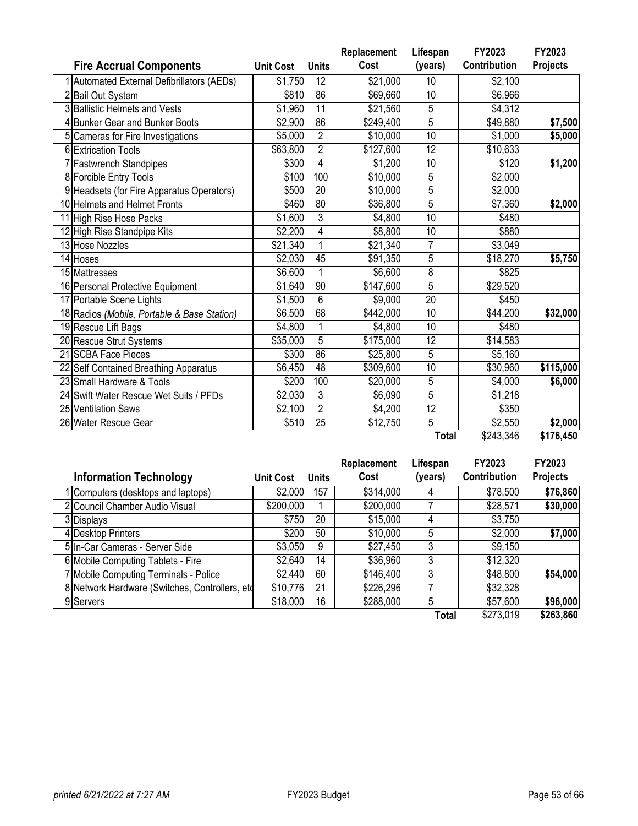|                                             |                  |                | Replacement | Lifespan        | FY2023        | FY2023          |
|---------------------------------------------|------------------|----------------|-------------|-----------------|---------------|-----------------|
| <b>Fire Accrual Components</b>              | <b>Unit Cost</b> | <b>Units</b>   | Cost        | (years)         | Contribution  | <b>Projects</b> |
| 1 Automated External Defibrillators (AEDs)  | \$1,750          | 12             | \$21,000    | 10              | \$2,100       |                 |
| 2 Bail Out System                           | \$810            | 86             | \$69,660    | 10              | \$6,966       |                 |
| 3 Ballistic Helmets and Vests               | \$1,960          | 11             | \$21,560    | 5               | \$4,312       |                 |
| 4 Bunker Gear and Bunker Boots              | \$2,900          | 86             | \$249,400   | 5               | \$49,880      | \$7,500         |
| Cameras for Fire Investigations             | \$5,000          | $\overline{2}$ | \$10,000    | 10              | \$1,000       | \$5,000         |
| 6 Extrication Tools                         | \$63,800         | $\overline{2}$ | \$127,600   | 12              | \$10,633      |                 |
| 7 Fastwrench Standpipes                     | \$300            | 4              | \$1,200     | 10              | \$120         | \$1,200         |
| 8 Forcible Entry Tools                      | \$100            | 100            | \$10,000    | 5               | \$2,000       |                 |
| 9 Headsets (for Fire Apparatus Operators)   | \$500            | 20             | \$10,000    | 5               | \$2,000       |                 |
| 10 Helmets and Helmet Fronts                | \$460            | 80             | \$36,800    | 5               | \$7,360       | \$2,000         |
| 11 High Rise Hose Packs                     | \$1,600          | 3              | \$4,800     | 10              | \$480         |                 |
| 12 High Rise Standpipe Kits                 | \$2,200          | 4              | \$8,800     | 10              | \$880         |                 |
| 13 Hose Nozzles                             | \$21,340         | 1              | \$21,340    | $\overline{7}$  | \$3,049       |                 |
| 14 Hoses                                    | \$2,030          | 45             | \$91,350    | 5               | \$18,270      | \$5,750         |
| 15 Mattresses                               | \$6,600          | 1              | \$6,600     | 8               | \$825         |                 |
| 16 Personal Protective Equipment            | \$1,640          | 90             | \$147,600   | 5               | \$29,520      |                 |
| 17 Portable Scene Lights                    | \$1,500          | 6              | \$9,000     | $\overline{20}$ | \$450         |                 |
| 18 Radios (Mobile, Portable & Base Station) | \$6,500          | 68             | \$442,000   | 10              | \$44,200      | \$32,000        |
| 19 Rescue Lift Bags                         | \$4,800          | 1              | \$4,800     | 10              | \$480         |                 |
| 20 Rescue Strut Systems                     | \$35,000         | 5              | \$175,000   | 12              | \$14,583      |                 |
| 21 SCBA Face Pieces                         | \$300            | 86             | \$25,800    | 5               | \$5,160       |                 |
| 22 Self Contained Breathing Apparatus       | \$6,450          | 48             | \$309,600   | 10              | \$30,960      | \$115,000       |
| 23 Small Hardware & Tools                   | \$200            | 100            | \$20,000    | 5               | \$4,000       | \$6,000         |
| 24 Swift Water Rescue Wet Suits / PFDs      | \$2,030          | 3              | \$6,090     | 5               | \$1,218       |                 |
| 25 Ventilation Saws                         | \$2,100          | $\overline{2}$ | \$4,200     | $\overline{12}$ | \$350         |                 |
| 26 Water Rescue Gear                        | \$510            | 25             | \$12,750    | $\overline{5}$  | \$2,550       | \$2,000         |
|                                             |                  |                |             | $T - 1 - 1$     | $\frac{1}{2}$ | $A7C$ AEO       |

### **Total** \$243,346 **\$176,450**

|                                                 |                  |              | Replacement | Lifespan | FY2023              | FY2023          |
|-------------------------------------------------|------------------|--------------|-------------|----------|---------------------|-----------------|
| <b>Information Technology</b>                   | <b>Unit Cost</b> | <b>Units</b> | Cost        | (years)  | <b>Contribution</b> | <b>Projects</b> |
| 1 Computers (desktops and laptops)              | \$2,000          | 157          | \$314,000   | 4        | \$78,500            | \$76,860        |
| 2 Council Chamber Audio Visual                  | \$200,000        |              | \$200,000   |          | \$28,571            | \$30,000        |
| 3 Displays                                      | \$750            | 20           | \$15,000    | 4        | \$3,750             |                 |
| 4 Desktop Printers                              | \$200            | 50           | \$10,000    | 5        | \$2,000             | \$7,000         |
| 5 In-Car Cameras - Server Side                  | \$3,050          | 9            | \$27,450    | 3        | \$9,150             |                 |
| 6 Mobile Computing Tablets - Fire               | \$2,640          | 14           | \$36,960    | 3        | \$12,320            |                 |
| 7 Mobile Computing Terminals - Police           | \$2,440          | 60           | \$146,400   | 3        | \$48,800            | \$54,000        |
| 8 Network Hardware (Switches, Controllers, etc. | \$10,776         | 21           | \$226,296   |          | \$32,328            |                 |
| 9 Servers                                       | \$18,000         | 16           | \$288,000   | 5        | \$57,600            | \$96,000        |
|                                                 |                  |              |             | Total    | \$273,019           | \$263,860       |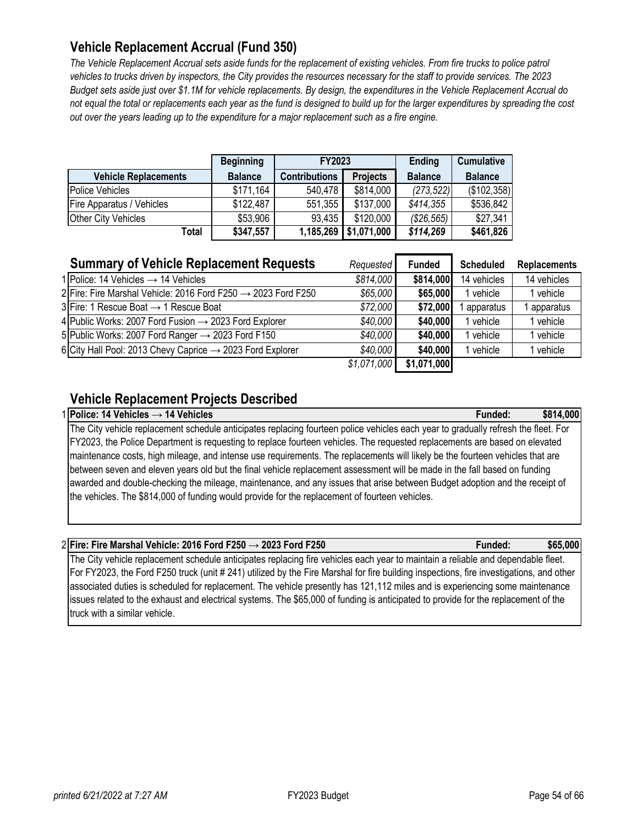# <span id="page-53-0"></span>**Vehicle Replacement Accrual (Fund 350)**

*The Vehicle Replacement Accrual sets aside funds for the replacement of existing vehicles. From fire trucks to police patrol vehicles to trucks driven by inspectors, the City provides the resources necessary for the staff to provide services. The 2023 Budget sets aside just over \$1.1M for vehicle replacements. By design, the expenditures in the Vehicle Replacement Accrual do not equal the total or replacements each year as the fund is designed to build up for the larger expenditures by spreading the cost out over the years leading up to the expenditure for a major replacement such as a fire engine.* 

|                                  | <b>Beginning</b> | <b>FY2023</b>        |                 |                   |                | <b>Ending</b> | <b>Cumulative</b> |
|----------------------------------|------------------|----------------------|-----------------|-------------------|----------------|---------------|-------------------|
| <b>Vehicle Replacements</b>      | <b>Balance</b>   | <b>Contributions</b> | <b>Projects</b> | <b>Balance</b>    | <b>Balance</b> |               |                   |
| <b>Police Vehicles</b>           | \$171.164        | 540,478              | \$814,000       | (273, 522)        | (\$102,358)    |               |                   |
| <b>Fire Apparatus / Vehicles</b> | \$122,487        | 551,355              | \$137,000       | \$414,355         | \$536,842      |               |                   |
| <b>Other City Vehicles</b>       | \$53,906         | 93,435               | \$120,000       | $($ \$26,565) $ $ | \$27,341       |               |                   |
| Total                            | \$347,557        | 1,185,269            | \$1,071,000     | \$114,269         | \$461,826      |               |                   |

| <b>Summary of Vehicle Replacement Requests</b>                            | Requested   | <b>Funded</b> | <b>Scheduled</b> | <b>Replacements</b> |
|---------------------------------------------------------------------------|-------------|---------------|------------------|---------------------|
| 1 Police: 14 Vehicles $\rightarrow$ 14 Vehicles                           | \$814,000   | \$814,000     | 14 vehicles      | 14 vehicles         |
| 2 Fire: Fire Marshal Vehicle: 2016 Ford F250 $\rightarrow$ 2023 Ford F250 | \$65,000    | \$65,000      | l vehicle        | 1 vehicle           |
| $3$ Fire: 1 Rescue Boat $\rightarrow$ 1 Rescue Boat                       | \$72,000    | \$72,000      | apparatus        | apparatus           |
| 4 Public Works: 2007 Ford Fusion $\rightarrow$ 2023 Ford Explorer         | \$40,000    | \$40,000      | l vehicle        | 1 vehicle           |
| 5 Public Works: 2007 Ford Ranger $\rightarrow$ 2023 Ford F150             | \$40,000    | \$40,000      | l vehicle        | I vehicle           |
| 6 City Hall Pool: 2013 Chevy Caprice $\rightarrow$ 2023 Ford Explorer     | \$40,000    | \$40,000      | vehicle          | vehicle             |
|                                                                           | \$1,071,000 | \$1,071,000   |                  |                     |

# **Vehicle Replacement Projects Described**

1 **Police: 14 Vehicles → 14 Vehicles Funded: \$814,000** The City vehicle replacement schedule anticipates replacing fourteen police vehicles each year to gradually refresh the fleet. For FY2023, the Police Department is requesting to replace fourteen vehicles. The requested replacements are based on elevated maintenance costs, high mileage, and intense use requirements. The replacements will likely be the fourteen vehicles that are between seven and eleven years old but the final vehicle replacement assessment will be made in the fall based on funding awarded and double-checking the mileage, maintenance, and any issues that arise between Budget adoption and the receipt of the vehicles. The \$814,000 of funding would provide for the replacement of fourteen vehicles.

## 2 **Fire: Fire Marshal Vehicle: 2016 Ford F250 → 2023 Ford F250 Funded: \$65,000**

The City vehicle replacement schedule anticipates replacing fire vehicles each year to maintain a reliable and dependable fleet. For FY2023, the Ford F250 truck (unit # 241) utilized by the Fire Marshal for fire building inspections, fire investigations, and other associated duties is scheduled for replacement. The vehicle presently has 121,112 miles and is experiencing some maintenance issues related to the exhaust and electrical systems. The \$65,000 of funding is anticipated to provide for the replacement of the truck with a similar vehicle.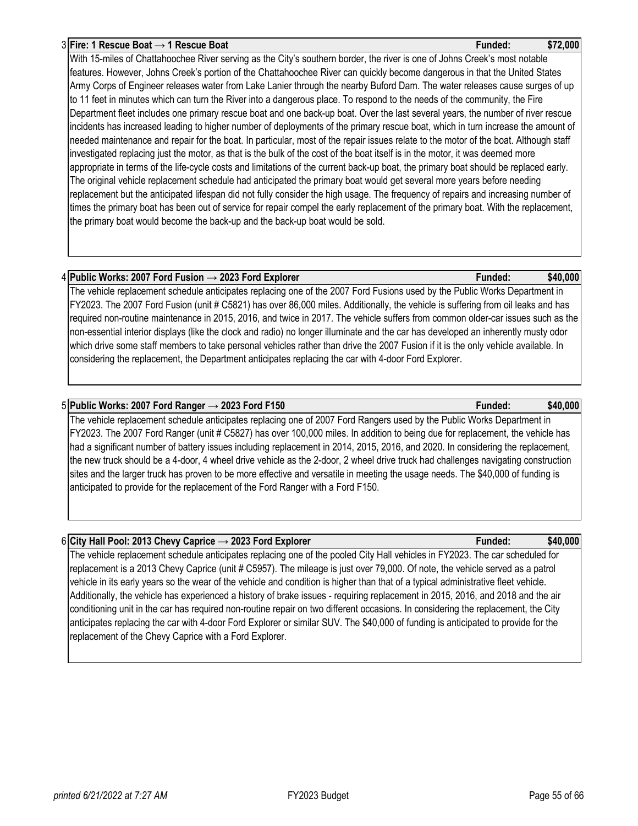# 3 **Fire: 1 Rescue Boat → 1 Rescue Boat Funded: \$72,000**

With 15-miles of Chattahoochee River serving as the City's southern border, the river is one of Johns Creek's most notable features. However, Johns Creek's portion of the Chattahoochee River can quickly become dangerous in that the United States Army Corps of Engineer releases water from Lake Lanier through the nearby Buford Dam. The water releases cause surges of up to 11 feet in minutes which can turn the River into a dangerous place. To respond to the needs of the community, the Fire Department fleet includes one primary rescue boat and one back-up boat. Over the last several years, the number of river rescue incidents has increased leading to higher number of deployments of the primary rescue boat, which in turn increase the amount of needed maintenance and repair for the boat. In particular, most of the repair issues relate to the motor of the boat. Although staff investigated replacing just the motor, as that is the bulk of the cost of the boat itself is in the motor, it was deemed more appropriate in terms of the life-cycle costs and limitations of the current back-up boat, the primary boat should be replaced early. The original vehicle replacement schedule had anticipated the primary boat would get several more years before needing replacement but the anticipated lifespan did not fully consider the high usage. The frequency of repairs and increasing number of times the primary boat has been out of service for repair compel the early replacement of the primary boat. With the replacement, the primary boat would become the back-up and the back-up boat would be sold.

## 4 **Public Works: 2007 Ford Fusion → 2023 Ford Explorer Funded: \$40,000**

The vehicle replacement schedule anticipates replacing one of the 2007 Ford Fusions used by the Public Works Department in FY2023. The 2007 Ford Fusion (unit # C5821) has over 86,000 miles. Additionally, the vehicle is suffering from oil leaks and has required non-routine maintenance in 2015, 2016, and twice in 2017. The vehicle suffers from common older-car issues such as the non-essential interior displays (like the clock and radio) no longer illuminate and the car has developed an inherently musty odor which drive some staff members to take personal vehicles rather than drive the 2007 Fusion if it is the only vehicle available. In considering the replacement, the Department anticipates replacing the car with 4-door Ford Explorer.

## 5 **Public Works: 2007 Ford Ranger → 2023 Ford F150 Funded: \$40,000**

The vehicle replacement schedule anticipates replacing one of 2007 Ford Rangers used by the Public Works Department in FY2023. The 2007 Ford Ranger (unit # C5827) has over 100,000 miles. In addition to being due for replacement, the vehicle has had a significant number of battery issues including replacement in 2014, 2015, 2016, and 2020. In considering the replacement, the new truck should be a 4-door, 4 wheel drive vehicle as the 2-door, 2 wheel drive truck had challenges navigating construction sites and the larger truck has proven to be more effective and versatile in meeting the usage needs. The \$40,000 of funding is anticipated to provide for the replacement of the Ford Ranger with a Ford F150.

## 6 **City Hall Pool: 2013 Chevy Caprice → 2023 Ford Explorer Funded: \$40,000**

The vehicle replacement schedule anticipates replacing one of the pooled City Hall vehicles in FY2023. The car scheduled for replacement is a 2013 Chevy Caprice (unit # C5957). The mileage is just over 79,000. Of note, the vehicle served as a patrol vehicle in its early years so the wear of the vehicle and condition is higher than that of a typical administrative fleet vehicle. Additionally, the vehicle has experienced a history of brake issues - requiring replacement in 2015, 2016, and 2018 and the air conditioning unit in the car has required non-routine repair on two different occasions. In considering the replacement, the City anticipates replacing the car with 4-door Ford Explorer or similar SUV. The \$40,000 of funding is anticipated to provide for the replacement of the Chevy Caprice with a Ford Explorer.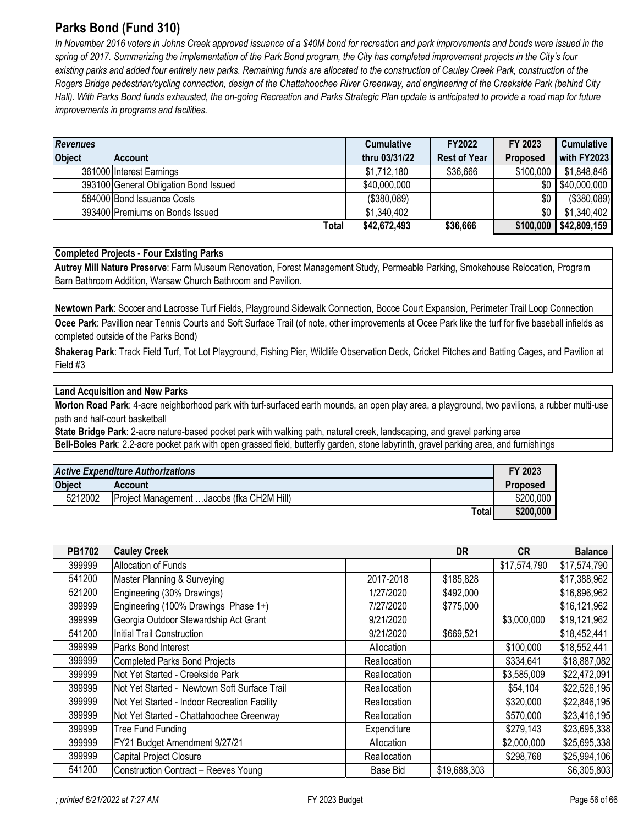# <span id="page-55-0"></span>**Parks Bond (Fund 310)**

*In November 2016 voters in Johns Creek approved issuance of a \$40M bond for recreation and park improvements and bonds were issued in the*  spring of 2017. Summarizing the implementation of the Park Bond program, the City has completed improvement projects in the City's four existing parks and added four entirely new parks. Remaining funds are allocated to the construction of Cauley Creek Park, construction of the *Rogers Bridge pedestrian/cycling connection, design of the Chattahoochee River Greenway, and engineering of the Creekside Park (behind City*  Hall). With Parks Bond funds exhausted, the on-going Recreation and Parks Strategic Plan update is anticipated to provide a road map for future *improvements in programs and facilities.* 

| <b>Revenues</b> |                                       | <b>Cumulative</b> | FY2022              | FY 2023         | <b>Cumulative</b> |
|-----------------|---------------------------------------|-------------------|---------------------|-----------------|-------------------|
| <b>Object</b>   | <b>Account</b>                        | thru 03/31/22     | <b>Rest of Year</b> | <b>Proposed</b> | with FY2023       |
|                 | 361000 Interest Earnings              | \$1,712,180       | \$36,666            | \$100,000       | \$1,848,846       |
|                 | 393100 General Obligation Bond Issued | \$40,000,000      |                     | \$0 I           | \$40,000,000      |
|                 | 584000 Bond Issuance Costs            | (\$380,089)       |                     | \$0             | (\$380,089)       |
|                 | 393400 Premiums on Bonds Issued       | \$1,340,402       |                     | \$0             | \$1,340,402       |
|                 | Total                                 | \$42,672,493      | \$36,666            | \$100,000       | \$42,809,159      |

## **Completed Projects - Four Existing Parks**

**Autrey Mill Nature Preserve**: Farm Museum Renovation, Forest Management Study, Permeable Parking, Smokehouse Relocation, Program Barn Bathroom Addition, Warsaw Church Bathroom and Pavilion.

**Newtown Park**: Soccer and Lacrosse Turf Fields, Playground Sidewalk Connection, Bocce Court Expansion, Perimeter Trail Loop Connection

**Ocee Park**: Pavillion near Tennis Courts and Soft Surface Trail (of note, other improvements at Ocee Park like the turf for five baseball infields as completed outside of the Parks Bond)

**Shakerag Park**: Track Field Turf, Tot Lot Playground, Fishing Pier, Wildlife Observation Deck, Cricket Pitches and Batting Cages, and Pavilion at Field #3

## **Land Acquisition and New Parks**

**Morton Road Park**: 4-acre neighborhood park with turf-surfaced earth mounds, an open play area, a playground, two pavilions, a rubber multi-use path and half-court basketball

**State Bridge Park**: 2-acre nature-based pocket park with walking path, natural creek, landscaping, and gravel parking area **Bell-Boles Park**: 2.2-acre pocket park with open grassed field, butterfly garden, stone labyrinth, gravel parking area, and furnishings

| <b>Active Expenditure Authorizations</b> |                                            |       |                 |  |
|------------------------------------------|--------------------------------------------|-------|-----------------|--|
| <b>Object</b>                            | <b>Account</b>                             |       | <b>Proposed</b> |  |
| 5212002                                  | Project Management  Jacobs (fka CH2M Hill) |       | \$200,000       |  |
|                                          |                                            | Total | \$200,000       |  |

| PB1702 | <b>Cauley Creek</b>                          |              | <b>DR</b>    | <b>CR</b>    | <b>Balance</b> |
|--------|----------------------------------------------|--------------|--------------|--------------|----------------|
| 399999 | <b>Allocation of Funds</b>                   |              |              | \$17,574,790 | \$17,574,790   |
| 541200 | Master Planning & Surveying                  | 2017-2018    | \$185,828    |              | \$17,388,962   |
| 521200 | Engineering (30% Drawings)                   | 1/27/2020    | \$492,000    |              | \$16,896,962   |
| 399999 | Engineering (100% Drawings Phase 1+)         | 7/27/2020    | \$775,000    |              | \$16,121,962   |
| 399999 | Georgia Outdoor Stewardship Act Grant        | 9/21/2020    |              | \$3,000,000  | \$19,121,962   |
| 541200 | Initial Trail Construction                   | 9/21/2020    | \$669,521    |              | \$18,452,441   |
| 399999 | Parks Bond Interest                          | Allocation   |              | \$100,000    | \$18,552,441   |
| 399999 | <b>Completed Parks Bond Projects</b>         | Reallocation |              | \$334,641    | \$18,887,082   |
| 399999 | Not Yet Started - Creekside Park             | Reallocation |              | \$3,585,009  | \$22,472,091   |
| 399999 | Not Yet Started - Newtown Soft Surface Trail | Reallocation |              | \$54,104     | \$22,526,195   |
| 399999 | Not Yet Started - Indoor Recreation Facility | Reallocation |              | \$320,000    | \$22,846,195   |
| 399999 | Not Yet Started - Chattahoochee Greenway     | Reallocation |              | \$570,000    | \$23,416,195   |
| 399999 | <b>Tree Fund Funding</b>                     | Expenditure  |              | \$279,143    | \$23,695,338   |
| 399999 | FY21 Budget Amendment 9/27/21                | Allocation   |              | \$2,000,000  | \$25,695,338   |
| 399999 | Capital Project Closure                      | Reallocation |              | \$298,768    | \$25,994,106   |
| 541200 | <b>Construction Contract - Reeves Young</b>  | Base Bid     | \$19,688,303 |              | \$6,305,803    |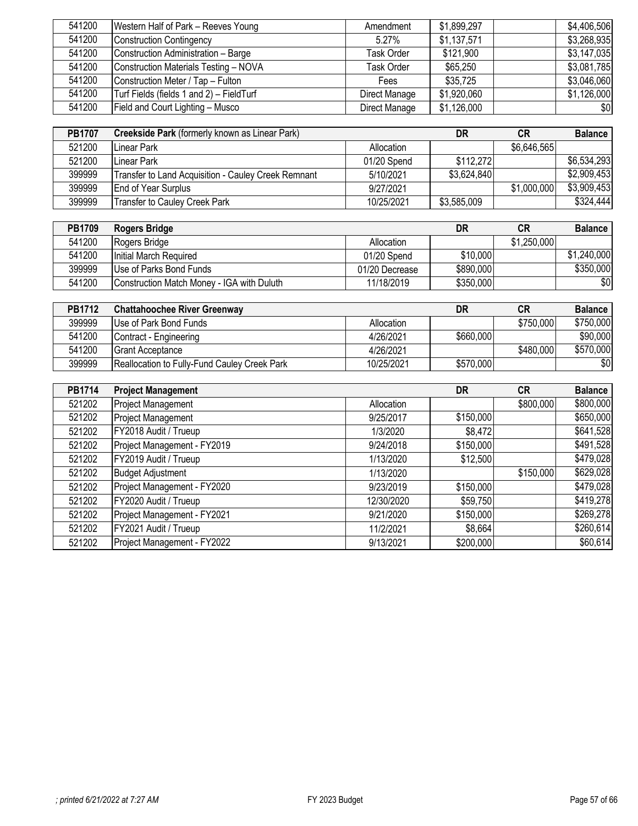| 541200 | Western Half of Park - Reeves Young      | Amendment     | \$1,899,297 | \$4,406,506 |
|--------|------------------------------------------|---------------|-------------|-------------|
| 541200 | <b>Construction Contingency</b>          | $5.27\%$      | \$1,137,571 | \$3,268,935 |
| 541200 | Construction Administration - Barge      | Task Order    | \$121,900   | \$3,147,035 |
| 541200 | Construction Materials Testing - NOVA    | Task Order    | \$65,250    | \$3,081,785 |
| 541200 | Construction Meter / Tap - Fulton        | Fees          | \$35,725    | \$3,046,060 |
| 541200 | Turf Fields (fields 1 and 2) - FieldTurf | Direct Manage | \$1,920,060 | \$1,126,000 |
| 541200 | Field and Court Lighting - Musco         | Direct Manage | \$1,126,000 | \$0         |

| <b>PB1707</b> | Creekside Park (formerly known as Linear Park)      |             | DR          | CR          | <b>Balance</b> |
|---------------|-----------------------------------------------------|-------------|-------------|-------------|----------------|
| 521200        | Linear Park                                         | Allocation  |             | \$6,646,565 |                |
| 521200        | Linear Park                                         | 01/20 Spend | \$112,272   |             | \$6,534,293    |
| 399999        | Transfer to Land Acquisition - Cauley Creek Remnant | 5/10/2021   | \$3,624,840 |             | \$2,909,453    |
| 399999        | <b>End of Year Surplus</b>                          | 9/27/2021   |             | \$1,000,000 | \$3,909,453    |
| 399999        | Transfer to Cauley Creek Park                       | 10/25/2021  | \$3,585,009 |             | \$324,444      |

| <b>PB1709</b> | Rogers Bridge                              |                | DR        | <b>CR</b>   | <b>Balance</b> |
|---------------|--------------------------------------------|----------------|-----------|-------------|----------------|
| 541200        | Rogers Bridge                              | Allocation     |           | \$1,250,000 |                |
| 541200        | Initial March Required                     | 01/20 Spend    | \$10,000  |             | \$1,240,000    |
| 399999        | Use of Parks Bond Funds                    | 01/20 Decrease | \$890,000 |             | \$350,000      |
| 541200        | Construction Match Money - IGA with Duluth | 11/18/2019     | \$350,000 |             | \$0            |

| <b>PB1712</b> | <b>Chattahoochee River Greenway</b>                  |            | DR        | <b>CR</b> | <b>Balance</b> |
|---------------|------------------------------------------------------|------------|-----------|-----------|----------------|
| 399999        | Use of Park Bond Funds                               | Allocation |           | \$750,000 | \$750,000      |
| 541200        | Contract - Engineering                               | 4/26/2021  | \$660,000 |           | \$90,000       |
| 541200        | <b>IGrant Acceptance</b>                             | 4/26/2021  |           | \$480,000 | \$570,000      |
| 399999        | <b>IReallocation to Fully-Fund Cauley Creek Park</b> | 10/25/2021 | \$570,000 |           | \$0            |

| PB1714 | <b>Project Management</b>   |            | DR        | <b>CR</b> | <b>Balance</b> |
|--------|-----------------------------|------------|-----------|-----------|----------------|
| 521202 | <b>Project Management</b>   | Allocation |           | \$800,000 | \$800,000      |
| 521202 | <b>Project Management</b>   | 9/25/2017  | \$150,000 |           | \$650,000      |
| 521202 | FY2018 Audit / Trueup       | 1/3/2020   | \$8,472   |           | \$641,528      |
| 521202 | Project Management - FY2019 | 9/24/2018  | \$150,000 |           | \$491,528      |
| 521202 | FY2019 Audit / Trueup       | 1/13/2020  | \$12,500  |           | \$479,028      |
| 521202 | <b>Budget Adjustment</b>    | 1/13/2020  |           | \$150,000 | \$629,028      |
| 521202 | Project Management - FY2020 | 9/23/2019  | \$150,000 |           | \$479,028      |
| 521202 | FY2020 Audit / Trueup       | 12/30/2020 | \$59,750  |           | \$419,278      |
| 521202 | Project Management - FY2021 | 9/21/2020  | \$150,000 |           | \$269,278      |
| 521202 | FY2021 Audit / Trueup       | 11/2/2021  | \$8,664   |           | \$260,614      |
| 521202 | Project Management - FY2022 | 9/13/2021  | \$200,000 |           | \$60,614       |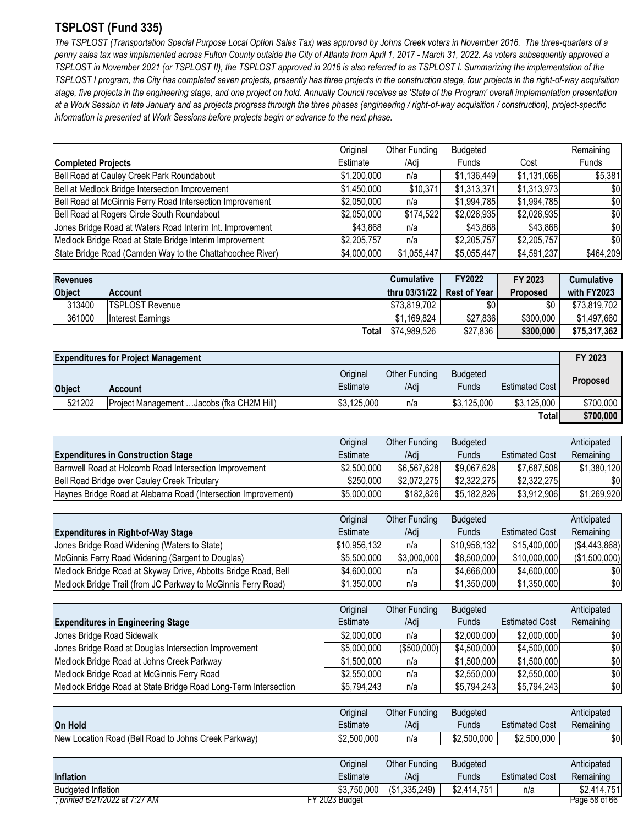# <span id="page-57-0"></span>**TSPLOST (Fund 335)**

*The TSPLOST (Transportation Special Purpose Local Option Sales Tax) was approved by Johns Creek voters in November 2016. The three-quarters of a penny sales tax was implemented across Fulton County outside the City of Atlanta from April 1, 2017 - March 31, 2022. As voters subsequently approved a TSPLOST in November 2021 (or TSPLOST II), the TSPLOST approved in 2016 is also referred to as TSPLOST I. Summarizing the implementation of the TSPLOST I program, the City has completed seven projects, presently has three projects in the construction stage, four projects in the right-of-way acquisition*  stage, five projects in the engineering stage, and one project on hold. Annually Council receives as 'State of the Program' overall implementation presentation *at a Work Session in late January and as projects progress through the three phases (engineering / right-of-way acquisition / construction), project-specific information is presented at Work Sessions before projects begin or advance to the next phase.*

|                                                           | Original    | Other Funding | Budgeted     |             | Remaining |
|-----------------------------------------------------------|-------------|---------------|--------------|-------------|-----------|
| <b>Completed Projects</b>                                 | Estimate    | /Adi          | <b>Funds</b> | Cost        | Funds     |
| Bell Road at Cauley Creek Park Roundabout                 | \$1,200,000 | n/a           | \$1,136,449  | \$1,131,068 | \$5,381   |
| Bell at Medlock Bridge Intersection Improvement           | \$1,450,000 | \$10,371      | \$1,313,371  | \$1,313,973 | \$0       |
| Bell Road at McGinnis Ferry Road Intersection Improvement | \$2,050,000 | n/a           | \$1,994,785  | \$1,994,785 | \$0       |
| Bell Road at Rogers Circle South Roundabout               | \$2,050,000 | \$174,522     | \$2,026,935  | \$2,026,935 | \$0       |
| Jones Bridge Road at Waters Road Interim Int. Improvement | \$43,868    | n/a           | \$43,868     | \$43,868    | \$0       |
| Medlock Bridge Road at State Bridge Interim Improvement   | \$2,205,757 | n/a           | \$2,205,757  | \$2,205,757 | \$0       |
| State Bridge Road (Camden Way to the Chattahoochee River) | \$4,000,000 | \$1,055,447   | \$5,055,447  | \$4,591,237 | \$464,209 |

| <b>Revenues</b> |                        | <b>Cumulative</b> | FY2022              | FY 2023         | <b>Cumulative</b> |
|-----------------|------------------------|-------------------|---------------------|-----------------|-------------------|
| Object          | Account                | thru 03/31/22     | <b>Rest of Year</b> | <b>Proposed</b> | with FY2023       |
| 313400          | <b>TSPLOST Revenue</b> | \$73,819,702      | \$0                 | \$0             | \$73,819,702      |
| 361000          | Interest Earnings      | \$1.169.824       | \$27,836            | \$300,000       | \$1,497,660       |
|                 | Total                  | \$74,989,526      | \$27,836            | \$300,000       | \$75,317,362      |

|               | <b>Expenditures for Project Management</b> |                      |                              |                          |                       | FY 2023         |
|---------------|--------------------------------------------|----------------------|------------------------------|--------------------------|-----------------------|-----------------|
| <b>Object</b> | Account                                    | Original<br>Estimate | <b>Other Funding</b><br>/Adi | <b>Budgeted</b><br>Funds | <b>Estimated Cost</b> | <b>Proposed</b> |
| 521202        | Project Management  Jacobs (fka CH2M Hill) | \$3.125,000          | n/a                          | \$3.125,000              | \$3.125,000           | \$700,000       |
|               |                                            |                      |                              |                          | Totall                | \$700,000       |

|                                                               | Original    | Other Funding | <b>Budgeted</b> |                       | Anticipated |
|---------------------------------------------------------------|-------------|---------------|-----------------|-----------------------|-------------|
| <b>Expenditures in Construction Stage</b>                     | Estimate    | /Adi          | <b>Funds</b>    | <b>Estimated Cost</b> | Remaining   |
| Barnwell Road at Holcomb Road Intersection Improvement        | \$2,500,000 | \$6,567,628   | \$9.067.628     | \$7.687.508           | \$1.380.120 |
| Bell Road Bridge over Cauley Creek Tributary                  | \$250,000   | \$2,072,275   | \$2,322,275     | \$2,322,275           | \$0         |
| Haynes Bridge Road at Alabama Road (Intersection Improvement) | \$5,000,000 | \$182,826     | \$5.182.826     | \$3,912,906           | \$1,269,920 |

|                                                                | Original     | Other Funding | Budgeted     |                       | Anticipated    |
|----------------------------------------------------------------|--------------|---------------|--------------|-----------------------|----------------|
| <b>Expenditures in Right-of-Way Stage</b>                      | Estimate     | /Adi          | Funds        | <b>Estimated Cost</b> | Remaining      |
| Jones Bridge Road Widening (Waters to State)                   | \$10,956,132 | n/a           | \$10,956,132 | \$15,400,000          | ( \$4,443,868) |
| McGinnis Ferry Road Widening (Sargent to Douglas)              | \$5,500,000  | \$3,000,000   | \$8,500,000  | \$10,000,000          | (\$1,500,000)  |
| Medlock Bridge Road at Skyway Drive, Abbotts Bridge Road, Bell | \$4,600,000  | n/a           | \$4,666,000  | \$4,600,000           | \$0            |
| Medlock Bridge Trail (from JC Parkway to McGinnis Ferry Road)  | \$1,350,000  | n/a           | \$1,350,000  | \$1,350,000           | \$0            |

|                                                                 | Original    | Other Funding | <b>Budgeted</b> |                       | Anticipated |
|-----------------------------------------------------------------|-------------|---------------|-----------------|-----------------------|-------------|
| <b>Expenditures in Engineering Stage</b>                        | Estimate    | /Adi          | <b>Funds</b>    | <b>Estimated Cost</b> | Remaining   |
| Jones Bridge Road Sidewalk                                      | \$2,000,000 | n/a           | \$2,000,000     | \$2,000,000           | \$0         |
| Jones Bridge Road at Douglas Intersection Improvement           | \$5,000,000 | (\$500,000)   | \$4,500,000     | \$4,500,000           | \$0         |
| Medlock Bridge Road at Johns Creek Parkway                      | \$1,500,000 | n/a           | \$1,500,000     | \$1,500,000           | \$0         |
| Medlock Bridge Road at McGinnis Ferry Road                      | \$2,550,000 | n/a           | \$2,550,000     | \$2,550,000           | \$0         |
| Medlock Bridge Road at State Bridge Road Long-Term Intersection | \$5,794,243 | n/a           | \$5,794,243     | \$5,794,243           | \$0         |

|                                                      | Original    | Other Funding | <b>Budgeted</b> |                       | Anticipated |
|------------------------------------------------------|-------------|---------------|-----------------|-----------------------|-------------|
| <b>On Hold</b>                                       | Estimate    | /Adi          | Fundsi          | <b>Estimated Cost</b> | Remaining   |
| New Location Road (Bell Road to Johns Creek Parkway) | \$2,500,000 | n/a           | \$2,500,000     | \$2,500,000           | \$0         |

|                                | Original       | <b>Other Funding</b>       | Budgeted    |                       | Anticipated   |
|--------------------------------|----------------|----------------------------|-------------|-----------------------|---------------|
| <b>Inflation</b>               | Estimate       | /Adi                       | Funds       | <b>Estimated Cost</b> | Remaining     |
| <b>Budgeted Inflation</b>      |                | $$3,750,000$ (\$1,335,249) | \$2,414,751 | n/a                   | \$2.414.751   |
| ; printed 6/21/2022 at 7:27 AM | FY 2023 Budaet |                            |             |                       | Page 58 of 66 |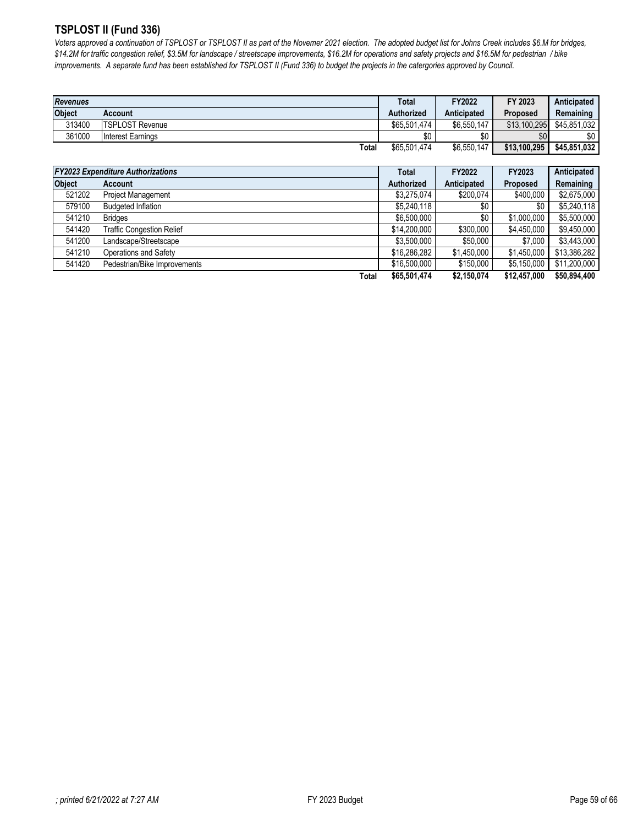## <span id="page-58-0"></span>**TSPLOST II (Fund 336)**

*Voters approved a continuation of TSPLOST or TSPLOST II as part of the Novemer 2021 election. The adopted budget list for Johns Creek includes \$6.M for bridges, \$14.2M for traffic congestion relief, \$3.5M for landscape / streetscape improvements, \$16.2M for operations and safety projects and \$16.5M for pedestrian / bike improvements. A separate fund has been established for TSPLOST II (Fund 336) to budget the projects in the catergories approved by Council.*

| <b>Revenues</b> |                        | <b>Total</b> | FY2022             | FY 2023      | Anticipated  |
|-----------------|------------------------|--------------|--------------------|--------------|--------------|
| <b>Object</b>   | Account                | Authorized   | <b>Anticipated</b> | Proposed     | Remaining    |
| 313400          | <b>TSPLOST Revenue</b> | \$65,501,474 | \$6.550.147        | \$13,100.295 | \$45.851.032 |
| 361000          | Interest Earnings      | \$0          | \$0                | \$0          | \$0          |
|                 | Total                  | \$65,501,474 | \$6,550,147        | \$13,100,295 | \$45,851,032 |

|               | <b>FY2023 Expenditure Authorizations</b> |              | FY2022      | <b>FY2023</b>   | Anticipated  |
|---------------|------------------------------------------|--------------|-------------|-----------------|--------------|
| <b>Object</b> | Account                                  | Authorized   | Anticipated | <b>Proposed</b> | Remaining    |
| 521202        | <b>Project Management</b>                | \$3,275,074  | \$200,074   | \$400,000       | \$2,675,000  |
| 579100        | <b>Budgeted Inflation</b>                | \$5,240,118  | \$0         | \$0             | \$5,240,118  |
| 541210        | <b>Bridges</b>                           | \$6,500,000  | \$0         | \$1,000,000     | \$5,500,000  |
| 541420        | <b>Traffic Congestion Relief</b>         | \$14,200,000 | \$300,000   | \$4.450.000     | \$9,450,000  |
| 541200        | Landscape/Streetscape                    | \$3,500,000  | \$50,000    | \$7,000         | \$3,443,000  |
| 541210        | Operations and Safety                    | \$16,286,282 | \$1,450,000 | \$1,450,000     | \$13,386,282 |
| 541420        | Pedestrian/Bike Improvements             | \$16,500,000 | \$150,000   | \$5.150,000     | \$11,200,000 |
|               | <b>Total</b>                             | \$65,501,474 | \$2,150,074 | \$12,457,000    | \$50,894,400 |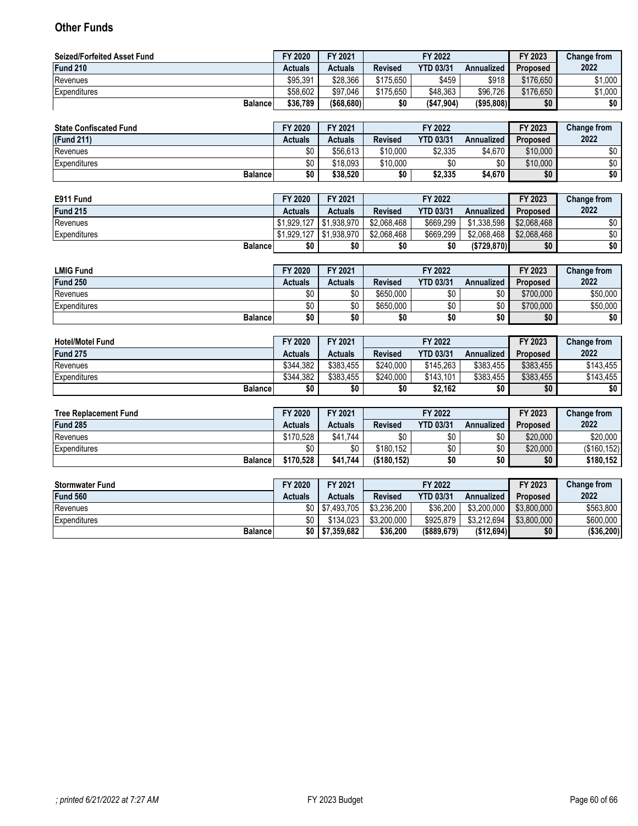# <span id="page-59-0"></span>**Other Funds**

| <b>Seized/Forfeited Asset Fund</b> | FY 2020        | FY 2021        | FY 2022        |                  |            | FY 2023         | <b>Change from</b> |
|------------------------------------|----------------|----------------|----------------|------------------|------------|-----------------|--------------------|
| Fund 210                           | <b>Actuals</b> | <b>Actuals</b> | <b>Revised</b> | <b>YTD 03/31</b> | Annualized | <b>Proposed</b> | 2022               |
| Revenues                           | \$95.391       | \$28.366       | \$175,650      | \$459            | \$918      | \$176.650       | \$1.000            |
| Expenditures                       | \$58.602       | \$97.046       | \$175.650      | \$48.363         | \$96.726   | \$176.650       | \$1,000            |
| <b>Balance</b>                     | \$36,789       | ( \$68.680)    | \$0            | (\$47,904)       | (\$95,808) | \$0             | \$0                |

| <b>State Confiscated Fund</b> | FY 2020 | FY 2021  |                | FY 2022          |            | FY 2023         | Change from |
|-------------------------------|---------|----------|----------------|------------------|------------|-----------------|-------------|
| (Fund 211)                    | Actuals | Actuals  | <b>Revised</b> | <b>YTD 03/31</b> | Annualized | <b>Proposed</b> | 2022        |
| Revenues                      | \$0     | \$56.613 | \$10.000       | \$2,335          | \$4.670    | \$10,000        | \$0         |
| Expenditures                  | \$0     | \$18.093 | \$10.000       | \$0              | ሖ<br>υU    | \$10,000        | \$0         |
| <b>Balance</b>                | \$0     | \$38,520 | \$0            | \$2,335          | \$4,670    | \$0             | \$0         |

| E911 Fund       | FY 2020        | FY 2021                    |                | FY 2022          |             | FY 2023     | Change from |
|-----------------|----------------|----------------------------|----------------|------------------|-------------|-------------|-------------|
| Fund 215        | <b>Actuals</b> | <b>Actuals</b>             | <b>Revised</b> | <b>YTD 03/31</b> | Annualized  | Proposed    | 2022        |
| Revenues        |                | $$1.929.127$ $\$1.938.970$ | \$2.068.468    | \$669.299        | \$1.338.598 | \$2.068.468 | \$0         |
| Expenditures    | \$1.929.127    | \$1,938,970                | \$2.068.468    | \$669.299        | \$2.068.468 | \$2.068.468 | \$0         |
| <b>Balancel</b> | \$0            | \$0                        | \$0            | \$0              | (S729, 870) | \$0         | \$0         |

| <b>LMIG Fund</b> | FY 2020        | FY 2021 |                | FY 2022          |            | FY 2023         | <b>Change from</b> |
|------------------|----------------|---------|----------------|------------------|------------|-----------------|--------------------|
| Fund 250         | <b>Actuals</b> | Actuals | <b>Revised</b> | <b>YTD 03/31</b> | Annualized | <b>Proposed</b> | 2022               |
| Revenues         | \$0            | \$0     | \$650,000      | ¢٨<br>טע         | \$0        | \$700,000       | \$50.000           |
| Expenditures     | \$0            | \$0     | \$650,000      | ¢∩<br>υv         | \$0        | \$700,000       | \$50,000           |
| <b>Balance</b>   | \$0            | \$0     | \$0            | \$0              | \$0        | \$0             | \$0                |

| <b>Hotel/Motel Fund</b> | FY 2020   | FY 2021   |                | FY 2022          |            | FY 2023         | <b>Change from</b> |
|-------------------------|-----------|-----------|----------------|------------------|------------|-----------------|--------------------|
| Fund 275                | Actuals   | Actuals   | <b>Revised</b> | <b>YTD 03/31</b> | Annualized | <b>Proposed</b> | 2022               |
| Revenues                | \$344.382 | \$383.455 | \$240.000      | \$145.263        | \$383.455  | \$383.455       | \$143,455          |
| Expenditures            | \$344.382 | \$383.455 | \$240,000      | \$143.101        | \$383,455  | \$383.455       | \$143,455          |
| <b>Balancel</b>         | \$0       | \$0       | \$0            | \$2,162          | \$0        | \$0             | \$0                |

| <b>Tree Replacement Fund</b> | FY 2020        | FY 2021  |                | FY 2022          |            | FY 2023         | <b>Change from</b> |
|------------------------------|----------------|----------|----------------|------------------|------------|-----------------|--------------------|
| Fund 285                     | <b>Actuals</b> | Actuals  | <b>Revised</b> | <b>YTD 03/31</b> | Annualized | <b>Proposed</b> | 2022               |
| Revenues                     | \$170.528      | \$41.744 | \$0            | \$0              | ¢٢<br>υu   | \$20,000        | \$20,000           |
| Expenditures                 | \$0            | \$0      | \$180.152      | \$0              | \$0        | \$20,000        | (\$160, 152)       |
| <b>Balance</b>               | \$170.528      | \$41.744 | (\$180, 152)   | \$0              | \$0        | \$0             | \$180,152          |

| <b>Stormwater Fund</b> | FY 2020        | FY 2021            |                | FY 2022          |             | FY 2023         | <b>Change from</b> |
|------------------------|----------------|--------------------|----------------|------------------|-------------|-----------------|--------------------|
| Fund 560               | <b>Actuals</b> | Actuals            | <b>Revised</b> | <b>YTD 03/31</b> | Annualized  | <b>Proposed</b> | 2022               |
| Revenues               |                | \$0 \$7,493,705    | \$3.236.200    | \$36,200         | \$3.200.000 | \$3,800,000     | \$563.800          |
| Expenditures           | \$0            | \$134.023          | \$3,200,000    | \$925,879        | \$3.212.694 | \$3,800,000     | \$600,000          |
| Balancel               |                | $$0$   \$7,359,682 | \$36,200       | $($ \$889.679)   | (\$12,694)  | \$0             | (\$36,200)         |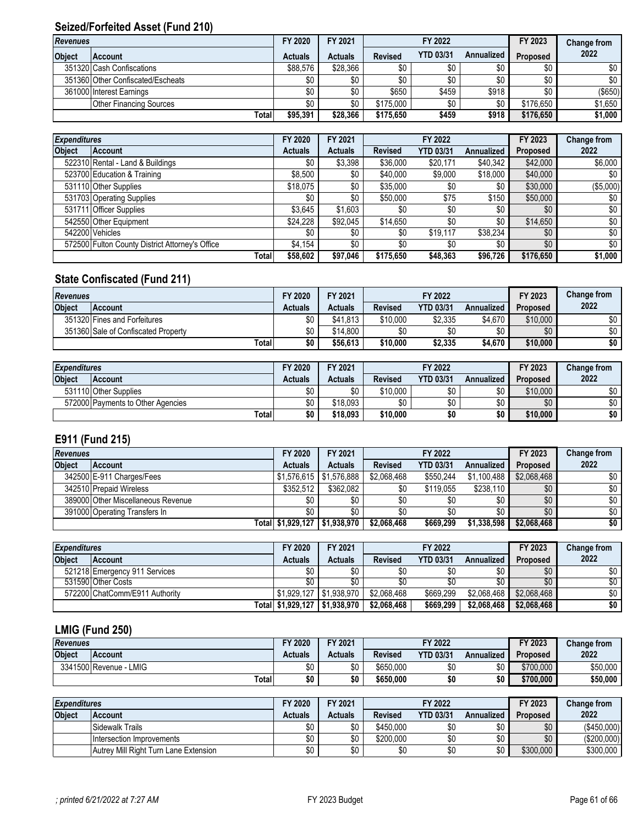# **Seized/Forfeited Asset (Fund 210)**

| <b>Revenues</b> |                                   | FY 2020        | FY 2021        |                | FY 2022          |                  | FY 2023         | Change from |
|-----------------|-----------------------------------|----------------|----------------|----------------|------------------|------------------|-----------------|-------------|
| <b>Object</b>   | <b>Account</b>                    | <b>Actuals</b> | <b>Actuals</b> | <b>Revised</b> | <b>YTD 03/31</b> | Annualized       | <b>Proposed</b> | 2022        |
|                 | 351320 Cash Confiscations         | \$88.576       | \$28,366       | \$0            | \$0              | \$0              | \$0             | \$0         |
|                 | 351360 Other Confiscated/Escheats | \$0            | \$0            | \$0            | \$0              | \$0 <sub>1</sub> | \$0             | \$0         |
|                 | 361000 Interest Earnings          | \$0            | \$0            | \$650          | \$459            | \$918            | \$0             | (\$650)     |
|                 | <b>Other Financing Sources</b>    | \$0            | \$0            | \$175,000      | \$0              | \$0              | \$176,650       | \$1,650     |
|                 | Total                             | \$95.391       | \$28.366       | \$175,650      | \$459            | \$918            | \$176,650       | \$1,000     |

| <b>Expenditures</b> |                                                 | FY 2020        | FY 2021        |                | FY 2022          |                   | FY 2023   | Change from |
|---------------------|-------------------------------------------------|----------------|----------------|----------------|------------------|-------------------|-----------|-------------|
| <b>Object</b>       | <b>Account</b>                                  | <b>Actuals</b> | <b>Actuals</b> | <b>Revised</b> | <b>YTD 03/31</b> | <b>Annualized</b> | Proposed  | 2022        |
|                     | 522310 Rental - Land & Buildings                | \$0            | \$3.398        | \$36,000       | \$20,171         | \$40,342          | \$42,000  | \$6,000     |
|                     | 523700 Education & Training                     | \$8,500        | \$0            | \$40,000       | \$9,000          | \$18,000          | \$40,000  | \$0         |
|                     | 531110 Other Supplies                           | \$18,075       | \$0            | \$35,000       | \$0              | \$0               | \$30,000  | (\$5,000)   |
|                     | 531703 Operating Supplies                       | \$0            | \$0            | \$50,000       | \$75             | \$150             | \$50,000  | \$0         |
|                     | 531711 Officer Supplies                         | \$3,645        | \$1.603        | \$0            | \$0              | \$0               | \$0       | \$0         |
|                     | 542550 Other Equipment                          | \$24.228       | \$92.045       | \$14,650       | \$0              | \$0               | \$14,650  | \$0         |
|                     | 542200 Vehicles                                 | \$0            | \$0            | \$0            | \$19,117         | \$38,234          | \$0       | \$0         |
|                     | 572500 Fulton County District Attorney's Office | \$4,154        | \$0            | \$0            | \$0              | $\$0$             | \$0       | \$0         |
|                     | Totall                                          | \$58,602       | \$97.046       | \$175,650      | \$48,363         | \$96,726          | \$176,650 | \$1,000     |

# **State Confiscated (Fund 211)**

| <b>Revenues</b> |                                     | FY 2020 | FY 2021  |                | FY 2022          |            | FY 2023         | <b>Change from</b> |
|-----------------|-------------------------------------|---------|----------|----------------|------------------|------------|-----------------|--------------------|
| <b>Object</b>   | <b>Account</b>                      | Actuals | Actuals  | <b>Revised</b> | <b>YTD 03/31</b> | Annualized | <b>Proposed</b> | 2022               |
|                 | 351320 Fines and Forfeitures        | \$0     | \$41.813 | \$10.000       | \$2.335          | \$4.670    | \$10,000        | \$0                |
|                 | 351360 Sale of Confiscated Property | \$0     | \$14,800 | \$0            | \$0              | \$0        | \$0             | \$0                |
|                 | Totall                              | \$0     | \$56,613 | \$10.000       | \$2,335          | \$4,670    | \$10,000        | \$0                |

| <b>Expenditures</b> |                                   | FY 2020  | FY 2021  |                | FY 2022          |            | FY 2023         | <b>Change from</b> |
|---------------------|-----------------------------------|----------|----------|----------------|------------------|------------|-----------------|--------------------|
| <b>Object</b>       | <b>Account</b>                    | Actuals  | Actuals  | <b>Revised</b> | <b>YTD 03/31</b> | Annualized | <b>Proposed</b> | 2022               |
|                     | 531110 Other Supplies             | ωn<br>υU | ¢٨<br>υU | \$10,000       | \$0              | ሶስ<br>υU   | \$10,000        | \$0                |
|                     | 572000 Payments to Other Agencies | ሰሰ<br>υU | \$18.093 | \$0            | \$0              | ሰሰ<br>טע   | \$0             | \$0                |
|                     | Total                             | \$0      | \$18.093 | \$10,000       | \$0              | \$0        | \$10,000        | \$0                |

# **E911 (Fund 215)**

| <b>Revenues</b> |                                    | FY 2020                       | FY 2021                   |                | FY 2022          |             | FY 2023         | Change from      |
|-----------------|------------------------------------|-------------------------------|---------------------------|----------------|------------------|-------------|-----------------|------------------|
| <b>Object</b>   | <b>Account</b>                     | Actuals                       | <b>Actuals</b>            | <b>Revised</b> | <b>YTD 03/31</b> | Annualized  | <b>Proposed</b> | 2022             |
|                 | 342500 E-911 Charges/Fees          |                               | $$1,576,615$ $$1,576,888$ | \$2.068.468    | \$550.244        | \$1,100,488 | \$2,068,468     | \$0              |
|                 | 342510 Prepaid Wireless            | $$352.512$ i                  | \$362.082                 | \$0            | \$119,055        | \$238.110   | \$0             | \$0 <sub>1</sub> |
|                 | 389000 Other Miscellaneous Revenue | \$0                           | \$0                       | \$0            | \$0              | \$0         | \$0             | \$0              |
|                 | 391000 Operating Transfers In      |                               | \$0                       | \$0            | \$0              |             | \$0             | \$0              |
|                 |                                    | Total \$1,929,127 \$1,938,970 |                           | \$2,068,468    | \$669,299        | \$1,338,598 | \$2,068,468     | \$0              |

| <b>Expenditures</b> |                                | FY 2020        | FY 2021                       | FY 2022     |                  |             | FY 2023         | Change from     |
|---------------------|--------------------------------|----------------|-------------------------------|-------------|------------------|-------------|-----------------|-----------------|
| <b>Object</b>       | <b>Account</b>                 | <b>Actuals</b> | <b>Actuals</b>                | Revised     | <b>YTD 03/31</b> | Annualized  | <b>Proposed</b> | 2022            |
|                     | 521218 Emergency 911 Services  | \$0            | \$0                           | \$0         | \$0              |             | \$0             | \$0             |
|                     | 531590 Other Costs             | \$0            | \$0                           | \$0         |                  |             | \$0             | $\overline{50}$ |
|                     | 572200 ChatComm/E911 Authority | \$1.929.127    | ′ I \$1.938.970               | \$2.068.468 | \$669.299        | \$2.068.468 | \$2.068.468     | \$0             |
|                     |                                |                | Total \$1,929,127 \$1,938,970 | \$2,068,468 | \$669.299        | \$2,068,468 | \$2,068,468     | \$0             |

# **LMIG (Fund 250)**

| <b>Revenues</b> |                             | '2020   | FY 2021 |                | FY 2022          |            | FY 2023   | <b>Change from</b> |
|-----------------|-----------------------------|---------|---------|----------------|------------------|------------|-----------|--------------------|
| <b>Object</b>   | <b>Account</b>              | Actuals | Actuals | <b>Revised</b> | <b>YTD 03/31</b> | Annualized | Proposed  | 2022               |
|                 | 3341500 Revenue - L<br>∟MIG | ሖ<br>υu | \$0     | \$650,000      | \$0              | \$0        | \$700,000 | \$50,000           |
|                 | Total                       | \$0     | \$0     | \$650.000      | \$0              | \$0        | \$700.000 | \$50,000           |

| <b>Expenditures</b> |                                       | FY 2020 | FY 2021  | FY 2022        |                  |            | FY 2023   | <b>Change from</b> |
|---------------------|---------------------------------------|---------|----------|----------------|------------------|------------|-----------|--------------------|
| <b>Object</b>       | <b>Account</b>                        | Actuals | Actuals  | <b>Revised</b> | <b>YTD 03/31</b> | Annualized | Proposed  | 2022               |
|                     | Sidewalk Trails                       | שט      | \$0      | \$450,000      | \$0              | ሖ<br>⊍ບ    | \$0       | $($ \$450,000)     |
|                     | <b>Intersection Improvements</b>      | \$0     | \$0      | \$200.000      | \$0              | ۴ı<br>⊍ບ   | \$0       | (\$200,000)        |
|                     | Autrey Mill Right Turn Lane Extension | \$0     | ¢∩<br>งบ | \$0            | \$0              | ¢Ր<br>υ١   | \$300,000 | \$300,000          |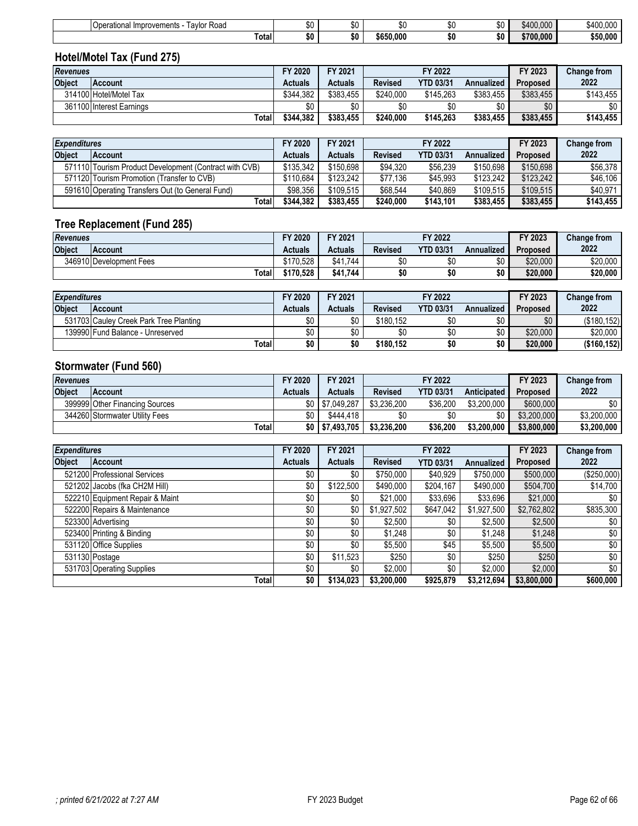|                 | Operational Improvements - Taylor Road | \$0            | \$0            | \$0            | \$0              | \$0               | \$400,000 | \$400,000          |
|-----------------|----------------------------------------|----------------|----------------|----------------|------------------|-------------------|-----------|--------------------|
|                 | Total                                  | \$0            | \$0            | \$650,000      | \$0              | \$0               | \$700,000 | \$50,000           |
|                 | Hotel/Motel Tax (Fund 275)             |                |                |                |                  |                   |           |                    |
| <b>Revenues</b> |                                        | FY 2020        | FY 2021        |                | FY 2022          |                   | FY 2023   | <b>Change from</b> |
| <b>Object</b>   | <b>Account</b>                         | <b>Actuals</b> | <b>Actuals</b> | <b>Revised</b> | <b>YTD 03/31</b> | <b>Annualized</b> | Proposed  | 2022               |
|                 | 314100 Hotel/Motel Tax                 | \$344.382      | \$383.455      | \$240,000      | \$145,263        | \$383,455         | \$383,455 | \$143,455          |
|                 | 361100 Interest Earnings               | \$0            | \$0            | \$0            | \$0              | \$0               | \$0       | \$0                |
|                 | Total                                  | \$344,382      | \$383,455      | \$240,000      | \$145,263        | \$383,455         | \$383,455 | \$143,455          |
|                 |                                        |                |                |                |                  |                   |           |                    |

| <b>Expenditures</b> |                                                        | FY 2020        | FY 2021        |                | FY 2022          |            | FY 2023         | <b>Change from</b> |
|---------------------|--------------------------------------------------------|----------------|----------------|----------------|------------------|------------|-----------------|--------------------|
| <b>Object</b>       | <b>Account</b>                                         | <b>Actuals</b> | <b>Actuals</b> | <b>Revised</b> | <b>YTD 03/31</b> | Annualized | <b>Proposed</b> | 2022               |
|                     | 571110 Tourism Product Development (Contract with CVB) | \$135,342      | \$150.698      | \$94.320       | \$56,239         | \$150.698  | \$150,698       | \$56.378           |
|                     | 571120 Tourism Promotion (Transfer to CVB)             | \$110.684      | \$123.242      | \$77.136       | \$45.993         | \$123,242  | \$123.242       | \$46,106           |
|                     | 591610 Operating Transfers Out (to General Fund)       | \$98,356       | \$109.515      | \$68.544       | \$40.869         | \$109.515  | \$109.515       | \$40.971           |
|                     | Total                                                  | \$344.382      | \$383,455      | \$240.000      | \$143.101        | \$383.455  | \$383,455       | \$143,455          |

# **Tree Replacement (Fund 285)**

| <b>Revenues</b> |                         | FY 2020   | FY 2021  | FY 2022        |                  |            | FY 2023         | <b>Change from</b> |
|-----------------|-------------------------|-----------|----------|----------------|------------------|------------|-----------------|--------------------|
| <b>Object</b>   | <b>IAccount</b>         | Actuals   | Actuals  | <b>Revised</b> | <b>YTD 03/31</b> | Annualized | <b>Proposed</b> | 2022               |
|                 | 346910 Development Fees | \$170.528 | \$41.744 | \$0            | \$0              | m r<br>ັບເ | \$20,000        | \$20,000           |
|                 | Total                   | \$170,528 | \$41.744 | ას             | \$0              | \$0        | \$20,000        | \$20,000           |

| <b>Expenditures</b> |                                        | FY 2020 | FY 2021  | FY 2022        |                  |            | FY 2023         | <b>Change from</b> |
|---------------------|----------------------------------------|---------|----------|----------------|------------------|------------|-----------------|--------------------|
| <b>Object</b>       | <b>Account</b>                         | Actuals | Actuals  | <b>Revised</b> | <b>YTD 03/31</b> | Annualized | <b>Proposed</b> | 2022               |
|                     | 531703 Cauley Creek Park Tree Planting | \$0     | ¢٨       | \$180.152      | \$0              |            | \$0             | (\$180,152)        |
|                     | 139990 Fund Balance - Unreserved       | \$0     | ¢٨<br>υU |                | \$0              | ሖ          | \$20,000        | \$20,000           |
|                     | Total                                  | \$0     | \$0      | \$180.152      | \$0              | \$0        | \$20,000        | ( \$160, 152)      |

# **Stormwater (Fund 560)**

| <b>Revenues</b> |                                | FY 2020 | FY 2021            | FY 2022        |                  |             | FY 2023         | <b>Change from</b> |
|-----------------|--------------------------------|---------|--------------------|----------------|------------------|-------------|-----------------|--------------------|
| <b>Object</b>   | <b>Account</b>                 | Actuals | Actuals            | <b>Revised</b> | <b>YTD 03/31</b> | Anticipated | <b>Proposed</b> | 2022               |
|                 | 399999 Other Financing Sources |         | \$7.049.287        | \$3.236.200    | \$36,200         | \$3.200.000 | \$600,000       | \$0                |
|                 | 344260 Stormwater Utility Fees | \$0     | \$444.418          |                | \$0              |             | \$3,200,000     | \$3.200.000        |
|                 | Totall                         |         | $$0$   \$7.493.705 | \$3,236,200    | \$36,200         | \$3,200,000 | \$3,800,000     | \$3,200,000        |

|               | <b>Expenditures</b>             |                | FY 2021        |                | FY 2022          |                   | FY 2023     | Change from |
|---------------|---------------------------------|----------------|----------------|----------------|------------------|-------------------|-------------|-------------|
| <b>Object</b> | <b>Account</b>                  | <b>Actuals</b> | <b>Actuals</b> | <b>Revised</b> | <b>YTD 03/31</b> | <b>Annualized</b> | Proposed    | 2022        |
|               | 521200 Professional Services    | \$0            | \$0            | \$750,000      | \$40,929         | \$750,000         | \$500,000   | (\$250,000) |
|               | 521202 Jacobs (fka CH2M Hill)   | \$0            | \$122,500      | \$490,000      | \$204,167        | \$490,000         | \$504,700   | \$14,700    |
|               | 522210 Equipment Repair & Maint | \$0            | \$0            | \$21,000       | \$33,696         | \$33,696          | \$21,000    | \$0         |
|               | 522200 Repairs & Maintenance    | \$0            | \$0            | \$1,927,502    | \$647,042        | \$1,927,500       | \$2,762,802 | \$835,300   |
|               | 523300 Advertising              | \$0            | \$0            | \$2,500        | \$0              | \$2,500           | \$2,500     | \$0         |
|               | 523400 Printing & Binding       | \$0            | \$0            | \$1,248        | \$0              | \$1,248           | \$1,248     | \$0         |
|               | 531120 Office Supplies          | \$0            | \$0            | \$5,500        | \$45             | \$5,500           | \$5,500     | \$0         |
|               | 531130 Postage                  | \$0            | \$11,523       | \$250          | \$0              | \$250             | \$250       | \$0         |
|               | 531703 Operating Supplies       | \$0            | \$0            | \$2,000        | \$0              | \$2,000           | \$2,000     | \$0         |
|               | Total                           | \$0            | \$134,023      | \$3,200,000    | \$925,879        | \$3,212,694       | \$3,800,000 | \$600,000   |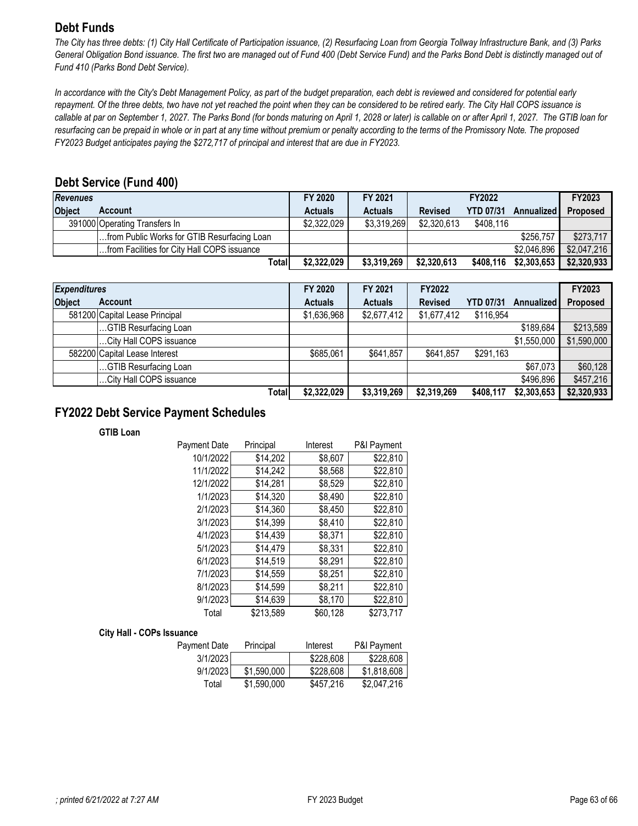# <span id="page-62-0"></span>**Debt Funds**

*The City has three debts: (1) City Hall Certificate of Participation issuance, (2) Resurfacing Loan from Georgia Tollway Infrastructure Bank, and (3) Parks General Obligation Bond issuance. The first two are managed out of Fund 400 (Debt Service Fund) and the Parks Bond Debt is distinctly managed out of Fund 410 (Parks Bond Debt Service).* 

*In accordance with the City's Debt Management Policy, as part of the budget preparation, each debt is reviewed and considered for potential early repayment. Of the three debts, two have not yet reached the point when they can be considered to be retired early. The City Hall COPS issuance is callable at par on September 1, 2027. The Parks Bond (for bonds maturing on April 1, 2028 or later) is callable on or after April 1, 2027. The GTIB loan for resurfacing can be prepaid in whole or in part at any time without premium or penalty according to the terms of the Promissory Note. The proposed FY2023 Budget anticipates paying the \$272,717 of principal and interest that are due in FY2023.*

## **Debt Service (Fund 400)**

| <b>Revenues</b> |                                             | FY 2020        | FY 2021        |                | FY2022           |             | <b>FY2023</b>   |
|-----------------|---------------------------------------------|----------------|----------------|----------------|------------------|-------------|-----------------|
| <b>Object</b>   | Account                                     | <b>Actuals</b> | <b>Actuals</b> | <b>Revised</b> | <b>YTD 07/31</b> | Annualized  | <b>Proposed</b> |
|                 | 391000 Operating Transfers In               | \$2,322,029    | \$3,319,269    | \$2,320,613    | \$408,116        |             |                 |
|                 | from Public Works for GTIB Resurfacing Loan |                |                |                |                  | \$256,757   | \$273,717       |
|                 | from Facilities for City Hall COPS issuance |                |                |                |                  | \$2,046,896 | \$2,047,216     |
|                 | Totall                                      | \$2,322,029    | \$3,319,269    | \$2,320,613    | \$408.116        | \$2,303,653 | \$2,320,933     |

|               | <b>Expenditures</b>            |                | FY 2021        | <b>FY2022</b>  |                  |                   | FY2023      |
|---------------|--------------------------------|----------------|----------------|----------------|------------------|-------------------|-------------|
| <b>Object</b> | <b>Account</b>                 | <b>Actuals</b> | <b>Actuals</b> | <b>Revised</b> | <b>YTD 07/31</b> | <b>Annualized</b> | Proposed    |
|               | 581200 Capital Lease Principal | \$1,636,968    | \$2,677,412    | \$1,677,412    | \$116,954        |                   |             |
|               | GTIB Resurfacing Loan          |                |                |                |                  | \$189,684         | \$213,589   |
|               | City Hall COPS issuance        |                |                |                |                  | \$1,550,000       | \$1,590,000 |
|               | 582200 Capital Lease Interest  | \$685,061      | \$641,857      | \$641,857      | \$291,163        |                   |             |
|               | GTIB Resurfacing Loan          |                |                |                |                  | \$67,073          | \$60,128    |
|               | City Hall COPS issuance        |                |                |                |                  | \$496,896         | \$457,216   |
|               | Total                          | \$2,322,029    | \$3,319,269    | \$2,319,269    | \$408,117        | \$2,303,653       | \$2,320,933 |

## **FY2022 Debt Service Payment Schedules**

#### **GTIB Loan**

| Payment Date | Principal | Interest | P&I Payment |
|--------------|-----------|----------|-------------|
| 10/1/2022    | \$14,202  | \$8,607  | \$22,810    |
| 11/1/2022    | \$14,242  | \$8,568  | \$22,810    |
| 12/1/2022    | \$14,281  | \$8,529  | \$22,810    |
| 1/1/2023     | \$14,320  | \$8,490  | \$22,810    |
| 2/1/2023     | \$14,360  | \$8,450  | \$22,810    |
| 3/1/2023     | \$14,399  | \$8,410  | \$22,810    |
| 4/1/2023     | \$14,439  | \$8,371  | \$22,810    |
| 5/1/2023     | \$14,479  | \$8,331  | \$22,810    |
| 6/1/2023     | \$14,519  | \$8,291  | \$22,810    |
| 7/1/2023     | \$14,559  | \$8,251  | \$22,810    |
| 8/1/2023     | \$14,599  | \$8,211  | \$22,810    |
| 9/1/2023     | \$14,639  | \$8,170  | \$22,810    |
| Total        | \$213,589 | \$60,128 | \$273,717   |

#### **City Hall - COPs Issuance**

| Payment Date | Principal   | Interest  | <b>P&amp;I Payment</b> |
|--------------|-------------|-----------|------------------------|
| 3/1/2023     |             | \$228,608 | \$228,608              |
| 9/1/2023     | \$1,590,000 | \$228,608 | \$1,818,608            |
| Total        | \$1,590,000 | \$457.216 | \$2,047,216            |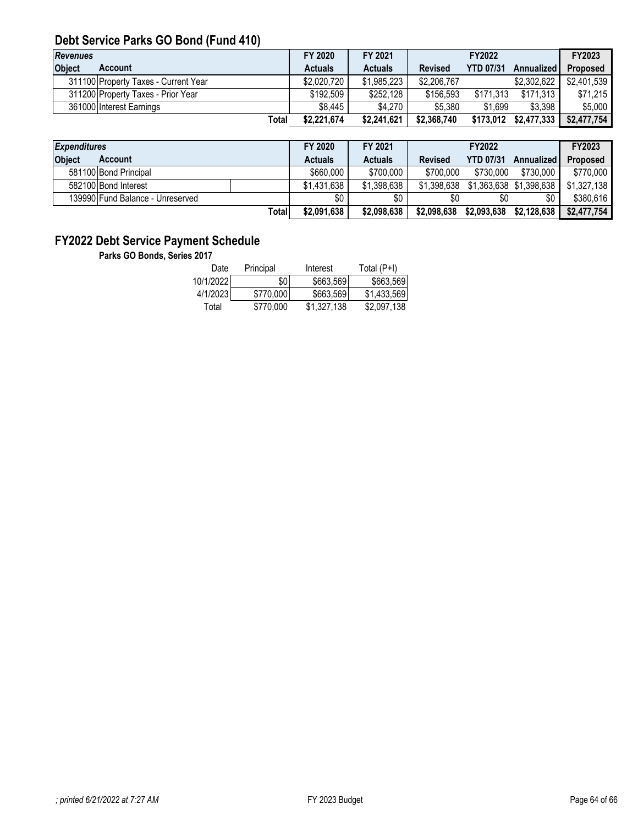# **Debt Service Parks GO Bond (Fund 410)**

| <b>Revenues</b> |                                      | FY 2020        | FY 2021        |             | FY2022           |                   | FY2023          |
|-----------------|--------------------------------------|----------------|----------------|-------------|------------------|-------------------|-----------------|
| <b>Object</b>   | Account                              | <b>Actuals</b> | <b>Actuals</b> | Revised     | <b>YTD 07/31</b> | <b>Annualized</b> | <b>Proposed</b> |
|                 | 311100 Property Taxes - Current Year | \$2,020,720    | \$1,985,223    | \$2,206,767 |                  | \$2,302,622       | \$2,401,539     |
|                 | 311200 Property Taxes - Prior Year   | \$192.509      | \$252,128      | \$156,593   | \$171.313        | \$171,313         | \$71,215        |
|                 | 361000 Interest Earnings             | \$8,445        | \$4,270        | \$5.380     | \$1.699          | \$3.398           | \$5,000         |
|                 | Total                                | \$2,221,674    | \$2,241,621    | \$2,368,740 | \$173,012        | \$2,477,333       | \$2,477,754     |

| <b>Expenditures</b> |                                  |        | FY 2020        | FY 2021        | <b>FY2022</b>  |                  | FY2023                              |                 |
|---------------------|----------------------------------|--------|----------------|----------------|----------------|------------------|-------------------------------------|-----------------|
| <b>Object</b>       | Account                          |        | <b>Actuals</b> | <b>Actuals</b> | <b>Revised</b> | <b>YTD 07/31</b> | <b>Annualized</b>                   | <b>Proposed</b> |
|                     | 581100 Bond Principal            |        | \$660,000      | \$700,000      | \$700,000      | \$730,000        | \$730.000                           | \$770,000       |
|                     | 582100 Bond Interest             |        | \$1,431,638    | \$1,398,638    |                |                  | \$1,398,638 \$1,363,638 \$1,398,638 | \$1,327,138     |
|                     | 139990 Fund Balance - Unreserved |        | \$0            | \$0            | \$0            | \$0              | \$0                                 | \$380,616       |
|                     |                                  | Totall | \$2,091,638    | \$2,098,638    | \$2,098,638    | \$2,093,638      | \$2,128,638                         | \$2,477,754     |

# **FY2022 Debt Service Payment Schedule**

**Parks GO Bonds, Series 2017**

| Date      | Principal | Interest    | Total (P+I) |
|-----------|-----------|-------------|-------------|
| 10/1/2022 | \$0       | \$663.569   | \$663.569   |
| 4/1/2023  | \$770,000 | \$663.569   | \$1.433.569 |
| Total     | \$770,000 | \$1.327.138 | \$2,097.138 |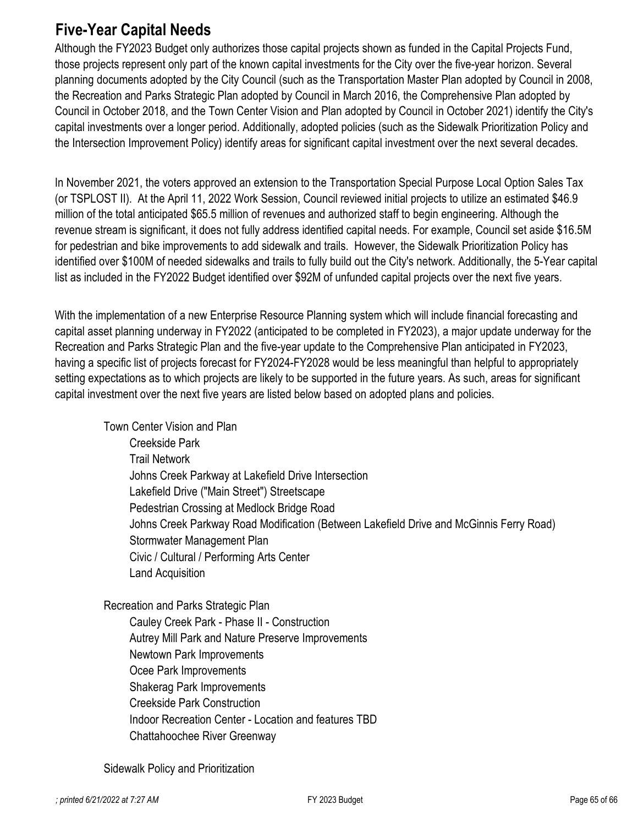# <span id="page-64-0"></span>**Five-Year Capital Needs**

Although the FY2023 Budget only authorizes those capital projects shown as funded in the Capital Projects Fund, those projects represent only part of the known capital investments for the City over the five-year horizon. Several planning documents adopted by the City Council (such as the Transportation Master Plan adopted by Council in 2008, the Recreation and Parks Strategic Plan adopted by Council in March 2016, the Comprehensive Plan adopted by Council in October 2018, and the Town Center Vision and Plan adopted by Council in October 2021) identify the City's capital investments over a longer period. Additionally, adopted policies (such as the Sidewalk Prioritization Policy and the Intersection Improvement Policy) identify areas for significant capital investment over the next several decades.

In November 2021, the voters approved an extension to the Transportation Special Purpose Local Option Sales Tax (or TSPLOST II). At the April 11, 2022 Work Session, Council reviewed initial projects to utilize an estimated \$46.9 million of the total anticipated \$65.5 million of revenues and authorized staff to begin engineering. Although the revenue stream is significant, it does not fully address identified capital needs. For example, Council set aside \$16.5M for pedestrian and bike improvements to add sidewalk and trails. However, the Sidewalk Prioritization Policy has identified over \$100M of needed sidewalks and trails to fully build out the City's network. Additionally, the 5-Year capital list as included in the FY2022 Budget identified over \$92M of unfunded capital projects over the next five years.

With the implementation of a new Enterprise Resource Planning system which will include financial forecasting and capital asset planning underway in FY2022 (anticipated to be completed in FY2023), a major update underway for the Recreation and Parks Strategic Plan and the five-year update to the Comprehensive Plan anticipated in FY2023, having a specific list of projects forecast for FY2024-FY2028 would be less meaningful than helpful to appropriately setting expectations as to which projects are likely to be supported in the future years. As such, areas for significant capital investment over the next five years are listed below based on adopted plans and policies.

Town Center Vision and Plan Creekside Park Trail Network Johns Creek Parkway at Lakefield Drive Intersection Lakefield Drive ("Main Street") Streetscape Pedestrian Crossing at Medlock Bridge Road Johns Creek Parkway Road Modification (Between Lakefield Drive and McGinnis Ferry Road) Stormwater Management Plan Civic / Cultural / Performing Arts Center Land Acquisition

Recreation and Parks Strategic Plan Cauley Creek Park - Phase II - Construction Autrey Mill Park and Nature Preserve Improvements Newtown Park Improvements Ocee Park Improvements Shakerag Park Improvements Creekside Park Construction Indoor Recreation Center - Location and features TBD Chattahoochee River Greenway

Sidewalk Policy and Prioritization